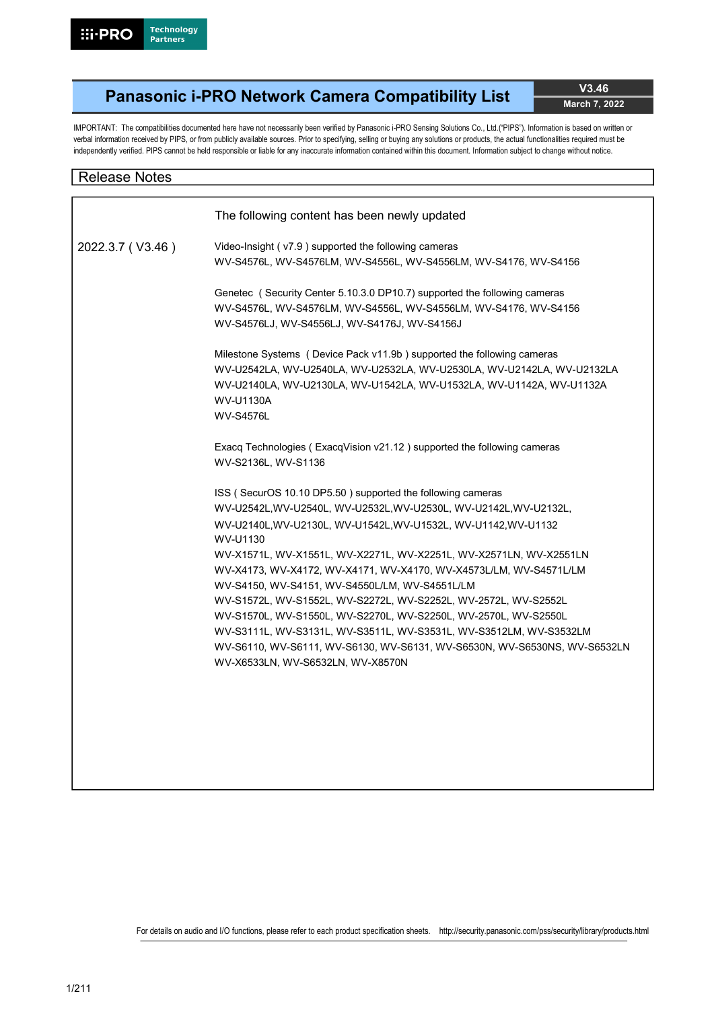# Panasonic i-PRO Network Camera Compatibility List V3.46

March 7, 2022

IMPORTANT: The compatibilities documented here have not necessarily been verified by Panasonic i-PRO Sensing Solutions Co., Ltd.("PIPS"). Information is based on written or verbal information received by PIPS, or from publicly available sources. Prior to specifying, selling or buying any solutions or products, the actual functionalities required must be independently verified. PIPS cannot be held responsible or liable for any inaccurate information contained within this document. Information subject to change without notice.

# Release Notes

|                  | The following content has been newly updated                               |
|------------------|----------------------------------------------------------------------------|
| 2022.3.7 (V3.46) | Video-Insight (v7.9) supported the following cameras                       |
|                  | WV-S4576L, WV-S4576LM, WV-S4556L, WV-S4556LM, WV-S4176, WV-S4156           |
|                  | Genetec (Security Center 5.10.3.0 DP10.7) supported the following cameras  |
|                  | WV-S4576L, WV-S4576LM, WV-S4556L, WV-S4556LM, WV-S4176, WV-S4156           |
|                  | WV-S4576LJ, WV-S4556LJ, WV-S4176J, WV-S4156J                               |
|                  | Milestone Systems ( Device Pack v11.9b) supported the following cameras    |
|                  | WV-U2542LA, WV-U2540LA, WV-U2532LA, WV-U2530LA, WV-U2142LA, WV-U2132LA     |
|                  | WV-U2140LA, WV-U2130LA, WV-U1542LA, WV-U1532LA, WV-U1142A, WV-U1132A       |
|                  | <b>WV-U1130A</b>                                                           |
|                  | <b>WV-S4576L</b>                                                           |
|                  | Exacq Technologies (ExacqVision v21.12) supported the following cameras    |
|                  | WV-S2136L, WV-S1136                                                        |
|                  | ISS (SecurOS 10.10 DP5.50) supported the following cameras                 |
|                  | WV-U2542L,WV-U2540L, WV-U2532L,WV-U2530L, WV-U2142L,WV-U2132L,             |
|                  | WV-U2140L, WV-U2130L, WV-U1542L, WV-U1532L, WV-U1142, WV-U1132<br>WV-U1130 |
|                  | WV-X1571L, WV-X1551L, WV-X2271L, WV-X2251L, WV-X2571LN, WV-X2551LN         |
|                  | WV-X4173, WV-X4172, WV-X4171, WV-X4170, WV-X4573L/LM, WV-S4571L/LM         |
|                  | WV-S4150, WV-S4151, WV-S4550L/LM, WV-S4551L/LM                             |
|                  | WV-S1572L, WV-S1552L, WV-S2272L, WV-S2252L, WV-2572L, WV-S2552L            |
|                  | WV-S1570L, WV-S1550L, WV-S2270L, WV-S2250L, WV-2570L, WV-S2550L            |
|                  | WV-S3111L, WV-S3131L, WV-S3511L, WV-S3531L, WV-S3512LM, WV-S3532LM         |
|                  | WV-S6110, WV-S6111, WV-S6130, WV-S6131, WV-S6530N, WV-S6530NS, WV-S6532LN  |
|                  | WV-X6533LN, WV-S6532LN, WV-X8570N                                          |
|                  |                                                                            |
|                  |                                                                            |
|                  |                                                                            |
|                  |                                                                            |
|                  |                                                                            |
|                  |                                                                            |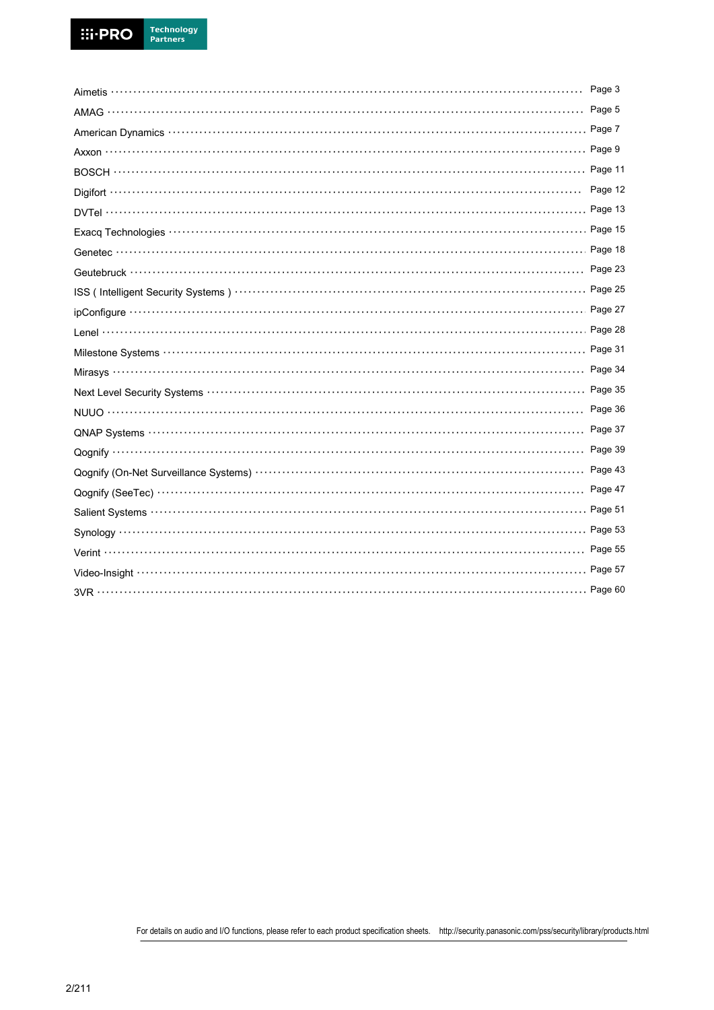|                                                                         | Page 3  |
|-------------------------------------------------------------------------|---------|
|                                                                         |         |
|                                                                         |         |
|                                                                         |         |
|                                                                         |         |
|                                                                         | Page 12 |
|                                                                         |         |
|                                                                         |         |
|                                                                         |         |
|                                                                         |         |
|                                                                         |         |
|                                                                         |         |
|                                                                         |         |
|                                                                         |         |
|                                                                         |         |
|                                                                         |         |
|                                                                         |         |
|                                                                         |         |
|                                                                         |         |
|                                                                         | Page 39 |
| Qognify (On-Net Surveillance Systems) ………………………………………………………………… Page 43 |         |
|                                                                         |         |
|                                                                         |         |
|                                                                         |         |
|                                                                         |         |
|                                                                         |         |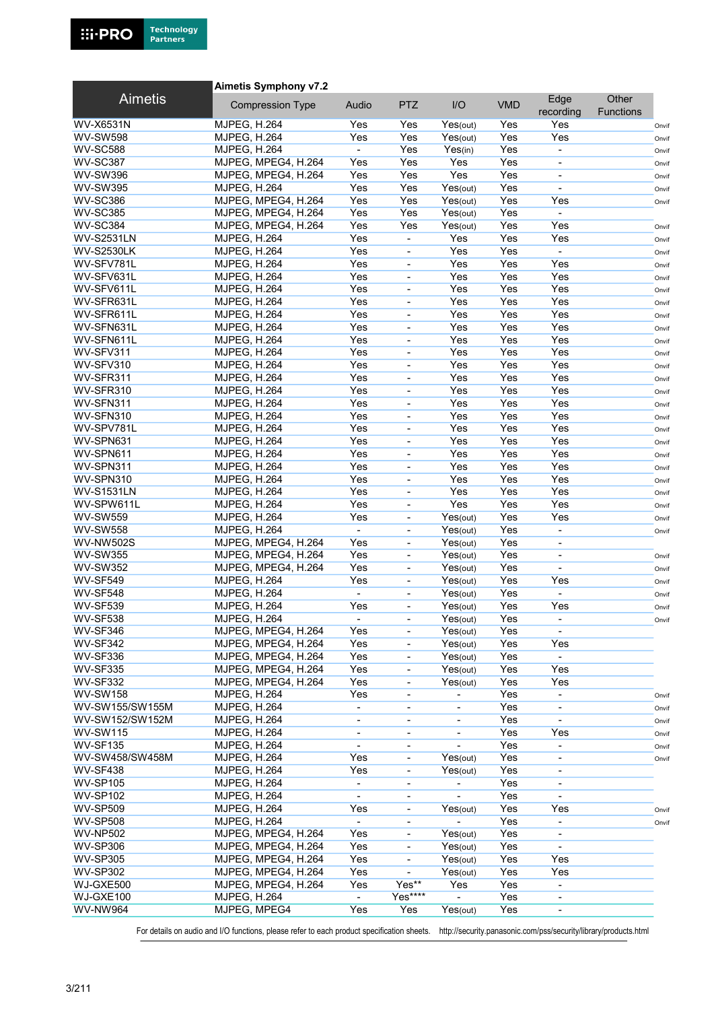

#### Aimetis Symphony v7.2

| <b>Aimetis</b>                      | <b>Compression Type</b>                    | Audio                    | <b>PTZ</b>                   | I/O                      | <b>VMD</b> | Edge                     | Other            |                |
|-------------------------------------|--------------------------------------------|--------------------------|------------------------------|--------------------------|------------|--------------------------|------------------|----------------|
|                                     |                                            |                          |                              |                          |            | recording                | <b>Functions</b> |                |
| <b>WV-X6531N</b><br><b>WV-SW598</b> | <b>MJPEG, H.264</b><br><b>MJPEG, H.264</b> | Yes<br>Yes               | Yes<br>Yes                   | Yes(out)                 | Yes<br>Yes | Yes<br>Yes               |                  | Onvif          |
| <b>WV-SC588</b>                     | <b>MJPEG, H.264</b>                        | $\sim$                   | Yes                          | Yes(out)<br>Yes(in)      | Yes        | $\blacksquare$           |                  | Onvif          |
| <b>WV-SC387</b>                     | MJPEG, MPEG4, H.264                        | Yes                      | Yes                          | Yes                      | Yes        |                          |                  | Onvif          |
| <b>WV-SW396</b>                     | MJPEG, MPEG4, H.264                        | Yes                      | Yes                          | Yes                      | Yes        | $\overline{\phantom{a}}$ |                  | Onvif          |
| <b>WV-SW395</b>                     | <b>MJPEG, H.264</b>                        | Yes                      | Yes                          | Yes(out)                 | Yes        | $\overline{\phantom{a}}$ |                  | Onvif<br>Onvif |
| <b>WV-SC386</b>                     | MJPEG, MPEG4, H.264                        | Yes                      | Yes                          | Yes(out)                 | Yes        | Yes                      |                  | Onvif          |
| <b>WV-SC385</b>                     | MJPEG, MPEG4, H.264                        | Yes                      | Yes                          | Yes(out)                 | Yes        | $\blacksquare$           |                  |                |
| <b>WV-SC384</b>                     | MJPEG, MPEG4, H.264                        | Yes                      | Yes                          | Yes(out)                 | Yes        | Yes                      |                  | Onvif          |
| <b>WV-S2531LN</b>                   | <b>MJPEG, H.264</b>                        | Yes                      | $\overline{\phantom{0}}$     | Yes                      | Yes        | Yes                      |                  | Onvif          |
| <b>WV-S2530LK</b>                   | <b>MJPEG, H.264</b>                        | Yes                      | $\overline{\phantom{0}}$     | Yes                      | Yes        | $\sim$                   |                  | Onvif          |
| WV-SFV781L                          | <b>MJPEG, H.264</b>                        | Yes                      | ÷,                           | Yes                      | Yes        | Yes                      |                  | Onvif          |
| WV-SFV631L                          | MJPEG, H.264                               | Yes                      | ÷,                           | Yes                      | Yes        | Yes                      |                  | Onvif          |
| WV-SFV611L                          | <b>MJPEG, H.264</b>                        | Yes                      | $\overline{\phantom{a}}$     | Yes                      | Yes        | Yes                      |                  | Onvif          |
| WV-SFR631L                          | <b>MJPEG, H.264</b>                        | Yes                      | $\overline{\phantom{0}}$     | Yes                      | Yes        | Yes                      |                  | Onvif          |
| WV-SFR611L                          | <b>MJPEG, H.264</b>                        | Yes                      | ÷,                           | Yes                      | Yes        | Yes                      |                  | Onvif          |
| WV-SFN631L                          | MJPEG, H.264                               | Yes                      | ÷,                           | Yes                      | Yes        | Yes                      |                  | Onvif          |
| WV-SFN611L                          | <b>MJPEG, H.264</b>                        | Yes                      | $\blacksquare$               | Yes                      | Yes        | Yes                      |                  | Onvif          |
| WV-SFV311                           | <b>MJPEG, H.264</b>                        | Yes                      | $\overline{\phantom{0}}$     | Yes                      | Yes        | Yes                      |                  | Onvif          |
| WV-SFV310                           | <b>MJPEG, H.264</b>                        | Yes                      | ÷,                           | Yes                      | Yes        | Yes                      |                  | Onvif          |
| WV-SFR311                           | <b>MJPEG, H.264</b>                        | Yes                      | ÷,                           | Yes                      | Yes        | Yes                      |                  | Onvif          |
| WV-SFR310                           | <b>MJPEG, H.264</b>                        | Yes                      | $\blacksquare$               | Yes                      | Yes        | Yes                      |                  | Onvif          |
| WV-SFN311                           | <b>MJPEG, H.264</b>                        | Yes                      | $\overline{\phantom{0}}$     | Yes                      | Yes        | Yes                      |                  | Onvif          |
| WV-SFN310                           | <b>MJPEG, H.264</b>                        | Yes                      | $\blacksquare$               | Yes                      | Yes        | Yes                      |                  | Onvif          |
| WV-SPV781L                          | <b>MJPEG, H.264</b>                        | Yes                      | ÷,                           | Yes                      | Yes        | Yes                      |                  | Onvif          |
| WV-SPN631                           | <b>MJPEG, H.264</b>                        | Yes                      | $\blacksquare$               | Yes                      | Yes        | Yes                      |                  | Onvif          |
| WV-SPN611                           | <b>MJPEG, H.264</b>                        | Yes                      | $\qquad \qquad \blacksquare$ | Yes                      | Yes        | Yes                      |                  | Onvif          |
| WV-SPN311                           | <b>MJPEG, H.264</b>                        | Yes                      | $\overline{\phantom{0}}$     | Yes                      | Yes        | Yes                      |                  | Onvif          |
| WV-SPN310                           | <b>MJPEG, H.264</b>                        | Yes                      |                              | Yes                      | Yes        | Yes                      |                  | Onvif          |
| <b>WV-S1531LN</b>                   | MJPEG, H.264                               | Yes                      | $\blacksquare$               | Yes                      | Yes        | Yes                      |                  | Onvif          |
| WV-SPW611L                          | <b>MJPEG, H.264</b>                        | Yes                      | -                            | Yes                      | Yes        | Yes                      |                  | Onvif          |
| <b>WV-SW559</b>                     | <b>MJPEG, H.264</b>                        | Yes                      | $\overline{\phantom{a}}$     | Yes(out)                 | Yes        | Yes                      |                  | Onvif          |
| <b>WV-SW558</b>                     | MJPEG, H.264                               | $\blacksquare$           |                              | Yes(out)                 | Yes        | $\blacksquare$           |                  | Onvif          |
| <b>WV-NW502S</b>                    | MJPEG, MPEG4, H.264                        | Yes                      | $\blacksquare$               | Yes(out)                 | Yes        | $\blacksquare$           |                  |                |
| <b>WV-SW355</b>                     | MJPEG, MPEG4, H.264                        | Yes                      | $\qquad \qquad \blacksquare$ | Yes(out)                 | Yes        | $\overline{\phantom{a}}$ |                  | Onvif          |
| <b>WV-SW352</b>                     | MJPEG, MPEG4, H.264                        | Yes                      | $\overline{\phantom{0}}$     | Yes(out)                 | Yes        |                          |                  | Onvif          |
| <b>WV-SF549</b>                     | <b>MJPEG, H.264</b>                        | Yes                      | ÷,                           | Yes(out)                 | Yes        | Yes                      |                  | Onvif          |
| <b>WV-SF548</b>                     | MJPEG, H.264                               | $\blacksquare$           | ÷,                           | Yes(out)                 | Yes        | $\blacksquare$           |                  | Onvif          |
| <b>WV-SF539</b>                     | <b>MJPEG, H.264</b>                        | Yes                      | $\qquad \qquad \blacksquare$ | Yes(out)                 | Yes        | Yes                      |                  | Onvif          |
| <b>WV-SF538</b>                     | <b>MJPEG, H.264</b>                        |                          | $\overline{\phantom{a}}$     | Yes(out)                 | Yes        |                          |                  | Onvif          |
| WV-SF346                            | MJPEG, MPEG4, H.264                        | Yes                      |                              | Yes(out)                 | Yes        |                          |                  |                |
| <b>WV-SF342</b>                     | MJPEG, MPEG4, H.264                        | Yes                      | $\overline{\phantom{0}}$     | Yes(out)                 | Yes        | Yes                      |                  |                |
| WV-SF336                            | MJPEG, MPEG4, H.264                        | Yes                      | ÷,                           | Yes(out)                 | Yes        |                          |                  |                |
| <b>WV-SF335</b>                     | MJPEG, MPEG4, H.264                        | Yes                      | -                            | Yes(out)                 | Yes        | Yes                      |                  |                |
| <b>WV-SF332</b>                     | MJPEG, MPEG4, H.264                        | Yes                      | ۰                            | Yes(out)                 | Yes        | Yes                      |                  |                |
| <b>WV-SW158</b>                     | MJPEG, H.264                               | Yes                      |                              |                          | Yes        | $\blacksquare$           |                  | Onvif          |
| WV-SW155/SW155M                     | <b>MJPEG, H.264</b>                        | $\blacksquare$           | $\overline{\phantom{0}}$     | $\overline{\phantom{a}}$ | Yes        | $\blacksquare$           |                  | Onvif          |
| WV-SW152/SW152M                     | <b>MJPEG, H.264</b>                        | $\overline{\phantom{0}}$ | -                            | $\overline{\phantom{a}}$ | Yes        |                          |                  | Onvif          |
| <b>WV-SW115</b>                     | <b>MJPEG, H.264</b>                        | $\overline{\phantom{a}}$ | $\overline{\phantom{0}}$     | $\overline{\phantom{a}}$ | Yes        | Yes                      |                  | Onvif          |
| <b>WV-SF135</b>                     | <b>MJPEG, H.264</b>                        |                          |                              |                          | Yes        |                          |                  | Onvif          |
| WV-SW458/SW458M                     | <b>MJPEG, H.264</b>                        | Yes                      | $\frac{1}{2}$                | Yes(out)                 | Yes        | $\overline{\phantom{a}}$ |                  | Onvif          |
| <b>WV-SF438</b>                     | <b>MJPEG, H.264</b>                        | Yes                      | ۰                            | Yes(out)                 | Yes        | $\overline{\phantom{a}}$ |                  |                |
| <b>WV-SP105</b>                     | <b>MJPEG, H.264</b>                        | ۰.                       | $\qquad \qquad \blacksquare$ | $\overline{\phantom{a}}$ | Yes        | $\overline{\phantom{a}}$ |                  |                |
| <b>WV-SP102</b>                     | <b>MJPEG, H.264</b>                        |                          | ۰                            |                          | Yes        |                          |                  |                |
| <b>WV-SP509</b>                     | <b>MJPEG, H.264</b>                        | Yes                      | $\frac{1}{2}$                | Yes(out)                 | Yes        | Yes                      |                  | Onvif          |
| <b>WV-SP508</b>                     | <b>MJPEG, H.264</b>                        | $\overline{\phantom{0}}$ | -                            |                          | Yes        | $\overline{\phantom{a}}$ |                  | Onvif          |
| <b>WV-NP502</b>                     | MJPEG, MPEG4, H.264                        | Yes                      | -                            | Yes(out)                 | Yes        | $\overline{\phantom{a}}$ |                  |                |
| <b>WV-SP306</b>                     | MJPEG, MPEG4, H.264                        | Yes                      |                              | Yes(out)                 | Yes        |                          |                  |                |
| <b>WV-SP305</b>                     | MJPEG, MPEG4, H.264                        | Yes                      | $\overline{\phantom{0}}$     | Yes(out)                 | Yes        | Yes                      |                  |                |
| <b>WV-SP302</b>                     | MJPEG, MPEG4, H.264                        | Yes                      | $\overline{\phantom{0}}$     | Yes(out)                 | Yes        | Yes                      |                  |                |
| WJ-GXE500                           | MJPEG, MPEG4, H.264                        | Yes                      | Yes**                        | Yes                      | Yes        | $\overline{\phantom{a}}$ |                  |                |
| WJ-GXE100                           | <b>MJPEG, H.264</b>                        | $\blacksquare$           | Yes****                      |                          | Yes        |                          |                  |                |
| <b>WV-NW964</b>                     | MJPEG, MPEG4                               | Yes                      | Yes                          | Yes(out)                 | Yes        |                          |                  |                |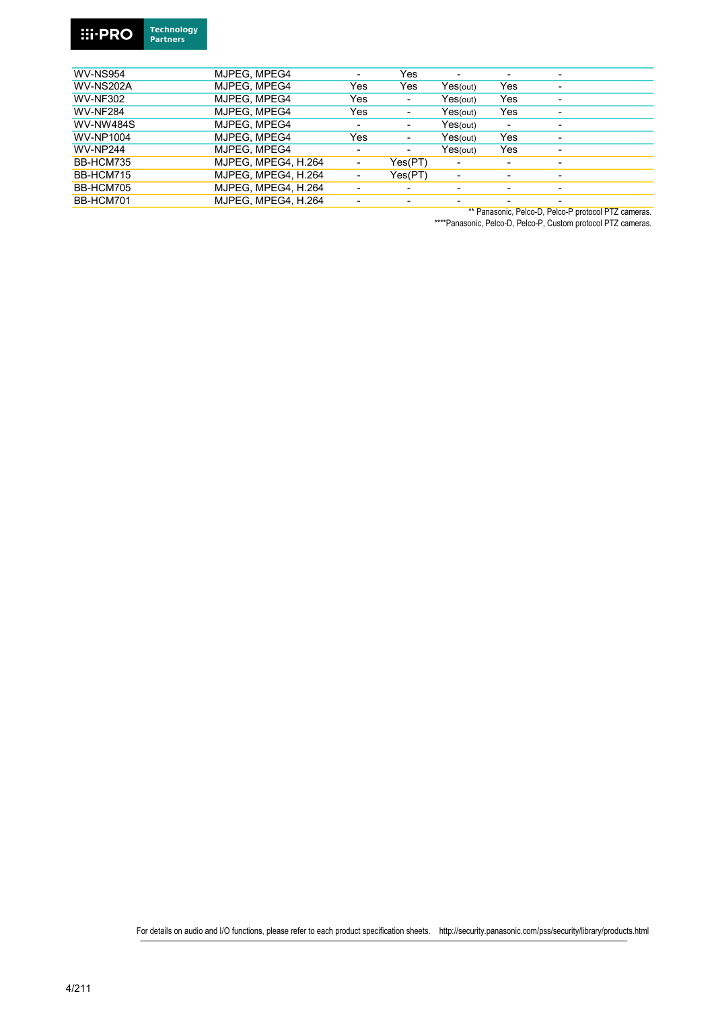

| MJPEG, MPEG4 |                          | Yes                      | -        | $\overline{\phantom{0}}$ | -              |
|--------------|--------------------------|--------------------------|----------|--------------------------|----------------|
| MJPEG. MPEG4 | Yes                      | Yes                      | Yes(out) | Yes                      | -              |
| MJPEG. MPEG4 | Yes                      | ٠                        | Yes(out) | Yes                      | $\overline{a}$ |
| MJPEG, MPEG4 | Yes                      | $\overline{\phantom{a}}$ | Yes(out) | Yes                      | -              |
| MJPEG, MPEG4 | $\overline{\phantom{0}}$ | $\overline{\phantom{0}}$ | Yes(out) | $\overline{\phantom{0}}$ | $\overline{a}$ |
| MJPEG. MPEG4 | Yes                      | ٠                        | Yes(out) | Yes                      | $\overline{a}$ |
|              |                          |                          |          |                          |                |

| WV-NP1004 | MJPEG. MPEG4        | Yes                      | -                        | Yes(out)                 | Yes | ٠                        |  |
|-----------|---------------------|--------------------------|--------------------------|--------------------------|-----|--------------------------|--|
| WV-NP244  | MJPEG. MPEG4        | $\overline{\phantom{a}}$ | $\overline{\phantom{0}}$ | Yes(out)                 | Yes | ٠                        |  |
| BB-HCM735 | MJPEG, MPEG4, H.264 | $\overline{\phantom{a}}$ | Yes(PT)                  | $\overline{\phantom{a}}$ |     | $\overline{\phantom{a}}$ |  |
| BB-HCM715 | MJPEG, MPEG4, H.264 | $\overline{\phantom{a}}$ | Yes(PT)                  | $\overline{\phantom{a}}$ |     | $\overline{\phantom{0}}$ |  |
| BB-HCM705 | MJPEG, MPEG4, H.264 | $\overline{\phantom{0}}$ | -                        | $\overline{\phantom{0}}$ |     | $\overline{\phantom{0}}$ |  |
| BB-HCM701 | MJPEG, MPEG4, H.264 | -                        |                          | $\overline{\phantom{0}}$ |     | -                        |  |

\*\* Panasonic, Pelco-D, Pelco-P protocol PTZ cameras.

\*\*\*\*Panasonic, Pelco-D, Pelco-P, Custom protocol PTZ cameras.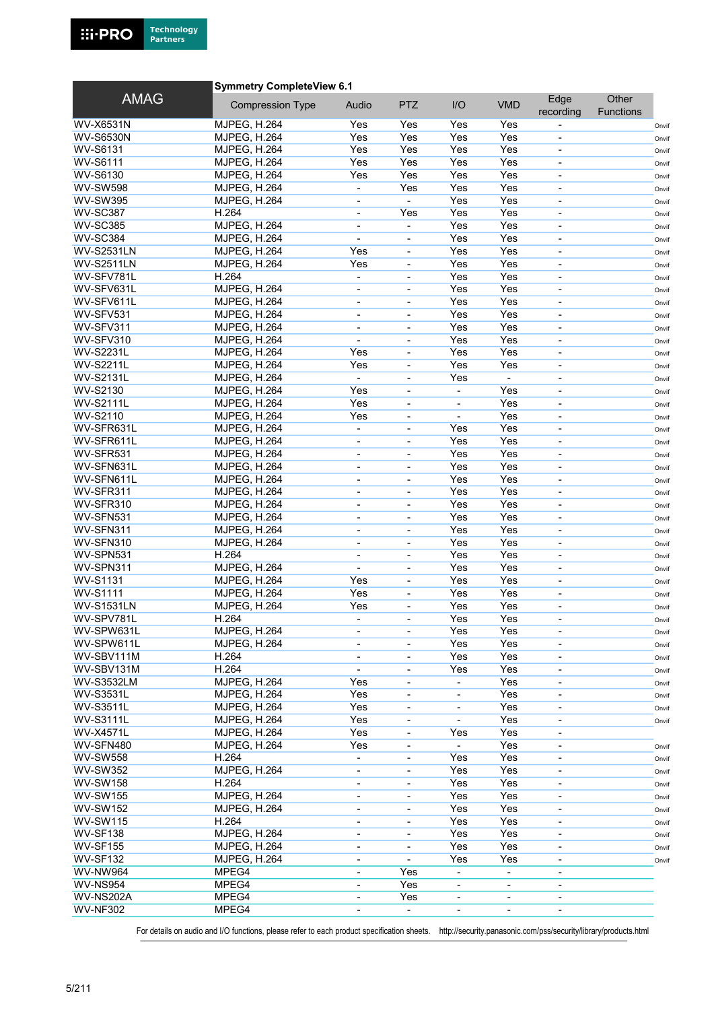

#### Symmetry CompleteView 6.1

| <b>AMAG</b>       | <b>Compression Type</b> | Audio                        | <b>PTZ</b>                   | I/O                      | <b>VMD</b>               | Edge<br>recording        | Other<br><b>Functions</b> |       |
|-------------------|-------------------------|------------------------------|------------------------------|--------------------------|--------------------------|--------------------------|---------------------------|-------|
| <b>WV-X6531N</b>  | <b>MJPEG, H.264</b>     | Yes                          | Yes                          | Yes                      | Yes                      | $\blacksquare$           |                           | Onvif |
| <b>WV-S6530N</b>  | <b>MJPEG, H.264</b>     | Yes                          | Yes                          | Yes                      | Yes                      |                          |                           | Onvif |
| <b>WV-S6131</b>   | <b>MJPEG, H.264</b>     | Yes                          | Yes                          | Yes                      | Yes                      | $\overline{\phantom{a}}$ |                           | Onvif |
| <b>WV-S6111</b>   | <b>MJPEG, H.264</b>     | Yes                          | Yes                          | Yes                      | Yes                      |                          |                           | Onvif |
| WV-S6130          | MJPEG, H.264            | Yes                          | Yes                          | Yes                      | Yes                      | $\overline{\phantom{a}}$ |                           | Onvif |
| <b>WV-SW598</b>   | <b>MJPEG, H.264</b>     | $\overline{\phantom{a}}$     | Yes                          | Yes                      | Yes                      | $\overline{\phantom{a}}$ |                           | Onvif |
| <b>WV-SW395</b>   | <b>MJPEG, H.264</b>     | $\blacksquare$               | $\blacksquare$               | Yes                      | Yes                      | $\overline{\phantom{a}}$ |                           | Onvif |
| <b>WV-SC387</b>   | H.264                   |                              | Yes                          | Yes                      | Yes                      |                          |                           | Onvif |
| <b>WV-SC385</b>   | <b>MJPEG, H.264</b>     | $\overline{\phantom{0}}$     | $\qquad \qquad \blacksquare$ | Yes                      | Yes                      | $\blacksquare$           |                           | Onvif |
| <b>WV-SC384</b>   | <b>MJPEG, H.264</b>     | $\overline{\phantom{0}}$     | $\overline{\phantom{a}}$     | Yes                      | Yes                      | $\overline{\phantom{a}}$ |                           | Onvif |
| <b>WV-S2531LN</b> | <b>MJPEG, H.264</b>     | Yes                          | $\overline{\phantom{a}}$     | Yes                      | Yes                      | $\overline{\phantom{a}}$ |                           | Onvif |
| <b>WV-S2511LN</b> | <b>MJPEG, H.264</b>     | Yes                          | $\overline{\phantom{0}}$     | Yes                      | Yes                      | $\overline{\phantom{a}}$ |                           | Onvif |
| WV-SFV781L        | H.264                   | $\blacksquare$               | ÷,                           | Yes                      | Yes                      | $\overline{\phantom{a}}$ |                           | Onvif |
| WV-SFV631L        | <b>MJPEG, H.264</b>     | $\overline{\phantom{a}}$     | $\blacksquare$               | Yes                      | Yes                      | $\overline{\phantom{a}}$ |                           |       |
| WV-SFV611L        | <b>MJPEG, H.264</b>     | $\overline{\phantom{m}}$     | $\overline{\phantom{0}}$     | Yes                      | Yes                      | $\blacksquare$           |                           | Onvif |
| WV-SFV531         | <b>MJPEG, H.264</b>     | $\overline{\phantom{a}}$     | ÷,                           | Yes                      | Yes                      | $\overline{\phantom{a}}$ |                           | Onvif |
| WV-SFV311         | MJPEG, H.264            |                              | ÷,                           | Yes                      | Yes                      |                          |                           | Onvif |
| WV-SFV310         | <b>MJPEG, H.264</b>     | $\blacksquare$               | $\blacksquare$               | Yes                      | Yes                      | $\blacksquare$           |                           | Onvif |
| <b>WV-S2231L</b>  |                         | Yes                          |                              | Yes                      | Yes                      |                          |                           | Onvif |
|                   | <b>MJPEG, H.264</b>     |                              | $\overline{\phantom{a}}$     |                          |                          |                          |                           | Onvif |
| <b>WV-S2211L</b>  | <b>MJPEG, H.264</b>     | Yes<br>$\overline{a}$        | $\overline{\phantom{0}}$     | Yes                      | Yes                      | $\overline{\phantom{a}}$ |                           | Onvif |
| <b>WV-S2131L</b>  | <b>MJPEG, H.264</b>     |                              | ÷                            | Yes                      |                          |                          |                           | Onvif |
| <b>WV-S2130</b>   | <b>MJPEG. H.264</b>     | Yes                          | $\blacksquare$               | $\blacksquare$           | Yes                      | $\blacksquare$           |                           | Onvif |
| <b>WV-S2111L</b>  | <b>MJPEG, H.264</b>     | Yes                          | $\overline{\phantom{0}}$     |                          | Yes                      | $\overline{\phantom{a}}$ |                           | Onvif |
| WV-S2110          | <b>MJPEG, H.264</b>     | Yes                          | $\overline{\phantom{a}}$     | $\blacksquare$           | Yes                      | $\overline{\phantom{a}}$ |                           | Onvif |
| WV-SFR631L        | <b>MJPEG, H.264</b>     | $\overline{a}$               | $\overline{\phantom{0}}$     | Yes                      | Yes                      |                          |                           | Onvif |
| WV-SFR611L        | <b>MJPEG, H.264</b>     | $\overline{\phantom{a}}$     | $\blacksquare$               | Yes                      | Yes                      | $\overline{\phantom{a}}$ |                           | Onvif |
| WV-SFR531         | <b>MJPEG, H.264</b>     | $\qquad \qquad \blacksquare$ | $\overline{\phantom{a}}$     | Yes                      | Yes                      | $\overline{\phantom{a}}$ |                           | Onvif |
| WV-SFN631L        | <b>MJPEG, H.264</b>     | $\overline{\phantom{a}}$     | $\overline{\phantom{a}}$     | Yes                      | Yes                      | $\overline{\phantom{a}}$ |                           | Onvif |
| WV-SFN611L        | <b>MJPEG, H.264</b>     |                              |                              | Yes                      | Yes                      |                          |                           | Onvif |
| WV-SFR311         | <b>MJPEG, H.264</b>     | $\overline{\phantom{a}}$     | $\blacksquare$               | Yes                      | Yes                      | $\overline{\phantom{a}}$ |                           | Onvif |
| WV-SFR310         | <b>MJPEG, H.264</b>     | $\overline{\phantom{a}}$     | $\overline{\phantom{a}}$     | Yes                      | Yes                      | $\overline{\phantom{a}}$ |                           | Onvif |
| WV-SFN531         | <b>MJPEG, H.264</b>     | $\overline{\phantom{a}}$     | $\overline{\phantom{a}}$     | Yes                      | Yes                      | $\overline{\phantom{a}}$ |                           | Onvif |
| WV-SFN311         | <b>MJPEG, H.264</b>     | $\blacksquare$               | ۰                            | Yes                      | Yes                      |                          |                           | Onvif |
| WV-SFN310         | <b>MJPEG, H.264</b>     | $\overline{\phantom{a}}$     | $\blacksquare$               | Yes                      | Yes                      | $\blacksquare$           |                           | Onvif |
| WV-SPN531         | H.264                   | $\overline{\phantom{a}}$     | $\overline{\phantom{a}}$     | Yes                      | Yes                      | $\overline{\phantom{a}}$ |                           | Onvif |
| WV-SPN311         | <b>MJPEG, H.264</b>     | $\blacksquare$               | $\overline{\phantom{a}}$     | Yes                      | Yes                      | $\overline{\phantom{a}}$ |                           | Onvif |
| <b>WV-S1131</b>   | MJPEG, H.264            | Yes                          | $\overline{\phantom{a}}$     | Yes                      | Yes                      | $\blacksquare$           |                           | Onvif |
| <b>WV-S1111</b>   | MJPEG, H.264            | Yes                          | $\overline{\phantom{a}}$     | Yes                      | Yes                      | $\overline{\phantom{a}}$ |                           | Onvif |
| <b>WV-S1531LN</b> | <b>MJPEG, H.264</b>     | Yes                          | $\overline{\phantom{a}}$     | Yes                      | Yes                      | $\overline{\phantom{a}}$ |                           | Onvif |
| WV-SPV781L        | H.264                   |                              | $\overline{\phantom{0}}$     | Yes                      | Yes                      | $\blacksquare$           |                           | Onvif |
| WV-SPW631L        | <b>MJPEG, H.264</b>     |                              |                              | Yes                      | Yes                      |                          |                           | Onvif |
| WV-SPW611L        | <b>MJPEG, H.264</b>     | $\blacksquare$               | $\overline{\phantom{a}}$     | Yes                      | Yes                      | $\overline{\phantom{a}}$ |                           | Onvif |
| WV-SBV111M        | H.264                   | -                            | ۰                            | Yes                      | Yes                      | $\overline{\phantom{a}}$ |                           | Onvif |
| WV-SBV131M        | H.264                   |                              | ۰                            | Yes                      | Yes                      | $\overline{\phantom{a}}$ |                           | Onvif |
| <b>WV-S3532LM</b> | <b>MJPEG, H.264</b>     | Yes                          | ٠                            | $\overline{\phantom{a}}$ | Yes                      | $\overline{\phantom{a}}$ |                           | Onvif |
| <b>WV-S3531L</b>  | <b>MJPEG, H.264</b>     | Yes                          | -                            |                          | Yes                      |                          |                           | Onvif |
| <b>WV-S3511L</b>  | <b>MJPEG. H.264</b>     | Yes                          | $\overline{\phantom{0}}$     | $\overline{\phantom{a}}$ | Yes                      | $\overline{\phantom{a}}$ |                           | Onvif |
| <b>WV-S3111L</b>  | <b>MJPEG, H.264</b>     | Yes                          | ۰                            | $\overline{\phantom{a}}$ | Yes                      | $\overline{\phantom{a}}$ |                           | Onvif |
| <b>WV-X4571L</b>  | <b>MJPEG, H.264</b>     | Yes                          | -                            | Yes                      | Yes                      | $\overline{\phantom{a}}$ |                           |       |
| WV-SFN480         | <b>MJPEG, H.264</b>     | Yes                          |                              | ä,                       | Yes                      |                          |                           | Onvif |
| <b>WV-SW558</b>   | H.264                   | $\overline{\phantom{a}}$     | -                            | Yes                      | Yes                      | $\overline{\phantom{a}}$ |                           | Onvif |
| <b>WV-SW352</b>   | <b>MJPEG, H.264</b>     | $\overline{\phantom{a}}$     | ۰                            | Yes                      | Yes                      | $\overline{\phantom{a}}$ |                           | Onvif |
| <b>WV-SW158</b>   | H.264                   | $\overline{\phantom{a}}$     | -                            | Yes                      | Yes                      | $\overline{\phantom{a}}$ |                           | Onvif |
| <b>WV-SW155</b>   | <b>MJPEG, H.264</b>     | $\overline{\phantom{0}}$     |                              | Yes                      | Yes                      |                          |                           | Onvif |
| <b>WV-SW152</b>   | <b>MJPEG, H.264</b>     | $\overline{\phantom{a}}$     | $\overline{\phantom{a}}$     | Yes                      | Yes                      | $\overline{\phantom{a}}$ |                           | Onvif |
| <b>WV-SW115</b>   | H.264                   | $\overline{\phantom{a}}$     | ۰                            | Yes                      | Yes                      | $\overline{\phantom{a}}$ |                           | Onvif |
| <b>WV-SF138</b>   | <b>MJPEG, H.264</b>     | $\overline{\phantom{a}}$     | ۰                            | Yes                      | Yes                      | $\overline{\phantom{a}}$ |                           | Onvif |
| <b>WV-SF155</b>   | <b>MJPEG, H.264</b>     | $\overline{\phantom{0}}$     | ۰                            | Yes                      | Yes                      |                          |                           | Onvif |
| <b>WV-SF132</b>   | <b>MJPEG, H.264</b>     |                              | $\overline{\phantom{a}}$     | Yes                      | Yes                      |                          |                           | Onvif |
| <b>WV-NW964</b>   | MPEG4                   | $\overline{\phantom{a}}$     | Yes                          | $\overline{\phantom{a}}$ | $\overline{\phantom{a}}$ | $\overline{\phantom{a}}$ |                           |       |
| <b>WV-NS954</b>   | MPEG4                   | $\overline{\phantom{0}}$     | Yes                          | $\overline{\phantom{a}}$ | $\overline{\phantom{a}}$ | $\overline{\phantom{a}}$ |                           |       |
| WV-NS202A         | MPEG4                   | $\overline{\phantom{0}}$     | Yes                          | $\overline{\phantom{a}}$ |                          |                          |                           |       |
| <b>WV-NF302</b>   | MPEG4                   | $\overline{\phantom{0}}$     |                              | $\overline{\phantom{a}}$ | $\overline{\phantom{a}}$ |                          |                           |       |
|                   |                         |                              |                              |                          |                          |                          |                           |       |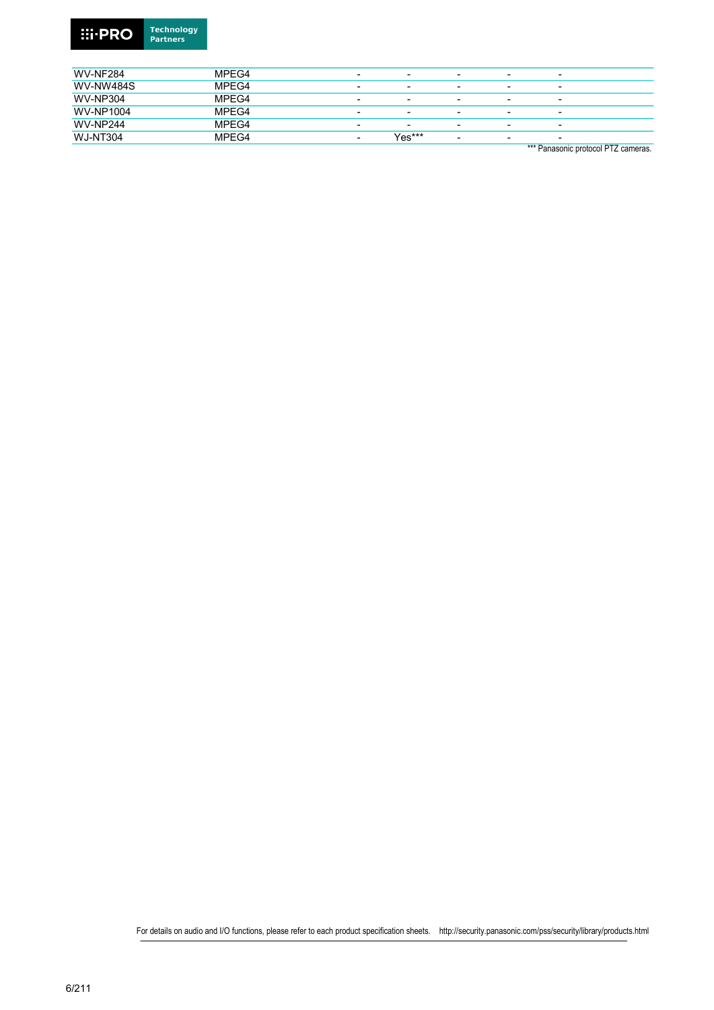

| <b>WV-NF284</b>  | MPEG4 | $\overline{\phantom{0}}$ | $\overline{\phantom{0}}$ | $\overline{\phantom{0}}$ | $\overline{\phantom{0}}$ | $\overline{\phantom{a}}$ |
|------------------|-------|--------------------------|--------------------------|--------------------------|--------------------------|--------------------------|
| <b>WV-NW484S</b> | MPEG4 | $\overline{\phantom{0}}$ | $\overline{\phantom{0}}$ | $\overline{\phantom{0}}$ | $\overline{\phantom{0}}$ | $\overline{\phantom{0}}$ |
| <b>WV-NP304</b>  | MPEG4 | -                        | $\overline{\phantom{0}}$ | -                        | $\overline{\phantom{0}}$ | $\overline{\phantom{0}}$ |
| <b>WV-NP1004</b> | MPEG4 | -                        | $\overline{\phantom{0}}$ | $\overline{\phantom{0}}$ | $\overline{\phantom{0}}$ | $\overline{\phantom{0}}$ |
| <b>WV-NP244</b>  | MPEG4 | $\overline{\phantom{0}}$ | $\overline{\phantom{a}}$ | $\overline{\phantom{0}}$ | $\overline{\phantom{0}}$ | $\overline{\phantom{a}}$ |
| <b>WJ-NT304</b>  | MPEG4 | $\overline{\phantom{0}}$ | Yes***                   | -                        | $\overline{\phantom{0}}$ | $\overline{\phantom{0}}$ |

\*\*\* Panasonic protocol PTZ cameras.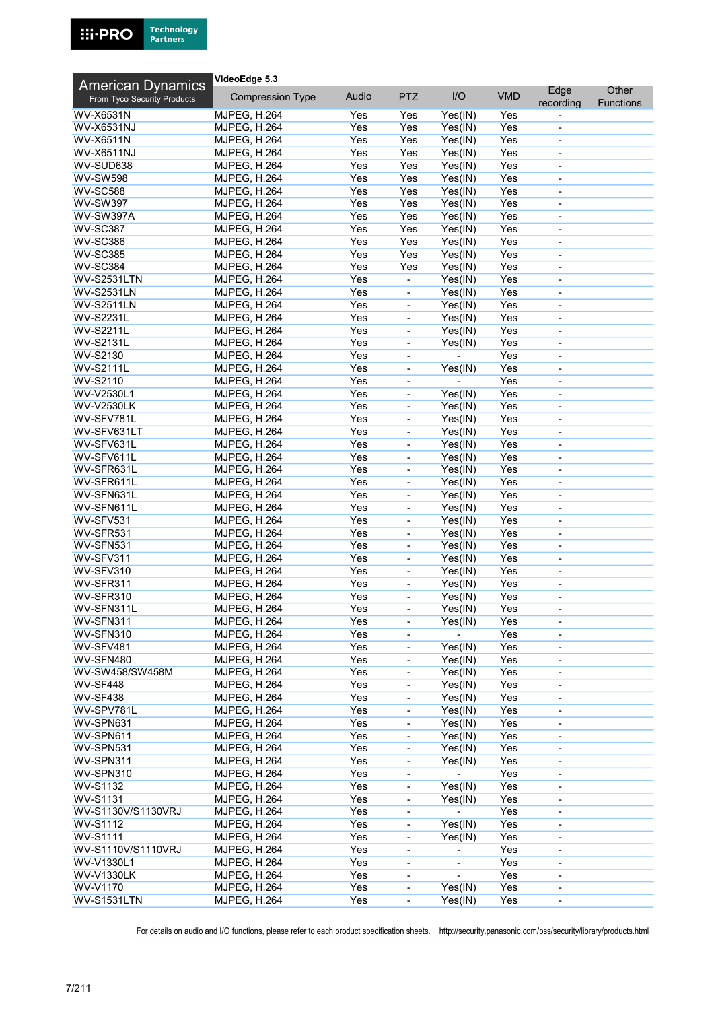

| <b>American Dynamics</b>    | VideoEdge 5.3           |       |                              |         |            |                              |           |
|-----------------------------|-------------------------|-------|------------------------------|---------|------------|------------------------------|-----------|
| From Tyco Security Products | <b>Compression Type</b> | Audio | <b>PTZ</b>                   | I/O     | <b>VMD</b> | Edge                         | Other     |
|                             |                         |       |                              |         |            | recording                    | Functions |
| <b>WV-X6531N</b>            | <b>MJPEG, H.264</b>     | Yes   | Yes                          | Yes(IN) | Yes        |                              |           |
| <b>WV-X6531NJ</b>           | <b>MJPEG, H.264</b>     | Yes   | Yes                          | Yes(IN) | Yes        | $\overline{\phantom{a}}$     |           |
| <b>WV-X6511N</b>            | <b>MJPEG, H.264</b>     | Yes   | Yes                          | Yes(IN) | Yes        | -                            |           |
| <b>WV-X6511NJ</b>           | MJPEG, H.264            | Yes   | Yes                          | Yes(IN) | Yes        | $\overline{\phantom{0}}$     |           |
| WV-SUD638                   | <b>MJPEG, H.264</b>     | Yes   | Yes                          | Yes(IN) | Yes        |                              |           |
| <b>WV-SW598</b>             | <b>MJPEG, H.264</b>     | Yes   | Yes                          | Yes(IN) | Yes        | $\overline{\phantom{a}}$     |           |
| <b>WV-SC588</b>             | <b>MJPEG, H.264</b>     | Yes   | Yes                          | Yes(IN) | Yes        | $\overline{\phantom{0}}$     |           |
| <b>WV-SW397</b>             | <b>MJPEG, H.264</b>     | Yes   | Yes                          | Yes(IN) | Yes        | $\qquad \qquad \blacksquare$ |           |
| WV-SW397A                   | <b>MJPEG, H.264</b>     | Yes   | Yes                          | Yes(IN) | Yes        | ä,                           |           |
| <b>WV-SC387</b>             | <b>MJPEG, H.264</b>     | Yes   | Yes                          | Yes(IN) | Yes        | $\blacksquare$               |           |
| <b>WV-SC386</b>             | <b>MJPEG, H.264</b>     | Yes   | Yes                          | Yes(IN) | Yes        | $\overline{\phantom{a}}$     |           |
| <b>WV-SC385</b>             | <b>MJPEG, H.264</b>     | Yes   | Yes                          | Yes(IN) | Yes        | $\overline{\phantom{0}}$     |           |
| <b>WV-SC384</b>             | <b>MJPEG, H.264</b>     | Yes   | Yes                          | Yes(IN) | Yes        | ٠                            |           |
| <b>WV-S2531LTN</b>          | <b>MJPEG, H.264</b>     | Yes   | ÷,                           | Yes(IN) | Yes        | ä,                           |           |
| <b>WV-S2531LN</b>           | <b>MJPEG, H.264</b>     | Yes   | $\blacksquare$               | Yes(IN) | Yes        | $\qquad \qquad \blacksquare$ |           |
| <b>WV-S2511LN</b>           | <b>MJPEG, H.264</b>     | Yes   | $\qquad \qquad \blacksquare$ | Yes(IN) | Yes        | $\overline{\phantom{m}}$     |           |
| <b>WV-S2231L</b>            | <b>MJPEG, H.264</b>     | Yes   | $\blacksquare$               | Yes(IN) | Yes        | $\overline{a}$               |           |
| <b>WV-S2211L</b>            | <b>MJPEG, H.264</b>     | Yes   | $\frac{1}{2}$                | Yes(IN) | Yes        | L,                           |           |
| <b>WV-S2131L</b>            | <b>MJPEG, H.264</b>     | Yes   | $\blacksquare$               | Yes(IN) | Yes        | $\overline{\phantom{a}}$     |           |
| WV-S2130                    | <b>MJPEG, H.264</b>     | Yes   | $\qquad \qquad \blacksquare$ |         | Yes        | $\overline{a}$               |           |
| <b>WV-S2111L</b>            | <b>MJPEG, H.264</b>     | Yes   | $\blacksquare$               | Yes(IN) | Yes        | $\overline{a}$               |           |
| <b>WV-S2110</b>             | <b>MJPEG, H.264</b>     | Yes   | ÷,                           |         | Yes        | L,                           |           |
| WV-V2530L1                  | <b>MJPEG, H.264</b>     | Yes   | $\blacksquare$               | Yes(IN) | Yes        | $\blacksquare$               |           |
| <b>WV-V2530LK</b>           | <b>MJPEG, H.264</b>     | Yes   | $\qquad \qquad \blacksquare$ | Yes(IN) | Yes        | -                            |           |
| WV-SFV781L                  | <b>MJPEG, H.264</b>     | Yes   | $\overline{\phantom{a}}$     | Yes(IN) | Yes        | $\overline{\phantom{a}}$     |           |
| WV-SFV631LT                 | MJPEG, H.264            | Yes   | $\frac{1}{2}$                | Yes(IN) | Yes        | ÷,                           |           |
| WV-SFV631L                  | <b>MJPEG, H.264</b>     | Yes   | $\blacksquare$               | Yes(IN) | Yes        |                              |           |
| WV-SFV611L                  |                         | Yes   |                              |         | Yes        | $\overline{\phantom{0}}$     |           |
|                             | <b>MJPEG, H.264</b>     |       | $\qquad \qquad \blacksquare$ | Yes(IN) |            | $\overline{\phantom{0}}$     |           |
| WV-SFR631L                  | <b>MJPEG, H.264</b>     | Yes   | $\qquad \qquad \blacksquare$ | Yes(IN) | Yes        | $\overline{\phantom{0}}$     |           |
| WV-SFR611L                  | <b>MJPEG, H.264</b>     | Yes   |                              | Yes(IN) | Yes        |                              |           |
| WV-SFN631L                  | MJPEG, H.264            | Yes   | $\blacksquare$               | Yes(IN) | Yes        | $\blacksquare$               |           |
| WV-SFN611L                  | <b>MJPEG, H.264</b>     | Yes   | $\qquad \qquad \blacksquare$ | Yes(IN) | Yes        | $\overline{\phantom{a}}$     |           |
| WV-SFV531                   | <b>MJPEG, H.264</b>     | Yes   | $\overline{\phantom{a}}$     | Yes(IN) | Yes        | $\qquad \qquad \blacksquare$ |           |
| WV-SFR531                   | <b>MJPEG, H.264</b>     | Yes   | $\overline{\phantom{0}}$     | Yes(IN) | Yes        | $\overline{\phantom{m}}$     |           |
| WV-SFN531                   | <b>MJPEG, H.264</b>     | Yes   | $\blacksquare$               | Yes(IN) | Yes        | $\overline{\phantom{a}}$     |           |
| WV-SFV311                   | <b>MJPEG, H.264</b>     | Yes   | $\qquad \qquad \blacksquare$ | Yes(IN) | Yes        | $\overline{\phantom{0}}$     |           |
| WV-SFV310                   | MJPEG, H.264            | Yes   | $\qquad \qquad \blacksquare$ | Yes(IN) | Yes        | $\overline{\phantom{0}}$     |           |
| WV-SFR311                   | <b>MJPEG, H.264</b>     | Yes   | $\qquad \qquad \blacksquare$ | Yes(IN) | Yes        | $\overline{a}$               |           |
| WV-SFR310                   | <b>MJPEG, H.264</b>     | Yes   | $\blacksquare$               | Yes(IN) | Yes        | $\overline{a}$               |           |
| WV-SFN311L                  | <b>MJPEG. H.264</b>     | Yes   | $\qquad \qquad \blacksquare$ | Yes(IN) | Yes        | -                            |           |
| WV-SFN311                   | <b>MJPEG, H.264</b>     | Yes   | $\qquad \qquad \blacksquare$ | Yes(IN) | Yes        | $\qquad \qquad \blacksquare$ |           |
| WV-SFN310                   | <b>MJPEG, H.264</b>     | Yes   | $\qquad \qquad \blacksquare$ |         | Yes        |                              |           |
| WV-SFV481                   | MJPEG, H.264            | Yes   | $\qquad \qquad \blacksquare$ | Yes(IN) | Yes        | $\overline{a}$               |           |
| WV-SFN480                   | <b>MJPEG, H.264</b>     | Yes   | $\blacksquare$               | Yes(IN) | Yes        | $\overline{\phantom{a}}$     |           |
| WV-SW458/SW458M             | <b>MJPEG, H.264</b>     | Yes   | $\qquad \qquad \blacksquare$ | Yes(IN) | Yes        | -                            |           |
| <b>WV-SF448</b>             | <b>MJPEG, H.264</b>     | Yes   | $\qquad \qquad \blacksquare$ | Yes(IN) | Yes        | $\overline{\phantom{a}}$     |           |
| <b>WV-SF438</b>             | <b>MJPEG, H.264</b>     | Yes   | $\qquad \qquad \blacksquare$ | Yes(IN) | Yes        | $\overline{a}$               |           |
| WV-SPV781L                  | <b>MJPEG, H.264</b>     | Yes   | $\frac{1}{2}$                | Yes(IN) | Yes        | $\overline{\phantom{0}}$     |           |
| WV-SPN631                   | <b>MJPEG, H.264</b>     | Yes   | $\qquad \qquad \blacksquare$ | Yes(IN) | Yes        | -                            |           |
| WV-SPN611                   | MJPEG, H.264            | Yes   | $\overline{\phantom{0}}$     | Yes(IN) | Yes        | -                            |           |
| WV-SPN531                   | <b>MJPEG, H.264</b>     | Yes   | $\blacksquare$               | Yes(IN) | Yes        | $\overline{a}$               |           |
| WV-SPN311                   | <b>MJPEG, H.264</b>     | Yes   | $\blacksquare$               | Yes(IN) | Yes        | $\qquad \qquad \blacksquare$ |           |
| WV-SPN310                   | <b>MJPEG, H.264</b>     | Yes   | $\overline{\phantom{0}}$     |         | Yes        | $\overline{\phantom{0}}$     |           |
| WV-S1132                    | <b>MJPEG, H.264</b>     | Yes   | $\qquad \qquad \blacksquare$ | Yes(IN) | Yes        | $\overline{\phantom{0}}$     |           |
| <b>WV-S1131</b>             | <b>MJPEG, H.264</b>     | Yes   | $\qquad \qquad \blacksquare$ | Yes(IN) | Yes        | $\overline{\phantom{0}}$     |           |
| WV-S1130V/S1130VRJ          | MJPEG, H.264            | Yes   | $\qquad \qquad \blacksquare$ |         | Yes        | $\overline{\phantom{0}}$     |           |
| WV-S1112                    | <b>MJPEG, H.264</b>     | Yes   | $\overline{\phantom{0}}$     | Yes(IN) | Yes        | -                            |           |
| <b>WV-S1111</b>             | <b>MJPEG, H.264</b>     | Yes   | $\overline{\phantom{0}}$     | Yes(IN) | Yes        | $\overline{\phantom{0}}$     |           |
| WV-S1110V/S1110VRJ          | <b>MJPEG, H.264</b>     | Yes   | $\overline{\phantom{a}}$     |         | Yes        | $\overline{a}$               |           |
| WV-V1330L1                  | <b>MJPEG, H.264</b>     | Yes   | $\qquad \qquad \blacksquare$ |         | Yes        | $\blacksquare$               |           |
| <b>WV-V1330LK</b>           | <b>MJPEG, H.264</b>     | Yes   | $\overline{\phantom{0}}$     |         | Yes        | $\qquad \qquad \blacksquare$ |           |
| WV-V1170                    | <b>MJPEG, H.264</b>     | Yes   | $\qquad \qquad \blacksquare$ | Yes(IN) | Yes        | -                            |           |
| WV-S1531LTN                 | <b>MJPEG, H.264</b>     | Yes   | $\overline{\phantom{0}}$     | Yes(IN) | Yes        | $\overline{\phantom{0}}$     |           |
|                             |                         |       |                              |         |            |                              |           |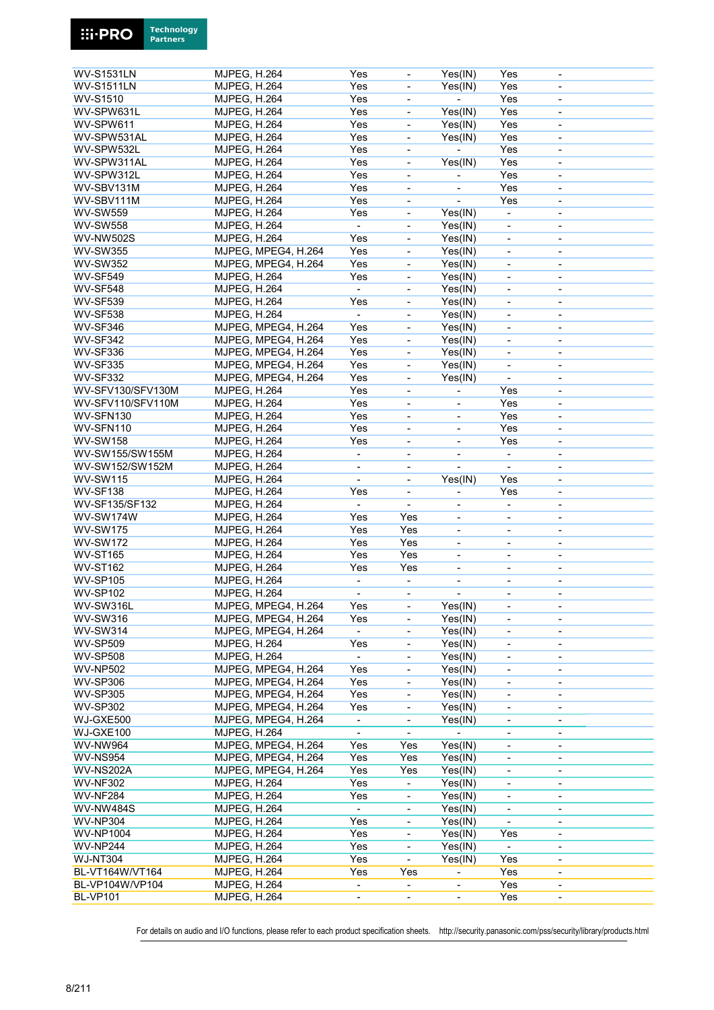|                                        | <b>MJPEG, H.264</b> |                     | Yes                      | $\overline{\phantom{a}}$     | Yes(IN)                      | Yes                          | $\overline{\phantom{a}}$     |
|----------------------------------------|---------------------|---------------------|--------------------------|------------------------------|------------------------------|------------------------------|------------------------------|
| <b>WV-S1531LN</b><br><b>WV-S1511LN</b> | <b>MJPEG, H.264</b> |                     | Yes                      | $\blacksquare$               | Yes(IN)                      | Yes                          | $\overline{a}$               |
| <b>WV-S1510</b>                        |                     |                     | Yes                      |                              | $\blacksquare$               | Yes                          |                              |
|                                        | <b>MJPEG, H.264</b> |                     |                          | $\overline{\phantom{a}}$     |                              |                              | $\qquad \qquad \blacksquare$ |
| WV-SPW631L                             | <b>MJPEG, H.264</b> |                     | Yes                      | $\blacksquare$               | Yes(IN)                      | Yes                          | ä,                           |
| WV-SPW611                              | <b>MJPEG, H.264</b> |                     | Yes                      | $\overline{\phantom{a}}$     | Yes(IN)                      | Yes                          | $\blacksquare$               |
| WV-SPW531AL                            | <b>MJPEG, H.264</b> |                     | Yes                      | $\overline{\phantom{a}}$     | Yes(IN)                      | Yes                          | $\qquad \qquad \blacksquare$ |
| WV-SPW532L                             | <b>MJPEG, H.264</b> |                     | Yes                      | $\blacksquare$               | $\blacksquare$               | Yes                          | $\qquad \qquad \blacksquare$ |
| WV-SPW311AL                            | <b>MJPEG, H.264</b> |                     | Yes                      | $\blacksquare$               | Yes(IN)                      | Yes                          | ä,                           |
| WV-SPW312L                             | <b>MJPEG, H.264</b> |                     | Yes                      | $\overline{\phantom{a}}$     | $\overline{\phantom{0}}$     | Yes                          | $\overline{\phantom{a}}$     |
| WV-SBV131M                             | <b>MJPEG, H.264</b> |                     | Yes                      | $\overline{\phantom{a}}$     |                              | Yes                          | $\qquad \qquad \blacksquare$ |
| WV-SBV111M                             | <b>MJPEG, H.264</b> |                     | Yes                      | $\overline{\phantom{a}}$     | $\overline{\phantom{0}}$     | Yes                          | $\overline{\phantom{0}}$     |
| <b>WV-SW559</b>                        | <b>MJPEG, H.264</b> |                     | Yes                      | $\overline{\phantom{a}}$     | Yes(IN)                      | $\overline{a}$               |                              |
|                                        |                     |                     |                          |                              |                              |                              |                              |
| <b>WV-SW558</b>                        | <b>MJPEG, H.264</b> |                     | $\overline{\phantom{a}}$ | $\blacksquare$               | Yes(IN)                      | $\blacksquare$               | $\overline{\phantom{a}}$     |
| <b>WV-NW502S</b>                       | <b>MJPEG, H.264</b> |                     | Yes                      | $\blacksquare$               | Yes(IN)                      | $\qquad \qquad \blacksquare$ | $\blacksquare$               |
| <b>WV-SW355</b>                        |                     | MJPEG, MPEG4, H.264 | Yes                      | $\overline{\phantom{a}}$     | Yes(IN)                      | $\overline{\phantom{a}}$     | $\overline{\phantom{0}}$     |
| <b>WV-SW352</b>                        |                     | MJPEG, MPEG4, H.264 | Yes                      | $\blacksquare$               | Yes(IN)                      |                              | $\qquad \qquad \blacksquare$ |
| <b>WV-SF549</b>                        | <b>MJPEG, H.264</b> |                     | Yes                      | $\blacksquare$               | Yes(IN)                      | $\blacksquare$               | $\qquad \qquad \blacksquare$ |
| <b>WV-SF548</b>                        | <b>MJPEG, H.264</b> |                     | $\blacksquare$           | $\qquad \qquad \blacksquare$ | Yes(IN)                      | $\overline{\phantom{a}}$     | $\qquad \qquad \blacksquare$ |
| <b>WV-SF539</b>                        | <b>MJPEG, H.264</b> |                     | Yes                      | $\overline{\phantom{a}}$     | Yes(IN)                      | $\overline{\phantom{a}}$     | $\overline{\phantom{0}}$     |
| WV-SF538                               | <b>MJPEG, H.264</b> |                     | $\blacksquare$           | $\blacksquare$               | Yes(IN)                      |                              |                              |
|                                        |                     |                     |                          |                              |                              |                              |                              |
| WV-SF346                               |                     | MJPEG, MPEG4, H.264 | Yes                      | ä,                           | Yes(IN)                      | ÷,                           | ä,                           |
| <b>WV-SF342</b>                        |                     | MJPEG, MPEG4, H.264 | Yes                      | $\blacksquare$               | Yes(IN)                      | $\qquad \qquad \blacksquare$ | $\blacksquare$               |
| <b>WV-SF336</b>                        |                     | MJPEG, MPEG4, H.264 | Yes                      | $\overline{\phantom{a}}$     | Yes(IN)                      | $\overline{\phantom{0}}$     | $\qquad \qquad \blacksquare$ |
| <b>WV-SF335</b>                        |                     | MJPEG, MPEG4, H.264 | Yes                      | $\overline{\phantom{a}}$     | Yes(IN)                      | $\overline{\phantom{0}}$     | $\blacksquare$               |
| <b>WV-SF332</b>                        |                     | MJPEG, MPEG4, H.264 | Yes                      | $\blacksquare$               | Yes(IN)                      | $\overline{a}$               | ä,                           |
| <b>WV-SFV130/SFV130M</b>               | <b>MJPEG, H.264</b> |                     | Yes                      | $\overline{\phantom{a}}$     | $\overline{\phantom{0}}$     | Yes                          | $\blacksquare$               |
| WV-SFV110/SFV110M                      | <b>MJPEG, H.264</b> |                     | Yes                      | $\overline{\phantom{a}}$     | ä,                           | Yes                          | $\qquad \qquad \blacksquare$ |
|                                        |                     |                     |                          |                              |                              |                              |                              |
| WV-SFN130                              | <b>MJPEG, H.264</b> |                     | Yes                      | $\blacksquare$               | ÷,                           | Yes                          | $\qquad \qquad \blacksquare$ |
| WV-SFN110                              | <b>MJPEG, H.264</b> |                     | Yes                      | $\overline{a}$               | $\overline{a}$               | Yes                          | ä,                           |
| <b>WV-SW158</b>                        | <b>MJPEG, H.264</b> |                     | Yes                      | $\overline{\phantom{a}}$     | $\overline{\phantom{0}}$     | Yes                          | $\blacksquare$               |
| WV-SW155/SW155M                        | <b>MJPEG, H.264</b> |                     | $\overline{\phantom{a}}$ | $\blacksquare$               | $\overline{a}$               |                              | $\qquad \qquad \blacksquare$ |
| WV-SW152/SW152M                        | <b>MJPEG, H.264</b> |                     | $\overline{\phantom{a}}$ | $\overline{\phantom{a}}$     | L,                           | $\blacksquare$               | $\qquad \qquad \blacksquare$ |
| <b>WV-SW115</b>                        | <b>MJPEG, H.264</b> |                     |                          | $\overline{\phantom{a}}$     | Yes(IN)                      | Yes                          | $\overline{a}$               |
| <b>WV-SF138</b>                        | <b>MJPEG, H.264</b> |                     | Yes                      | $\overline{\phantom{a}}$     | $\blacksquare$               | Yes                          | $\overline{\phantom{a}}$     |
| WV-SF135/SF132                         | <b>MJPEG, H.264</b> |                     |                          |                              | $\overline{a}$               |                              | $\qquad \qquad \blacksquare$ |
|                                        |                     |                     |                          |                              |                              |                              |                              |
|                                        |                     |                     |                          |                              |                              |                              |                              |
| WV-SW174W                              | <b>MJPEG, H.264</b> |                     | Yes                      | Yes                          | $\qquad \qquad \blacksquare$ | $\overline{\phantom{a}}$     | $\overline{\phantom{0}}$     |
| <b>WV-SW175</b>                        | <b>MJPEG, H.264</b> |                     | Yes                      | Yes                          |                              |                              |                              |
| <b>WV-SW172</b>                        | <b>MJPEG, H.264</b> |                     | Yes                      | Yes                          | $\frac{1}{2}$                | $\blacksquare$               | $\overline{\phantom{0}}$     |
| <b>WV-ST165</b>                        | <b>MJPEG, H.264</b> |                     | Yes                      | Yes                          | $\overline{\phantom{0}}$     | $\overline{\phantom{a}}$     | $\qquad \qquad \blacksquare$ |
| <b>WV-ST162</b>                        | <b>MJPEG, H.264</b> |                     | Yes                      | Yes                          | $\overline{\phantom{0}}$     | $\overline{\phantom{a}}$     | $\overline{\phantom{0}}$     |
|                                        |                     |                     | $\overline{\phantom{a}}$ | $\blacksquare$               |                              |                              | $\qquad \qquad \blacksquare$ |
| <b>WV-SP105</b>                        | <b>MJPEG, H.264</b> |                     |                          |                              |                              |                              |                              |
| <b>WV-SP102</b>                        | <b>MJPEG, H.264</b> |                     | $\blacksquare$           | $\blacksquare$               | $\overline{\phantom{0}}$     | $\blacksquare$               | $\blacksquare$               |
| WV-SW316L                              |                     | MJPEG, MPEG4, H.264 | Yes                      | $\overline{\phantom{0}}$     | Yes(IN)                      | $\overline{\phantom{0}}$     | -                            |
| <b>WV-SW316</b>                        |                     | MJPEG, MPEG4, H.264 | Yes                      | $\qquad \qquad \blacksquare$ | Yes(IN)                      | $\overline{\phantom{0}}$     | $\qquad \qquad \blacksquare$ |
| <b>WV-SW314</b>                        |                     | MJPEG, MPEG4, H.264 |                          | $\overline{\phantom{a}}$     | Yes(IN)                      | $\overline{\phantom{a}}$     |                              |
| <b>WV-SP509</b>                        | <b>MJPEG, H.264</b> |                     | Yes                      | $\frac{1}{2}$                | Yes(IN)                      | $\qquad \qquad \blacksquare$ |                              |
| <b>WV-SP508</b>                        | <b>MJPEG, H.264</b> |                     |                          | $\overline{\phantom{a}}$     | Yes(IN)                      | $\overline{\phantom{a}}$     | $\overline{\phantom{0}}$     |
| <b>WV-NP502</b>                        |                     | MJPEG, MPEG4, H.264 | Yes                      | $\overline{\phantom{a}}$     | Yes(IN)                      | $\overline{\phantom{0}}$     | $\overline{\phantom{0}}$     |
|                                        |                     |                     |                          | $\overline{\phantom{a}}$     |                              | $\overline{\phantom{0}}$     |                              |
| <b>WV-SP306</b>                        |                     | MJPEG, MPEG4, H.264 | Yes                      |                              | Yes(IN)                      |                              |                              |
| <b>WV-SP305</b>                        |                     | MJPEG, MPEG4, H.264 | Yes                      | $\blacksquare$               | Yes(IN)                      | $\overline{\phantom{0}}$     | $\blacksquare$               |
| <b>WV-SP302</b>                        |                     | MJPEG, MPEG4, H.264 | Yes                      | $\blacksquare$               | Yes(IN)                      | ÷,                           | $\overline{\phantom{a}}$     |
| WJ-GXE500                              |                     | MJPEG, MPEG4, H.264 | $\overline{\phantom{a}}$ | $\qquad \qquad \blacksquare$ | Yes(IN)                      | $\overline{\phantom{0}}$     | $\overline{\phantom{0}}$     |
| WJ-GXE100                              | <b>MJPEG, H.264</b> |                     |                          |                              |                              | $\overline{\phantom{a}}$     | $\qquad \qquad \blacksquare$ |
| <b>WV-NW964</b>                        |                     | MJPEG, MPEG4, H.264 | Yes                      | Yes                          | Yes(IN)                      | $\overline{\phantom{0}}$     |                              |
| <b>WV-NS954</b>                        |                     | MJPEG, MPEG4, H.264 | Yes                      | Yes                          | Yes(IN)                      | $\overline{\phantom{a}}$     | $\overline{\phantom{a}}$     |
| WV-NS202A                              |                     | MJPEG, MPEG4, H.264 | Yes                      | Yes                          | Yes(IN)                      | -                            | $\qquad \qquad \blacksquare$ |
|                                        |                     |                     |                          | $\overline{\phantom{a}}$     |                              | $\overline{\phantom{a}}$     | $\qquad \qquad \blacksquare$ |
| <b>WV-NF302</b>                        | <b>MJPEG, H.264</b> |                     | Yes                      | $\blacksquare$               | Yes(IN)                      |                              |                              |
| <b>WV-NF284</b>                        | <b>MJPEG, H.264</b> |                     | Yes                      |                              | Yes(IN)                      |                              |                              |
| <b>WV-NW484S</b>                       | <b>MJPEG, H.264</b> |                     | $\overline{\phantom{a}}$ | $\Box$                       | Yes(IN)                      | ÷,                           | $\overline{\phantom{a}}$     |
| <b>WV-NP304</b>                        | <b>MJPEG, H.264</b> |                     | Yes                      | $\overline{\phantom{a}}$     | Yes(IN)                      |                              | $\overline{\phantom{0}}$     |
| <b>WV-NP1004</b>                       | <b>MJPEG, H.264</b> |                     | Yes                      | $\overline{\phantom{a}}$     | Yes(IN)                      | Yes                          | $\overline{\phantom{a}}$     |
| <b>WV-NP244</b>                        | <b>MJPEG, H.264</b> |                     | Yes                      |                              | Yes(IN)                      |                              | $\overline{\phantom{a}}$     |
| <b>WJ-NT304</b>                        | <b>MJPEG, H.264</b> |                     | Yes                      | ÷.                           | Yes(IN)                      | Yes                          | $\blacksquare$               |
| BL-VT164W/VT164                        | <b>MJPEG, H.264</b> |                     | Yes                      | Yes                          |                              | Yes                          | $\overline{\phantom{0}}$     |
| BL-VP104W/VP104                        | <b>MJPEG, H.264</b> |                     | $\overline{\phantom{a}}$ | $\overline{\phantom{a}}$     |                              | Yes                          | $\qquad \qquad \blacksquare$ |
| <b>BL-VP101</b>                        | <b>MJPEG, H.264</b> |                     |                          |                              |                              | Yes                          |                              |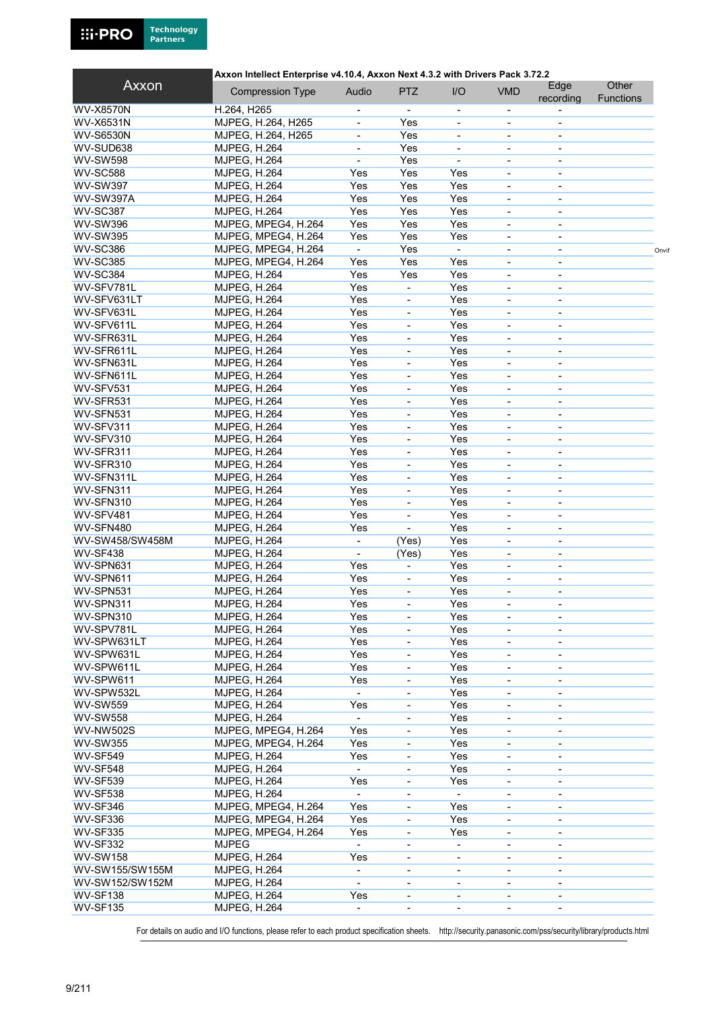

#### Axxon Intellect Enterprise v4.10.4, Axxon Next 4.3.2 with Drivers Pack 3.72.2

| Axxon            | <b>Compression Type</b> | Audio                    | <b>PTZ</b>               | I/O                      | <b>VMD</b>               | Edge<br>recording        | Other<br><b>Functions</b> |       |
|------------------|-------------------------|--------------------------|--------------------------|--------------------------|--------------------------|--------------------------|---------------------------|-------|
| <b>WV-X8570N</b> | H.264, H265             |                          |                          | $\overline{\phantom{a}}$ | $\overline{\phantom{a}}$ |                          |                           |       |
| <b>WV-X6531N</b> | MJPEG, H.264, H265      | $\blacksquare$           | Yes                      | $\overline{\phantom{a}}$ | $\overline{\phantom{a}}$ | $\overline{\phantom{a}}$ |                           |       |
| <b>WV-S6530N</b> | MJPEG, H.264, H265      |                          | Yes                      |                          |                          |                          |                           |       |
| WV-SUD638        | <b>MJPEG, H.264</b>     | $\overline{\phantom{a}}$ | Yes                      | $\overline{\phantom{a}}$ | $\overline{\phantom{a}}$ | $\overline{\phantom{a}}$ |                           |       |
| <b>WV-SW598</b>  | <b>MJPEG, H.264</b>     |                          | Yes                      |                          | $\overline{\phantom{a}}$ | $\overline{\phantom{a}}$ |                           |       |
| <b>WV-SC588</b>  | <b>MJPEG, H.264</b>     | Yes                      | Yes                      | Yes                      | $\overline{\phantom{a}}$ | $\overline{\phantom{a}}$ |                           |       |
| <b>WV-SW397</b>  | <b>MJPEG, H.264</b>     | Yes                      | Yes                      | Yes                      |                          |                          |                           |       |
| WV-SW397A        | <b>MJPEG, H.264</b>     | Yes                      | Yes                      | Yes                      | $\blacksquare$           | $\blacksquare$           |                           |       |
| <b>WV-SC387</b>  | <b>MJPEG, H.264</b>     | Yes                      | Yes                      | Yes                      | $\overline{\phantom{a}}$ | $\overline{\phantom{a}}$ |                           |       |
| <b>WV-SW396</b>  | MJPEG, MPEG4, H.264     | Yes                      | Yes                      | Yes                      | $\overline{\phantom{a}}$ | $\blacksquare$           |                           |       |
| <b>WV-SW395</b>  | MJPEG, MPEG4, H.264     | Yes                      | Yes                      | Yes                      | $\overline{\phantom{a}}$ |                          |                           |       |
| <b>WV-SC386</b>  | MJPEG, MPEG4, H.264     | $\blacksquare$           | Yes                      | ä,                       | $\overline{\phantom{a}}$ | $\overline{\phantom{a}}$ |                           |       |
| <b>WV-SC385</b>  |                         |                          | Yes                      | Yes                      | $\blacksquare$           |                          |                           | Onvit |
|                  | MJPEG, MPEG4, H.264     | Yes                      |                          |                          |                          | $\blacksquare$           |                           |       |
| <b>WV-SC384</b>  | <b>MJPEG, H.264</b>     | Yes                      | Yes                      | Yes                      | $\blacksquare$           | $\blacksquare$           |                           |       |
| WV-SFV781L       | <b>MJPEG, H.264</b>     | Yes                      | $\blacksquare$           | Yes                      | $\blacksquare$           | $\blacksquare$           |                           |       |
| WV-SFV631LT      | <b>MJPEG, H.264</b>     | Yes                      | $\blacksquare$           | Yes                      | $\blacksquare$           |                          |                           |       |
| WV-SFV631L       | <b>MJPEG, H.264</b>     | Yes                      | $\overline{\phantom{a}}$ | Yes                      | $\overline{\phantom{a}}$ | $\blacksquare$           |                           |       |
| WV-SFV611L       | <b>MJPEG, H.264</b>     | Yes                      | $\blacksquare$           | Yes                      | $\blacksquare$           | $\overline{\phantom{0}}$ |                           |       |
| WV-SFR631L       | <b>MJPEG, H.264</b>     | Yes                      | $\blacksquare$           | Yes                      | $\blacksquare$           | $\blacksquare$           |                           |       |
| WV-SFR611L       | <b>MJPEG, H.264</b>     | Yes                      | $\blacksquare$           | Yes                      | ÷,                       |                          |                           |       |
| WV-SFN631L       | <b>MJPEG, H.264</b>     | Yes                      | $\overline{\phantom{a}}$ | Yes                      | $\overline{\phantom{a}}$ | $\blacksquare$           |                           |       |
| WV-SFN611L       | <b>MJPEG, H.264</b>     | Yes                      | $\blacksquare$           | Yes                      | $\blacksquare$           | $\blacksquare$           |                           |       |
| WV-SFV531        | <b>MJPEG, H.264</b>     | Yes                      | $\blacksquare$           | Yes                      | $\blacksquare$           | $\blacksquare$           |                           |       |
| WV-SFR531        | <b>MJPEG, H.264</b>     | Yes                      |                          | Yes                      | ÷,                       |                          |                           |       |
| WV-SFN531        | <b>MJPEG, H.264</b>     | Yes                      | $\overline{\phantom{a}}$ | Yes                      | $\overline{\phantom{a}}$ | $\overline{\phantom{a}}$ |                           |       |
| WV-SFV311        | <b>MJPEG, H.264</b>     | Yes                      | $\overline{\phantom{a}}$ | Yes                      | $\overline{\phantom{a}}$ | $\overline{\phantom{a}}$ |                           |       |
| WV-SFV310        | <b>MJPEG, H.264</b>     | Yes                      | $\overline{\phantom{a}}$ | Yes                      | $\overline{\phantom{a}}$ | $\overline{\phantom{a}}$ |                           |       |
| WV-SFR311        | <b>MJPEG, H.264</b>     | Yes                      |                          | Yes                      | $\blacksquare$           |                          |                           |       |
| WV-SFR310        | <b>MJPEG, H.264</b>     | Yes                      | $\overline{\phantom{a}}$ | Yes                      | $\overline{\phantom{a}}$ | $\overline{\phantom{a}}$ |                           |       |
| WV-SFN311L       | <b>MJPEG, H.264</b>     | Yes                      | $\overline{\phantom{a}}$ | Yes                      | $\overline{\phantom{a}}$ | $\overline{\phantom{a}}$ |                           |       |
| WV-SFN311        | <b>MJPEG, H.264</b>     | Yes                      | $\overline{\phantom{a}}$ | Yes                      | $\overline{\phantom{a}}$ | $\overline{\phantom{a}}$ |                           |       |
| WV-SFN310        | <b>MJPEG, H.264</b>     | Yes                      |                          | Yes                      | $\overline{\phantom{a}}$ |                          |                           |       |
| WV-SFV481        | <b>MJPEG, H.264</b>     | Yes                      | $\overline{\phantom{a}}$ | Yes                      | $\blacksquare$           | $\blacksquare$           |                           |       |
| WV-SFN480        | <b>MJPEG, H.264</b>     | Yes                      | $\overline{\phantom{a}}$ | Yes                      | $\overline{\phantom{a}}$ | $\overline{\phantom{a}}$ |                           |       |
| WV-SW458/SW458M  | <b>MJPEG, H.264</b>     | $\overline{\phantom{a}}$ | (Yes)                    | Yes                      | $\overline{\phantom{a}}$ | $\overline{\phantom{a}}$ |                           |       |
| WV-SF438         | <b>MJPEG, H.264</b>     | $\blacksquare$           | (Yes)                    | Yes                      | $\blacksquare$           | $\blacksquare$           |                           |       |
| WV-SPN631        | <b>MJPEG, H.264</b>     | Yes                      | ٠                        | Yes                      | $\blacksquare$           | $\blacksquare$           |                           |       |
| WV-SPN611        | <b>MJPEG, H.264</b>     | Yes                      | $\overline{\phantom{a}}$ | Yes                      | $\overline{\phantom{a}}$ | $\overline{\phantom{a}}$ |                           |       |
| WV-SPN531        | <b>MJPEG, H.264</b>     | Yes                      | $\blacksquare$           | Yes                      | $\overline{\phantom{a}}$ | $\overline{\phantom{a}}$ |                           |       |
| WV-SPN311        | <b>MJPEG, H.264</b>     | Yes                      | $\overline{\phantom{a}}$ | Yes                      | $\blacksquare$           | $\blacksquare$           |                           |       |
| WV-SPN310        | <b>MJPEG, H.264</b>     | Yes                      |                          | Yes                      |                          |                          |                           |       |
| WV-SPV781L       | <b>MJPEG, H.264</b>     | Yes                      | $\overline{\phantom{a}}$ | Yes                      | $\overline{\phantom{a}}$ | $\overline{\phantom{a}}$ |                           |       |
| WV-SPW631LT      | <b>MJPEG, H.264</b>     | Yes                      |                          | Yes                      |                          |                          |                           |       |
| WV-SPW631L       | MJPEG, H.264            | Yes                      |                          | Yes                      | $\overline{\phantom{a}}$ | $\blacksquare$           |                           |       |
| WV-SPW611L       | MJPEG, H.264            | Yes                      | $\overline{\phantom{a}}$ | Yes                      |                          |                          |                           |       |
| WV-SPW611        | <b>MJPEG, H.264</b>     | Yes                      |                          | Yes                      |                          | $\blacksquare$           |                           |       |
|                  |                         |                          | $\overline{\phantom{a}}$ |                          | $\overline{\phantom{a}}$ |                          |                           |       |
| WV-SPW532L       | <b>MJPEG, H.264</b>     |                          | $\overline{\phantom{a}}$ | Yes                      |                          |                          |                           |       |
| <b>WV-SW559</b>  | <b>MJPEG, H.264</b>     | Yes                      | $\overline{\phantom{a}}$ | Yes                      | $\overline{\phantom{a}}$ | $\overline{\phantom{a}}$ |                           |       |
| <b>WV-SW558</b>  | <b>MJPEG, H.264</b>     |                          |                          | Yes                      |                          |                          |                           |       |
| <b>WV-NW502S</b> | MJPEG, MPEG4, H.264     | Yes                      | $\overline{\phantom{a}}$ | Yes                      | $\overline{\phantom{a}}$ | $\overline{\phantom{a}}$ |                           |       |
| <b>WV-SW355</b>  | MJPEG, MPEG4, H.264     | Yes                      | $\overline{\phantom{a}}$ | Yes                      | $\overline{\phantom{a}}$ |                          |                           |       |
| <b>WV-SF549</b>  | <b>MJPEG, H.264</b>     | Yes                      | $\overline{\phantom{a}}$ | Yes                      | $\overline{\phantom{a}}$ | $\overline{\phantom{a}}$ |                           |       |
| <b>WV-SF548</b>  | <b>MJPEG, H.264</b>     | $\blacksquare$           |                          | Yes                      |                          |                          |                           |       |
| <b>WV-SF539</b>  | <b>MJPEG, H.264</b>     | Yes                      | $\overline{\phantom{a}}$ | Yes                      | $\overline{\phantom{a}}$ |                          |                           |       |
| <b>WV-SF538</b>  | <b>MJPEG, H.264</b>     |                          | $\overline{\phantom{a}}$ |                          | $\overline{\phantom{a}}$ |                          |                           |       |
| WV-SF346         | MJPEG, MPEG4, H.264     | Yes                      | $\overline{\phantom{a}}$ | Yes                      | $\overline{\phantom{a}}$ | $\overline{\phantom{a}}$ |                           |       |
| WV-SF336         | MJPEG, MPEG4, H.264     | Yes                      | $\overline{\phantom{a}}$ | Yes                      | $\overline{\phantom{a}}$ |                          |                           |       |
| <b>WV-SF335</b>  | MJPEG, MPEG4, H.264     | Yes                      | -                        | Yes                      | $\overline{\phantom{a}}$ |                          |                           |       |
| <b>WV-SF332</b>  | <b>MJPEG</b>            |                          | $\overline{\phantom{a}}$ | $\overline{\phantom{0}}$ | $\overline{\phantom{a}}$ |                          |                           |       |
| <b>WV-SW158</b>  | <b>MJPEG, H.264</b>     | Yes                      | $\overline{\phantom{a}}$ | $\overline{\phantom{a}}$ | $\overline{\phantom{a}}$ | $\overline{\phantom{a}}$ |                           |       |
| WV-SW155/SW155M  | <b>MJPEG, H.264</b>     | L.                       | $\blacksquare$           |                          |                          |                          |                           |       |
| WV-SW152/SW152M  | <b>MJPEG, H.264</b>     | $\overline{\phantom{a}}$ | $\overline{\phantom{a}}$ | $\blacksquare$           | $\blacksquare$           |                          |                           |       |
| <b>WV-SF138</b>  | <b>MJPEG, H.264</b>     | Yes                      | $\overline{\phantom{a}}$ | $\overline{\phantom{0}}$ | $\overline{\phantom{a}}$ | $\overline{\phantom{a}}$ |                           |       |
| <b>WV-SF135</b>  | <b>MJPEG, H.264</b>     | $\overline{\phantom{a}}$ | -                        | $\overline{\phantom{0}}$ | $\overline{\phantom{a}}$ | $\overline{\phantom{a}}$ |                           |       |
|                  |                         |                          |                          |                          |                          |                          |                           |       |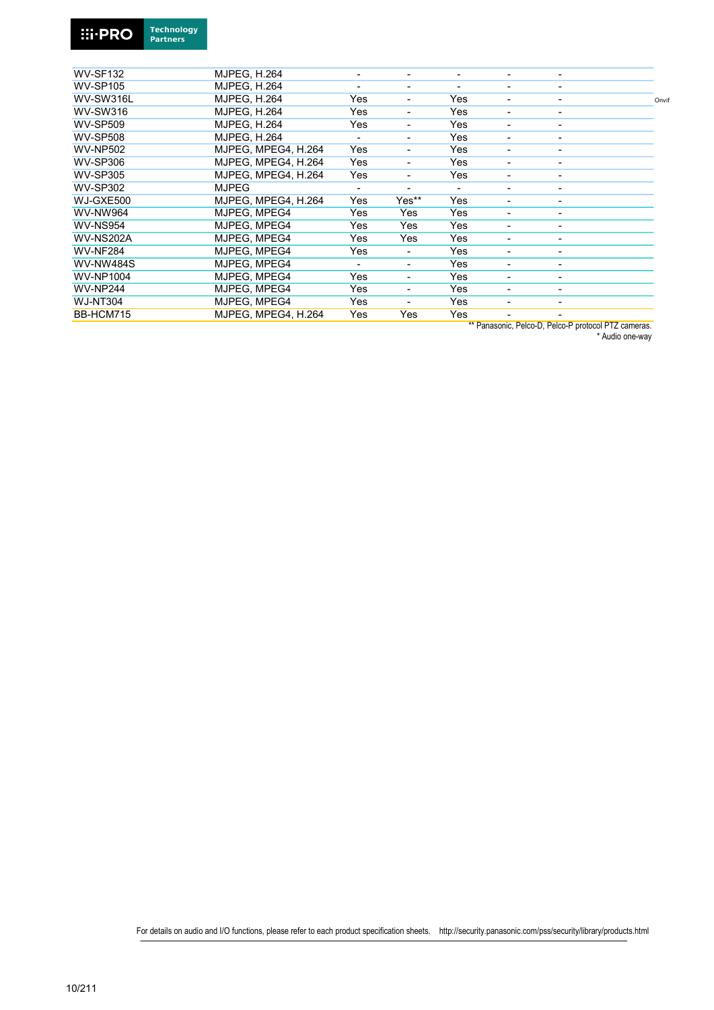

| <b>WV-SF132</b>  | <b>MJPEG, H.264</b> |     |       | $\qquad \qquad \blacksquare$ | -                        |                          |       |
|------------------|---------------------|-----|-------|------------------------------|--------------------------|--------------------------|-------|
| <b>WV-SP105</b>  | <b>MJPEG, H.264</b> |     | -     | -                            | -                        |                          |       |
| WV-SW316L        | <b>MJPEG, H.264</b> | Yes |       | Yes                          | -                        |                          | Onvif |
| <b>WV-SW316</b>  | <b>MJPEG, H.264</b> | Yes | Ξ.    | Yes                          | $\overline{\phantom{a}}$ |                          |       |
| <b>WV-SP509</b>  | <b>MJPEG. H.264</b> | Yes |       | Yes                          | $\overline{\phantom{a}}$ | -                        |       |
| <b>WV-SP508</b>  | <b>MJPEG. H.264</b> |     | -     | Yes                          | -                        | ۰                        |       |
| <b>WV-NP502</b>  | MJPEG. MPEG4. H.264 | Yes |       | Yes                          | -                        |                          |       |
| <b>WV-SP306</b>  | MJPEG. MPEG4. H.264 | Yes | -     | Yes                          | -                        |                          |       |
| <b>WV-SP305</b>  | MJPEG. MPEG4. H.264 | Yes |       | Yes                          | ٠                        |                          |       |
| <b>WV-SP302</b>  | <b>MJPEG</b>        |     | Ξ.    | ٠                            | $\overline{\phantom{a}}$ |                          |       |
| WJ-GXE500        | MJPEG, MPEG4, H.264 | Yes | Yes** | Yes                          | ٠                        |                          |       |
| <b>WV-NW964</b>  | MJPEG. MPEG4        | Yes | Yes   | Yes                          | $\overline{\phantom{a}}$ |                          |       |
| <b>WV-NS954</b>  | MJPEG, MPEG4        | Yes | Yes   | Yes                          | -                        | $\overline{\phantom{0}}$ |       |
| WV-NS202A        | MJPEG, MPEG4        | Yes | Yes   | Yes                          | $\overline{\phantom{a}}$ | $\overline{\phantom{0}}$ |       |
| <b>WV-NF284</b>  | MJPEG. MPEG4        | Yes |       | Yes                          | -                        | -                        |       |
| <b>WV-NW484S</b> | MJPEG. MPEG4        |     | Ξ.    | Yes                          | ۰                        |                          |       |
| <b>WV-NP1004</b> | MJPEG, MPEG4        | Yes |       | Yes                          | ٠                        |                          |       |
| <b>WV-NP244</b>  | MJPEG, MPEG4        | Yes | Ξ.    | Yes                          | $\overline{\phantom{a}}$ |                          |       |
| <b>WJ-NT304</b>  | MJPEG, MPEG4        | Yes |       | Yes                          |                          |                          |       |
| BB-HCM715        | MJPEG. MPEG4. H.264 | Yes | Yes   | Yes                          | $\blacksquare$           |                          |       |
|                  |                     |     |       |                              |                          |                          |       |

\*\* Panasonic, Pelco-D, Pelco-P protocol PTZ cameras.

\* Audio one-way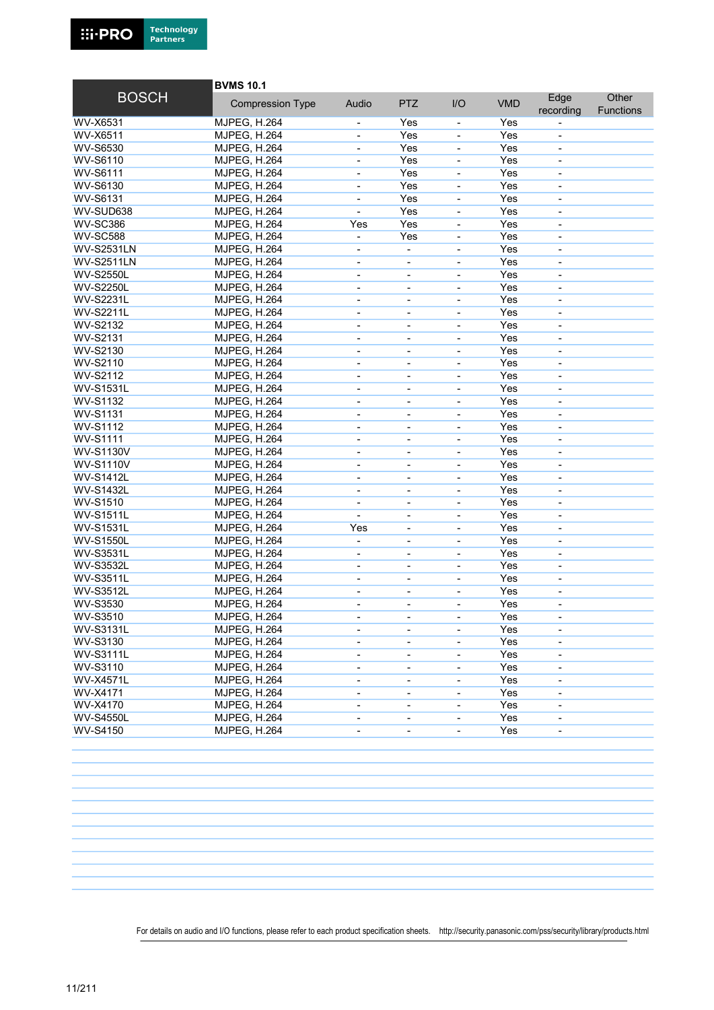

|                   | <b>BVMS 10.1</b>                           |                                                              |                          |                                                      |            |                          |                           |  |
|-------------------|--------------------------------------------|--------------------------------------------------------------|--------------------------|------------------------------------------------------|------------|--------------------------|---------------------------|--|
| <b>BOSCH</b>      | <b>Compression Type</b>                    | Audio                                                        | <b>PTZ</b>               | I/O                                                  | <b>VMD</b> | Edge<br>recording        | Other<br><b>Functions</b> |  |
| WV-X6531          | MJPEG, H.264                               |                                                              | Yes                      | $\overline{\phantom{a}}$                             | Yes        |                          |                           |  |
| WV-X6511          | <b>MJPEG, H.264</b>                        |                                                              | Yes                      |                                                      | Yes        |                          |                           |  |
| <b>WV-S6530</b>   | <b>MJPEG, H.264</b>                        | $\overline{\phantom{a}}$                                     | Yes                      | $\blacksquare$                                       | Yes        | $\overline{\phantom{a}}$ |                           |  |
| WV-S6110          | <b>MJPEG, H.264</b>                        | $\qquad \qquad \blacksquare$                                 | Yes                      | $\qquad \qquad \blacksquare$                         | Yes        | $\overline{\phantom{a}}$ |                           |  |
| <b>WV-S6111</b>   | <b>MJPEG, H.264</b>                        |                                                              | Yes                      | $\blacksquare$                                       | Yes        | $\overline{\phantom{a}}$ |                           |  |
| WV-S6130          | <b>MJPEG, H.264</b>                        | ÷,                                                           | Yes                      | $\overline{\phantom{a}}$                             | Yes        | $\blacksquare$           |                           |  |
| WV-S6131          | <b>MJPEG, H.264</b>                        | ä,                                                           | Yes                      | ÷,                                                   | Yes        | $\blacksquare$           |                           |  |
| WV-SUD638         | <b>MJPEG, H.264</b>                        | $\blacksquare$                                               | Yes                      | $\overline{\phantom{a}}$                             | Yes        | $\blacksquare$           |                           |  |
| <b>WV-SC386</b>   | <b>MJPEG, H.264</b>                        | Yes                                                          | Yes                      | $\blacksquare$                                       | Yes        | $\overline{\phantom{a}}$ |                           |  |
| <b>WV-SC588</b>   | <b>MJPEG, H.264</b>                        | ä,                                                           | Yes                      | $\overline{a}$                                       | Yes        | $\overline{\phantom{a}}$ |                           |  |
| <b>WV-S2531LN</b> | <b>MJPEG, H.264</b>                        |                                                              | $\blacksquare$           | $\overline{a}$                                       | Yes        | $\blacksquare$           |                           |  |
| <b>WV-S2511LN</b> | <b>MJPEG, H.264</b>                        | $\qquad \qquad \blacksquare$                                 | $\overline{\phantom{a}}$ | $\blacksquare$                                       | Yes        | $\overline{\phantom{a}}$ |                           |  |
| <b>WV-S2550L</b>  | <b>MJPEG, H.264</b>                        | $\blacksquare$                                               | $\blacksquare$           |                                                      | Yes        | $\overline{\phantom{a}}$ |                           |  |
| <b>WV-S2250L</b>  | <b>MJPEG, H.264</b>                        | $\blacksquare$                                               | $\overline{\phantom{a}}$ | $\blacksquare$                                       | Yes        | $\overline{\phantom{a}}$ |                           |  |
| <b>WV-S2231L</b>  | <b>MJPEG, H.264</b>                        |                                                              |                          | $\blacksquare$                                       | Yes        | $\blacksquare$           |                           |  |
| <b>WV-S2211L</b>  | <b>MJPEG, H.264</b>                        | $\overline{\phantom{0}}$                                     | ٠                        | $\blacksquare$                                       | Yes        | $\blacksquare$           |                           |  |
| <b>WV-S2132</b>   | <b>MJPEG, H.264</b>                        |                                                              | $\blacksquare$           |                                                      | Yes        | $\overline{\phantom{a}}$ |                           |  |
| <b>WV-S2131</b>   | <b>MJPEG, H.264</b>                        | $\blacksquare$                                               | $\overline{\phantom{a}}$ | $\overline{\phantom{a}}$                             | Yes        | $\overline{\phantom{a}}$ |                           |  |
| WV-S2130          | <b>MJPEG, H.264</b>                        | $\blacksquare$                                               |                          |                                                      | Yes        |                          |                           |  |
| WV-S2110          | <b>MJPEG, H.264</b>                        | $\overline{\phantom{a}}$                                     | $\overline{\phantom{a}}$ | $\overline{\phantom{a}}$                             | Yes        | $\overline{\phantom{a}}$ |                           |  |
| WV-S2112          | <b>MJPEG, H.264</b>                        | ٠                                                            | $\overline{\phantom{a}}$ |                                                      | Yes        | $\overline{\phantom{a}}$ |                           |  |
| <b>WV-S1531L</b>  | <b>MJPEG, H.264</b>                        | $\qquad \qquad \blacksquare$                                 | $\overline{\phantom{a}}$ | $\overline{\phantom{a}}$                             | Yes        | $\overline{\phantom{a}}$ |                           |  |
| <b>WV-S1132</b>   | <b>MJPEG, H.264</b>                        | $\overline{\phantom{0}}$                                     |                          | $\overline{a}$                                       | Yes        | $\overline{\phantom{a}}$ |                           |  |
| <b>WV-S1131</b>   | <b>MJPEG, H.264</b>                        | $\overline{\phantom{0}}$                                     | $\blacksquare$           | $\blacksquare$                                       | Yes        | $\overline{\phantom{a}}$ |                           |  |
| <b>WV-S1112</b>   | <b>MJPEG, H.264</b>                        | $\qquad \qquad \blacksquare$                                 | $\overline{\phantom{a}}$ | $\overline{\phantom{a}}$                             | Yes        | $\overline{\phantom{a}}$ |                           |  |
| <b>WV-S1111</b>   | <b>MJPEG, H.264</b>                        | $\qquad \qquad \blacksquare$                                 | $\overline{\phantom{a}}$ | $\overline{\phantom{a}}$                             | Yes        | $\overline{\phantom{a}}$ |                           |  |
| <b>WV-S1130V</b>  | <b>MJPEG, H.264</b>                        | $\qquad \qquad \blacksquare$                                 | $\overline{\phantom{a}}$ | $\qquad \qquad \blacksquare$                         | Yes        | $\overline{\phantom{a}}$ |                           |  |
| <b>WV-S1110V</b>  | <b>MJPEG, H.264</b>                        | $\overline{\phantom{0}}$                                     | $\overline{\phantom{a}}$ | $\overline{\phantom{a}}$                             | Yes        | $\overline{\phantom{a}}$ |                           |  |
| <b>WV-S1412L</b>  | <b>MJPEG, H.264</b>                        | $\overline{\phantom{0}}$                                     | ٠                        | $\blacksquare$                                       | Yes        | $\overline{\phantom{a}}$ |                           |  |
| <b>WV-S1432L</b>  | <b>MJPEG, H.264</b>                        | $\overline{\phantom{0}}$                                     | $\overline{\phantom{a}}$ | $\blacksquare$                                       | Yes        | $\blacksquare$           |                           |  |
| <b>WV-S1510</b>   | <b>MJPEG, H.264</b>                        | ä,                                                           | $\blacksquare$           | $\overline{a}$                                       | Yes        | $\overline{\phantom{a}}$ |                           |  |
| <b>WV-S1511L</b>  | <b>MJPEG, H.264</b>                        | ÷,                                                           | ÷.                       | ÷,                                                   | Yes        | $\blacksquare$           |                           |  |
| <b>WV-S1531L</b>  | <b>MJPEG, H.264</b>                        | Yes                                                          | $\overline{\phantom{a}}$ | $\overline{\phantom{a}}$                             | Yes        | $\overline{\phantom{a}}$ |                           |  |
| <b>WV-S1550L</b>  | <b>MJPEG, H.264</b>                        |                                                              | $\overline{\phantom{a}}$ | $\overline{\phantom{a}}$                             | Yes        | $\blacksquare$           |                           |  |
| <b>WV-S3531L</b>  | <b>MJPEG, H.264</b>                        | $\blacksquare$                                               | $\blacksquare$           | $\blacksquare$                                       | Yes        | $\blacksquare$           |                           |  |
| <b>WV-S3532L</b>  | <b>MJPEG, H.264</b>                        |                                                              | ÷                        | $\blacksquare$                                       | Yes        | $\blacksquare$           |                           |  |
| <b>WV-S3511L</b>  | <b>MJPEG, H.264</b>                        | $\overline{\phantom{a}}$                                     | ٠                        | $\blacksquare$                                       | Yes        | $\blacksquare$           |                           |  |
| <b>WV-S3512L</b>  | <b>MJPEG, H.264</b>                        |                                                              | $\blacksquare$           |                                                      | Yes        | $\overline{\phantom{a}}$ |                           |  |
| <b>WV-S3530</b>   | <b>MJPEG, H.264</b>                        | $\blacksquare$                                               | $\overline{\phantom{a}}$ | $\blacksquare$                                       | Yes        | $\overline{\phantom{a}}$ |                           |  |
| <b>WV-S3510</b>   | MJPEG, H.264                               |                                                              |                          |                                                      | Yes        |                          |                           |  |
| <b>WV-S3131L</b>  | MJPEG, H.264                               | $\overline{\phantom{a}}$                                     | $\overline{\phantom{a}}$ | $\blacksquare$                                       | Yes        | $\overline{\phantom{a}}$ |                           |  |
| WV-S3130          | <b>MJPEG, H.264</b>                        |                                                              |                          |                                                      | Yes        |                          |                           |  |
| <b>WV-S3111L</b>  | <b>MJPEG, H.264</b>                        |                                                              | -                        |                                                      | Yes        |                          |                           |  |
| WV-S3110          | <b>MJPEG, H.264</b>                        | $\qquad \qquad \blacksquare$<br>$\qquad \qquad \blacksquare$ | ۰                        | $\overline{\phantom{a}}$<br>$\overline{\phantom{a}}$ | Yes        | $\overline{\phantom{a}}$ |                           |  |
| <b>WV-X4571L</b>  | <b>MJPEG, H.264</b>                        | $\overline{\phantom{a}}$                                     | $\overline{\phantom{a}}$ | $\overline{\phantom{a}}$                             | Yes        | $\overline{\phantom{a}}$ |                           |  |
| WV-X4171          | <b>MJPEG, H.264</b>                        | $\qquad \qquad \blacksquare$                                 | $\overline{\phantom{a}}$ | $\overline{\phantom{a}}$                             | Yes        | $\overline{\phantom{a}}$ |                           |  |
| WV-X4170          |                                            |                                                              |                          |                                                      | Yes        |                          |                           |  |
| <b>WV-S4550L</b>  | <b>MJPEG, H.264</b><br><b>MJPEG, H.264</b> | $\qquad \qquad \blacksquare$                                 | $\overline{\phantom{a}}$ | $\overline{\phantom{a}}$                             | Yes        | $\overline{\phantom{a}}$ |                           |  |
| WV-S4150          | <b>MJPEG, H.264</b>                        |                                                              | ۰                        | $\overline{\phantom{a}}$                             | Yes        |                          |                           |  |
|                   |                                            |                                                              | -                        | $\overline{\phantom{a}}$                             |            |                          |                           |  |
|                   |                                            |                                                              |                          |                                                      |            |                          |                           |  |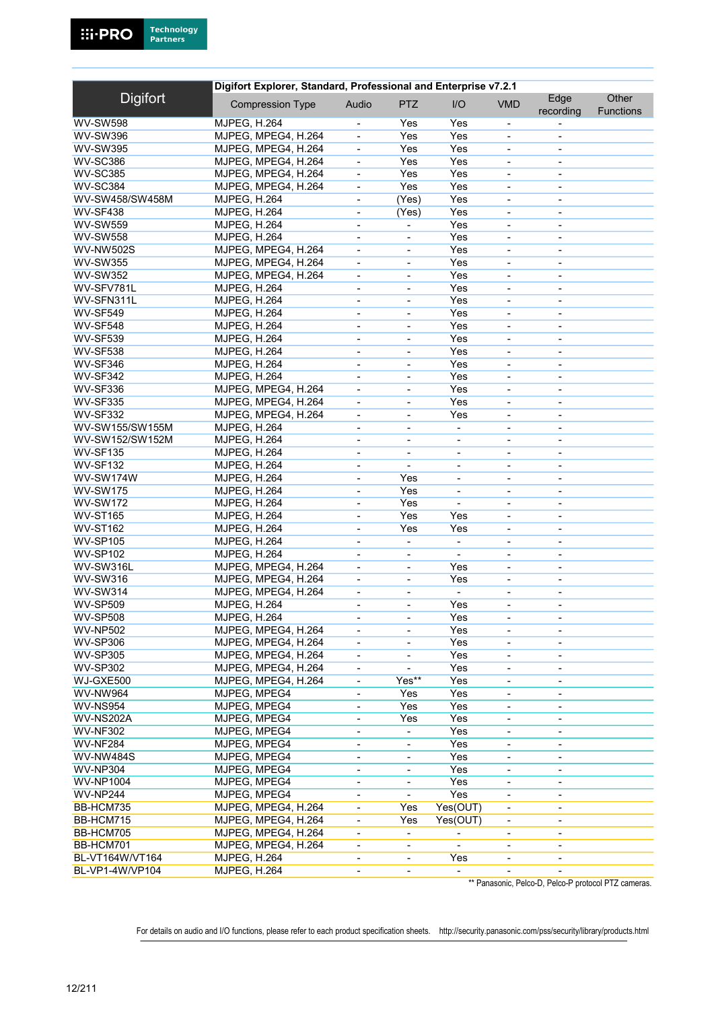|                  | Digifort Explorer, Standard, Professional and Enterprise v7.2.1 |                              |                          |                          |                              |                              |                           |  |  |  |
|------------------|-----------------------------------------------------------------|------------------------------|--------------------------|--------------------------|------------------------------|------------------------------|---------------------------|--|--|--|
| <b>Digifort</b>  | <b>Compression Type</b>                                         | Audio                        | <b>PTZ</b>               | I/O                      | <b>VMD</b>                   | Edge<br>recording            | Other<br><b>Functions</b> |  |  |  |
| <b>WV-SW598</b>  | <b>MJPEG, H.264</b>                                             |                              | Yes                      | Yes                      | $\overline{\phantom{a}}$     |                              |                           |  |  |  |
| <b>WV-SW396</b>  | MJPEG, MPEG4, H.264                                             |                              | Yes                      | Yes                      |                              |                              |                           |  |  |  |
| <b>WV-SW395</b>  | MJPEG, MPEG4, H.264                                             | $\overline{a}$               | Yes                      | Yes                      | $\overline{\phantom{0}}$     | $\overline{\phantom{a}}$     |                           |  |  |  |
| <b>WV-SC386</b>  | MJPEG, MPEG4, H.264                                             | $\blacksquare$               | Yes                      | Yes                      | $\overline{\phantom{a}}$     | $\overline{\phantom{a}}$     |                           |  |  |  |
| <b>WV-SC385</b>  | MJPEG, MPEG4, H.264                                             | $\blacksquare$               | Yes                      | Yes                      | $\overline{\phantom{0}}$     | $\overline{\phantom{a}}$     |                           |  |  |  |
| <b>WV-SC384</b>  | MJPEG, MPEG4, H.264                                             | ä,                           | Yes                      | Yes                      |                              | $\overline{\phantom{a}}$     |                           |  |  |  |
| WV-SW458/SW458M  | <b>MJPEG, H.264</b>                                             | ÷,                           | (Yes)                    | Yes                      | ä,                           |                              |                           |  |  |  |
| <b>WV-SF438</b>  | <b>MJPEG, H.264</b>                                             | $\overline{\phantom{a}}$     | (Yes)                    | Yes                      | $\overline{\phantom{a}}$     | $\overline{\phantom{a}}$     |                           |  |  |  |
| <b>WV-SW559</b>  | <b>MJPEG, H.264</b>                                             | $\overline{\phantom{0}}$     |                          | Yes                      | $\overline{\phantom{a}}$     | $\overline{\phantom{a}}$     |                           |  |  |  |
| <b>WV-SW558</b>  | <b>MJPEG, H.264</b>                                             | $\overline{\phantom{0}}$     | $\overline{\phantom{0}}$ | Yes                      | $\blacksquare$               | $\blacksquare$               |                           |  |  |  |
| <b>WV-NW502S</b> | MJPEG, MPEG4, H.264                                             |                              | ÷,                       | Yes                      |                              | $\blacksquare$               |                           |  |  |  |
| <b>WV-SW355</b>  | MJPEG, MPEG4, H.264                                             | $\blacksquare$               | ÷,                       | Yes                      |                              | $\blacksquare$               |                           |  |  |  |
| <b>WV-SW352</b>  |                                                                 |                              |                          | Yes                      | $\overline{\phantom{a}}$     |                              |                           |  |  |  |
|                  | MJPEG, MPEG4, H.264                                             |                              | $\overline{\phantom{0}}$ |                          | $\overline{\phantom{a}}$     | $\overline{\phantom{a}}$     |                           |  |  |  |
| WV-SFV781L       | <b>MJPEG, H.264</b>                                             | $\blacksquare$               | $\overline{\phantom{a}}$ | Yes                      | $\overline{\phantom{a}}$     | $\overline{\phantom{a}}$     |                           |  |  |  |
| WV-SFN311L       | <b>MJPEG, H.264</b>                                             | ä,                           |                          | Yes                      |                              |                              |                           |  |  |  |
| <b>WV-SF549</b>  | <b>MJPEG, H.264</b>                                             | $\overline{\phantom{a}}$     | $\overline{\phantom{a}}$ | Yes                      | $\blacksquare$               | $\overline{\phantom{a}}$     |                           |  |  |  |
| <b>WV-SF548</b>  | <b>MJPEG, H.264</b>                                             | $\overline{\phantom{0}}$     | $\overline{\phantom{0}}$ | Yes                      | $\qquad \qquad \blacksquare$ | $\overline{\phantom{a}}$     |                           |  |  |  |
| <b>WV-SF539</b>  | <b>MJPEG, H.264</b>                                             | $\overline{\phantom{a}}$     | $\overline{\phantom{a}}$ | Yes                      | $\qquad \qquad \blacksquare$ | $\overline{\phantom{a}}$     |                           |  |  |  |
| <b>WV-SF538</b>  | <b>MJPEG, H.264</b>                                             | $\qquad \qquad \blacksquare$ | $\overline{\phantom{0}}$ | Yes                      |                              |                              |                           |  |  |  |
| <b>WV-SF346</b>  | <b>MJPEG, H.264</b>                                             | $\overline{\phantom{a}}$     | ÷,                       | Yes                      | $\qquad \qquad \blacksquare$ | $\overline{\phantom{a}}$     |                           |  |  |  |
| <b>WV-SF342</b>  | <b>MJPEG, H.264</b>                                             |                              | $\overline{\phantom{0}}$ | Yes                      | $\qquad \qquad \blacksquare$ | $\overline{\phantom{a}}$     |                           |  |  |  |
| <b>WV-SF336</b>  | MJPEG, MPEG4, H.264                                             | $\overline{\phantom{a}}$     | $\overline{\phantom{0}}$ | Yes                      | $\qquad \qquad \blacksquare$ | $\overline{\phantom{a}}$     |                           |  |  |  |
| <b>WV-SF335</b>  | MJPEG, MPEG4, H.264                                             |                              |                          | Yes                      |                              |                              |                           |  |  |  |
| <b>WV-SF332</b>  | MJPEG, MPEG4, H.264                                             | $\overline{\phantom{a}}$     | ÷,                       | Yes                      | $\blacksquare$               | $\overline{\phantom{a}}$     |                           |  |  |  |
| WV-SW155/SW155M  | <b>MJPEG, H.264</b>                                             | $\qquad \qquad \blacksquare$ | -                        | $\overline{\phantom{a}}$ | $\overline{\phantom{a}}$     | $\overline{\phantom{a}}$     |                           |  |  |  |
| WV-SW152/SW152M  | <b>MJPEG, H.264</b>                                             | $\overline{\phantom{0}}$     | $\overline{\phantom{0}}$ | $\blacksquare$           | $\qquad \qquad \blacksquare$ | $\overline{\phantom{a}}$     |                           |  |  |  |
| <b>WV-SF135</b>  | <b>MJPEG, H.264</b>                                             | ä,                           | ÷,                       | $\blacksquare$           | $\overline{\phantom{0}}$     | $\blacksquare$               |                           |  |  |  |
| <b>WV-SF132</b>  | <b>MJPEG, H.264</b>                                             |                              | L.                       | $\blacksquare$           | ä,                           | $\overline{\phantom{a}}$     |                           |  |  |  |
| WV-SW174W        | <b>MJPEG, H.264</b>                                             | $\qquad \qquad \blacksquare$ | Yes                      | $\overline{\phantom{a}}$ | $\overline{\phantom{a}}$     | $\overline{\phantom{a}}$     |                           |  |  |  |
| <b>WV-SW175</b>  | <b>MJPEG, H.264</b>                                             |                              | Yes                      | $\overline{\phantom{a}}$ | $\qquad \qquad \blacksquare$ | $\overline{\phantom{a}}$     |                           |  |  |  |
| <b>WV-SW172</b>  | <b>MJPEG, H.264</b>                                             | $\qquad \qquad \blacksquare$ | Yes                      |                          | $\overline{\phantom{0}}$     | $\overline{\phantom{a}}$     |                           |  |  |  |
| <b>WV-ST165</b>  | <b>MJPEG, H.264</b>                                             | ä,                           | Yes                      | Yes                      | ä,                           | $\blacksquare$               |                           |  |  |  |
| <b>WV-ST162</b>  | <b>MJPEG, H.264</b>                                             | $\overline{\phantom{a}}$     | Yes                      | Yes                      | $\overline{\phantom{a}}$     | $\blacksquare$               |                           |  |  |  |
|                  |                                                                 |                              | L.                       |                          |                              |                              |                           |  |  |  |
| <b>WV-SP105</b>  | <b>MJPEG, H.264</b>                                             |                              |                          |                          | $\blacksquare$               | $\blacksquare$               |                           |  |  |  |
| <b>WV-SP102</b>  | <b>MJPEG, H.264</b>                                             | $\overline{\phantom{0}}$     | $\overline{\phantom{a}}$ | $\blacksquare$           | $\blacksquare$               | $\overline{\phantom{a}}$     |                           |  |  |  |
| WV-SW316L        | MJPEG, MPEG4, H.264                                             |                              | ÷,                       | Yes                      | $\overline{\phantom{0}}$     | $\blacksquare$               |                           |  |  |  |
| <b>WV-SW316</b>  | MJPEG, MPEG4, H.264                                             | $\blacksquare$               | ÷,                       | Yes                      | $\overline{\phantom{a}}$     | $\overline{\phantom{a}}$     |                           |  |  |  |
| <b>WV-SW314</b>  | MJPEG, MPEG4, H.264                                             | $\qquad \qquad \blacksquare$ | $\overline{\phantom{0}}$ |                          |                              | $\overline{\phantom{a}}$     |                           |  |  |  |
| <b>WV-SP509</b>  | <b>MJPEG, H.264</b>                                             | $\overline{\phantom{a}}$     | $\blacksquare$           | Yes                      | $\overline{\phantom{0}}$     | $\overline{\phantom{a}}$     |                           |  |  |  |
| <b>WV-SP508</b>  | MJPEG, H.264                                                    |                              |                          | Yes                      |                              |                              |                           |  |  |  |
| <b>WV-NP502</b>  | MJPEG, MPEG4, H.264                                             | $\overline{\phantom{a}}$     | $\overline{\phantom{a}}$ | Yes                      | $\overline{\phantom{a}}$     | ٠                            |                           |  |  |  |
| <b>WV-SP306</b>  | MJPEG, MPEG4, H.264                                             |                              |                          | Yes                      |                              |                              |                           |  |  |  |
| <b>WV-SP305</b>  | MJPEG, MPEG4, H.264                                             | $\overline{\phantom{0}}$     | $\overline{\phantom{0}}$ | Yes                      | -                            | $\overline{\phantom{a}}$     |                           |  |  |  |
| <b>WV-SP302</b>  | MJPEG, MPEG4, H.264                                             | $\overline{\phantom{0}}$     |                          | Yes                      |                              |                              |                           |  |  |  |
| WJ-GXE500        | MJPEG, MPEG4, H.264                                             | $\overline{\phantom{a}}$     | Yes**                    | Yes                      | $\overline{\phantom{a}}$     |                              |                           |  |  |  |
| <b>WV-NW964</b>  | MJPEG, MPEG4                                                    | -                            | Yes                      | Yes                      | -                            | $\overline{\phantom{a}}$     |                           |  |  |  |
| <b>WV-NS954</b>  | MJPEG, MPEG4                                                    |                              | Yes                      | Yes                      | $\qquad \qquad \blacksquare$ | $\overline{\phantom{a}}$     |                           |  |  |  |
| WV-NS202A        | MJPEG, MPEG4                                                    |                              | Yes                      | Yes                      |                              |                              |                           |  |  |  |
| <b>WV-NF302</b>  | MJPEG, MPEG4                                                    | $\overline{\phantom{0}}$     | $\overline{\phantom{0}}$ | Yes                      | $\qquad \qquad \blacksquare$ |                              |                           |  |  |  |
| <b>WV-NF284</b>  | MJPEG, MPEG4                                                    | $\overline{\phantom{0}}$     | -                        | Yes                      | $\qquad \qquad \blacksquare$ | $\overline{\phantom{a}}$     |                           |  |  |  |
| <b>WV-NW484S</b> | MJPEG, MPEG4                                                    | $\overline{\phantom{0}}$     | -                        | Yes                      | $\overline{\phantom{0}}$     | $\qquad \qquad \blacksquare$ |                           |  |  |  |
| <b>WV-NP304</b>  | MJPEG, MPEG4                                                    |                              |                          | Yes                      |                              |                              |                           |  |  |  |
| <b>WV-NP1004</b> | MJPEG, MPEG4                                                    |                              | $\overline{\phantom{0}}$ | Yes                      | $\qquad \qquad \blacksquare$ |                              |                           |  |  |  |
| <b>WV-NP244</b>  | MJPEG, MPEG4                                                    | $\qquad \qquad \blacksquare$ | $\overline{\phantom{0}}$ | Yes                      | $\blacksquare$               | $\overline{\phantom{a}}$     |                           |  |  |  |
| BB-HCM735        | MJPEG, MPEG4, H.264                                             | -                            | Yes                      | Yes(OUT)                 | -                            | $\overline{\phantom{a}}$     |                           |  |  |  |
| BB-HCM715        | MJPEG, MPEG4, H.264                                             | $\overline{\phantom{a}}$     | Yes                      | Yes(OUT)                 | $\overline{\phantom{a}}$     | $\overline{\phantom{a}}$     |                           |  |  |  |
| BB-HCM705        | MJPEG, MPEG4, H.264                                             | $\qquad \qquad \blacksquare$ | $\overline{\phantom{0}}$ |                          |                              | $\overline{\phantom{a}}$     |                           |  |  |  |
|                  |                                                                 |                              |                          | $\blacksquare$           | $\overline{\phantom{0}}$     |                              |                           |  |  |  |
| BB-HCM701        | MJPEG, MPEG4, H.264                                             | $\overline{\phantom{a}}$     | ۰.                       |                          | $\overline{\phantom{a}}$     | $\overline{\phantom{a}}$     |                           |  |  |  |
| BL-VT164W/VT164  | <b>MJPEG, H.264</b>                                             | $\overline{\phantom{a}}$     | -                        | Yes                      | -                            | $\overline{\phantom{a}}$     |                           |  |  |  |
| BL-VP1-4W/VP104  | <b>MJPEG, H.264</b>                                             |                              |                          |                          |                              |                              |                           |  |  |  |

\*\* Panasonic, Pelco-D, Pelco-P protocol PTZ cameras.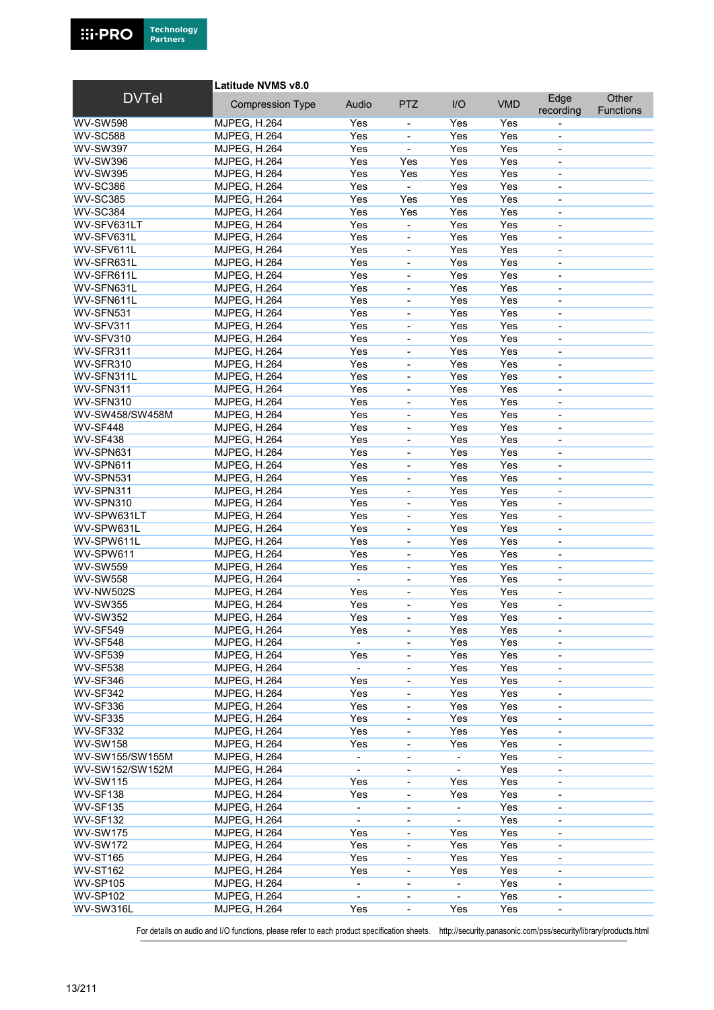

Latitude NVMS v8.0

| <b>DVTel</b>     | <b>Compression Type</b> | Audio                    | <b>PTZ</b>               | I/O            | <b>VMD</b> | Edge                         | Other     |
|------------------|-------------------------|--------------------------|--------------------------|----------------|------------|------------------------------|-----------|
|                  |                         |                          |                          |                |            | recording                    | Functions |
| <b>WV-SW598</b>  | <b>MJPEG, H.264</b>     | Yes                      | $\overline{\phantom{0}}$ | Yes            | Yes        |                              |           |
| <b>WV-SC588</b>  | <b>MJPEG, H.264</b>     | Yes                      | ÷,                       | Yes            | Yes        | ÷,                           |           |
| <b>WV-SW397</b>  | <b>MJPEG, H.264</b>     | Yes                      | ÷,                       | Yes            | Yes        | $\qquad \qquad \blacksquare$ |           |
| <b>WV-SW396</b>  | <b>MJPEG, H.264</b>     | Yes                      | Yes                      | Yes            | Yes        | $\overline{\phantom{0}}$     |           |
| <b>WV-SW395</b>  | <b>MJPEG, H.264</b>     | Yes                      | Yes                      | Yes            | Yes        |                              |           |
| <b>WV-SC386</b>  | <b>MJPEG, H.264</b>     | Yes                      | ÷,                       | Yes            | Yes        | $\overline{\phantom{a}}$     |           |
| <b>WV-SC385</b>  | <b>MJPEG, H.264</b>     | Yes                      | Yes                      | Yes            | Yes        | $\overline{\phantom{a}}$     |           |
| <b>WV-SC384</b>  | <b>MJPEG, H.264</b>     | Yes                      | Yes                      | Yes            | Yes        | $\overline{\phantom{0}}$     |           |
| WV-SFV631LT      | <b>MJPEG, H.264</b>     | Yes                      | ä,                       | Yes            | Yes        | ÷,                           |           |
| WV-SFV631L       | <b>MJPEG, H.264</b>     | Yes                      | $\overline{a}$           | Yes            | Yes        | ä,                           |           |
| WV-SFV611L       | <b>MJPEG, H.264</b>     | Yes                      | ÷,                       | Yes            | Yes        | $\overline{\phantom{a}}$     |           |
| WV-SFR631L       | <b>MJPEG, H.264</b>     | Yes                      | $\overline{\phantom{0}}$ | Yes            | Yes        | $\overline{\phantom{0}}$     |           |
| WV-SFR611L       | <b>MJPEG, H.264</b>     | Yes                      | ÷,                       | Yes            | Yes        | $\blacksquare$               |           |
| WV-SFN631L       | <b>MJPEG, H.264</b>     | Yes                      | ÷,                       | Yes            | Yes        |                              |           |
| WV-SFN611L       | <b>MJPEG, H.264</b>     | Yes                      | ÷,                       | Yes            | Yes        | $\blacksquare$               |           |
| WV-SFN531        | <b>MJPEG, H.264</b>     | Yes                      | ÷,                       | Yes            | Yes        | $\overline{\phantom{0}}$     |           |
| WV-SFV311        | <b>MJPEG, H.264</b>     | Yes                      | ÷,                       | Yes            | Yes        | $\overline{\phantom{0}}$     |           |
| WV-SFV310        | <b>MJPEG, H.264</b>     | Yes                      | ÷,                       | Yes            | Yes        |                              |           |
| WV-SFR311        | <b>MJPEG, H.264</b>     | Yes                      | ÷,                       | Yes            | Yes        | $\blacksquare$               |           |
| WV-SFR310        | <b>MJPEG, H.264</b>     | Yes                      | $\overline{\phantom{0}}$ | Yes            | Yes        | $\qquad \qquad \blacksquare$ |           |
| WV-SFN311L       | <b>MJPEG, H.264</b>     | Yes                      | ÷,                       | Yes            | Yes        | $\overline{\phantom{0}}$     |           |
| WV-SFN311        | <b>MJPEG, H.264</b>     | Yes                      | L,                       | Yes            | Yes        |                              |           |
| WV-SFN310        | <b>MJPEG, H.264</b>     | Yes                      | ÷,                       | Yes            | Yes        | $\overline{\phantom{a}}$     |           |
| WV-SW458/SW458M  | <b>MJPEG, H.264</b>     | Yes                      | $\overline{\phantom{0}}$ | Yes            | Yes        | $\qquad \qquad \blacksquare$ |           |
| WV-SF448         | <b>MJPEG, H.264</b>     | Yes                      | $\overline{\phantom{0}}$ | Yes            | Yes        | $\overline{\phantom{a}}$     |           |
| WV-SF438         | <b>MJPEG, H.264</b>     | Yes                      | L,                       | Yes            | Yes        |                              |           |
| WV-SPN631        | <b>MJPEG, H.264</b>     | Yes                      | ÷,                       | Yes            | Yes        | $\blacksquare$               |           |
| WV-SPN611        | <b>MJPEG, H.264</b>     | Yes                      | $\overline{\phantom{0}}$ | Yes            | Yes        | $\qquad \qquad \blacksquare$ |           |
| WV-SPN531        | <b>MJPEG, H.264</b>     | Yes                      | $\overline{\phantom{0}}$ | Yes            | Yes        | $\overline{\phantom{0}}$     |           |
| WV-SPN311        | <b>MJPEG, H.264</b>     | Yes                      | ÷,                       | Yes            | Yes        | $\overline{\phantom{0}}$     |           |
| WV-SPN310        | <b>MJPEG, H.264</b>     | Yes                      | ÷,                       | Yes            | Yes        | $\overline{\phantom{a}}$     |           |
| WV-SPW631LT      | <b>MJPEG, H.264</b>     | Yes                      | ÷,                       | Yes            | Yes        | $\overline{\phantom{a}}$     |           |
| WV-SPW631L       | <b>MJPEG, H.264</b>     | Yes                      | $\overline{\phantom{0}}$ | Yes            | Yes        | $\overline{\phantom{0}}$     |           |
| WV-SPW611L       | <b>MJPEG, H.264</b>     | Yes                      | ÷,                       | Yes            | Yes        | ÷,                           |           |
| WV-SPW611        | <b>MJPEG, H.264</b>     | Yes                      | ÷,                       | Yes            | Yes        |                              |           |
| <b>WV-SW559</b>  | <b>MJPEG, H.264</b>     | Yes                      | $\overline{\phantom{0}}$ | Yes            | Yes        | $\blacksquare$               |           |
| <b>WV-SW558</b>  | <b>MJPEG, H.264</b>     |                          | $\overline{a}$           | Yes            | Yes        | $\blacksquare$               |           |
| <b>WV-NW502S</b> | <b>MJPEG, H.264</b>     | Yes                      | ÷,                       | Yes            | Yes        | $\overline{\phantom{0}}$     |           |
| <b>WV-SW355</b>  | <b>MJPEG, H.264</b>     | Yes                      | L,                       | Yes            | Yes        |                              |           |
| <b>WV-SW352</b>  | <b>MJPEG, H.264</b>     | Yes                      | ÷,                       | Yes            | Yes        | $\blacksquare$               |           |
| <b>WV-SF549</b>  | MJPEG, H.264            | Yes                      | $\overline{\phantom{0}}$ | Yes            | Yes        | $\overline{\phantom{a}}$     |           |
| <b>WV-SF548</b>  | <b>MJPEG, H.264</b>     | $\blacksquare$           | $\overline{\phantom{0}}$ | Yes            | Yes        | $\qquad \qquad \blacksquare$ |           |
| <b>WV-SF539</b>  | <b>MJPEG, H.264</b>     | Yes                      | ÷,                       | Yes            | Yes        |                              |           |
| <b>WV-SF538</b>  | <b>MJPEG, H.264</b>     | $\blacksquare$           | ÷,                       | Yes            | Yes        | $\overline{\phantom{a}}$     |           |
| <b>WV-SF346</b>  | <b>MJPEG, H.264</b>     | Yes                      | $\overline{\phantom{0}}$ | Yes            | Yes        | $\qquad \qquad \blacksquare$ |           |
| <b>WV-SF342</b>  | <b>MJPEG, H.264</b>     | Yes                      | -                        | Yes            | Yes        | $\overline{\phantom{a}}$     |           |
| <b>WV-SF336</b>  | <b>MJPEG, H.264</b>     | Yes                      | $\overline{\phantom{0}}$ | Yes            | Yes        | $\qquad \qquad \blacksquare$ |           |
| <b>WV-SF335</b>  | <b>MJPEG, H.264</b>     | Yes                      | $\blacksquare$           | Yes            | Yes        | $\overline{\phantom{a}}$     |           |
| <b>WV-SF332</b>  | <b>MJPEG, H.264</b>     | Yes                      | $\overline{\phantom{0}}$ | Yes            | Yes        | $\overline{\phantom{0}}$     |           |
| <b>WV-SW158</b>  | <b>MJPEG, H.264</b>     | Yes                      | -                        | Yes            | Yes        | $\overline{\phantom{a}}$     |           |
| WV-SW155/SW155M  | <b>MJPEG, H.264</b>     | $\overline{\phantom{a}}$ | $\overline{\phantom{0}}$ |                | Yes        | $\qquad \qquad \blacksquare$ |           |
| WV-SW152/SW152M  | <b>MJPEG, H.264</b>     | $\blacksquare$           | $\overline{\phantom{0}}$ |                | Yes        | $\overline{\phantom{a}}$     |           |
| <b>WV-SW115</b>  | <b>MJPEG, H.264</b>     | Yes                      | -                        | Yes            | Yes        | $\overline{\phantom{0}}$     |           |
| <b>WV-SF138</b>  | <b>MJPEG, H.264</b>     | Yes                      | -                        | Yes            | Yes        | $\qquad \qquad \blacksquare$ |           |
| <b>WV-SF135</b>  | <b>MJPEG, H.264</b>     | $\overline{\phantom{a}}$ | -                        |                | Yes        | $\qquad \qquad \blacksquare$ |           |
| <b>WV-SF132</b>  | <b>MJPEG, H.264</b>     | $\blacksquare$           | ÷,                       | ä,             | Yes        | ä,                           |           |
| <b>WV-SW175</b>  | <b>MJPEG, H.264</b>     | Yes                      | $\overline{\phantom{0}}$ | Yes            | Yes        | $\blacksquare$               |           |
| <b>WV-SW172</b>  | <b>MJPEG, H.264</b>     | Yes                      | -                        | Yes            | Yes        | $\qquad \qquad \blacksquare$ |           |
| <b>WV-ST165</b>  | <b>MJPEG, H.264</b>     | Yes                      | $\overline{\phantom{0}}$ | Yes            | Yes        | $\overline{\phantom{a}}$     |           |
| <b>WV-ST162</b>  | <b>MJPEG, H.264</b>     | Yes                      | $\overline{\phantom{0}}$ | Yes            | Yes        | $\qquad \qquad \blacksquare$ |           |
| <b>WV-SP105</b>  | MJPEG, H.264            | $\overline{\phantom{a}}$ | $\overline{\phantom{0}}$ | $\blacksquare$ | Yes        | $\overline{\phantom{a}}$     |           |
| <b>WV-SP102</b>  | <b>MJPEG, H.264</b>     |                          | -                        |                | Yes        | $\qquad \qquad \blacksquare$ |           |
| WV-SW316L        | <b>MJPEG, H.264</b>     | Yes                      | -                        | Yes            | Yes        | $\qquad \qquad \blacksquare$ |           |

For details on audio and I/O functions, please refer to each product specification sheets. http://security.panasonic.com/pss/security/library/products.html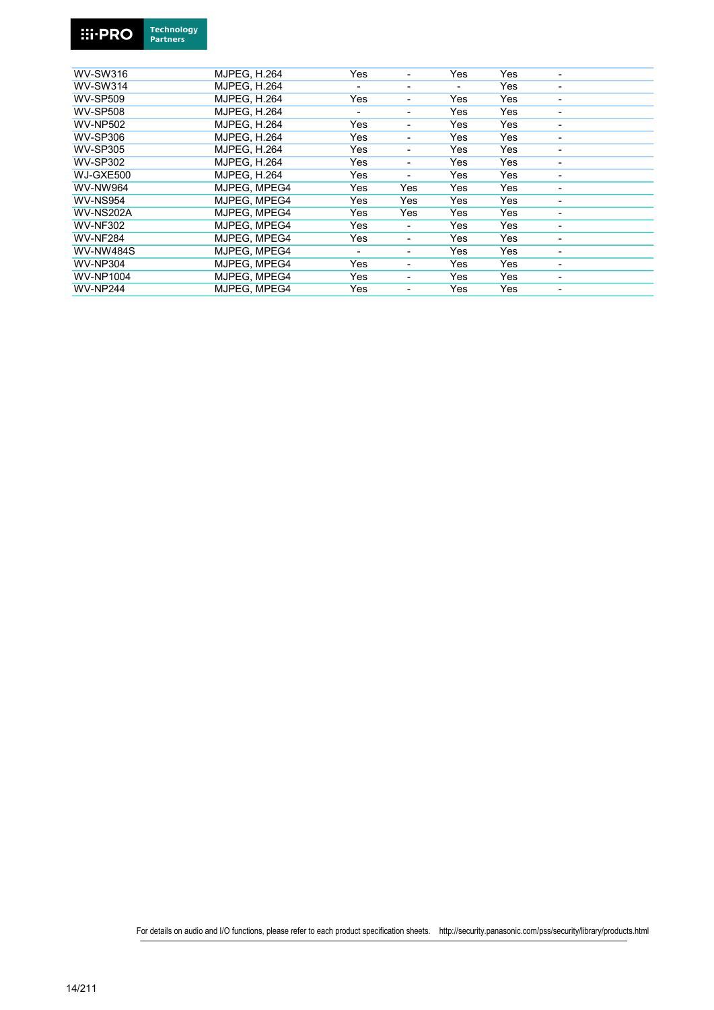

| $\bullet$ | <b>Tecnnology</b> |
|-----------|-------------------|
|           | <b>Partners</b>   |
|           |                   |

| <b>WV-SW316</b>  | <b>MJPEG, H.264</b> | Yes                      | ٠   | Yes | Yes | $\blacksquare$           |
|------------------|---------------------|--------------------------|-----|-----|-----|--------------------------|
| <b>WV-SW314</b>  | <b>MJPEG, H.264</b> | $\overline{\phantom{0}}$ | ٠   | ٠   | Yes | ٠                        |
| <b>WV-SP509</b>  | <b>MJPEG. H.264</b> | Yes                      | -   | Yes | Yes | -                        |
| <b>WV-SP508</b>  | <b>MJPEG. H.264</b> |                          | ٠   | Yes | Yes | ٠                        |
| <b>WV-NP502</b>  | <b>MJPEG. H.264</b> | Yes                      | ٠   | Yes | Yes | ٠                        |
| <b>WV-SP306</b>  | <b>MJPEG, H.264</b> | Yes                      |     | Yes | Yes |                          |
| <b>WV-SP305</b>  | <b>MJPEG. H.264</b> | Yes                      |     | Yes | Yes |                          |
| <b>WV-SP302</b>  | <b>MJPEG. H.264</b> | Yes                      | ٠   | Yes | Yes | $\overline{\phantom{0}}$ |
| WJ-GXE500        | <b>MJPEG. H.264</b> | Yes                      | ٠   | Yes | Yes | ٠                        |
| WV-NW964         | MJPEG. MPEG4        | Yes                      | Yes | Yes | Yes | -                        |
| <b>WV-NS954</b>  | MJPEG. MPEG4        | Yes                      | Yes | Yes | Yes | ٠                        |
| <b>WV-NS202A</b> | MJPEG. MPEG4        | Yes                      | Yes | Yes | Yes | $\blacksquare$           |
| <b>WV-NF302</b>  | MJPEG, MPEG4        | Yes                      | -   | Yes | Yes | ٠                        |
| <b>WV-NF284</b>  | MJPEG, MPEG4        | Yes                      | -   | Yes | Yes | ٠                        |
| <b>WV-NW484S</b> | MJPEG. MPEG4        |                          | -   | Yes | Yes | ٠                        |
| <b>WV-NP304</b>  | MJPEG. MPEG4        | Yes                      | ٠   | Yes | Yes | $\blacksquare$           |
| <b>WV-NP1004</b> | MJPEG. MPEG4        | Yes                      | -   | Yes | Yes | ٠                        |
| <b>WV-NP244</b>  | MJPEG, MPEG4        | Yes                      | -   | Yes | Yes | -                        |
|                  |                     |                          |     |     |     |                          |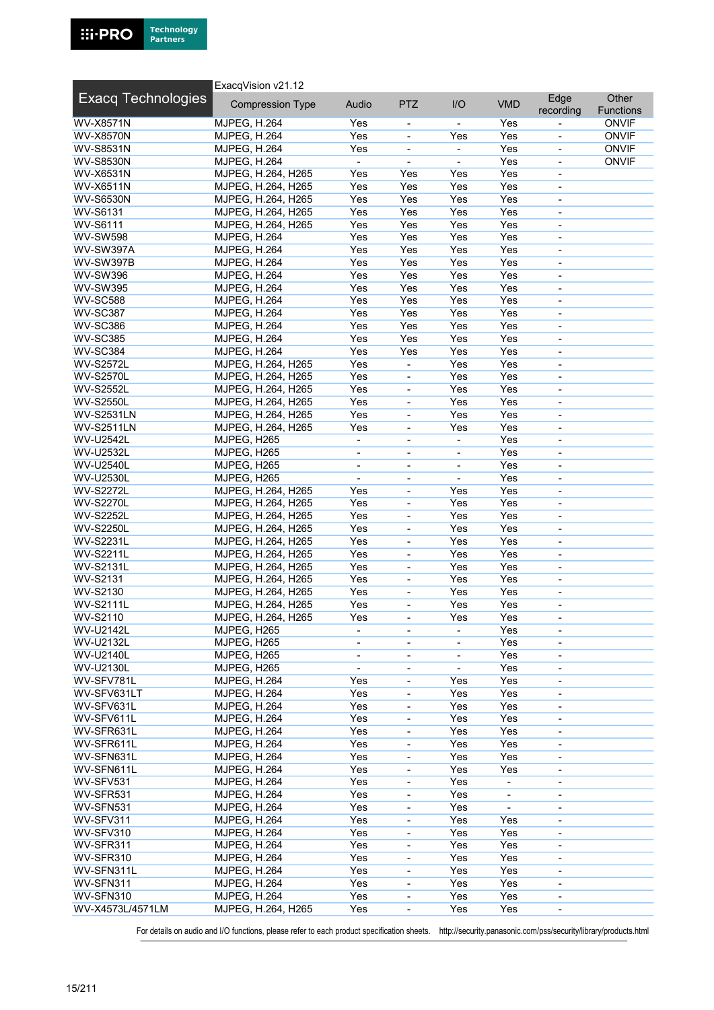

|                                      | ExacqVision v21.12                       |                          |                                            |                          |                              |                                  |                           |
|--------------------------------------|------------------------------------------|--------------------------|--------------------------------------------|--------------------------|------------------------------|----------------------------------|---------------------------|
| <b>Exacq Technologies</b>            | <b>Compression Type</b>                  | Audio                    | <b>PTZ</b>                                 | I/O                      | <b>VMD</b>                   | Edge<br>recording                | Other<br><b>Functions</b> |
| WV-X8571N                            | <b>MJPEG, H.264</b>                      | Yes                      | $\overline{\phantom{a}}$                   |                          | Yes                          |                                  | <b>ONVIF</b>              |
| <b>WV-X8570N</b>                     | <b>MJPEG, H.264</b>                      | Yes                      | $\overline{\phantom{a}}$                   | Yes                      | Yes                          | $\overline{\phantom{a}}$         | <b>ONVIF</b>              |
| <b>WV-S8531N</b>                     | <b>MJPEG, H.264</b>                      | Yes                      |                                            |                          | Yes                          |                                  | <b>ONVIF</b>              |
| <b>WV-S8530N</b>                     | <b>MJPEG, H.264</b>                      | $\blacksquare$           | ä,                                         | $\blacksquare$           | Yes                          | $\overline{\phantom{a}}$         | <b>ONVIF</b>              |
| <b>WV-X6531N</b>                     | MJPEG, H.264, H265                       | Yes                      | Yes                                        | Yes                      | Yes                          | $\overline{\phantom{a}}$         |                           |
| WV-X6511N                            | MJPEG, H.264, H265                       | Yes                      | Yes                                        | Yes                      | Yes                          | $\overline{\phantom{a}}$         |                           |
| <b>WV-S6530N</b>                     | MJPEG, H.264, H265                       | Yes                      | Yes                                        | Yes                      | Yes                          |                                  |                           |
| <b>WV-S6131</b>                      | MJPEG, H.264, H265                       | Yes                      | Yes                                        | Yes                      | Yes                          | $\blacksquare$                   |                           |
| <b>WV-S6111</b>                      | MJPEG, H.264, H265                       | Yes                      | Yes                                        | Yes                      | Yes                          | $\blacksquare$                   |                           |
| <b>WV-SW598</b>                      | <b>MJPEG, H.264</b>                      | Yes                      | Yes                                        | Yes                      | Yes                          | $\overline{\phantom{a}}$         |                           |
| WV-SW397A                            | <b>MJPEG, H.264</b>                      | Yes                      | Yes                                        | Yes                      | Yes                          | $\overline{\phantom{a}}$         |                           |
| <b>WV-SW397B</b>                     | <b>MJPEG, H.264</b>                      | Yes                      | Yes                                        | Yes                      | Yes                          | $\blacksquare$                   |                           |
| <b>WV-SW396</b>                      | <b>MJPEG, H.264</b>                      | Yes                      | Yes                                        | Yes                      | Yes                          | $\blacksquare$                   |                           |
| <b>WV-SW395</b>                      | <b>MJPEG, H.264</b>                      | Yes                      | Yes                                        | Yes                      | Yes                          | $\overline{\phantom{a}}$         |                           |
| <b>WV-SC588</b>                      | <b>MJPEG, H.264</b>                      | Yes                      | Yes                                        | Yes                      | Yes                          | $\blacksquare$                   |                           |
| <b>WV-SC387</b>                      | <b>MJPEG, H.264</b>                      | Yes                      | Yes                                        | Yes                      | Yes                          |                                  |                           |
| <b>WV-SC386</b>                      | <b>MJPEG, H.264</b>                      | Yes                      | Yes                                        | Yes                      | Yes                          | $\blacksquare$                   |                           |
| <b>WV-SC385</b>                      | <b>MJPEG, H.264</b>                      | Yes                      | Yes                                        | Yes                      | Yes                          | $\overline{\phantom{a}}$         |                           |
| <b>WV-SC384</b>                      | <b>MJPEG, H.264</b>                      | Yes                      | Yes                                        | Yes                      | Yes                          | $\blacksquare$                   |                           |
| <b>WV-S2572L</b>                     | MJPEG, H.264, H265                       | Yes                      |                                            | Yes                      | Yes                          | $\blacksquare$                   |                           |
| <b>WV-S2570L</b>                     | MJPEG, H.264, H265                       | Yes                      | $\overline{\phantom{a}}$                   | Yes                      | Yes                          | $\overline{\phantom{a}}$         |                           |
| <b>WV-S2552L</b>                     | MJPEG, H.264, H265                       | Yes                      | $\qquad \qquad \blacksquare$               | Yes                      | Yes                          | $\overline{\phantom{a}}$         |                           |
| <b>WV-S2550L</b>                     | MJPEG, H.264, H265                       | Yes                      | $\overline{\phantom{a}}$                   | Yes                      | Yes                          | $\overline{\phantom{a}}$         |                           |
| <b>WV-S2531LN</b>                    | MJPEG, H.264, H265                       | Yes                      |                                            | Yes                      | Yes                          |                                  |                           |
| <b>WV-S2511LN</b>                    | MJPEG, H.264, H265                       | Yes                      | $\blacksquare$                             | Yes                      | Yes                          | $\overline{\phantom{a}}$         |                           |
| WV-U2542L                            | MJPEG, H265                              | $\blacksquare$           | $\qquad \qquad \blacksquare$               | $\overline{\phantom{a}}$ | Yes                          | $\overline{\phantom{a}}$         |                           |
| WV-U2532L                            | MJPEG, H265                              | $\overline{\phantom{a}}$ | $\overline{\phantom{a}}$                   | $\overline{\phantom{a}}$ | Yes                          | $\overline{\phantom{a}}$         |                           |
| <b>WV-U2540L</b>                     | MJPEG, H265                              | $\overline{\phantom{a}}$ | $\overline{\phantom{a}}$                   |                          | Yes                          | $\overline{\phantom{a}}$         |                           |
| WV-U2530L                            | MJPEG, H265                              | $\blacksquare$           | $\overline{\phantom{a}}$                   | $\blacksquare$           | Yes                          | $\overline{\phantom{a}}$         |                           |
| <b>WV-S2272L</b>                     | MJPEG, H.264, H265                       | Yes<br>Yes               | $\qquad \qquad \blacksquare$               | Yes<br>Yes               | Yes<br>Yes                   | $\overline{\phantom{a}}$         |                           |
| <b>WV-S2270L</b><br><b>WV-S2252L</b> | MJPEG, H.264, H265                       | Yes                      | $\overline{\phantom{a}}$                   | Yes                      | Yes                          | $\overline{\phantom{a}}$         |                           |
| <b>WV-S2250L</b>                     | MJPEG, H.264, H265<br>MJPEG, H.264, H265 | Yes                      | $\overline{\phantom{a}}$<br>$\blacksquare$ | Yes                      | Yes                          | $\blacksquare$<br>$\blacksquare$ |                           |
| <b>WV-S2231L</b>                     | MJPEG, H.264, H265                       | Yes                      | $\overline{\phantom{a}}$                   | Yes                      | Yes                          | $\overline{\phantom{a}}$         |                           |
| <b>WV-S2211L</b>                     | MJPEG, H.264, H265                       | Yes                      | $\overline{\phantom{a}}$                   | Yes                      | Yes                          | $\blacksquare$                   |                           |
| <b>WV-S2131L</b>                     | MJPEG, H.264, H265                       | Yes                      | $\overline{\phantom{a}}$                   | Yes                      | Yes                          | $\overline{\phantom{a}}$         |                           |
| <b>WV-S2131</b>                      | MJPEG, H.264, H265                       | Yes                      | $\blacksquare$                             | Yes                      | Yes                          | $\blacksquare$                   |                           |
| WV-S2130                             | MJPEG, H.264, H265                       | Yes                      | $\overline{\phantom{a}}$                   | Yes                      | Yes                          | $\overline{\phantom{a}}$         |                           |
| <b>WV-S2111L</b>                     | MJPEG, H.264, H265                       | Yes                      | $\blacksquare$                             | Yes                      | Yes                          | $\overline{\phantom{a}}$         |                           |
| <b>WV-S2110</b>                      | MJPEG, H.264, H265                       | Yes                      | $\overline{\phantom{a}}$                   | Yes                      | Yes                          | $\overline{\phantom{a}}$         |                           |
| <b>WV-U2142L</b>                     | MJPEG, H265                              | $\overline{\phantom{a}}$ | $\overline{\phantom{a}}$                   |                          | Yes                          | $\overline{\phantom{a}}$         |                           |
| WV-U2132L                            | MJPEG, H265                              | $\overline{\phantom{a}}$ | $\overline{\phantom{a}}$                   |                          | Yes                          | $\overline{\phantom{a}}$         |                           |
| <b>WV-U2140L</b>                     | MJPEG, H265                              | $\overline{\phantom{a}}$ | $\qquad \qquad \blacksquare$               |                          | Yes                          | $\overline{\phantom{a}}$         |                           |
| <b>WV-U2130L</b>                     | MJPEG, H265                              | $\blacksquare$           | $\overline{\phantom{a}}$                   | $\overline{\phantom{a}}$ | Yes                          | $\overline{\phantom{a}}$         |                           |
| WV-SFV781L                           | <b>MJPEG, H.264</b>                      | Yes                      | $\blacksquare$                             | Yes                      | Yes                          |                                  |                           |
| WV-SFV631LT                          | <b>MJPEG, H.264</b>                      | Yes                      | $\blacksquare$                             | Yes                      | Yes                          | $\blacksquare$                   |                           |
| WV-SFV631L                           | <b>MJPEG, H.264</b>                      | Yes                      | $\qquad \qquad \blacksquare$               | Yes                      | Yes                          | $\overline{\phantom{a}}$         |                           |
| WV-SFV611L                           | <b>MJPEG, H.264</b>                      | Yes                      | $\overline{\phantom{a}}$                   | Yes                      | Yes                          | $\overline{\phantom{a}}$         |                           |
| WV-SFR631L                           | <b>MJPEG, H.264</b>                      | Yes                      |                                            | Yes                      | Yes                          |                                  |                           |
| WV-SFR611L                           | <b>MJPEG, H.264</b>                      | Yes                      | $\blacksquare$                             | Yes                      | Yes                          | $\overline{\phantom{a}}$         |                           |
| WV-SFN631L                           | <b>MJPEG, H.264</b>                      | Yes                      | $\qquad \qquad \blacksquare$               | Yes                      | Yes                          | $\overline{\phantom{a}}$         |                           |
| WV-SFN611L                           | <b>MJPEG, H.264</b>                      | Yes                      | $\overline{\phantom{a}}$                   | Yes                      | Yes                          | $\overline{\phantom{a}}$         |                           |
| WV-SFV531                            | <b>MJPEG, H.264</b>                      | Yes                      |                                            | Yes                      |                              |                                  |                           |
| WV-SFR531                            | <b>MJPEG, H.264</b>                      | Yes                      | $\blacksquare$                             | Yes                      | $\qquad \qquad \blacksquare$ | $\overline{\phantom{a}}$         |                           |
| WV-SFN531                            | <b>MJPEG, H.264</b>                      | Yes                      | $\qquad \qquad \blacksquare$               | Yes                      | $\qquad \qquad \blacksquare$ | $\blacksquare$                   |                           |
| WV-SFV311                            | <b>MJPEG, H.264</b>                      | Yes                      | $\qquad \qquad \blacksquare$               | Yes                      | Yes                          | $\overline{\phantom{a}}$         |                           |
| WV-SFV310                            | <b>MJPEG, H.264</b>                      | Yes                      | $\overline{\phantom{a}}$                   | Yes                      | Yes                          | $\overline{\phantom{a}}$         |                           |
| WV-SFR311                            | <b>MJPEG, H.264</b>                      | Yes                      | $\blacksquare$                             | Yes                      | Yes                          | $\blacksquare$                   |                           |
| WV-SFR310                            | <b>MJPEG, H.264</b>                      | Yes                      | $\qquad \qquad \blacksquare$               | Yes                      | Yes                          | $\overline{\phantom{a}}$         |                           |
| WV-SFN311L                           | <b>MJPEG, H.264</b>                      | Yes                      | $\overline{\phantom{a}}$                   | Yes                      | Yes                          | $\blacksquare$                   |                           |
| WV-SFN311                            | <b>MJPEG, H.264</b>                      | Yes                      | $\overline{\phantom{a}}$                   | Yes                      | Yes                          | $\overline{\phantom{a}}$         |                           |
| WV-SFN310                            | <b>MJPEG, H.264</b>                      | Yes                      | $\blacksquare$                             | Yes                      | Yes                          | $\overline{\phantom{a}}$         |                           |
| WV-X4573L/4571LM                     | MJPEG, H.264, H265                       | Yes                      | $\blacksquare$                             | Yes                      | Yes                          | $\overline{\phantom{a}}$         |                           |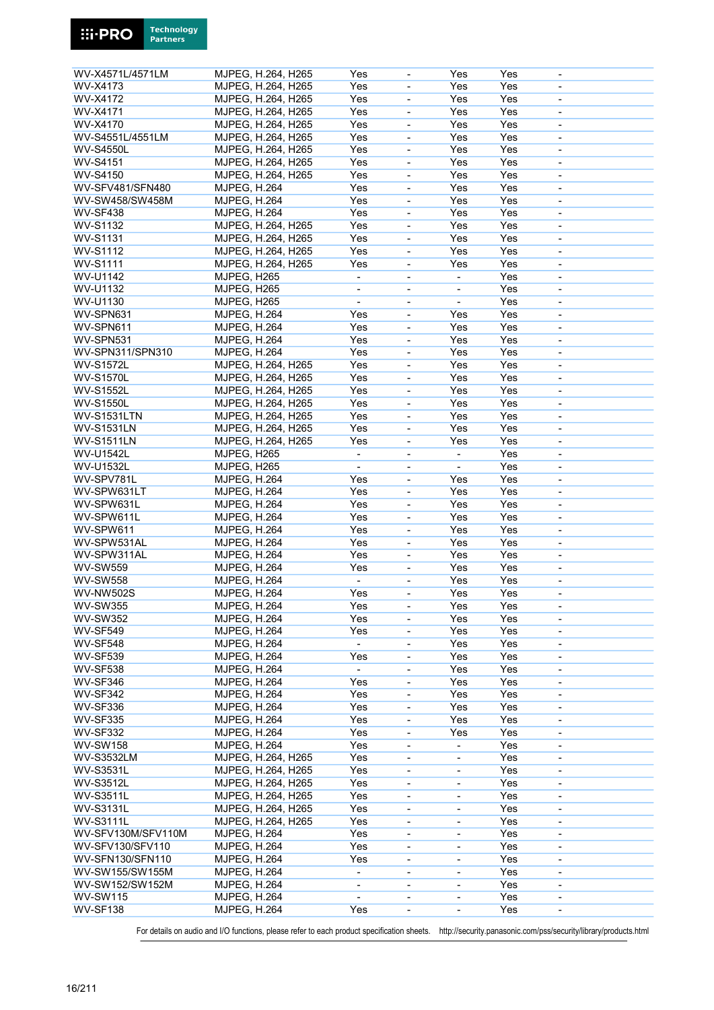| WV-X4571L/4571LM   | MJPEG, H.264, H265  | Yes                          | $\qquad \qquad \blacksquare$ | Yes                          | Yes | $\overline{\phantom{a}}$     |  |
|--------------------|---------------------|------------------------------|------------------------------|------------------------------|-----|------------------------------|--|
| WV-X4173           | MJPEG, H.264, H265  | Yes                          | $\overline{\phantom{a}}$     | Yes                          | Yes | $\qquad \qquad \blacksquare$ |  |
| WV-X4172           | MJPEG, H.264, H265  | Yes                          | $\overline{\phantom{a}}$     | Yes                          | Yes | $\qquad \qquad \blacksquare$ |  |
| <b>WV-X4171</b>    | MJPEG, H.264, H265  | Yes                          | ÷,                           | Yes                          | Yes | L,                           |  |
| WV-X4170           |                     | Yes                          | $\blacksquare$               | Yes                          | Yes |                              |  |
| WV-S4551L/4551LM   | MJPEG, H.264, H265  |                              |                              |                              |     | $\overline{\phantom{a}}$     |  |
|                    | MJPEG, H.264, H265  | Yes                          | $\blacksquare$               | Yes                          | Yes | $\overline{\phantom{0}}$     |  |
| <b>WV-S4550L</b>   | MJPEG, H.264, H265  | Yes                          | $\blacksquare$               | Yes                          | Yes | $\overline{\phantom{a}}$     |  |
| <b>WV-S4151</b>    | MJPEG, H.264, H265  | Yes                          | ÷,                           | Yes                          | Yes | L,                           |  |
| <b>WV-S4150</b>    | MJPEG, H.264, H265  | Yes                          | $\blacksquare$               | Yes                          | Yes | $\overline{\phantom{a}}$     |  |
| WV-SFV481/SFN480   | <b>MJPEG, H.264</b> | Yes                          | $\blacksquare$               | Yes                          | Yes | -                            |  |
| WV-SW458/SW458M    | <b>MJPEG, H.264</b> | Yes                          | $\blacksquare$               | Yes                          | Yes | $\overline{\phantom{0}}$     |  |
| WV-SF438           | <b>MJPEG, H.264</b> | Yes                          | ÷,                           | Yes                          | Yes | L,                           |  |
| <b>WV-S1132</b>    | MJPEG, H.264, H265  | Yes                          | $\blacksquare$               | Yes                          | Yes | $\overline{\phantom{a}}$     |  |
| <b>WV-S1131</b>    | MJPEG, H.264, H265  | Yes                          | $\qquad \qquad \blacksquare$ | Yes                          | Yes | $\qquad \qquad \blacksquare$ |  |
| <b>WV-S1112</b>    | MJPEG, H.264, H265  | Yes                          | $\blacksquare$               | Yes                          | Yes | $\overline{\phantom{a}}$     |  |
| <b>WV-S1111</b>    | MJPEG, H.264, H265  | Yes                          |                              | Yes                          | Yes | $\overline{\phantom{m}}$     |  |
| WV-U1142           | MJPEG, H265         | $\overline{\phantom{a}}$     | $\overline{\phantom{a}}$     | $\blacksquare$               | Yes | $\blacksquare$               |  |
| WV-U1132           | MJPEG, H265         | $\overline{\phantom{a}}$     | $\overline{\phantom{a}}$     | $\overline{a}$               | Yes | $\overline{\phantom{a}}$     |  |
|                    |                     | $\blacksquare$               |                              | ÷,                           | Yes |                              |  |
| WV-U1130           | MJPEG, H265         |                              | $\overline{\phantom{a}}$     |                              |     | $\overline{\phantom{a}}$     |  |
| WV-SPN631          | <b>MJPEG, H.264</b> | Yes                          |                              | Yes                          | Yes |                              |  |
| WV-SPN611          | <b>MJPEG, H.264</b> | Yes                          | ÷,                           | Yes                          | Yes | $\blacksquare$               |  |
| WV-SPN531          | <b>MJPEG, H.264</b> | Yes                          | $\blacksquare$               | Yes                          | Yes | $\qquad \qquad \blacksquare$ |  |
| WV-SPN311/SPN310   | <b>MJPEG, H.264</b> | Yes                          | $\blacksquare$               | Yes                          | Yes | $\overline{\phantom{a}}$     |  |
| <b>WV-S1572L</b>   | MJPEG, H.264, H265  | Yes                          | ÷,                           | Yes                          | Yes | $\overline{\phantom{a}}$     |  |
| <b>WV-S1570L</b>   | MJPEG, H.264, H265  | Yes                          | ÷,                           | Yes                          | Yes | ÷,                           |  |
| <b>WV-S1552L</b>   | MJPEG, H.264, H265  | Yes                          | $\overline{\phantom{a}}$     | Yes                          | Yes | $\overline{\phantom{a}}$     |  |
| <b>WV-S1550L</b>   | MJPEG, H.264, H265  | Yes                          | $\qquad \qquad \blacksquare$ | Yes                          | Yes | $\overline{a}$               |  |
| <b>WV-S1531LTN</b> | MJPEG, H.264, H265  | Yes                          | $\overline{\phantom{a}}$     | Yes                          | Yes | $\qquad \qquad \blacksquare$ |  |
| <b>WV-S1531LN</b>  | MJPEG, H.264, H265  | Yes                          | ÷,                           | Yes                          | Yes | L,                           |  |
| <b>WV-S1511LN</b>  | MJPEG, H.264, H265  | Yes                          | $\blacksquare$               | Yes                          | Yes | $\blacksquare$               |  |
| <b>WV-U1542L</b>   | MJPEG, H265         | $\blacksquare$               | $\blacksquare$               |                              | Yes | $\qquad \qquad \blacksquare$ |  |
|                    |                     |                              |                              |                              |     |                              |  |
| <b>WV-U1532L</b>   | MJPEG, H265         | $\blacksquare$               | $\overline{\phantom{a}}$     | $\overline{\phantom{a}}$     | Yes | $\overline{\phantom{a}}$     |  |
| WV-SPV781L         | <b>MJPEG, H.264</b> | Yes                          | $\overline{a}$               | Yes                          | Yes | $\overline{a}$               |  |
| WV-SPW631LT        | <b>MJPEG, H.264</b> | Yes                          | $\blacksquare$               | Yes                          | Yes | $\overline{\phantom{0}}$     |  |
| WV-SPW631L         | <b>MJPEG, H.264</b> | Yes                          | $\qquad \qquad \blacksquare$ | Yes                          | Yes | $\overline{\phantom{a}}$     |  |
| WV-SPW611L         | <b>MJPEG, H.264</b> | Yes                          | $\overline{\phantom{a}}$     | Yes                          | Yes | $\overline{\phantom{a}}$     |  |
| WV-SPW611          | <b>MJPEG, H.264</b> | Yes                          | ÷,                           | Yes                          | Yes | L,                           |  |
| WV-SPW531AL        | MJPEG, H.264        | Yes                          | $\blacksquare$               | Yes                          | Yes | $\blacksquare$               |  |
| WV-SPW311AL        | <b>MJPEG, H.264</b> | Yes                          | $\qquad \qquad \blacksquare$ | Yes                          | Yes | $\overline{\phantom{a}}$     |  |
| <b>WV-SW559</b>    | <b>MJPEG, H.264</b> | Yes                          | $\overline{\phantom{a}}$     | Yes                          | Yes | $\overline{\phantom{a}}$     |  |
| <b>WV-SW558</b>    | <b>MJPEG, H.264</b> | $\blacksquare$               |                              | Yes                          | Yes | $\overline{a}$               |  |
| <b>WV-NW502S</b>   | <b>MJPEG, H.264</b> | Yes                          | ÷,                           | Yes                          | Yes | $\blacksquare$               |  |
| <b>WV-SW355</b>    | <b>MJPEG, H.264</b> | Yes                          | $\overline{\phantom{0}}$     | Yes                          | Yes | $\overline{\phantom{0}}$     |  |
| <b>WV-SW352</b>    | <b>MJPEG, H.264</b> | Yes                          | $\qquad \qquad \blacksquare$ | Yes                          | Yes |                              |  |
|                    |                     |                              |                              |                              |     | $\overline{\phantom{0}}$     |  |
| <b>WV-SF549</b>    | MJPEG, H.264        | Yes                          | -                            | Yes                          | Yes | $\qquad \qquad \blacksquare$ |  |
| <b>WV-SF548</b>    | <b>MJPEG, H.264</b> | $\blacksquare$               | -                            | Yes                          | Yes | $\blacksquare$               |  |
| <b>WV-SF539</b>    | <b>MJPEG, H.264</b> | Yes                          | $\qquad \qquad \blacksquare$ | Yes                          | Yes | $\overline{\phantom{a}}$     |  |
| <b>WV-SF538</b>    | <b>MJPEG, H.264</b> | $\blacksquare$               | $\qquad \qquad \blacksquare$ | Yes                          | Yes | $\overline{\phantom{0}}$     |  |
| <b>WV-SF346</b>    | <b>MJPEG, H.264</b> | Yes                          | $\blacksquare$               | Yes                          | Yes | $\overline{\phantom{0}}$     |  |
| <b>WV-SF342</b>    | <b>MJPEG, H.264</b> | Yes                          | ÷,                           | Yes                          | Yes | ÷,                           |  |
| <b>WV-SF336</b>    | <b>MJPEG, H.264</b> | Yes                          | $\qquad \qquad \blacksquare$ | Yes                          | Yes | $\overline{\phantom{a}}$     |  |
| WV-SF335           | <b>MJPEG, H.264</b> | Yes                          | $\qquad \qquad \blacksquare$ | Yes                          | Yes | -                            |  |
| <b>WV-SF332</b>    | <b>MJPEG, H.264</b> | Yes                          | $\overline{\phantom{a}}$     | Yes                          | Yes | $\overline{\phantom{0}}$     |  |
| <b>WV-SW158</b>    | <b>MJPEG, H.264</b> | Yes                          | $\blacksquare$               |                              | Yes | $\overline{\phantom{0}}$     |  |
| <b>WV-S3532LM</b>  | MJPEG, H.264, H265  | Yes                          | $\qquad \qquad \blacksquare$ | ÷,                           | Yes | $\overline{\phantom{a}}$     |  |
| <b>WV-S3531L</b>   | MJPEG, H.264, H265  | Yes                          | $\qquad \qquad \blacksquare$ |                              | Yes | $\qquad \qquad \blacksquare$ |  |
|                    |                     |                              |                              |                              | Yes |                              |  |
| <b>WV-S3512L</b>   | MJPEG, H.264, H265  | Yes                          | $\qquad \qquad \blacksquare$ | $\overline{a}$               |     | $\overline{\phantom{a}}$     |  |
| <b>WV-S3511L</b>   | MJPEG, H.264, H265  | Yes                          |                              |                              | Yes |                              |  |
| <b>WV-S3131L</b>   | MJPEG, H.264, H265  | Yes                          | $\overline{\phantom{a}}$     | $\overline{\phantom{a}}$     | Yes | $\overline{\phantom{a}}$     |  |
| <b>WV-S3111L</b>   | MJPEG, H.264, H265  | Yes                          | $\qquad \qquad \blacksquare$ | $\overline{\phantom{0}}$     | Yes | -                            |  |
| WV-SFV130M/SFV110M | <b>MJPEG, H.264</b> | Yes                          | $\overline{\phantom{a}}$     | $\qquad \qquad \blacksquare$ | Yes | $\overline{\phantom{a}}$     |  |
| WV-SFV130/SFV110   | <b>MJPEG, H.264</b> | Yes                          |                              | ÷,                           | Yes | $\overline{\phantom{a}}$     |  |
| WV-SFN130/SFN110   | <b>MJPEG, H.264</b> | Yes                          | $\blacksquare$               | ÷,                           | Yes | $\overline{\phantom{0}}$     |  |
| WV-SW155/SW155M    | <b>MJPEG, H.264</b> | $\overline{\phantom{a}}$     | $\overline{\phantom{a}}$     | $\overline{a}$               | Yes | -                            |  |
| WV-SW152/SW152M    | <b>MJPEG, H.264</b> | $\qquad \qquad \blacksquare$ | $\qquad \qquad \blacksquare$ | $\overline{\phantom{0}}$     | Yes | $\overline{\phantom{a}}$     |  |
| <b>WV-SW115</b>    | <b>MJPEG, H.264</b> |                              |                              |                              | Yes |                              |  |
| WV-SF138           | MJPEG, H.264        | Yes                          | ÷,                           | $\overline{\phantom{0}}$     | Yes | $\blacksquare$               |  |
|                    |                     |                              |                              |                              |     |                              |  |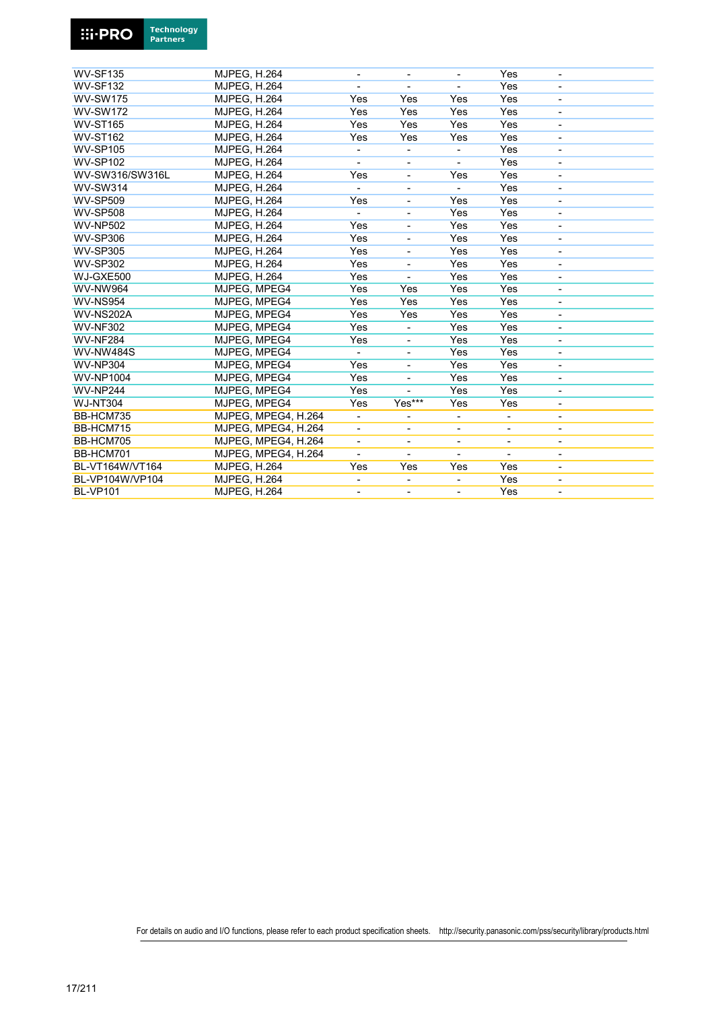

| <b>WV-SF135</b>  | <b>MJPEG, H.264</b> |                          | $\overline{\phantom{a}}$ |                              | Yes                          |                              |  |
|------------------|---------------------|--------------------------|--------------------------|------------------------------|------------------------------|------------------------------|--|
| <b>WV-SF132</b>  | <b>MJPEG, H.264</b> |                          |                          |                              | Yes                          |                              |  |
| <b>WV-SW175</b>  | <b>MJPEG, H.264</b> | Yes                      | Yes                      | Yes                          | Yes                          |                              |  |
| <b>WV-SW172</b>  | <b>MJPEG, H.264</b> | Yes                      | Yes                      | Yes                          | Yes                          |                              |  |
| <b>WV-ST165</b>  | <b>MJPEG, H.264</b> | Yes                      | Yes                      | Yes                          | Yes                          |                              |  |
| <b>WV-ST162</b>  | <b>MJPEG, H.264</b> | Yes                      | Yes                      | Yes                          | Yes                          |                              |  |
| <b>WV-SP105</b>  | <b>MJPEG. H.264</b> | $\overline{\phantom{a}}$ | $\overline{\phantom{a}}$ |                              | Yes                          | $\overline{a}$               |  |
| <b>WV-SP102</b>  | <b>MJPEG, H.264</b> | $\blacksquare$           | $\blacksquare$           | $\blacksquare$               | Yes                          | $\blacksquare$               |  |
| WV-SW316/SW316L  | <b>MJPEG, H.264</b> | Yes                      | $\overline{\phantom{a}}$ | Yes                          | Yes                          |                              |  |
| <b>WV-SW314</b>  | <b>MJPEG, H.264</b> |                          |                          |                              | Yes                          |                              |  |
| <b>WV-SP509</b>  | <b>MJPEG, H.264</b> | Yes                      | $\overline{\phantom{a}}$ | Yes                          | Yes                          |                              |  |
| <b>WV-SP508</b>  | <b>MJPEG, H.264</b> |                          | $\overline{\phantom{a}}$ | Yes                          | Yes                          |                              |  |
| <b>WV-NP502</b>  | <b>MJPEG, H.264</b> | Yes                      | $\blacksquare$           | Yes                          | Yes                          |                              |  |
| <b>WV-SP306</b>  | <b>MJPEG, H.264</b> | Yes                      | $\blacksquare$           | Yes                          | Yes                          | ٠                            |  |
| <b>WV-SP305</b>  | <b>MJPEG, H.264</b> | Yes                      | $\overline{\phantom{a}}$ | Yes                          | Yes                          | ٠                            |  |
| <b>WV-SP302</b>  | <b>MJPEG, H.264</b> | Yes                      |                          | Yes                          | Yes                          | -                            |  |
| WJ-GXE500        | <b>MJPEG, H.264</b> | Yes                      | $\blacksquare$           | Yes                          | Yes                          | $\overline{\phantom{a}}$     |  |
| <b>WV-NW964</b>  | MJPEG, MPEG4        | Yes                      | Yes                      | Yes                          | Yes                          |                              |  |
| <b>WV-NS954</b>  | MJPEG, MPEG4        | Yes                      | Yes                      | Yes                          | Yes                          | ÷,                           |  |
| <b>WV-NS202A</b> | MJPEG, MPEG4        | Yes                      | Yes                      | Yes                          | Yes                          | $\overline{\phantom{0}}$     |  |
| <b>WV-NF302</b>  | MJPEG. MPEG4        | Yes                      | $\overline{\phantom{a}}$ | Yes                          | Yes                          | ٠                            |  |
| <b>WV-NF284</b>  | MJPEG, MPEG4        | Yes                      | $\overline{\phantom{a}}$ | Yes                          | Yes                          | $\overline{\phantom{a}}$     |  |
| <b>WV-NW484S</b> | MJPEG, MPEG4        |                          |                          | Yes                          | Yes                          | $\overline{a}$               |  |
| <b>WV-NP304</b>  | MJPEG, MPEG4        | Yes                      | $\overline{\phantom{a}}$ | Yes                          | Yes                          | $\overline{a}$               |  |
| <b>WV-NP1004</b> | MJPEG, MPEG4        | Yes                      |                          | Yes                          | Yes                          | $\overline{\phantom{a}}$     |  |
| <b>WV-NP244</b>  | MJPEG. MPEG4        | Yes                      |                          | Yes                          | Yes                          | $\overline{\phantom{a}}$     |  |
| <b>WJ-NT304</b>  | MJPEG. MPEG4        | Yes                      | Yes***                   | Yes                          | Yes                          | $\overline{\phantom{a}}$     |  |
| BB-HCM735        | MJPEG, MPEG4, H.264 | $\overline{\phantom{a}}$ |                          | $\qquad \qquad \blacksquare$ |                              | ٠                            |  |
| BB-HCM715        | MJPEG, MPEG4, H.264 | ٠                        | $\overline{\phantom{a}}$ | $\overline{a}$               | $\overline{\phantom{a}}$     | $\overline{a}$               |  |
| BB-HCM705        | MJPEG, MPEG4, H.264 | $\overline{\phantom{a}}$ | $\overline{\phantom{a}}$ | ٠                            | $\qquad \qquad \blacksquare$ | ٠                            |  |
| BB-HCM701        | MJPEG, MPEG4, H.264 | $\overline{\phantom{a}}$ | $\blacksquare$           |                              | $\overline{\phantom{a}}$     | ٠                            |  |
| BL-VT164W/VT164  | <b>MJPEG, H.264</b> | Yes                      | Yes                      | Yes                          | Yes                          | $\overline{\phantom{0}}$     |  |
| BL-VP104W/VP104  | <b>MJPEG, H.264</b> |                          |                          |                              | Yes                          | $\qquad \qquad \blacksquare$ |  |
| <b>BL-VP101</b>  | <b>MJPEG, H.264</b> | -                        | -                        |                              | Yes                          | $\blacksquare$               |  |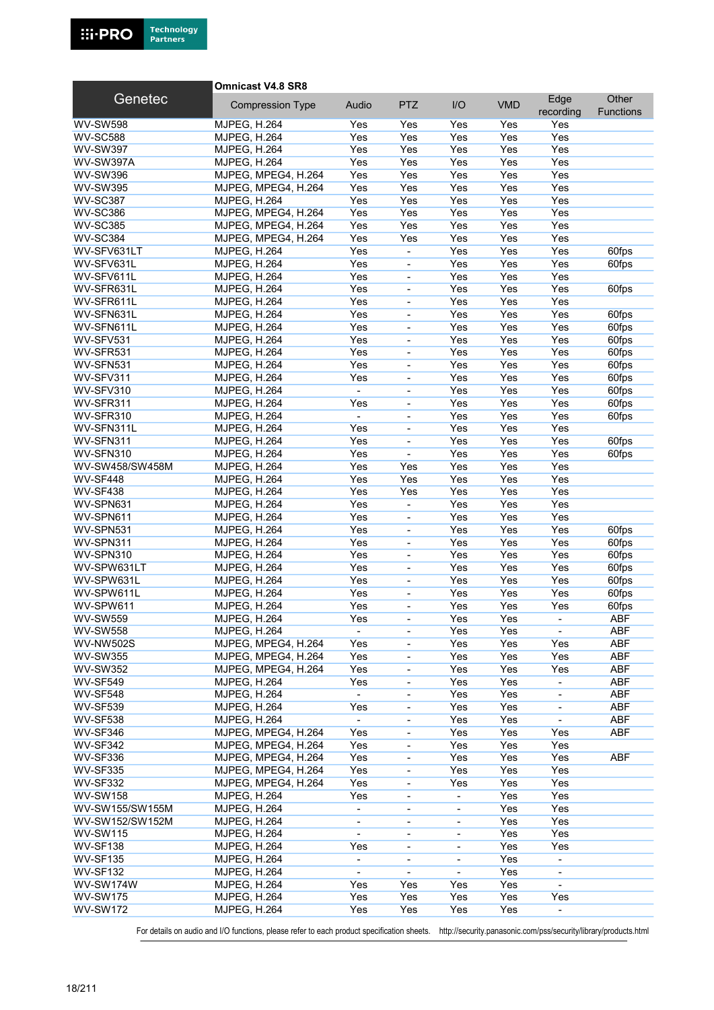

#### **Omnicast V4.8 SR8**

| Genetec          | <b>Compression Type</b> | Audio                    | <b>PTZ</b>                   | I/O                      | <b>VMD</b> | Edge                     | Other            |
|------------------|-------------------------|--------------------------|------------------------------|--------------------------|------------|--------------------------|------------------|
|                  |                         |                          |                              |                          |            | recording                | <b>Functions</b> |
| <b>WV-SW598</b>  | <b>MJPEG, H.264</b>     | Yes                      | Yes                          | Yes                      | Yes        | Yes                      |                  |
| <b>WV-SC588</b>  | <b>MJPEG, H.264</b>     | Yes                      | Yes                          | Yes                      | Yes        | Yes                      |                  |
| <b>WV-SW397</b>  | <b>MJPEG, H.264</b>     | Yes                      | Yes                          | Yes                      | Yes        | Yes                      |                  |
| <b>WV-SW397A</b> | <b>MJPEG, H.264</b>     | Yes                      | Yes                          | Yes                      | Yes        | Yes                      |                  |
| <b>WV-SW396</b>  | MJPEG, MPEG4, H.264     | Yes                      | Yes                          | Yes                      | Yes        | Yes                      |                  |
| <b>WV-SW395</b>  | MJPEG, MPEG4, H.264     | Yes                      | Yes                          | Yes                      | Yes        | Yes                      |                  |
| <b>WV-SC387</b>  | <b>MJPEG, H.264</b>     | Yes                      | Yes                          | Yes                      | Yes        | Yes                      |                  |
| <b>WV-SC386</b>  | MJPEG, MPEG4, H.264     | Yes                      | Yes                          | Yes                      | Yes        | Yes                      |                  |
| <b>WV-SC385</b>  | MJPEG, MPEG4, H.264     | Yes                      | Yes                          | Yes                      | Yes        | Yes                      |                  |
| <b>WV-SC384</b>  | MJPEG, MPEG4, H.264     | Yes                      | Yes                          | Yes                      | Yes        | Yes                      |                  |
| WV-SFV631LT      | <b>MJPEG, H.264</b>     | Yes                      | ÷.                           | Yes                      | Yes        | Yes                      | 60fps            |
| WV-SFV631L       | <b>MJPEG, H.264</b>     | Yes                      | L,                           | Yes                      | Yes        | Yes                      | 60fps            |
| WV-SFV611L       | <b>MJPEG, H.264</b>     | Yes                      | ÷,                           | Yes                      | Yes        | Yes                      |                  |
| WV-SFR631L       | <b>MJPEG, H.264</b>     | Yes                      | $\qquad \qquad \blacksquare$ | Yes                      | Yes        | Yes                      | 60fps            |
| WV-SFR611L       | <b>MJPEG, H.264</b>     | Yes                      | ÷,                           | Yes                      | Yes        | Yes                      |                  |
| WV-SFN631L       | <b>MJPEG, H.264</b>     | Yes                      | L,                           | Yes                      | Yes        | Yes                      | 60fps            |
| WV-SFN611L       | <b>MJPEG, H.264</b>     | Yes                      | ÷,                           | Yes                      | Yes        | Yes                      | 60fps            |
| WV-SFV531        | <b>MJPEG, H.264</b>     | Yes                      | ÷,                           | Yes                      | Yes        | Yes                      | 60fps            |
| WV-SFR531        | <b>MJPEG, H.264</b>     | Yes                      | ÷,                           | Yes                      | Yes        | Yes                      | 60fps            |
| WV-SFN531        | <b>MJPEG, H.264</b>     | Yes                      | ÷.                           | Yes                      | Yes        | Yes                      | 60fps            |
| WV-SFV311        | <b>MJPEG, H.264</b>     | Yes                      | ÷.                           | Yes                      | Yes        | Yes                      | 60fps            |
|                  |                         |                          |                              |                          |            | Yes                      |                  |
| WV-SFV310        | <b>MJPEG, H.264</b>     | $\blacksquare$           | L.                           | Yes                      | Yes        |                          | 60fps            |
| WV-SFR311        | <b>MJPEG, H.264</b>     | Yes                      | $\overline{\phantom{0}}$     | Yes                      | Yes        | Yes                      | 60fps            |
| WV-SFR310        | <b>MJPEG, H.264</b>     | $\blacksquare$           | $\overline{\phantom{0}}$     | Yes                      | Yes        | Yes                      | 60fps            |
| WV-SFN311L       | <b>MJPEG, H.264</b>     | Yes                      |                              | Yes                      | Yes        | Yes                      |                  |
| WV-SFN311        | <b>MJPEG, H.264</b>     | Yes                      | $\blacksquare$               | Yes                      | Yes        | Yes                      | 60fps            |
| WV-SFN310        | <b>MJPEG, H.264</b>     | Yes                      | $\overline{\phantom{0}}$     | Yes                      | Yes        | Yes                      | 60fps            |
| WV-SW458/SW458M  | <b>MJPEG, H.264</b>     | Yes                      | Yes                          | Yes                      | Yes        | Yes                      |                  |
| WV-SF448         | <b>MJPEG, H.264</b>     | Yes                      | Yes                          | Yes                      | Yes        | Yes                      |                  |
| <b>WV-SF438</b>  | <b>MJPEG, H.264</b>     | Yes                      | Yes                          | Yes                      | Yes        | Yes                      |                  |
| WV-SPN631        | <b>MJPEG, H.264</b>     | Yes                      | ÷,                           | Yes                      | Yes        | Yes                      |                  |
| WV-SPN611        | <b>MJPEG, H.264</b>     | Yes                      | $\overline{\phantom{0}}$     | Yes                      | Yes        | Yes                      |                  |
| WV-SPN531        | <b>MJPEG, H.264</b>     | Yes                      | ÷,                           | Yes                      | Yes        | Yes                      | 60fps            |
| WV-SPN311        | MJPEG, H.264            | Yes                      | L.                           | Yes                      | Yes        | Yes                      | 60fps            |
| WV-SPN310        | <b>MJPEG, H.264</b>     | Yes                      | $\qquad \qquad \blacksquare$ | Yes                      | Yes        | Yes                      | 60fps            |
| WV-SPW631LT      | <b>MJPEG, H.264</b>     | Yes                      | $\overline{\phantom{0}}$     | Yes                      | Yes        | Yes                      | 60fps            |
| WV-SPW631L       | <b>MJPEG, H.264</b>     | Yes                      | L,                           | Yes                      | Yes        | Yes                      | 60fps            |
| WV-SPW611L       | <b>MJPEG, H.264</b>     | Yes                      | ÷,                           | Yes                      | Yes        | Yes                      | 60fps            |
| WV-SPW611        | <b>MJPEG, H.264</b>     | Yes                      | ÷,                           | Yes                      | Yes        | Yes                      | 60fps            |
| <b>WV-SW559</b>  | <b>MJPEG, H.264</b>     | Yes                      | $\overline{\phantom{0}}$     | Yes                      | Yes        |                          | <b>ABF</b>       |
| <b>WV-SW558</b>  | <b>MJPEG, H.264</b>     |                          |                              | Yes                      | Yes        |                          | <b>ABF</b>       |
| <b>WV-NW502S</b> | MJPEG, MPEG4, H.264     | Yes                      |                              | Yes                      | Yes        | Yes                      | <b>ABF</b>       |
| <b>WV-SW355</b>  | MJPEG, MPEG4, H.264     | Yes                      | $\overline{\phantom{0}}$     | Yes                      | Yes        | Yes                      | ABF              |
| <b>WV-SW352</b>  | MJPEG, MPEG4, H.264     | Yes                      | -                            | Yes                      | Yes        | Yes                      | ABF              |
| <b>WV-SF549</b>  | <b>MJPEG, H.264</b>     | Yes                      | $\overline{\phantom{0}}$     | Yes                      | Yes        | $\overline{\phantom{a}}$ | <b>ABF</b>       |
| WV-SF548         | <b>MJPEG, H.264</b>     | $\blacksquare$           | $\overline{\phantom{0}}$     | Yes                      | Yes        | $\blacksquare$           | <b>ABF</b>       |
| <b>WV-SF539</b>  | <b>MJPEG, H.264</b>     | Yes                      | ÷,                           | Yes                      | Yes        | $\overline{\phantom{a}}$ | <b>ABF</b>       |
| <b>WV-SF538</b>  | <b>MJPEG, H.264</b>     |                          | -                            | Yes                      | Yes        | $\overline{\phantom{a}}$ | <b>ABF</b>       |
| <b>WV-SF346</b>  | MJPEG, MPEG4, H.264     | Yes                      | $\overline{\phantom{0}}$     | Yes                      | Yes        | Yes                      | <b>ABF</b>       |
| <b>WV-SF342</b>  | MJPEG, MPEG4, H.264     | Yes                      | $\overline{\phantom{0}}$     | Yes                      | Yes        | Yes                      |                  |
| <b>WV-SF336</b>  | MJPEG, MPEG4, H.264     | Yes                      | $\overline{\phantom{0}}$     | Yes                      | Yes        | Yes                      | <b>ABF</b>       |
|                  |                         |                          |                              |                          |            |                          |                  |
| <b>WV-SF335</b>  | MJPEG, MPEG4, H.264     | Yes                      | -                            | Yes                      | Yes        | Yes                      |                  |
| <b>WV-SF332</b>  | MJPEG, MPEG4, H.264     | Yes                      | -                            | Yes                      | Yes        | Yes                      |                  |
| <b>WV-SW158</b>  | <b>MJPEG, H.264</b>     | Yes                      |                              |                          | Yes        | Yes                      |                  |
| WV-SW155/SW155M  | <b>MJPEG, H.264</b>     | $\blacksquare$           | ÷,                           | $\blacksquare$           | Yes        | Yes                      |                  |
| WV-SW152/SW152M  | <b>MJPEG, H.264</b>     | $\overline{\phantom{a}}$ | -                            | $\overline{\phantom{a}}$ | Yes        | Yes                      |                  |
| <b>WV-SW115</b>  | <b>MJPEG, H.264</b>     | $\blacksquare$           | $\overline{\phantom{0}}$     | $\overline{\phantom{a}}$ | Yes        | Yes                      |                  |
| <b>WV-SF138</b>  | <b>MJPEG, H.264</b>     | Yes                      | $\overline{a}$               | $\overline{\phantom{a}}$ | Yes        | Yes                      |                  |
| <b>WV-SF135</b>  | <b>MJPEG, H.264</b>     | $\blacksquare$           | ÷,                           | $\blacksquare$           | Yes        | $\blacksquare$           |                  |
| <b>WV-SF132</b>  | <b>MJPEG, H.264</b>     | $\overline{\phantom{a}}$ | $\overline{\phantom{0}}$     |                          | Yes        | $\overline{\phantom{a}}$ |                  |
| WV-SW174W        | <b>MJPEG, H.264</b>     | Yes                      | Yes                          | Yes                      | Yes        | $\blacksquare$           |                  |
| <b>WV-SW175</b>  | <b>MJPEG, H.264</b>     | Yes                      | Yes                          | Yes                      | Yes        | Yes                      |                  |
| <b>WV-SW172</b>  | <b>MJPEG, H.264</b>     | Yes                      | Yes                          | Yes                      | Yes        |                          |                  |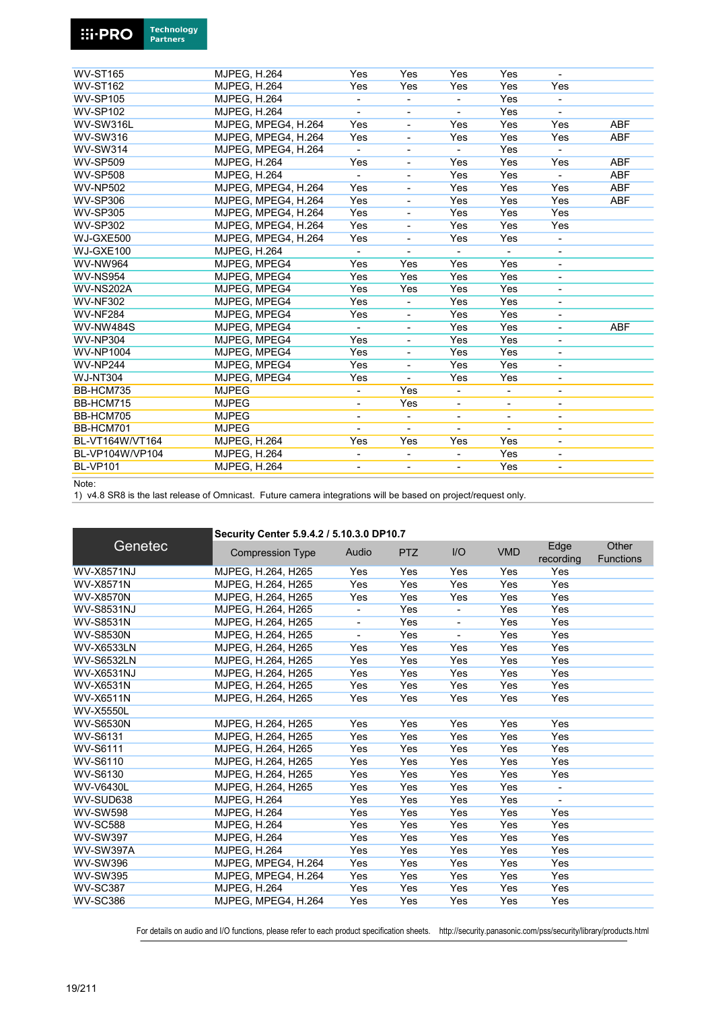| <b>WV-ST165</b>  | <b>MJPEG, H.264</b> | Yes                      | Yes                          | Yes                      | Yes                      |                              |            |
|------------------|---------------------|--------------------------|------------------------------|--------------------------|--------------------------|------------------------------|------------|
| <b>WV-ST162</b>  | <b>MJPEG, H.264</b> | Yes                      | Yes                          | Yes                      | Yes                      | Yes                          |            |
| <b>WV-SP105</b>  | <b>MJPEG, H.264</b> |                          | $\overline{\phantom{0}}$     |                          | Yes                      |                              |            |
| <b>WV-SP102</b>  | <b>MJPEG. H.264</b> |                          |                              |                          | Yes                      |                              |            |
| WV-SW316L        | MJPEG, MPEG4, H.264 | Yes                      | $\overline{\phantom{a}}$     | Yes                      | Yes                      | Yes                          | <b>ABF</b> |
| <b>WV-SW316</b>  | MJPEG. MPEG4. H.264 | Yes                      | ÷,                           | Yes                      | Yes                      | Yes                          | <b>ABF</b> |
| <b>WV-SW314</b>  | MJPEG, MPEG4, H.264 |                          | ٠                            |                          | Yes                      |                              |            |
| <b>WV-SP509</b>  | <b>MJPEG, H.264</b> | Yes                      | $\qquad \qquad \blacksquare$ | Yes                      | Yes                      | Yes                          | <b>ABF</b> |
| <b>WV-SP508</b>  | <b>MJPEG, H.264</b> |                          |                              | Yes                      | Yes                      |                              | <b>ABF</b> |
| <b>WV-NP502</b>  | MJPEG. MPEG4. H.264 | Yes                      | ÷                            | Yes                      | Yes                      | Yes                          | <b>ABF</b> |
| <b>WV-SP306</b>  | MJPEG, MPEG4, H.264 | Yes                      | -                            | Yes                      | Yes                      | Yes                          | <b>ABF</b> |
| <b>WV-SP305</b>  | MJPEG. MPEG4. H.264 | Yes                      | ٠                            | Yes                      | Yes                      | Yes                          |            |
| <b>WV-SP302</b>  | MJPEG, MPEG4, H.264 | Yes                      | $\overline{\phantom{0}}$     | Yes                      | Yes                      | Yes                          |            |
| WJ-GXE500        | MJPEG, MPEG4, H.264 | Yes                      | ٠                            | Yes                      | Yes                      |                              |            |
| WJ-GXE100        | <b>MJPEG, H.264</b> |                          |                              |                          |                          | $\overline{\phantom{a}}$     |            |
| <b>WV-NW964</b>  | MJPEG, MPEG4        | Yes                      | Yes                          | Yes                      | Yes                      | $\overline{\phantom{0}}$     |            |
| <b>WV-NS954</b>  | MJPEG, MPEG4        | Yes                      | Yes                          | Yes                      | Yes                      | -                            |            |
| WV-NS202A        | MJPEG, MPEG4        | Yes                      | Yes                          | Yes                      | Yes                      | $\overline{\phantom{0}}$     |            |
| <b>WV-NF302</b>  | MJPEG, MPEG4        | Yes                      | ٠                            | Yes                      | Yes                      | $\overline{\phantom{a}}$     |            |
| <b>WV-NF284</b>  | MJPEG, MPEG4        | Yes                      | $\blacksquare$               | Yes                      | Yes                      | $\overline{\phantom{a}}$     |            |
| <b>WV-NW484S</b> | MJPEG, MPEG4        |                          |                              | Yes                      | Yes                      | $\qquad \qquad \blacksquare$ | <b>ABF</b> |
| <b>WV-NP304</b>  | MJPEG. MPEG4        | Yes                      | $\overline{\phantom{a}}$     | Yes                      | Yes                      | ۰                            |            |
| <b>WV-NP1004</b> | MJPEG, MPEG4        | Yes                      | $\overline{\phantom{0}}$     | Yes                      | Yes                      | $\overline{\phantom{0}}$     |            |
| <b>WV-NP244</b>  | MJPEG, MPEG4        | Yes                      |                              | Yes                      | Yes                      | ٠                            |            |
| <b>WJ-NT304</b>  | MJPEG, MPEG4        | Yes                      | ÷,                           | Yes                      | Yes                      | $\blacksquare$               |            |
| BB-HCM735        | <b>MJPEG</b>        | $\blacksquare$           | Yes                          | $\blacksquare$           | $\overline{\phantom{a}}$ | $\overline{\phantom{a}}$     |            |
| BB-HCM715        | <b>MJPEG</b>        | $\overline{\phantom{a}}$ | Yes                          | $\overline{\phantom{0}}$ | $\overline{\phantom{0}}$ | $\qquad \qquad \blacksquare$ |            |
| BB-HCM705        | <b>MJPEG</b>        | $\overline{\phantom{a}}$ | $\overline{\phantom{a}}$     | $\overline{a}$           | $\overline{\phantom{a}}$ | $\overline{\phantom{a}}$     |            |
| BB-HCM701        | <b>MJPEG</b>        |                          | $\blacksquare$               |                          |                          | $\qquad \qquad \blacksquare$ |            |
| BL-VT164W/VT164  | <b>MJPEG, H.264</b> | Yes                      | Yes                          | Yes                      | Yes                      | $\overline{\phantom{0}}$     |            |
| BL-VP104W/VP104  | <b>MJPEG, H.264</b> | $\overline{\phantom{a}}$ | $\overline{\phantom{a}}$     |                          | Yes                      | $\overline{\phantom{a}}$     |            |
| <b>BL-VP101</b>  | <b>MJPEG, H.264</b> | $\overline{\phantom{a}}$ | $\overline{\phantom{a}}$     | $\overline{\phantom{a}}$ | Yes                      | $\overline{\phantom{0}}$     |            |
|                  |                     |                          |                              |                          |                          |                              |            |

Note:

1) v4.8 SR8 is the last release of Omnicast. Future camera integrations will be based on project/request only.

|                   | Security Center 5.9.4.2 / 5.10.3.0 DP10.7 |       |            |     |            |                   |                           |  |  |  |
|-------------------|-------------------------------------------|-------|------------|-----|------------|-------------------|---------------------------|--|--|--|
| Genetec           | <b>Compression Type</b>                   | Audio | <b>PTZ</b> | I/O | <b>VMD</b> | Edge<br>recording | Other<br><b>Functions</b> |  |  |  |
| <b>WV-X8571NJ</b> | MJPEG, H.264, H265                        | Yes   | Yes        | Yes | Yes        | Yes               |                           |  |  |  |
| <b>WV-X8571N</b>  | MJPEG, H.264, H265                        | Yes   | Yes        | Yes | Yes        | Yes               |                           |  |  |  |
| <b>WV-X8570N</b>  | MJPEG, H.264, H265                        | Yes   | Yes        | Yes | Yes        | Yes               |                           |  |  |  |
| <b>WV-S8531NJ</b> | MJPEG, H.264, H265                        |       | Yes        |     | Yes        | Yes               |                           |  |  |  |
| <b>WV-S8531N</b>  | MJPEG, H.264, H265                        |       | Yes        |     | Yes        | Yes               |                           |  |  |  |
| <b>WV-S8530N</b>  | MJPEG, H.264, H265                        |       | Yes        |     | Yes        | Yes               |                           |  |  |  |
| <b>WV-X6533LN</b> | MJPEG, H.264, H265                        | Yes   | Yes        | Yes | Yes        | Yes               |                           |  |  |  |
| <b>WV-S6532LN</b> | MJPEG, H.264, H265                        | Yes   | Yes        | Yes | Yes        | Yes               |                           |  |  |  |
| <b>WV-X6531NJ</b> | MJPEG, H.264, H265                        | Yes   | Yes        | Yes | Yes        | Yes               |                           |  |  |  |
| <b>WV-X6531N</b>  | MJPEG. H.264. H265                        | Yes   | Yes        | Yes | Yes        | Yes               |                           |  |  |  |
| <b>WV-X6511N</b>  | MJPEG, H.264, H265                        | Yes   | Yes        | Yes | Yes        | Yes               |                           |  |  |  |
| <b>WV-X5550L</b>  |                                           |       |            |     |            |                   |                           |  |  |  |
| <b>WV-S6530N</b>  | MJPEG, H.264, H265                        | Yes   | Yes        | Yes | Yes        | Yes               |                           |  |  |  |
| <b>WV-S6131</b>   | MJPEG. H.264. H265                        | Yes   | Yes        | Yes | Yes        | Yes               |                           |  |  |  |
| <b>WV-S6111</b>   | MJPEG, H.264, H265                        | Yes   | Yes        | Yes | Yes        | Yes               |                           |  |  |  |
| WV-S6110          | MJPEG, H.264, H265                        | Yes   | Yes        | Yes | Yes        | Yes               |                           |  |  |  |
| WV-S6130          | MJPEG, H.264, H265                        | Yes   | Yes        | Yes | Yes        | Yes               |                           |  |  |  |
| <b>WV-V6430L</b>  | MJPEG, H.264, H265                        | Yes   | Yes        | Yes | Yes        |                   |                           |  |  |  |
| WV-SUD638         | <b>MJPEG, H.264</b>                       | Yes   | Yes        | Yes | Yes        |                   |                           |  |  |  |
| <b>WV-SW598</b>   | <b>MJPEG, H.264</b>                       | Yes   | Yes        | Yes | Yes        | Yes               |                           |  |  |  |
| <b>WV-SC588</b>   | <b>MJPEG. H.264</b>                       | Yes   | Yes        | Yes | Yes        | Yes               |                           |  |  |  |
| <b>WV-SW397</b>   | <b>MJPEG, H.264</b>                       | Yes   | Yes        | Yes | Yes        | Yes               |                           |  |  |  |
| WV-SW397A         | <b>MJPEG, H.264</b>                       | Yes   | Yes        | Yes | Yes        | Yes               |                           |  |  |  |
| <b>WV-SW396</b>   | MJPEG, MPEG4, H.264                       | Yes   | Yes        | Yes | Yes        | Yes               |                           |  |  |  |
| <b>WV-SW395</b>   | MJPEG. MPEG4. H.264                       | Yes   | Yes        | Yes | Yes        | Yes               |                           |  |  |  |
| <b>WV-SC387</b>   | <b>MJPEG, H.264</b>                       | Yes   | Yes        | Yes | Yes        | Yes               |                           |  |  |  |
| <b>WV-SC386</b>   | MJPEG, MPEG4, H.264                       | Yes   | Yes        | Yes | Yes        | Yes               |                           |  |  |  |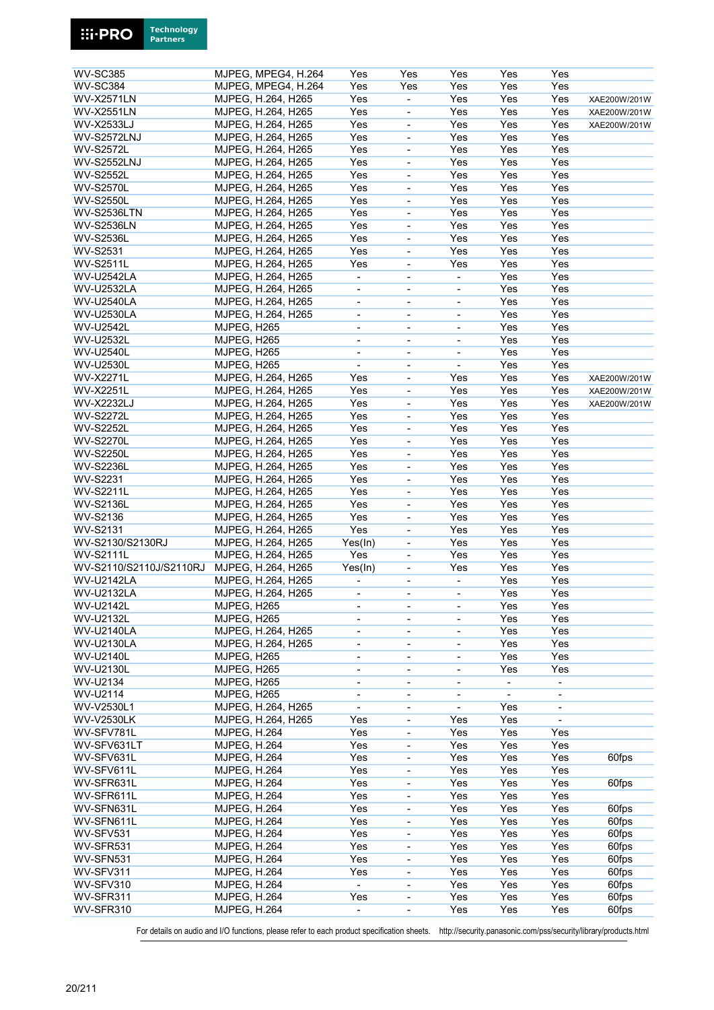| <b>WV-SC385</b>         |                     | MJPEG, MPEG4, H.264 | Yes                      | Yes                          | Yes                          | Yes                      | Yes                      |              |
|-------------------------|---------------------|---------------------|--------------------------|------------------------------|------------------------------|--------------------------|--------------------------|--------------|
| <b>WV-SC384</b>         |                     | MJPEG, MPEG4, H.264 | Yes                      | Yes                          | Yes                          | Yes                      | Yes                      |              |
| <b>WV-X2571LN</b>       |                     | MJPEG, H.264, H265  | Yes                      | $\blacksquare$               | Yes                          | Yes                      | Yes                      | XAE200W/201W |
| <b>WV-X2551LN</b>       |                     | MJPEG, H.264, H265  | Yes                      | ÷,                           | Yes                          | Yes                      | Yes                      | XAE200W/201W |
| WV-X2533LJ              |                     | MJPEG, H.264, H265  | Yes                      | $\frac{1}{2}$                | Yes                          | Yes                      | Yes                      |              |
|                         |                     |                     |                          |                              |                              |                          |                          | XAE200W/201W |
| <b>WV-S2572LNJ</b>      |                     | MJPEG, H.264, H265  | Yes                      | $\qquad \qquad \blacksquare$ | Yes                          | Yes                      | Yes                      |              |
| <b>WV-S2572L</b>        |                     | MJPEG, H.264, H265  | Yes                      | ÷,                           | Yes                          | Yes                      | Yes                      |              |
| <b>WV-S2552LNJ</b>      |                     | MJPEG, H.264, H265  | Yes                      | ÷,                           | Yes                          | Yes                      | Yes                      |              |
| <b>WV-S2552L</b>        |                     | MJPEG, H.264, H265  | Yes                      | ÷,                           | Yes                          | Yes                      | Yes                      |              |
|                         |                     |                     |                          |                              |                              |                          |                          |              |
| <b>WV-S2570L</b>        |                     | MJPEG, H.264, H265  | Yes                      | ÷,                           | Yes                          | Yes                      | Yes                      |              |
| <b>WV-S2550L</b>        |                     | MJPEG, H.264, H265  | Yes                      | ÷,                           | Yes                          | Yes                      | Yes                      |              |
| <b>WV-S2536LTN</b>      |                     | MJPEG, H.264, H265  | Yes                      | ÷,                           | Yes                          | Yes                      | Yes                      |              |
| <b>WV-S2536LN</b>       |                     | MJPEG, H.264, H265  | Yes                      | ÷,                           | Yes                          | Yes                      | Yes                      |              |
| <b>WV-S2536L</b>        |                     | MJPEG, H.264, H265  | Yes                      | $\blacksquare$               | Yes                          | Yes                      | Yes                      |              |
|                         |                     |                     |                          |                              |                              |                          |                          |              |
| <b>WV-S2531</b>         |                     | MJPEG, H.264, H265  | Yes                      | $\qquad \qquad \blacksquare$ | Yes                          | Yes                      | Yes                      |              |
| <b>WV-S2511L</b>        |                     | MJPEG, H.264, H265  | Yes                      | $\blacksquare$               | Yes                          | Yes                      | Yes                      |              |
| <b>WV-U2542LA</b>       |                     | MJPEG, H.264, H265  |                          | ÷,                           | $\frac{1}{2}$                | Yes                      | Yes                      |              |
| <b>WV-U2532LA</b>       |                     | MJPEG, H.264, H265  | $\blacksquare$           | $\overline{\phantom{a}}$     | $\blacksquare$               | Yes                      | Yes                      |              |
|                         |                     |                     |                          |                              |                              |                          |                          |              |
| <b>WV-U2540LA</b>       |                     | MJPEG, H.264, H265  | $\overline{\phantom{a}}$ | ÷,                           | $\overline{\phantom{0}}$     | Yes                      | Yes                      |              |
| WV-U2530LA              |                     | MJPEG, H.264, H265  | $\overline{\phantom{a}}$ | $\blacksquare$               | $\blacksquare$               | Yes                      | Yes                      |              |
| <b>WV-U2542L</b>        | MJPEG, H265         |                     | $\blacksquare$           | $\overline{\phantom{a}}$     | $\overline{\phantom{0}}$     | Yes                      | Yes                      |              |
| <b>WV-U2532L</b>        | MJPEG, H265         |                     | $\blacksquare$           | ÷,                           | $\overline{\phantom{0}}$     | Yes                      | Yes                      |              |
| <b>WV-U2540L</b>        |                     |                     |                          |                              |                              |                          |                          |              |
|                         | MJPEG, H265         |                     | $\overline{\phantom{a}}$ | $\qquad \qquad \blacksquare$ | $\overline{\phantom{0}}$     | Yes                      | Yes                      |              |
| WV-U2530L               | MJPEG, H265         |                     | $\blacksquare$           | $\overline{\phantom{a}}$     | $\overline{\phantom{a}}$     | Yes                      | Yes                      |              |
| <b>WV-X2271L</b>        |                     | MJPEG, H.264, H265  | Yes                      | $\overline{\phantom{a}}$     | Yes                          | Yes                      | Yes                      | XAE200W/201W |
| <b>WV-X2251L</b>        |                     | MJPEG, H.264, H265  | Yes                      | $\overline{\phantom{a}}$     | Yes                          | Yes                      | Yes                      | XAE200W/201W |
|                         |                     | MJPEG, H.264, H265  |                          |                              |                              |                          |                          |              |
| WV-X2232LJ              |                     |                     | Yes                      | ÷,                           | Yes                          | Yes                      | Yes                      | XAE200W/201W |
| <b>WV-S2272L</b>        |                     | MJPEG, H.264, H265  | Yes                      | $\qquad \qquad \blacksquare$ | Yes                          | Yes                      | Yes                      |              |
| <b>WV-S2252L</b>        |                     | MJPEG, H.264, H265  | Yes                      | ÷,                           | Yes                          | Yes                      | Yes                      |              |
| <b>WV-S2270L</b>        |                     | MJPEG, H.264, H265  | Yes                      | $\frac{1}{2}$                | Yes                          | Yes                      | Yes                      |              |
| <b>WV-S2250L</b>        |                     | MJPEG, H.264, H265  | Yes                      | $\frac{1}{2}$                | Yes                          | Yes                      | Yes                      |              |
|                         |                     |                     |                          |                              |                              |                          |                          |              |
| <b>WV-S2236L</b>        |                     | MJPEG, H.264, H265  | Yes                      | ÷,                           | Yes                          | Yes                      | Yes                      |              |
| <b>WV-S2231</b>         |                     | MJPEG, H.264, H265  | Yes                      | ÷,                           | Yes                          | Yes                      | Yes                      |              |
| <b>WV-S2211L</b>        |                     | MJPEG, H.264, H265  | Yes                      | ÷,                           | Yes                          | Yes                      | Yes                      |              |
| <b>WV-S2136L</b>        |                     | MJPEG, H.264, H265  | Yes                      | $\blacksquare$               | Yes                          | Yes                      | Yes                      |              |
|                         |                     |                     |                          |                              |                              |                          |                          |              |
| <b>WV-S2136</b>         |                     | MJPEG, H.264, H265  | Yes                      | ÷,                           | Yes                          | Yes                      | Yes                      |              |
| <b>WV-S2131</b>         |                     | MJPEG, H.264, H265  | Yes                      | ÷,                           | Yes                          | Yes                      | Yes                      |              |
| WV-S2130/S2130RJ        |                     | MJPEG, H.264, H265  | Yes(In)                  | $\overline{a}$               | Yes                          | Yes                      | Yes                      |              |
| <b>WV-S2111L</b>        |                     | MJPEG, H.264, H265  | Yes                      | $\blacksquare$               | Yes                          | Yes                      | Yes                      |              |
|                         |                     |                     |                          |                              |                              |                          |                          |              |
| WV-S2110/S2110J/S2110RJ |                     | MJPEG, H.264, H265  | Yes(In)                  | $\frac{1}{2}$                | Yes                          | Yes                      | Yes                      |              |
| <b>WV-U2142LA</b>       |                     | MJPEG, H.264, H265  | $\overline{\phantom{a}}$ | $\blacksquare$               | $\blacksquare$               | Yes                      | Yes                      |              |
| <b>WV-U2132LA</b>       |                     | MJPEG, H.264, H265  |                          | L                            | $\overline{a}$               | Yes                      | Yes                      |              |
| <b>WV-U2142L</b>        | MJPEG, H265         |                     | $\overline{\phantom{a}}$ | $\qquad \qquad \blacksquare$ | $\overline{\phantom{0}}$     | Yes                      | Yes                      |              |
|                         |                     |                     |                          |                              |                              |                          |                          |              |
| WV-U2132L               | MJPEG, H265         |                     | $\overline{\phantom{a}}$ | $\overline{\phantom{a}}$     | -                            | Yes                      | Yes                      |              |
| <b>WV-U2140LA</b>       |                     | MJPEG, H.264, H265  | $\overline{\phantom{a}}$ | $\qquad \qquad \blacksquare$ | $\overline{\phantom{0}}$     | Yes                      | Yes                      |              |
| WV-U2130LA              |                     | MJPEG, H.264, H265  | $\overline{\phantom{0}}$ | $\overline{\phantom{a}}$     | $\qquad \qquad \blacksquare$ | Yes                      | Yes                      |              |
| <b>WV-U2140L</b>        | MJPEG, H265         |                     | $\blacksquare$           | $\blacksquare$               | $\blacksquare$               | Yes                      | Yes                      |              |
| WV-U2130L               | MJPEG, H265         |                     | $\overline{\phantom{a}}$ | $\qquad \qquad \blacksquare$ | $\overline{\phantom{0}}$     | Yes                      | Yes                      |              |
|                         |                     |                     |                          |                              |                              |                          |                          |              |
| WV-U2134                | MJPEG, H265         |                     | $\overline{\phantom{a}}$ | $\qquad \qquad \blacksquare$ | $\overline{\phantom{0}}$     | $\overline{\phantom{a}}$ | $\overline{\phantom{a}}$ |              |
| <b>WV-U2114</b>         | MJPEG, H265         |                     | $\overline{\phantom{0}}$ | ÷,                           | $\overline{\phantom{0}}$     |                          |                          |              |
| WV-V2530L1              |                     | MJPEG, H.264, H265  | $\blacksquare$           | $\overline{\phantom{a}}$     | $\overline{\phantom{0}}$     | Yes                      | $\blacksquare$           |              |
| <b>WV-V2530LK</b>       |                     | MJPEG, H.264, H265  | Yes                      | $\frac{1}{2}$                | Yes                          | Yes                      | -                        |              |
|                         |                     |                     |                          |                              |                              |                          |                          |              |
| WV-SFV781L              | MJPEG, H.264        |                     | Yes                      | $\qquad \qquad \blacksquare$ | Yes                          | Yes                      | Yes                      |              |
| WV-SFV631LT             | <b>MJPEG, H.264</b> |                     | Yes                      | $\qquad \qquad \blacksquare$ | Yes                          | Yes                      | Yes                      |              |
| WV-SFV631L              | <b>MJPEG, H.264</b> |                     | Yes                      | $\overline{\phantom{a}}$     | Yes                          | Yes                      | Yes                      | 60fps        |
| WV-SFV611L              | <b>MJPEG, H.264</b> |                     | Yes                      | $\blacksquare$               | Yes                          | Yes                      | Yes                      |              |
|                         |                     |                     |                          |                              |                              |                          |                          |              |
| WV-SFR631L              | <b>MJPEG, H.264</b> |                     | Yes                      | $\qquad \qquad \blacksquare$ | Yes                          | Yes                      | Yes                      | 60fps        |
| WV-SFR611L              | <b>MJPEG, H.264</b> |                     | Yes                      | $\overline{\phantom{a}}$     | Yes                          | Yes                      | Yes                      |              |
| WV-SFN631L              | MJPEG, H.264        |                     | Yes                      | $\overline{a}$               | Yes                          | Yes                      | Yes                      | 60fps        |
| WV-SFN611L              | <b>MJPEG, H.264</b> |                     | Yes                      | $\blacksquare$               | Yes                          | Yes                      | Yes                      | 60fps        |
| WV-SFV531               | <b>MJPEG, H.264</b> |                     | Yes                      | $\qquad \qquad \blacksquare$ | Yes                          | Yes                      | Yes                      | 60fps        |
|                         |                     |                     |                          |                              |                              |                          |                          |              |
| WV-SFR531               | <b>MJPEG, H.264</b> |                     | Yes                      | $\blacksquare$               | Yes                          | Yes                      | Yes                      | 60fps        |
| WV-SFN531               | <b>MJPEG, H.264</b> |                     | Yes                      | ÷,                           | Yes                          | Yes                      | Yes                      | 60fps        |
| WV-SFV311               | <b>MJPEG, H.264</b> |                     | Yes                      | $\frac{1}{2}$                | Yes                          | Yes                      | Yes                      | 60fps        |
| WV-SFV310               | <b>MJPEG, H.264</b> |                     |                          | $\qquad \qquad \blacksquare$ | Yes                          | Yes                      | Yes                      | 60fps        |
|                         |                     |                     |                          |                              |                              |                          |                          |              |
| WV-SFR311               | <b>MJPEG, H.264</b> |                     | Yes                      | $\qquad \qquad \blacksquare$ | Yes                          | Yes                      | Yes                      | 60fps        |
| WV-SFR310               | MJPEG, H.264        |                     |                          |                              | Yes                          | Yes                      | Yes                      | 60fps        |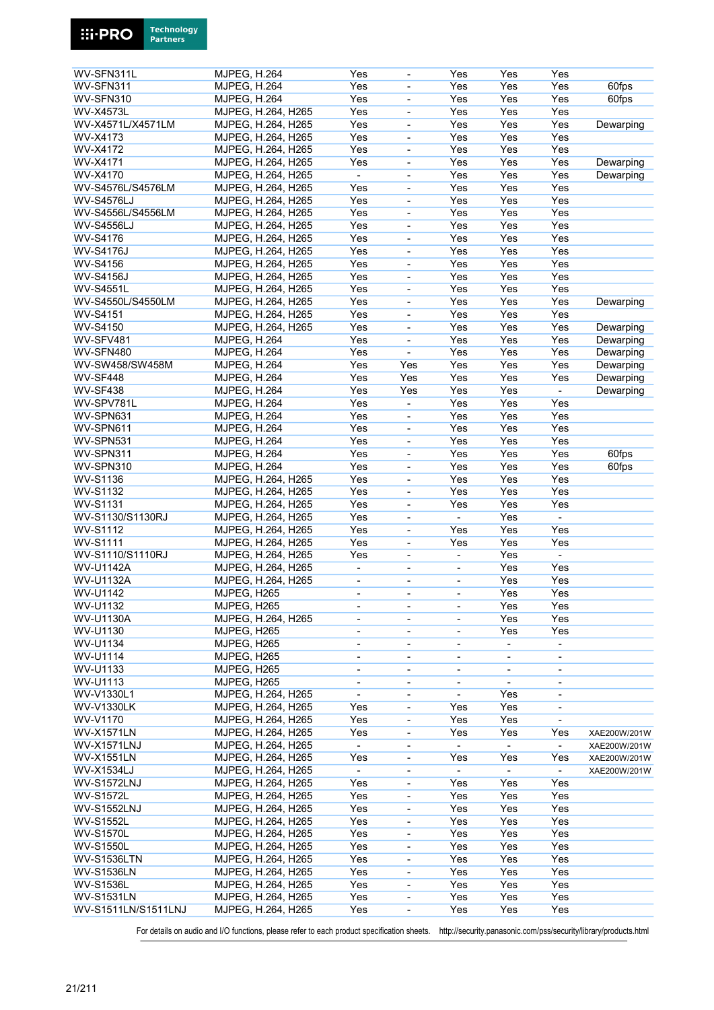| WV-SFN311L          | <b>MJPEG, H.264</b> | Yes                      |                              | Yes                      | Yes                      | Yes                      |              |
|---------------------|---------------------|--------------------------|------------------------------|--------------------------|--------------------------|--------------------------|--------------|
| WV-SFN311           | <b>MJPEG, H.264</b> | Yes                      | ÷,                           | Yes                      | Yes                      | Yes                      | 60fps        |
| WV-SFN310           | <b>MJPEG, H.264</b> | Yes                      | $\overline{\phantom{0}}$     | Yes                      | Yes                      | Yes                      | 60fps        |
|                     |                     |                          |                              |                          |                          |                          |              |
| <b>WV-X4573L</b>    | MJPEG, H.264, H265  | Yes                      | $\overline{\phantom{a}}$     | Yes                      | Yes                      | Yes                      |              |
| WV-X4571L/X4571LM   | MJPEG, H.264, H265  | Yes                      | ÷,                           | Yes                      | Yes                      | Yes                      | Dewarping    |
| WV-X4173            | MJPEG, H.264, H265  | Yes                      | $\frac{1}{2}$                | Yes                      | Yes                      | Yes                      |              |
| WV-X4172            | MJPEG, H.264, H265  | Yes                      | $\overline{\phantom{0}}$     | Yes                      | Yes                      | Yes                      |              |
|                     |                     |                          |                              |                          |                          |                          |              |
| WV-X4171            | MJPEG, H.264, H265  | Yes                      | $\qquad \qquad \blacksquare$ | Yes                      | Yes                      | Yes                      | Dewarping    |
| WV-X4170            | MJPEG, H.264, H265  |                          |                              | Yes                      | Yes                      | Yes                      | Dewarping    |
| WV-S4576L/S4576LM   | MJPEG, H.264, H265  | Yes                      | ÷,                           | Yes                      | Yes                      | Yes                      |              |
| <b>WV-S4576LJ</b>   | MJPEG, H.264, H265  | Yes                      | $\overline{\phantom{0}}$     | Yes                      | Yes                      | Yes                      |              |
|                     |                     |                          |                              |                          |                          |                          |              |
| WV-S4556L/S4556LM   | MJPEG, H.264, H265  | Yes                      | $\overline{\phantom{0}}$     | Yes                      | Yes                      | Yes                      |              |
| <b>WV-S4556LJ</b>   | MJPEG, H.264, H265  | Yes                      | ÷                            | Yes                      | Yes                      | Yes                      |              |
| <b>WV-S4176</b>     | MJPEG, H.264, H265  | Yes                      | $\overline{\phantom{0}}$     | Yes                      | Yes                      | Yes                      |              |
|                     |                     |                          |                              |                          |                          |                          |              |
| <b>WV-S4176J</b>    | MJPEG, H.264, H265  | Yes                      | $\blacksquare$               | Yes                      | Yes                      | Yes                      |              |
| <b>WV-S4156</b>     | MJPEG, H.264, H265  | Yes                      | $\overline{\phantom{0}}$     | Yes                      | Yes                      | Yes                      |              |
| <b>WV-S4156J</b>    | MJPEG, H.264, H265  | Yes                      | ÷,                           | Yes                      | Yes                      | Yes                      |              |
| <b>WV-S4551L</b>    | MJPEG, H.264, H265  | Yes                      | $\overline{\phantom{0}}$     | Yes                      | Yes                      | Yes                      |              |
|                     |                     |                          |                              |                          |                          |                          |              |
| WV-S4550L/S4550LM   | MJPEG, H.264, H265  | Yes                      | $\blacksquare$               | Yes                      | Yes                      | Yes                      | Dewarping    |
| <b>WV-S4151</b>     | MJPEG, H.264, H265  | Yes                      | $\overline{\phantom{0}}$     | Yes                      | Yes                      | Yes                      |              |
| WV-S4150            | MJPEG, H.264, H265  | Yes                      | ÷,                           | Yes                      | Yes                      | Yes                      | Dewarping    |
|                     |                     |                          |                              |                          |                          |                          |              |
| WV-SFV481           | <b>MJPEG, H.264</b> | Yes                      | $\overline{a}$               | Yes                      | Yes                      | Yes                      | Dewarping    |
| WV-SFN480           | <b>MJPEG, H.264</b> | Yes                      | $\overline{a}$               | Yes                      | Yes                      | Yes                      | Dewarping    |
| WV-SW458/SW458M     | <b>MJPEG, H.264</b> | Yes                      | Yes                          | Yes                      | Yes                      | Yes                      | Dewarping    |
| WV-SF448            | <b>MJPEG, H.264</b> | Yes                      | Yes                          | Yes                      | Yes                      | Yes                      | Dewarping    |
|                     |                     |                          |                              |                          |                          |                          |              |
| WV-SF438            | <b>MJPEG, H.264</b> | Yes                      | Yes                          | Yes                      | Yes                      |                          | Dewarping    |
| WV-SPV781L          | <b>MJPEG, H.264</b> | Yes                      | ÷,                           | Yes                      | Yes                      | Yes                      |              |
| WV-SPN631           | <b>MJPEG, H.264</b> | Yes                      | $\overline{\phantom{0}}$     | Yes                      | Yes                      | Yes                      |              |
|                     |                     |                          |                              |                          |                          |                          |              |
| WV-SPN611           | <b>MJPEG, H.264</b> | Yes                      | $\qquad \qquad \blacksquare$ | Yes                      | Yes                      | Yes                      |              |
| WV-SPN531           | <b>MJPEG, H.264</b> | Yes                      | ÷,                           | Yes                      | Yes                      | Yes                      |              |
| WV-SPN311           | <b>MJPEG, H.264</b> | Yes                      | $\frac{1}{2}$                | Yes                      | Yes                      | Yes                      | 60fps        |
|                     |                     |                          |                              |                          |                          |                          |              |
| WV-SPN310           | <b>MJPEG, H.264</b> | Yes                      | $\overline{\phantom{0}}$     | Yes                      | Yes                      | Yes                      | 60fps        |
| WV-S1136            | MJPEG, H.264, H265  | Yes                      | $\overline{\phantom{0}}$     | Yes                      | Yes                      | Yes                      |              |
| <b>WV-S1132</b>     | MJPEG, H.264, H265  | Yes                      | ÷                            | Yes                      | Yes                      | Yes                      |              |
| <b>WV-S1131</b>     | MJPEG, H.264, H265  | Yes                      | $\overline{\phantom{0}}$     | Yes                      | Yes                      | Yes                      |              |
|                     |                     |                          |                              |                          |                          |                          |              |
| WV-S1130/S1130RJ    | MJPEG, H.264, H265  | Yes                      | -                            |                          | Yes                      |                          |              |
| WV-S1112            | MJPEG, H.264, H265  | Yes                      | $\overline{\phantom{0}}$     | Yes                      | Yes                      | Yes                      |              |
| <b>WV-S1111</b>     | MJPEG, H.264, H265  | Yes                      | $\overline{\phantom{0}}$     | Yes                      | Yes                      | Yes                      |              |
|                     |                     |                          |                              | $\blacksquare$           |                          | $\overline{a}$           |              |
| WV-S1110/S1110RJ    | MJPEG, H.264, H265  | Yes                      | $\overline{\phantom{0}}$     |                          | Yes                      |                          |              |
| <b>WV-U1142A</b>    | MJPEG, H.264, H265  | $\blacksquare$           | $\qquad \qquad \blacksquare$ | $\blacksquare$           | Yes                      | Yes                      |              |
| <b>WV-U1132A</b>    | MJPEG, H.264, H265  | $\blacksquare$           | $\overline{\phantom{0}}$     | $\overline{\phantom{a}}$ | Yes                      | Yes                      |              |
| WV-U1142            | MJPEG, H265         | ä,                       | ÷,                           | ä,                       | Yes                      | Yes                      |              |
|                     |                     |                          |                              |                          |                          |                          |              |
| WV-U1132            | MJPEG, H265         | $\overline{\phantom{a}}$ | $\overline{\phantom{a}}$     | $\overline{\phantom{0}}$ | Yes                      | Yes                      |              |
| <b>WV-U1130A</b>    | MJPEG, H.264, H265  | $\overline{\phantom{a}}$ | ÷,                           | $\blacksquare$           | Yes                      | Yes                      |              |
| WV-U1130            | MJPEG, H265         | $\overline{\phantom{a}}$ | $\overline{\phantom{0}}$     | $\overline{\phantom{a}}$ | Yes                      | Yes                      |              |
|                     |                     |                          |                              |                          |                          |                          |              |
| WV-U1134            | MJPEG, H265         | $\overline{\phantom{a}}$ | ÷,                           | $\overline{\phantom{a}}$ | $\overline{\phantom{a}}$ | $\blacksquare$           |              |
| WV-U1114            | MJPEG, H265         | $\blacksquare$           | ÷,                           | $\overline{\phantom{0}}$ |                          | $\blacksquare$           |              |
| WV-U1133            | MJPEG, H265         | $\overline{\phantom{a}}$ | $\overline{\phantom{0}}$     | $\overline{\phantom{a}}$ | $\overline{\phantom{a}}$ | $\overline{\phantom{a}}$ |              |
| <b>WV-U1113</b>     | MJPEG, H265         | $\overline{\phantom{a}}$ | $\overline{\phantom{0}}$     |                          |                          | $\overline{\phantom{a}}$ |              |
|                     |                     |                          |                              |                          |                          |                          |              |
| WV-V1330L1          | MJPEG, H.264, H265  | $\overline{\phantom{a}}$ | $\overline{\phantom{0}}$     | $\blacksquare$           | Yes                      | $\overline{\phantom{a}}$ |              |
| <b>WV-V1330LK</b>   | MJPEG, H.264, H265  | Yes                      | $\overline{\phantom{0}}$     | Yes                      | Yes                      |                          |              |
| WV-V1170            | MJPEG, H.264, H265  | Yes                      | $\blacksquare$               | Yes                      | Yes                      | $\overline{\phantom{a}}$ |              |
| <b>WV-X1571LN</b>   | MJPEG, H.264, H265  | Yes                      |                              | Yes                      | Yes                      | Yes                      |              |
|                     |                     |                          | $\overline{\phantom{0}}$     |                          |                          |                          | XAE200W/201W |
| <b>WV-X1571LNJ</b>  | MJPEG, H.264, H265  | $\blacksquare$           | -                            | $\blacksquare$           | $\overline{\phantom{a}}$ | $\blacksquare$           | XAE200W/201W |
| <b>WV-X1551LN</b>   | MJPEG, H.264, H265  | Yes                      | $\overline{\phantom{0}}$     | Yes                      | Yes                      | Yes                      | XAE200W/201W |
| WV-X1534LJ          | MJPEG, H.264, H265  | $\blacksquare$           | $\overline{\phantom{0}}$     | $\blacksquare$           |                          | $\blacksquare$           | XAE200W/201W |
|                     |                     |                          |                              |                          |                          |                          |              |
| <b>WV-S1572LNJ</b>  | MJPEG, H.264, H265  | Yes                      | $\qquad \qquad \blacksquare$ | Yes                      | Yes                      | Yes                      |              |
| <b>WV-S1572L</b>    | MJPEG, H.264, H265  | Yes                      | -                            | Yes                      | Yes                      | Yes                      |              |
| <b>WV-S1552LNJ</b>  | MJPEG, H.264, H265  | Yes                      | $\overline{\phantom{0}}$     | Yes                      | Yes                      | Yes                      |              |
| <b>WV-S1552L</b>    | MJPEG, H.264, H265  | Yes                      | $\blacksquare$               | Yes                      | Yes                      | Yes                      |              |
|                     |                     |                          |                              |                          |                          |                          |              |
| <b>WV-S1570L</b>    | MJPEG, H.264, H265  | Yes                      | $\overline{\phantom{0}}$     | Yes                      | Yes                      | Yes                      |              |
| <b>WV-S1550L</b>    | MJPEG, H.264, H265  | Yes                      | -                            | Yes                      | Yes                      | Yes                      |              |
| <b>WV-S1536LTN</b>  | MJPEG, H.264, H265  | Yes                      | -                            | Yes                      | Yes                      | Yes                      |              |
|                     |                     |                          |                              |                          |                          |                          |              |
| <b>WV-S1536LN</b>   | MJPEG, H.264, H265  | Yes                      | 4                            | Yes                      | Yes                      | Yes                      |              |
| <b>WV-S1536L</b>    | MJPEG, H.264, H265  | Yes                      | $\blacksquare$               | Yes                      | Yes                      | Yes                      |              |
| <b>WV-S1531LN</b>   | MJPEG, H.264, H265  | Yes                      | $\overline{\phantom{0}}$     | Yes                      | Yes                      | Yes                      |              |
| WV-S1511LN/S1511LNJ | MJPEG, H.264, H265  | Yes                      |                              | Yes                      | Yes                      | Yes                      |              |
|                     |                     |                          |                              |                          |                          |                          |              |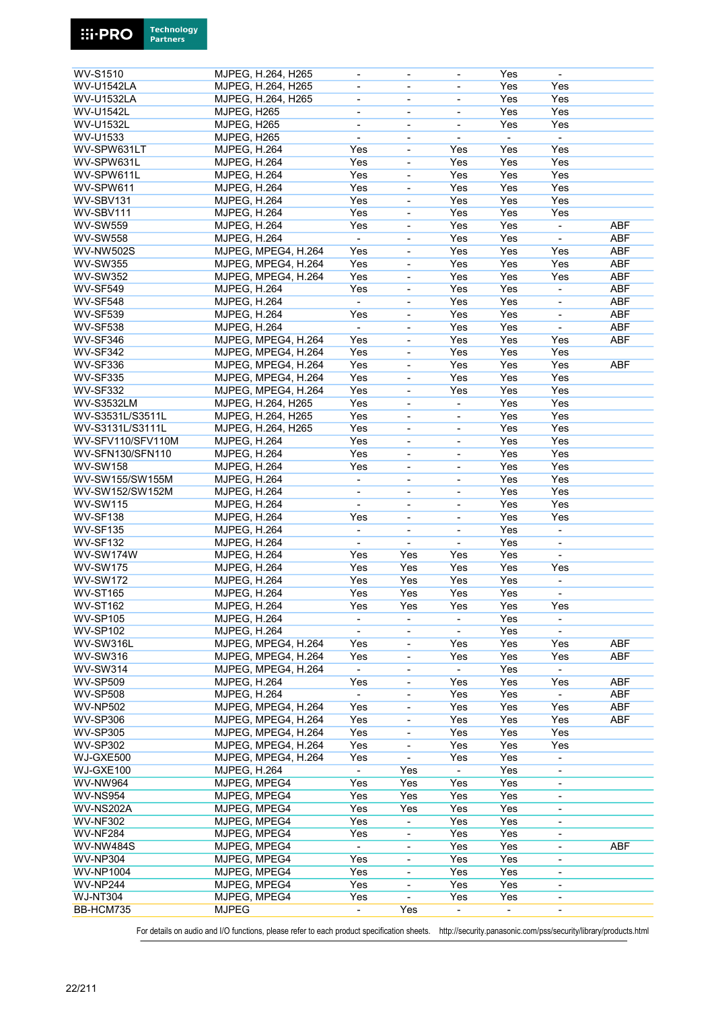

**Technology** 

**Ei-PRO**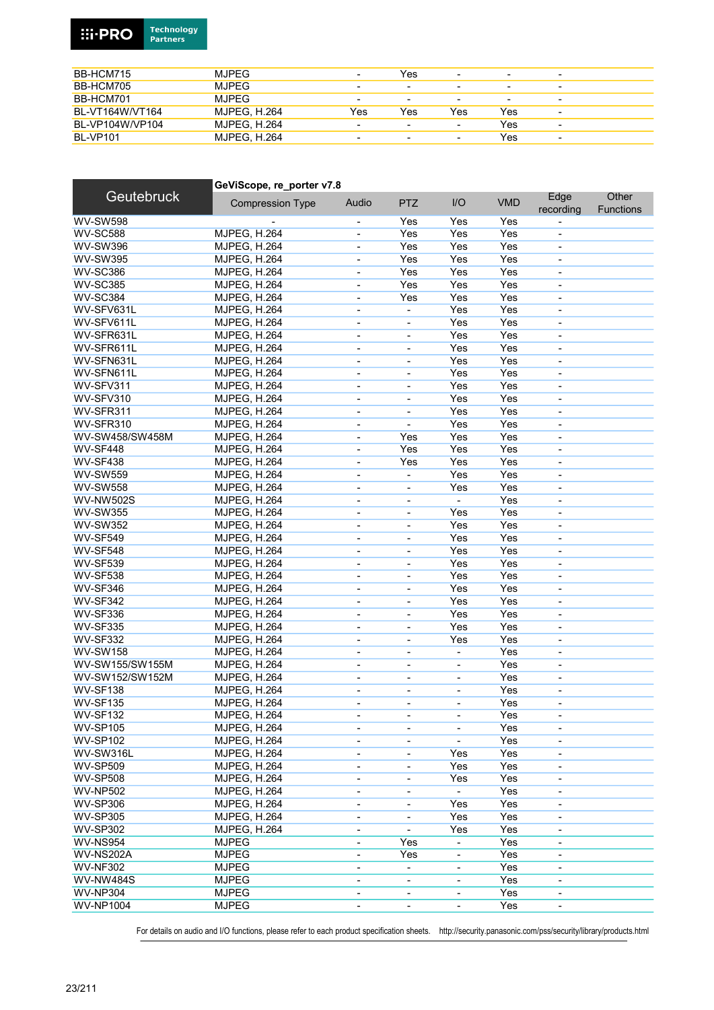#### **Technology**<br>Partners **Ei-PRO**

| BB-HCM715       | <b>MJPEG</b>        | $\overline{\phantom{0}}$ | Yes                      | $\overline{\phantom{a}}$ | -   | $\overline{\phantom{0}}$ |
|-----------------|---------------------|--------------------------|--------------------------|--------------------------|-----|--------------------------|
| BB-HCM705       | <b>MJPEG</b>        | -                        |                          | $\overline{\phantom{0}}$ | -   | $\overline{\phantom{0}}$ |
| BB-HCM701       | <b>MJPEG</b>        | -                        |                          | $\overline{\phantom{0}}$ | -   | $\overline{\phantom{0}}$ |
| BL-VT164W/VT164 | <b>MJPEG. H.264</b> | Yes                      | Yes                      | Yes                      | Yes | $\overline{\phantom{a}}$ |
| BL-VP104W/VP104 | <b>MJPEG. H.264</b> |                          | $\overline{\phantom{0}}$ | $\overline{\phantom{a}}$ | Yes | $\overline{\phantom{a}}$ |
| <b>BL-VP101</b> | <b>MJPEG. H.264</b> | $\overline{\phantom{0}}$ | $\blacksquare$           | $\overline{\phantom{0}}$ | Yes | $\overline{\phantom{a}}$ |

|                                     | GeViScope, re porter v7.8           |                          |                              |                              |            |                          |                           |
|-------------------------------------|-------------------------------------|--------------------------|------------------------------|------------------------------|------------|--------------------------|---------------------------|
| <b>Geutebruck</b>                   | <b>Compression Type</b>             | Audio                    | <b>PTZ</b>                   | I/O                          | <b>VMD</b> | Edge<br>recording        | Other<br><b>Functions</b> |
| <b>WV-SW598</b>                     |                                     |                          | Yes                          | Yes                          | Yes        |                          |                           |
| <b>WV-SC588</b>                     | <b>MJPEG, H.264</b>                 | $\blacksquare$           | Yes                          | Yes                          | Yes        | $\blacksquare$           |                           |
| <b>WV-SW396</b>                     | MJPEG, H.264                        |                          | Yes                          | Yes                          | Yes        | $\blacksquare$           |                           |
| <b>WV-SW395</b>                     | <b>MJPEG. H.264</b>                 | $\blacksquare$           | Yes                          | Yes                          | Yes        | $\overline{\phantom{a}}$ |                           |
| <b>WV-SC386</b>                     | MJPEG, H.264                        | $\overline{\phantom{a}}$ | Yes                          | Yes                          | Yes        | ÷,                       |                           |
| <b>WV-SC385</b>                     | <b>MJPEG, H.264</b>                 | $\overline{\phantom{a}}$ | Yes                          | Yes                          | Yes        | $\overline{\phantom{a}}$ |                           |
| <b>WV-SC384</b>                     | MJPEG, H.264                        |                          | Yes                          | Yes                          | Yes        | $\blacksquare$           |                           |
| WV-SFV631L                          | MJPEG, H.264                        | $\overline{\phantom{a}}$ | ä,                           | Yes                          | Yes        | $\overline{\phantom{a}}$ |                           |
| WV-SFV611L                          | <b>MJPEG, H.264</b>                 | $\overline{\phantom{a}}$ |                              | Yes                          | Yes        | ÷,                       |                           |
| WV-SFR631L                          | MJPEG, H.264                        | $\overline{\phantom{a}}$ | ÷,                           | Yes                          | Yes        | $\overline{\phantom{a}}$ |                           |
| WV-SFR611L                          | <b>MJPEG, H.264</b>                 | $\overline{\phantom{a}}$ | $\qquad \qquad \blacksquare$ | Yes                          | Yes        | $\overline{\phantom{a}}$ |                           |
| WV-SFN631L                          | MJPEG, H.264                        | $\overline{\phantom{a}}$ | $\overline{\phantom{a}}$     | Yes                          | Yes        | $\overline{\phantom{a}}$ |                           |
| WV-SFN611L                          | MJPEG, H.264                        | $\overline{\phantom{a}}$ | $\overline{\phantom{a}}$     | Yes                          | Yes        | $\overline{\phantom{a}}$ |                           |
| WV-SFV311                           | <b>MJPEG, H.264</b>                 | $\overline{\phantom{a}}$ | $\blacksquare$               | Yes                          | Yes        | $\overline{\phantom{a}}$ |                           |
| WV-SFV310                           | MJPEG, H.264                        | $\overline{\phantom{a}}$ | $\overline{\phantom{a}}$     | Yes                          | Yes        | $\overline{\phantom{a}}$ |                           |
| WV-SFR311                           | MJPEG, H.264                        | $\overline{\phantom{a}}$ | $\overline{\phantom{a}}$     | Yes                          | Yes        | $\overline{\phantom{a}}$ |                           |
| WV-SFR310                           | <b>MJPEG, H.264</b>                 |                          |                              | Yes                          | Yes        |                          |                           |
| WV-SW458/SW458M                     |                                     | $\overline{\phantom{a}}$ | Yes                          | Yes                          | Yes        |                          |                           |
| WV-SF448                            | MJPEG, H.264<br><b>MJPEG, H.264</b> | $\overline{\phantom{a}}$ | Yes                          | Yes                          | Yes        | $\overline{\phantom{a}}$ |                           |
|                                     |                                     | $\overline{\phantom{a}}$ |                              |                              |            | $\overline{\phantom{a}}$ |                           |
| WV-SF438                            | <b>MJPEG, H.264</b>                 | $\overline{\phantom{a}}$ | Yes                          | Yes                          | Yes        | $\overline{\phantom{a}}$ |                           |
| <b>WV-SW559</b>                     | <b>MJPEG, H.264</b>                 | $\overline{\phantom{a}}$ | ä,                           | Yes                          | Yes        | $\overline{\phantom{a}}$ |                           |
| <b>WV-SW558</b>                     | <b>MJPEG, H.264</b>                 | $\overline{\phantom{a}}$ | $\overline{\phantom{a}}$     | Yes                          | Yes        | $\blacksquare$           |                           |
| <b>WV-NW502S</b>                    | MJPEG, H.264                        | $\overline{\phantom{a}}$ | ÷,                           | $\blacksquare$               | Yes        | $\overline{\phantom{a}}$ |                           |
| <b>WV-SW355</b>                     | MJPEG, H.264                        | $\overline{\phantom{a}}$ |                              | Yes                          | Yes        | $\overline{\phantom{a}}$ |                           |
| <b>WV-SW352</b>                     | MJPEG, H.264                        | $\overline{\phantom{a}}$ | ÷,                           | Yes                          | Yes        | $\overline{\phantom{a}}$ |                           |
| <b>WV-SF549</b>                     | <b>MJPEG, H.264</b>                 | $\blacksquare$           |                              | Yes                          | Yes        | $\blacksquare$           |                           |
| <b>WV-SF548</b>                     | <b>MJPEG, H.264</b>                 | $\blacksquare$           | $\blacksquare$               | Yes                          | Yes        | $\overline{\phantom{a}}$ |                           |
| <b>WV-SF539</b>                     | MJPEG, H.264                        | $\blacksquare$           | $\overline{\phantom{a}}$     | Yes                          | Yes        | $\blacksquare$           |                           |
| <b>WV-SF538</b>                     | MJPEG, H.264                        | $\overline{\phantom{a}}$ | ÷,                           | Yes                          | Yes        | $\overline{\phantom{a}}$ |                           |
| WV-SF346                            | MJPEG, H.264                        | $\overline{\phantom{a}}$ | $\overline{\phantom{a}}$     | Yes                          | Yes        | $\overline{\phantom{a}}$ |                           |
| <b>WV-SF342</b>                     | MJPEG, H.264                        | $\overline{\phantom{a}}$ | ÷,                           | Yes                          | Yes        | $\overline{\phantom{a}}$ |                           |
| <b>WV-SF336</b>                     | MJPEG, H.264                        | $\overline{\phantom{a}}$ | $\qquad \qquad \blacksquare$ | Yes                          | Yes        | $\overline{\phantom{a}}$ |                           |
| <b>WV-SF335</b>                     | MJPEG, H.264                        | $\overline{\phantom{a}}$ | $\blacksquare$               | Yes                          | Yes        | $\overline{\phantom{a}}$ |                           |
| <b>WV-SF332</b>                     | MJPEG, H.264                        | $\overline{\phantom{a}}$ | $\overline{\phantom{a}}$     | Yes                          | Yes        | ÷,                       |                           |
| <b>WV-SW158</b>                     | MJPEG, H.264                        | $\overline{\phantom{a}}$ | $\overline{\phantom{a}}$     | $\blacksquare$               | Yes        | $\overline{\phantom{a}}$ |                           |
| WV-SW155/SW155M                     | <b>MJPEG, H.264</b>                 | $\overline{\phantom{a}}$ | $\overline{\phantom{a}}$     | $\qquad \qquad \blacksquare$ | Yes        | $\overline{\phantom{a}}$ |                           |
| WV-SW152/SW152M                     | <b>MJPEG, H.264</b>                 | $\overline{\phantom{a}}$ | $\overline{\phantom{a}}$     | $\overline{\phantom{a}}$     | Yes        | $\overline{\phantom{a}}$ |                           |
| WV-SF138                            | MJPEG, H.264                        | $\overline{\phantom{0}}$ |                              |                              | Yes        | $\overline{\phantom{0}}$ |                           |
| WV-SF135                            | MJPEG, H.264                        | $\blacksquare$           | $\blacksquare$               | $\blacksquare$               | Yes        | $\overline{\phantom{a}}$ |                           |
| <b>WV-SF132</b>                     | <b>MJPEG, H.264</b>                 | $\overline{\phantom{a}}$ | ۰                            | $\overline{\phantom{a}}$     | Yes        | $\overline{\phantom{a}}$ |                           |
| <b>WV-SP105</b>                     | <b>MJPEG, H.264</b>                 | $\overline{\phantom{a}}$ | $\overline{\phantom{a}}$     | $\overline{\phantom{a}}$     | Yes        | $\overline{\phantom{a}}$ |                           |
| <b>WV-SP102</b>                     | <b>MJPEG, H.264</b>                 |                          |                              |                              | Yes        |                          |                           |
| WV-SW316L                           | <b>MJPEG, H.264</b>                 | $\overline{\phantom{a}}$ | $\overline{\phantom{a}}$     | Yes                          | Yes        | $\overline{\phantom{a}}$ |                           |
| <b>WV-SP509</b>                     | <b>MJPEG, H.264</b>                 | $\overline{\phantom{a}}$ | $\overline{\phantom{a}}$     | Yes                          | Yes        | $\overline{\phantom{a}}$ |                           |
| <b>WV-SP508</b>                     | <b>MJPEG, H.264</b>                 | $\overline{\phantom{0}}$ | $\qquad \qquad \blacksquare$ | Yes                          | Yes        | $\overline{\phantom{a}}$ |                           |
| <b>WV-NP502</b>                     | <b>MJPEG, H.264</b>                 | $\overline{\phantom{a}}$ | ÷,                           |                              | Yes        |                          |                           |
| <b>WV-SP306</b>                     | <b>MJPEG, H.264</b>                 | $\blacksquare$           | ÷,                           | Yes                          | Yes        | $\blacksquare$           |                           |
| <b>WV-SP305</b>                     | <b>MJPEG, H.264</b>                 | $\overline{\phantom{a}}$ | $\qquad \qquad \blacksquare$ | Yes                          | Yes        | $\overline{\phantom{a}}$ |                           |
| <b>WV-SP302</b>                     | <b>MJPEG, H.264</b>                 |                          |                              | Yes                          | Yes        |                          |                           |
|                                     | <b>MJPEG</b>                        | ۰                        |                              |                              |            | $\overline{\phantom{a}}$ |                           |
| <b>WV-NS954</b><br><b>WV-NS202A</b> |                                     | $\overline{\phantom{a}}$ | Yes                          |                              | Yes        | $\overline{\phantom{a}}$ |                           |
|                                     | <b>MJPEG</b>                        | $\overline{\phantom{a}}$ | Yes                          |                              | Yes        |                          |                           |
| <b>WV-NF302</b>                     | <b>MJPEG</b>                        | $\overline{\phantom{a}}$ | $\overline{\phantom{a}}$     | -                            | Yes        | $\blacksquare$           |                           |
| <b>WV-NW484S</b>                    | <b>MJPEG</b>                        | $\overline{\phantom{a}}$ | $\qquad \qquad \blacksquare$ |                              | Yes        | $\overline{\phantom{a}}$ |                           |
| <b>WV-NP304</b>                     | <b>MJPEG</b>                        | $\overline{\phantom{a}}$ | $\overline{\phantom{a}}$     | -                            | Yes        | $\overline{\phantom{a}}$ |                           |
| <b>WV-NP1004</b>                    | <b>MJPEG</b>                        |                          |                              | $\overline{\phantom{0}}$     | Yes        |                          |                           |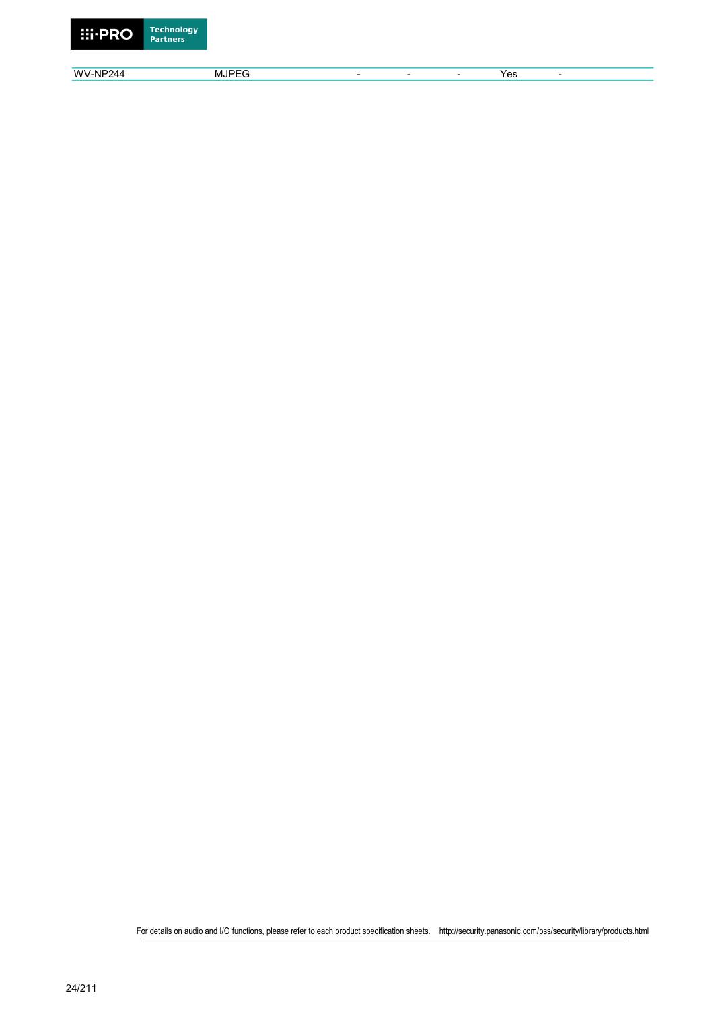

wv-NP244 MJPEG - - - Yes -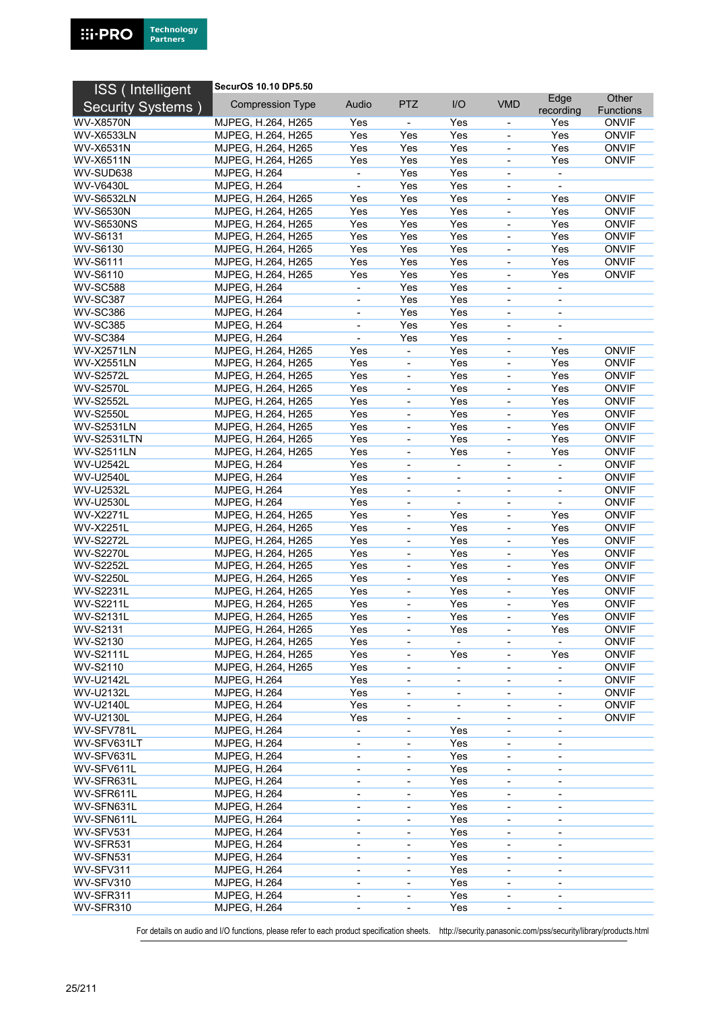

| ISS (Intelligent          | SecurOS 10.10 DP5.50                       |                              |                              |                          |                          |                              |                                  |
|---------------------------|--------------------------------------------|------------------------------|------------------------------|--------------------------|--------------------------|------------------------------|----------------------------------|
| <b>Security Systems</b> ) | <b>Compression Type</b>                    | Audio                        | <b>PTZ</b>                   | I/O                      | <b>VMD</b>               | Edge                         | Other                            |
| <b>WV-X8570N</b>          | MJPEG, H.264, H265                         | Yes                          |                              | Yes                      |                          | recording<br>Yes             | <b>Functions</b><br><b>ONVIF</b> |
| <b>WV-X6533LN</b>         | MJPEG, H.264, H265                         | Yes                          | Yes                          | Yes                      |                          | Yes                          | <b>ONVIF</b>                     |
| <b>WV-X6531N</b>          | MJPEG, H.264, H265                         | Yes                          | Yes                          | Yes                      |                          | Yes                          | <b>ONVIF</b>                     |
| <b>WV-X6511N</b>          | MJPEG, H.264, H265                         | Yes                          | Yes                          | Yes                      | $\blacksquare$           | Yes                          | <b>ONVIF</b>                     |
| WV-SUD638                 | <b>MJPEG, H.264</b>                        |                              | Yes                          | Yes                      |                          |                              |                                  |
| <b>WV-V6430L</b>          | <b>MJPEG, H.264</b>                        | $\blacksquare$               | Yes                          | Yes                      | $\blacksquare$           | $\blacksquare$               |                                  |
| <b>WV-S6532LN</b>         | MJPEG, H.264, H265                         | Yes                          | Yes                          | Yes                      |                          | Yes                          | <b>ONVIF</b>                     |
| <b>WV-S6530N</b>          | MJPEG, H.264, H265                         | Yes                          | Yes                          | Yes                      | $\blacksquare$           | Yes                          | <b>ONVIF</b>                     |
| <b>WV-S6530NS</b>         | MJPEG, H.264, H265                         | Yes                          | Yes                          | Yes                      |                          | Yes                          | <b>ONVIF</b>                     |
| WV-S6131                  | MJPEG, H.264, H265                         | Yes                          | Yes                          | Yes                      | $\overline{\phantom{a}}$ | Yes                          | <b>ONVIF</b>                     |
| WV-S6130                  | MJPEG, H.264, H265                         | Yes                          | Yes                          | Yes                      |                          | Yes                          | <b>ONVIF</b>                     |
| <b>WV-S6111</b>           | MJPEG, H.264, H265                         | Yes                          | Yes                          | Yes                      | $\overline{\phantom{a}}$ | Yes                          | <b>ONVIF</b>                     |
| WV-S6110                  | MJPEG, H.264, H265                         | Yes                          | Yes                          | Yes                      |                          | Yes                          | <b>ONVIF</b>                     |
| <b>WV-SC588</b>           | <b>MJPEG, H.264</b>                        | $\overline{\phantom{a}}$     | Yes                          | Yes                      | $\overline{\phantom{a}}$ | $\overline{\phantom{a}}$     |                                  |
| <b>WV-SC387</b>           | <b>MJPEG, H.264</b>                        | $\overline{\phantom{a}}$     | Yes                          | Yes                      |                          |                              |                                  |
| <b>WV-SC386</b>           | <b>MJPEG, H.264</b>                        | $\overline{\phantom{a}}$     | Yes                          | Yes                      | $\blacksquare$           | $\overline{\phantom{a}}$     |                                  |
| <b>WV-SC385</b>           | <b>MJPEG, H.264</b>                        | $\overline{\phantom{a}}$     | Yes                          | Yes                      | $\overline{\phantom{a}}$ | $\overline{\phantom{a}}$     |                                  |
| <b>WV-SC384</b>           | <b>MJPEG, H.264</b>                        | $\blacksquare$               | Yes                          | Yes                      | $\overline{\phantom{a}}$ |                              |                                  |
| <b>WV-X2571LN</b>         | MJPEG, H.264, H265                         | Yes                          | ä,                           | Yes                      |                          | Yes                          | <b>ONVIF</b>                     |
| <b>WV-X2551LN</b>         | MJPEG, H.264, H265                         | Yes                          | $\frac{1}{2}$                | Yes                      |                          | Yes                          | <b>ONVIF</b>                     |
| <b>WV-S2572L</b>          | MJPEG, H.264, H265                         | Yes                          | $\qquad \qquad \blacksquare$ | Yes                      | $\overline{\phantom{a}}$ | Yes                          | <b>ONVIF</b>                     |
| <b>WV-S2570L</b>          | MJPEG, H.264, H265                         | Yes                          | ÷,                           | Yes                      |                          | Yes                          | <b>ONVIF</b>                     |
| <b>WV-S2552L</b>          | MJPEG, H.264, H265                         | Yes                          | $\overline{\phantom{a}}$     | Yes                      |                          | Yes                          | <b>ONVIF</b>                     |
| <b>WV-S2550L</b>          | MJPEG, H.264, H265                         | Yes                          | ÷,                           | Yes                      |                          | Yes                          | <b>ONVIF</b>                     |
| <b>WV-S2531LN</b>         | MJPEG, H.264, H265                         | Yes                          | $\blacksquare$               | Yes                      | $\overline{\phantom{a}}$ | Yes                          | <b>ONVIF</b>                     |
| <b>WV-S2531LTN</b>        | MJPEG, H.264, H265                         | Yes                          | ÷,                           | Yes                      |                          | Yes                          | <b>ONVIF</b>                     |
| <b>WV-S2511LN</b>         | MJPEG, H.264, H265                         | Yes                          | $\blacksquare$               | Yes                      | $\blacksquare$           | Yes                          | <b>ONVIF</b>                     |
| WV-U2542L                 | <b>MJPEG, H.264</b>                        | Yes                          | ÷,                           |                          |                          |                              | <b>ONVIF</b>                     |
| <b>WV-U2540L</b>          | <b>MJPEG, H.264</b>                        | Yes                          | $\overline{\phantom{a}}$     | $\overline{\phantom{a}}$ | $\overline{\phantom{a}}$ | $\overline{\phantom{a}}$     | <b>ONVIF</b>                     |
| WV-U2532L                 | <b>MJPEG, H.264</b>                        | Yes                          | $\blacksquare$               | $\overline{\phantom{0}}$ |                          | $\overline{\phantom{0}}$     | <b>ONVIF</b>                     |
| WV-U2530L                 | <b>MJPEG, H.264</b>                        | Yes                          | $\blacksquare$               | $\overline{\phantom{a}}$ | $\blacksquare$           | $\blacksquare$               | <b>ONVIF</b>                     |
| <b>WV-X2271L</b>          | MJPEG, H.264, H265                         | Yes                          |                              | Yes                      |                          | Yes                          | <b>ONVIF</b>                     |
| <b>WV-X2251L</b>          | MJPEG, H.264, H265                         | Yes                          | $\blacksquare$               | Yes                      | $\overline{\phantom{a}}$ | Yes                          | <b>ONVIF</b>                     |
| <b>WV-S2272L</b>          | MJPEG, H.264, H265                         | Yes                          | $\blacksquare$               | Yes                      |                          | Yes                          | <b>ONVIF</b>                     |
| <b>WV-S2270L</b>          | MJPEG, H.264, H265                         | Yes                          | $\overline{\phantom{a}}$     | Yes                      | $\blacksquare$           | Yes                          | <b>ONVIF</b>                     |
| <b>WV-S2252L</b>          | MJPEG, H.264, H265                         | Yes                          |                              | Yes                      |                          | Yes                          | <b>ONVIF</b>                     |
| <b>WV-S2250L</b>          | MJPEG, H.264, H265                         | Yes                          | $\blacksquare$               | Yes                      | $\blacksquare$           | Yes                          | <b>ONVIF</b>                     |
| <b>WV-S2231L</b>          | MJPEG, H.264, H265                         | Yes                          | $\qquad \qquad \blacksquare$ | Yes                      |                          | Yes                          | <b>ONVIF</b>                     |
| <b>WV-S2211L</b>          | MJPEG, H.264, H265                         | Yes                          | $\blacksquare$               | Yes                      | $\blacksquare$           | Yes                          | <b>ONVIF</b>                     |
| <b>WV-S2131L</b>          | MJPEG, H.264, H265                         | Yes                          |                              | Yes                      |                          | Yes                          | <b>ONVIF</b>                     |
| WV-S2131                  | MJPEG, H.264, H265                         | Yes                          | $\qquad \qquad \blacksquare$ | Yes                      | $\overline{\phantom{a}}$ | Yes                          | <b>ONVIF</b>                     |
| WV-S2130                  | MJPEG, H.264, H265                         | Yes                          | $\qquad \qquad \blacksquare$ | $\blacksquare$           |                          | $\overline{a}$               | <b>ONVIF</b>                     |
| <b>WV-S2111L</b>          | MJPEG, H.264, H265                         | Yes                          | $\overline{\phantom{0}}$     | Yes                      | $\overline{\phantom{a}}$ | Yes                          | <b>ONVIF</b>                     |
| WV-S2110                  | MJPEG, H.264, H265                         | Yes                          | ٠                            | $\overline{\phantom{a}}$ |                          |                              | <b>ONVIF</b>                     |
| WV-U2142L                 | <b>MJPEG, H.264</b>                        | Yes                          | $\qquad \qquad \blacksquare$ | $\overline{\phantom{0}}$ |                          | $\qquad \qquad \blacksquare$ | <b>ONVIF</b>                     |
| WV-U2132L                 | <b>MJPEG, H.264</b>                        | Yes                          | $\qquad \qquad \blacksquare$ | $\blacksquare$           | $\overline{\phantom{a}}$ | $\blacksquare$               | <b>ONVIF</b>                     |
| <b>WV-U2140L</b>          | <b>MJPEG, H.264</b>                        | Yes                          | $\overline{\phantom{0}}$     | $\overline{\phantom{0}}$ | $\overline{\phantom{a}}$ | $\overline{\phantom{a}}$     | <b>ONVIF</b>                     |
| WV-U2130L                 | <b>MJPEG, H.264</b>                        | Yes                          |                              |                          | $\overline{\phantom{a}}$ | $\overline{\phantom{a}}$     | <b>ONVIF</b>                     |
| WV-SFV781L                | <b>MJPEG, H.264</b>                        | $\overline{\phantom{a}}$     |                              | Yes                      | $\overline{\phantom{a}}$ |                              |                                  |
| WV-SFV631LT               | <b>MJPEG, H.264</b>                        | $\overline{\phantom{a}}$     | $\overline{\phantom{a}}$     | Yes                      | $\overline{\phantom{a}}$ | $\overline{\phantom{a}}$     |                                  |
| WV-SFV631L                | <b>MJPEG, H.264</b>                        | $\overline{\phantom{a}}$     | -                            | Yes                      |                          | $\overline{\phantom{a}}$     |                                  |
| WV-SFV611L                | <b>MJPEG, H.264</b>                        | $\overline{\phantom{a}}$     | ٠                            | Yes                      | $\overline{\phantom{a}}$ |                              |                                  |
| WV-SFR631L                | <b>MJPEG, H.264</b>                        | $\qquad \qquad \blacksquare$ | ÷                            | Yes                      |                          |                              |                                  |
| WV-SFR611L                | <b>MJPEG, H.264</b>                        | $\overline{\phantom{a}}$     | $\qquad \qquad \blacksquare$ | Yes                      | ÷,                       | $\overline{\phantom{a}}$     |                                  |
| WV-SFN631L                | <b>MJPEG, H.264</b>                        | $\qquad \qquad \blacksquare$ | -                            | Yes                      |                          |                              |                                  |
| WV-SFN611L                | <b>MJPEG, H.264</b>                        | $\overline{\phantom{a}}$     | $\overline{\phantom{a}}$     | Yes                      | -                        | $\overline{\phantom{a}}$     |                                  |
| WV-SFV531                 | <b>MJPEG, H.264</b>                        | $\overline{\phantom{a}}$     | $\overline{\phantom{0}}$     | Yes                      |                          |                              |                                  |
| WV-SFR531                 | <b>MJPEG, H.264</b>                        | $\overline{\phantom{a}}$     | $\qquad \qquad \blacksquare$ | Yes                      | $\overline{\phantom{a}}$ | $\overline{\phantom{a}}$     |                                  |
| WV-SFN531                 | <b>MJPEG, H.264</b>                        | $\overline{\phantom{a}}$     | $\overline{\phantom{a}}$     | Yes                      | $\overline{\phantom{a}}$ | $\overline{\phantom{a}}$     |                                  |
| WV-SFV311                 | <b>MJPEG, H.264</b>                        | $\overline{\phantom{a}}$     | -                            | Yes                      | $\overline{\phantom{0}}$ | $\overline{\phantom{a}}$     |                                  |
| WV-SFV310<br>WV-SFR311    | <b>MJPEG, H.264</b>                        |                              |                              | Yes                      |                          |                              |                                  |
| WV-SFR310                 | <b>MJPEG, H.264</b><br><b>MJPEG, H.264</b> | $\overline{\phantom{a}}$     | $\blacksquare$               | Yes<br>Yes               | ÷,                       | $\overline{\phantom{a}}$     |                                  |
|                           |                                            | $\overline{\phantom{a}}$     | $\overline{\phantom{a}}$     |                          | ۰                        | $\overline{\phantom{0}}$     |                                  |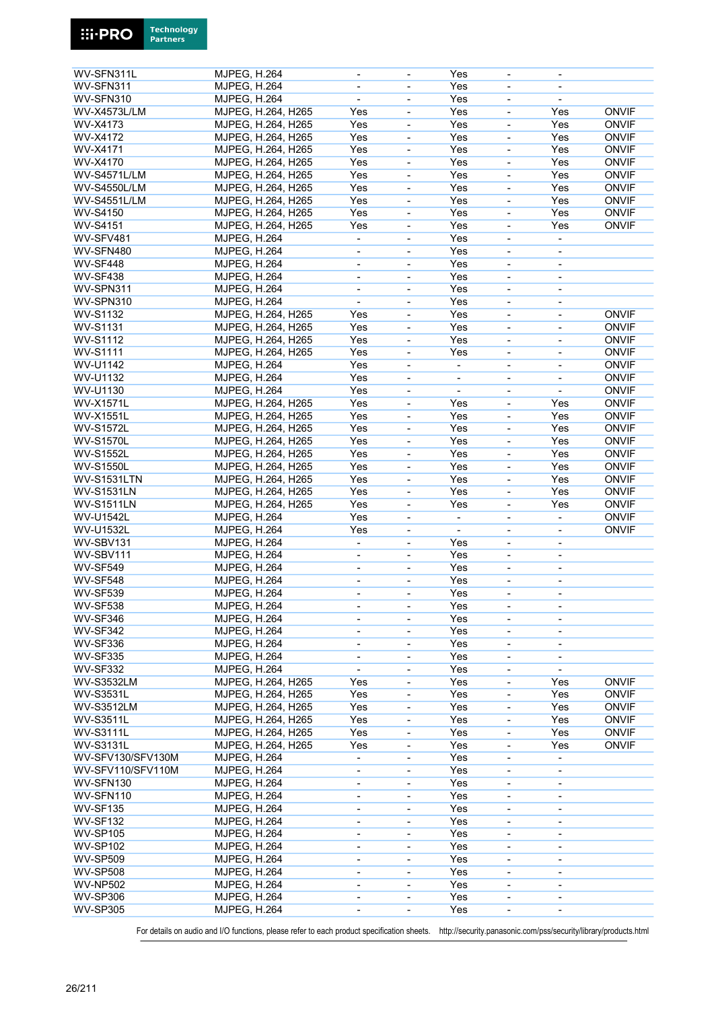| WV-SFN311L          | <b>MJPEG, H.264</b> |  |                              |                          | Yes                      |                              |                              |              |
|---------------------|---------------------|--|------------------------------|--------------------------|--------------------------|------------------------------|------------------------------|--------------|
|                     |                     |  |                              |                          |                          |                              |                              |              |
| WV-SFN311           | <b>MJPEG, H.264</b> |  | $\overline{\phantom{a}}$     | $\overline{\phantom{0}}$ | Yes                      | $\blacksquare$               | $\overline{\phantom{0}}$     |              |
| WV-SFN310           | <b>MJPEG, H.264</b> |  |                              | ÷,                       | Yes                      |                              | ÷,                           |              |
|                     |                     |  |                              |                          |                          |                              |                              |              |
| <b>WV-X4573L/LM</b> | MJPEG, H.264, H265  |  | Yes                          | ÷,                       | Yes                      |                              | Yes                          | <b>ONVIF</b> |
| WV-X4173            | MJPEG, H.264, H265  |  | Yes                          | ÷,                       | Yes                      |                              | Yes                          | <b>ONVIF</b> |
|                     |                     |  |                              |                          |                          |                              |                              |              |
| WV-X4172            | MJPEG, H.264, H265  |  | Yes                          | ÷,                       | Yes                      | $\blacksquare$               | Yes                          | <b>ONVIF</b> |
| WV-X4171            | MJPEG, H.264, H265  |  | Yes                          | $\overline{\phantom{0}}$ | Yes                      |                              | Yes                          | <b>ONVIF</b> |
|                     |                     |  |                              |                          |                          |                              |                              |              |
| WV-X4170            | MJPEG, H.264, H265  |  | Yes                          | ÷,                       | Yes                      | $\blacksquare$               | Yes                          | <b>ONVIF</b> |
| <b>WV-S4571L/LM</b> | MJPEG, H.264, H265  |  | Yes                          | ÷,                       | Yes                      |                              | Yes                          | <b>ONVIF</b> |
|                     |                     |  |                              |                          |                          |                              |                              |              |
| <b>WV-S4550L/LM</b> | MJPEG, H.264, H265  |  | Yes                          | ÷,                       | Yes                      | $\blacksquare$               | Yes                          | <b>ONVIF</b> |
| <b>WV-S4551L/LM</b> | MJPEG, H.264, H265  |  | Yes                          | $\overline{\phantom{0}}$ | Yes                      |                              | Yes                          | <b>ONVIF</b> |
|                     |                     |  |                              |                          |                          |                              |                              |              |
| <b>WV-S4150</b>     | MJPEG, H.264, H265  |  | Yes                          | $\overline{\phantom{0}}$ | Yes                      | $\overline{\phantom{a}}$     | Yes                          | <b>ONVIF</b> |
| <b>WV-S4151</b>     | MJPEG, H.264, H265  |  | Yes                          | ÷,                       | Yes                      |                              | Yes                          | <b>ONVIF</b> |
| WV-SFV481           | <b>MJPEG, H.264</b> |  | $\blacksquare$               | $\overline{\phantom{0}}$ | Yes                      | $\overline{\phantom{a}}$     |                              |              |
|                     |                     |  |                              |                          |                          |                              | $\blacksquare$               |              |
| WV-SFN480           | <b>MJPEG, H.264</b> |  | $\qquad \qquad \blacksquare$ | $\overline{\phantom{0}}$ | Yes                      | $\overline{\phantom{a}}$     | $\overline{\phantom{0}}$     |              |
| WV-SF448            |                     |  |                              |                          | Yes                      |                              |                              |              |
|                     | <b>MJPEG, H.264</b> |  | $\overline{\phantom{a}}$     | $\overline{\phantom{0}}$ |                          | $\overline{\phantom{a}}$     | $\overline{\phantom{a}}$     |              |
| WV-SF438            | <b>MJPEG, H.264</b> |  | $\blacksquare$               |                          | Yes                      |                              | $\overline{\phantom{0}}$     |              |
|                     |                     |  |                              |                          |                          |                              |                              |              |
| WV-SPN311           | <b>MJPEG, H.264</b> |  | $\overline{\phantom{a}}$     | ÷,                       | Yes                      | $\blacksquare$               | $\blacksquare$               |              |
| WV-SPN310           | <b>MJPEG, H.264</b> |  | $\overline{\phantom{0}}$     | $\overline{\phantom{0}}$ | Yes                      | $\qquad \qquad \blacksquare$ | $\overline{\phantom{a}}$     |              |
|                     |                     |  |                              |                          |                          |                              |                              |              |
| <b>WV-S1132</b>     | MJPEG, H.264, H265  |  | Yes                          | $\overline{\phantom{0}}$ | Yes                      | $\overline{\phantom{a}}$     | $\overline{\phantom{a}}$     | <b>ONVIF</b> |
| <b>WV-S1131</b>     | MJPEG, H.264, H265  |  | Yes                          | $\overline{\phantom{0}}$ | Yes                      |                              | $\overline{\phantom{0}}$     | <b>ONVIF</b> |
|                     |                     |  |                              |                          |                          |                              |                              |              |
| <b>WV-S1112</b>     | MJPEG, H.264, H265  |  | Yes                          | $\overline{\phantom{0}}$ | Yes                      | $\blacksquare$               | $\blacksquare$               | <b>ONVIF</b> |
| <b>WV-S1111</b>     | MJPEG, H.264, H265  |  | Yes                          | $\overline{\phantom{0}}$ | Yes                      | $\overline{\phantom{a}}$     | $\qquad \qquad \blacksquare$ | <b>ONVIF</b> |
|                     |                     |  |                              |                          |                          |                              |                              |              |
| WV-U1142            | <b>MJPEG, H.264</b> |  | Yes                          | $\overline{\phantom{0}}$ | $\blacksquare$           | $\overline{\phantom{a}}$     | $\blacksquare$               | <b>ONVIF</b> |
| WV-U1132            | <b>MJPEG, H.264</b> |  | Yes                          | ÷,                       | ÷,                       | $\blacksquare$               | $\overline{a}$               | <b>ONVIF</b> |
|                     |                     |  |                              |                          |                          |                              |                              |              |
| WV-U1130            | <b>MJPEG, H.264</b> |  | Yes                          | ÷,                       | $\overline{a}$           |                              | $\overline{a}$               | <b>ONVIF</b> |
| <b>WV-X1571L</b>    | MJPEG, H.264, H265  |  | Yes                          | ÷,                       | Yes                      | $\blacksquare$               | Yes                          | <b>ONVIF</b> |
|                     |                     |  |                              |                          |                          |                              |                              |              |
| <b>WV-X1551L</b>    | MJPEG, H.264, H265  |  | Yes                          | $\overline{\phantom{0}}$ | Yes                      |                              | Yes                          | <b>ONVIF</b> |
| <b>WV-S1572L</b>    | MJPEG, H.264, H265  |  | Yes                          | $\overline{\phantom{0}}$ | Yes                      |                              | Yes                          | <b>ONVIF</b> |
|                     |                     |  |                              |                          |                          |                              |                              |              |
| <b>WV-S1570L</b>    | MJPEG, H.264, H265  |  | Yes                          | ÷,                       | Yes                      |                              | Yes                          | <b>ONVIF</b> |
| <b>WV-S1552L</b>    | MJPEG, H.264, H265  |  | Yes                          | ÷,                       | Yes                      | $\blacksquare$               | Yes                          | <b>ONVIF</b> |
|                     |                     |  |                              |                          |                          |                              |                              |              |
| <b>WV-S1550L</b>    | MJPEG, H.264, H265  |  | Yes                          | ÷,                       | Yes                      |                              | Yes                          | <b>ONVIF</b> |
| <b>WV-S1531LTN</b>  | MJPEG, H.264, H265  |  | Yes                          | $\overline{\phantom{0}}$ | Yes                      | $\blacksquare$               | Yes                          | <b>ONVIF</b> |
|                     |                     |  |                              |                          |                          |                              |                              |              |
| <b>WV-S1531LN</b>   | MJPEG, H.264, H265  |  | Yes                          | ÷,                       | Yes                      |                              | Yes                          | <b>ONVIF</b> |
| <b>WV-S1511LN</b>   | MJPEG, H.264, H265  |  | Yes                          | ÷,                       | Yes                      | $\blacksquare$               | Yes                          | <b>ONVIF</b> |
|                     |                     |  |                              |                          |                          |                              |                              |              |
| <b>WV-U1542L</b>    | <b>MJPEG, H.264</b> |  | Yes                          | $\overline{\phantom{0}}$ | $\overline{\phantom{a}}$ |                              | $\overline{\phantom{0}}$     | <b>ONVIF</b> |
| <b>WV-U1532L</b>    | <b>MJPEG, H.264</b> |  | Yes                          | $\overline{\phantom{0}}$ | $\overline{\phantom{a}}$ | $\overline{\phantom{a}}$     | -                            | <b>ONVIF</b> |
|                     |                     |  |                              |                          |                          |                              |                              |              |
| WV-SBV131           | <b>MJPEG, H.264</b> |  | $\blacksquare$               |                          | Yes                      |                              |                              |              |
| WV-SBV111           | <b>MJPEG, H.264</b> |  | $\blacksquare$               | ÷,                       | Yes                      | $\blacksquare$               | $\blacksquare$               |              |
|                     |                     |  |                              |                          |                          |                              |                              |              |
| <b>WV-SF549</b>     | <b>MJPEG, H.264</b> |  | $\overline{\phantom{a}}$     | $\overline{\phantom{0}}$ | Yes                      | $\overline{\phantom{a}}$     | $\overline{\phantom{a}}$     |              |
| <b>WV-SF548</b>     | <b>MJPEG, H.264</b> |  | $\overline{\phantom{a}}$     | $\overline{\phantom{0}}$ | Yes                      | $\overline{\phantom{a}}$     | $\overline{\phantom{a}}$     |              |
|                     |                     |  |                              |                          |                          |                              |                              |              |
| <b>WV-SF539</b>     | <b>MJPEG, H.264</b> |  |                              |                          | Yes                      |                              | L,                           |              |
| <b>WV-SF538</b>     | <b>MJPEG, H.264</b> |  | $\overline{\phantom{a}}$     | -                        | Yes                      | $\blacksquare$               | $\overline{\phantom{a}}$     |              |
|                     |                     |  |                              |                          |                          |                              |                              |              |
| <b>WV-SF346</b>     | <b>MJPEG, H.264</b> |  | $\overline{\phantom{a}}$     | $\overline{\phantom{0}}$ | Yes                      | $\overline{\phantom{a}}$     | $\overline{\phantom{0}}$     |              |
| <b>WV-SF342</b>     | <b>MJPEG, H.264</b> |  | $\overline{\phantom{a}}$     | -                        | Yes                      | $\overline{\phantom{a}}$     | $\overline{\phantom{0}}$     |              |
|                     |                     |  |                              |                          |                          |                              |                              |              |
| WV-SF336            | <b>MJPEG, H.264</b> |  | $\blacksquare$               | $\overline{\phantom{0}}$ | Yes                      | $\overline{\phantom{a}}$     | $\overline{\phantom{a}}$     |              |
| WV-SF335            | <b>MJPEG, H.264</b> |  | $\blacksquare$               | ÷,                       | Yes                      | $\overline{\phantom{a}}$     | $\blacksquare$               |              |
|                     |                     |  |                              |                          |                          |                              |                              |              |
| WV-SF332            | <b>MJPEG, H.264</b> |  | $\overline{\phantom{a}}$     | $\overline{\phantom{0}}$ | Yes                      | $\blacksquare$               | $\blacksquare$               |              |
| <b>WV-S3532LM</b>   | MJPEG, H.264, H265  |  | Yes                          | $\overline{\phantom{0}}$ | Yes                      | $\overline{\phantom{a}}$     | Yes                          | <b>ONVIF</b> |
|                     |                     |  |                              |                          |                          |                              |                              |              |
| <b>WV-S3531L</b>    | MJPEG, H.264, H265  |  | Yes                          | -                        | Yes                      |                              | Yes                          | <b>ONVIF</b> |
| <b>WV-S3512LM</b>   | MJPEG, H.264, H265  |  | Yes                          | $\overline{\phantom{0}}$ | Yes                      | $\overline{\phantom{a}}$     | Yes                          | <b>ONVIF</b> |
|                     |                     |  |                              |                          |                          |                              |                              |              |
| <b>WV-S3511L</b>    | MJPEG, H.264, H265  |  | Yes                          | $\overline{\phantom{0}}$ | Yes                      | $\overline{\phantom{a}}$     | Yes                          | <b>ONVIF</b> |
| <b>WV-S3111L</b>    | MJPEG, H.264, H265  |  | Yes                          | -                        | Yes                      | $\overline{\phantom{a}}$     | Yes                          | <b>ONVIF</b> |
|                     |                     |  |                              |                          |                          |                              |                              |              |
| <b>WV-S3131L</b>    | MJPEG, H.264, H265  |  | Yes                          | -                        | Yes                      | $\overline{\phantom{a}}$     | Yes                          | <b>ONVIF</b> |
| WV-SFV130/SFV130M   | <b>MJPEG, H.264</b> |  | $\blacksquare$               | $\overline{\phantom{0}}$ | Yes                      | $\overline{\phantom{a}}$     |                              |              |
|                     |                     |  |                              |                          |                          |                              |                              |              |
| WV-SFV110/SFV110M   | <b>MJPEG, H.264</b> |  | $\overline{\phantom{a}}$     | ÷,                       | Yes                      | $\overline{\phantom{a}}$     | $\overline{\phantom{a}}$     |              |
| WV-SFN130           | <b>MJPEG, H.264</b> |  |                              |                          | Yes                      |                              |                              |              |
|                     |                     |  | $\qquad \qquad \blacksquare$ | -                        |                          |                              | $\overline{\phantom{a}}$     |              |
| WV-SFN110           | <b>MJPEG, H.264</b> |  | $\overline{\phantom{a}}$     | -                        | Yes                      | $\overline{\phantom{a}}$     | -                            |              |
| <b>WV-SF135</b>     | <b>MJPEG, H.264</b> |  | $\blacksquare$               | $\overline{\phantom{0}}$ | Yes                      |                              |                              |              |
|                     |                     |  |                              |                          |                          |                              |                              |              |
| <b>WV-SF132</b>     | <b>MJPEG, H.264</b> |  | $\overline{\phantom{a}}$     | Ξ.                       | Yes                      | $\overline{\phantom{a}}$     | $\overline{\phantom{a}}$     |              |
| <b>WV-SP105</b>     | <b>MJPEG, H.264</b> |  | $\overline{\phantom{a}}$     | $\overline{\phantom{0}}$ | Yes                      | $\overline{\phantom{a}}$     | $\overline{\phantom{0}}$     |              |
|                     |                     |  |                              |                          |                          |                              |                              |              |
| <b>WV-SP102</b>     | <b>MJPEG, H.264</b> |  | $\overline{\phantom{a}}$     | -                        | Yes                      | $\overline{\phantom{a}}$     | $\overline{\phantom{0}}$     |              |
| <b>WV-SP509</b>     | <b>MJPEG, H.264</b> |  | $\overline{\phantom{a}}$     | $\overline{\phantom{0}}$ | Yes                      |                              | $\overline{\phantom{a}}$     |              |
|                     |                     |  |                              |                          |                          |                              |                              |              |
| <b>WV-SP508</b>     | <b>MJPEG, H.264</b> |  | $\blacksquare$               | $\overline{\phantom{0}}$ | Yes                      | $\blacksquare$               | $\overline{\phantom{a}}$     |              |
| <b>WV-NP502</b>     | <b>MJPEG, H.264</b> |  | $\overline{\phantom{a}}$     | -                        | Yes                      | $\overline{\phantom{a}}$     | $\overline{\phantom{a}}$     |              |
|                     |                     |  |                              |                          |                          |                              |                              |              |
| <b>WV-SP306</b>     | <b>MJPEG, H.264</b> |  | $\qquad \qquad \blacksquare$ | -                        | Yes                      | $\overline{\phantom{a}}$     | -                            |              |
|                     |                     |  |                              |                          |                          |                              |                              |              |
| <b>WV-SP305</b>     | <b>MJPEG, H.264</b> |  |                              |                          | Yes                      |                              |                              |              |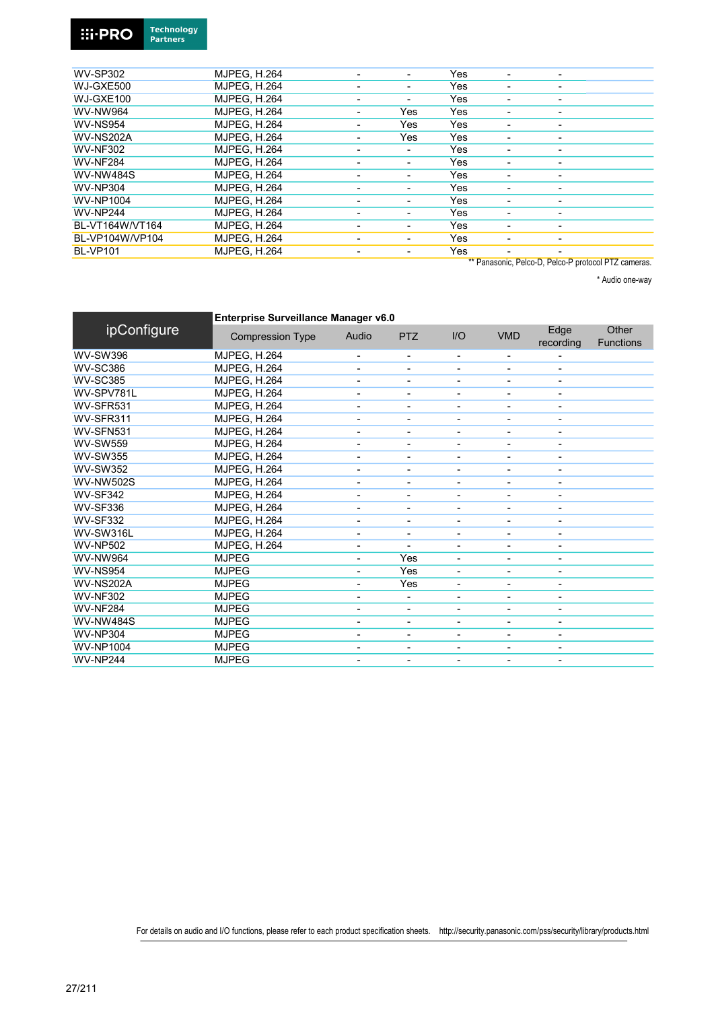#### **Technology**<br>Partners **Ei-PRO**

| <b>WV-SP302</b>  | <b>MJPEG, H.264</b> |                          | Yes |                          |                          |  |
|------------------|---------------------|--------------------------|-----|--------------------------|--------------------------|--|
| WJ-GXE500        | <b>MJPEG, H.264</b> | ٠                        | Yes |                          |                          |  |
| WJ-GXE100        | <b>MJPEG. H.264</b> | ۰                        | Yes |                          |                          |  |
| <b>WV-NW964</b>  | <b>MJPEG, H.264</b> | Yes                      | Yes |                          |                          |  |
| <b>WV-NS954</b>  | <b>MJPEG, H.264</b> | Yes                      | Yes | ۰                        | ۰                        |  |
| WV-NS202A        | <b>MJPEG. H.264</b> | Yes                      | Yes |                          |                          |  |
| <b>WV-NF302</b>  | <b>MJPEG. H.264</b> | ٠                        | Yes | ۰                        | -                        |  |
| <b>WV-NF284</b>  | <b>MJPEG, H.264</b> | ٠                        | Yes | ٠                        | $\overline{\phantom{0}}$ |  |
| <b>WV-NW484S</b> | <b>MJPEG. H.264</b> | ٠                        | Yes | ٠                        | ٠                        |  |
| <b>WV-NP304</b>  | <b>MJPEG, H.264</b> | ٠                        | Yes | ٠                        |                          |  |
| <b>WV-NP1004</b> | <b>MJPEG, H.264</b> | $\overline{\phantom{0}}$ | Yes | -                        | -                        |  |
| <b>WV-NP244</b>  | <b>MJPEG. H.264</b> |                          | Yes |                          |                          |  |
| BL-VT164W/VT164  | <b>MJPEG, H.264</b> | ٠                        | Yes | $\overline{\phantom{0}}$ | $\overline{\phantom{0}}$ |  |
| BL-VP104W/VP104  | <b>MJPEG, H.264</b> | ۰                        | Yes |                          |                          |  |
| <b>BL-VP101</b>  | <b>MJPEG. H.264</b> | ٠                        | Yes |                          |                          |  |

\*\* Panasonic, Pelco-D, Pelco-P protocol PTZ cameras.

\* Audio one-way

|                  | Enterprise Surveillance Manager v6.0 |                              |                          |                          |                          |                              |                           |
|------------------|--------------------------------------|------------------------------|--------------------------|--------------------------|--------------------------|------------------------------|---------------------------|
| ipConfigure      | <b>Compression Type</b>              | Audio                        | <b>PTZ</b>               | I/O                      | <b>VMD</b>               | Edge<br>recording            | Other<br><b>Functions</b> |
| <b>WV-SW396</b>  | <b>MJPEG, H.264</b>                  | $\overline{\phantom{a}}$     | ۰                        | ٠                        | -                        |                              |                           |
| <b>WV-SC386</b>  | <b>MJPEG, H.264</b>                  |                              |                          |                          |                          |                              |                           |
| <b>WV-SC385</b>  | <b>MJPEG, H.264</b>                  |                              | -                        | ٠                        |                          | ۰                            |                           |
| WV-SPV781L       | <b>MJPEG, H.264</b>                  | ٠                            | $\overline{\phantom{0}}$ | ٠                        | -                        | $\overline{\phantom{a}}$     |                           |
| WV-SFR531        | <b>MJPEG, H.264</b>                  |                              |                          |                          |                          |                              |                           |
| WV-SFR311        | <b>MJPEG, H.264</b>                  | $\qquad \qquad \blacksquare$ | ٠                        | ٠                        | -                        | $\blacksquare$               |                           |
| WV-SFN531        | <b>MJPEG, H.264</b>                  |                              |                          |                          |                          |                              |                           |
| <b>WV-SW559</b>  | <b>MJPEG, H.264</b>                  |                              |                          |                          | $\blacksquare$           |                              |                           |
| <b>WV-SW355</b>  | <b>MJPEG, H.264</b>                  |                              | $\overline{\phantom{0}}$ | -                        |                          |                              |                           |
| <b>WV-SW352</b>  | <b>MJPEG, H.264</b>                  |                              |                          |                          |                          |                              |                           |
| <b>WV-NW502S</b> | <b>MJPEG, H.264</b>                  |                              | ٠                        | ٠                        | -                        | -                            |                           |
| <b>WV-SF342</b>  | <b>MJPEG, H.264</b>                  |                              | -                        | -                        | -                        |                              |                           |
| <b>WV-SF336</b>  | <b>MJPEG, H.264</b>                  |                              |                          |                          |                          |                              |                           |
| <b>WV-SF332</b>  | <b>MJPEG, H.264</b>                  | $\qquad \qquad \blacksquare$ | ٠                        | ٠                        | -                        | -                            |                           |
| WV-SW316L        | <b>MJPEG, H.264</b>                  |                              |                          |                          |                          |                              |                           |
| <b>WV-NP502</b>  | <b>MJPEG, H.264</b>                  |                              |                          |                          |                          |                              |                           |
| <b>WV-NW964</b>  | <b>MJPEG</b>                         | $\overline{\phantom{a}}$     | Yes                      | $\overline{\phantom{a}}$ | $\overline{\phantom{0}}$ | $\overline{\phantom{a}}$     |                           |
| <b>WV-NS954</b>  | <b>MJPEG</b>                         |                              | Yes                      |                          | L                        |                              |                           |
| <b>WV-NS202A</b> | <b>MJPEG</b>                         |                              | Yes                      | ٠                        |                          | ۰                            |                           |
| <b>WV-NF302</b>  | <b>MJPEG</b>                         |                              | $\overline{\phantom{0}}$ | -                        | -                        | $\overline{\phantom{a}}$     |                           |
| <b>WV-NF284</b>  | <b>MJPEG</b>                         |                              | $\overline{\phantom{0}}$ | ٠                        | $\overline{\phantom{0}}$ | $\overline{\phantom{0}}$     |                           |
| <b>WV-NW484S</b> | <b>MJPEG</b>                         | $\overline{\phantom{0}}$     | $\overline{\phantom{0}}$ | -                        | -                        | ۰                            |                           |
| <b>WV-NP304</b>  | <b>MJPEG</b>                         | $\overline{\phantom{0}}$     | ۰                        | -                        | -                        | $\qquad \qquad \blacksquare$ |                           |
| <b>WV-NP1004</b> | <b>MJPEG</b>                         | $\overline{\phantom{0}}$     | ۰                        | -                        | -                        | ۰                            |                           |
| <b>WV-NP244</b>  | <b>MJPEG</b>                         |                              | ۰                        | $\blacksquare$           | $\blacksquare$           |                              |                           |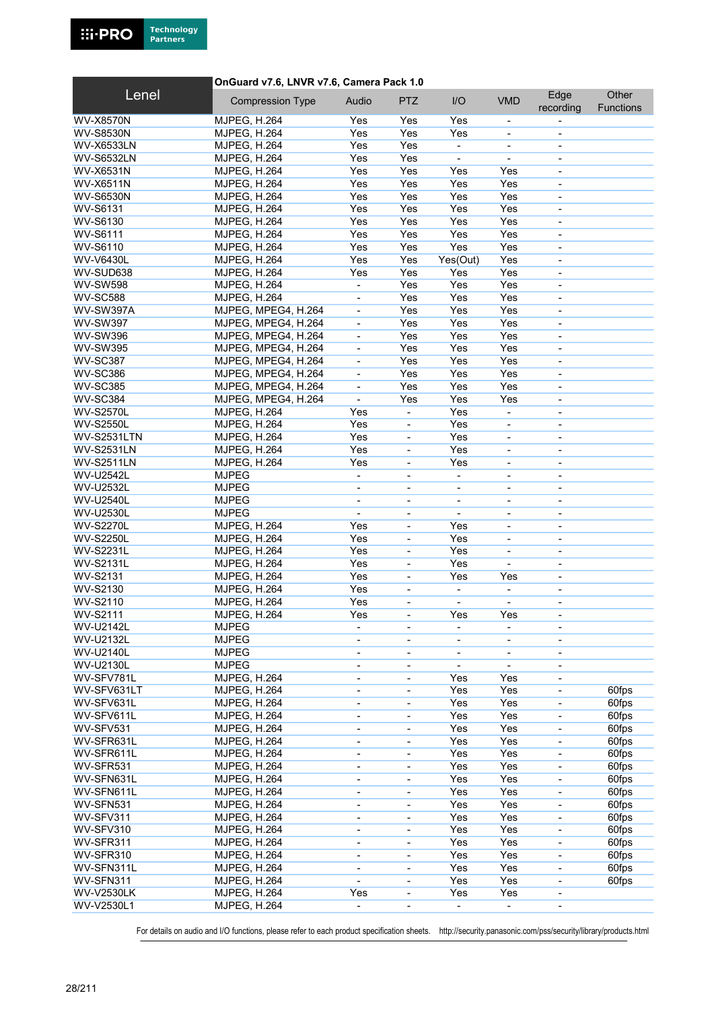

#### OnGuard v7.6, LNVR v7.6, Camera Pack 1.0

| Lenel                          | <b>Compression Type</b> | Audio                        | <b>PTZ</b>                   | I/O                             | <b>VMD</b>                   | Edge                         | Other            |
|--------------------------------|-------------------------|------------------------------|------------------------------|---------------------------------|------------------------------|------------------------------|------------------|
|                                |                         |                              |                              |                                 |                              | recording                    | <b>Functions</b> |
| <b>WV-X8570N</b>               | <b>MJPEG, H.264</b>     | Yes                          | Yes                          | Yes                             | $\overline{\phantom{a}}$     |                              |                  |
| <b>WV-S8530N</b>               | <b>MJPEG, H.264</b>     | Yes                          | Yes                          | Yes                             | $\overline{\phantom{a}}$     |                              |                  |
| WV-X6533LN                     | <b>MJPEG, H.264</b>     | Yes                          | Yes                          | $\blacksquare$                  | $\overline{\phantom{a}}$     | $\overline{\phantom{a}}$     |                  |
| <b>WV-S6532LN</b>              | <b>MJPEG, H.264</b>     | Yes                          | Yes                          |                                 | ä,                           | $\overline{\phantom{a}}$     |                  |
| <b>WV-X6531N</b>               | <b>MJPEG, H.264</b>     | Yes                          | Yes                          | Yes                             | Yes                          | $\overline{\phantom{a}}$     |                  |
| <b>WV-X6511N</b>               | <b>MJPEG, H.264</b>     | Yes                          | Yes                          | Yes                             | Yes                          | $\overline{\phantom{a}}$     |                  |
| <b>WV-S6530N</b>               | <b>MJPEG, H.264</b>     | Yes                          | Yes                          | Yes                             | Yes                          | $\blacksquare$               |                  |
| <b>WV-S6131</b>                | <b>MJPEG, H.264</b>     | Yes                          | Yes                          | Yes                             | Yes                          | $\overline{\phantom{a}}$     |                  |
| WV-S6130                       | <b>MJPEG, H.264</b>     | Yes                          | Yes                          | Yes                             | Yes                          | $\blacksquare$               |                  |
| <b>WV-S6111</b>                | <b>MJPEG, H.264</b>     | Yes                          | Yes                          | Yes                             | Yes                          | $\blacksquare$               |                  |
| WV-S6110                       | <b>MJPEG, H.264</b>     | Yes                          | Yes                          | Yes                             | Yes                          | $\overline{\phantom{a}}$     |                  |
| <b>WV-V6430L</b>               | <b>MJPEG, H.264</b>     | Yes                          | Yes                          | Yes(Out)                        | Yes                          | $\blacksquare$               |                  |
| WV-SUD638                      | <b>MJPEG, H.264</b>     | Yes                          | Yes                          | Yes                             | Yes                          | $\overline{\phantom{a}}$     |                  |
| <b>WV-SW598</b>                | <b>MJPEG, H.264</b>     |                              | Yes                          | Yes                             | Yes                          | $\overline{\phantom{a}}$     |                  |
| <b>WV-SC588</b>                | <b>MJPEG, H.264</b>     | $\overline{\phantom{a}}$     | Yes                          | Yes                             | Yes                          | $\overline{\phantom{a}}$     |                  |
| WV-SW397A                      | MJPEG, MPEG4, H.264     | ÷,                           | Yes                          | Yes                             | Yes                          |                              |                  |
| <b>WV-SW397</b>                | MJPEG, MPEG4, H.264     | ä,                           | Yes                          | Yes                             | Yes                          | $\blacksquare$               |                  |
| <b>WV-SW396</b>                | MJPEG, MPEG4, H.264     | $\overline{\phantom{a}}$     | Yes                          | Yes                             | Yes                          | $\overline{\phantom{a}}$     |                  |
| <b>WV-SW395</b>                | MJPEG, MPEG4, H.264     | $\overline{\phantom{a}}$     | Yes                          | Yes                             | Yes                          | $\overline{\phantom{a}}$     |                  |
| <b>WV-SC387</b>                | MJPEG, MPEG4, H.264     | $\blacksquare$               | Yes                          | Yes                             | Yes                          | $\overline{\phantom{a}}$     |                  |
| <b>WV-SC386</b>                | MJPEG, MPEG4, H.264     | $\blacksquare$               | Yes                          | Yes                             | Yes                          | $\overline{\phantom{a}}$     |                  |
| <b>WV-SC385</b>                | MJPEG, MPEG4, H.264     | $\overline{\phantom{a}}$     | Yes                          | Yes                             | Yes                          | $\overline{\phantom{a}}$     |                  |
| <b>WV-SC384</b>                | MJPEG, MPEG4, H.264     | $\blacksquare$               | Yes                          | Yes                             | Yes                          | $\overline{\phantom{a}}$     |                  |
| <b>WV-S2570L</b>               | <b>MJPEG, H.264</b>     | Yes                          | $\overline{a}$               | Yes                             | ä,                           | $\overline{\phantom{a}}$     |                  |
| <b>WV-S2550L</b>               | <b>MJPEG, H.264</b>     | Yes                          | L,                           | Yes                             | $\blacksquare$               | $\blacksquare$               |                  |
| <b>WV-S2531LTN</b>             | <b>MJPEG, H.264</b>     | Yes                          | $\qquad \qquad \blacksquare$ | Yes                             | $\overline{\phantom{a}}$     | $\overline{\phantom{a}}$     |                  |
| <b>WV-S2531LN</b>              | <b>MJPEG, H.264</b>     | Yes                          | ÷,                           | Yes                             | $\blacksquare$               | $\overline{\phantom{0}}$     |                  |
| <b>WV-S2511LN</b>              | <b>MJPEG, H.264</b>     | Yes                          | ÷,                           | Yes                             | $\blacksquare$               | $\blacksquare$               |                  |
| <b>WV-U2542L</b>               | <b>MJPEG</b>            | ÷,                           |                              |                                 |                              |                              |                  |
| <b>WV-U2532L</b>               | <b>MJPEG</b>            | $\blacksquare$               | ÷,                           | $\blacksquare$                  | $\blacksquare$               | $\blacksquare$               |                  |
| <b>WV-U2540L</b>               | <b>MJPEG</b>            | $\overline{\phantom{a}}$     | ÷,                           | $\overline{\phantom{a}}$        | $\overline{\phantom{a}}$     | $\overline{\phantom{a}}$     |                  |
| <b>WV-U2530L</b>               | <b>MJPEG</b>            | $\mathbf{r}$                 | ÷,                           | $\blacksquare$                  | $\blacksquare$               | $\blacksquare$               |                  |
| <b>WV-S2270L</b>               | <b>MJPEG, H.264</b>     | Yes                          | ÷,                           | Yes                             | $\blacksquare$               |                              |                  |
| <b>WV-S2250L</b>               | <b>MJPEG, H.264</b>     | Yes                          | ÷,                           | Yes                             | $\overline{\phantom{a}}$     | $\overline{\phantom{a}}$     |                  |
| <b>WV-S2231L</b>               | <b>MJPEG, H.264</b>     | Yes                          | ٠                            | Yes                             | $\qquad \qquad \blacksquare$ | $\overline{\phantom{a}}$     |                  |
| <b>WV-S2131L</b>               | <b>MJPEG, H.264</b>     | Yes                          | ÷,                           | Yes                             | $\overline{\phantom{a}}$     | $\overline{\phantom{a}}$     |                  |
| <b>WV-S2131</b>                | <b>MJPEG, H.264</b>     | Yes                          | ÷,                           | Yes                             | Yes                          | $\blacksquare$               |                  |
| WV-S2130                       | <b>MJPEG, H.264</b>     | Yes                          | ÷,                           | $\overline{\phantom{a}}$        | $\overline{\phantom{a}}$     | $\overline{\phantom{a}}$     |                  |
| WV-S2110                       | <b>MJPEG, H.264</b>     | Yes                          | ٠                            |                                 |                              | $\overline{\phantom{a}}$     |                  |
| <b>WV-S2111</b>                | <b>MJPEG, H.264</b>     | Yes                          | $\overline{\phantom{0}}$     | Yes                             | Yes                          | $\overline{\phantom{a}}$     |                  |
| <b>WV-U2142L</b>               | <b>MJPEG</b>            |                              |                              |                                 |                              |                              |                  |
| <b>WV-U2132L</b>               | <b>MJPEG</b>            |                              |                              |                                 |                              |                              |                  |
| <b>WV-U2140L</b>               |                         | $\overline{\phantom{a}}$     | -                            | $\overline{\phantom{a}}$        | $\overline{\phantom{a}}$     | $\overline{\phantom{a}}$     |                  |
|                                | <b>MJPEG</b>            |                              | -                            |                                 | $\overline{\phantom{a}}$     |                              |                  |
| <b>WV-U2130L</b><br>WV-SFV781L | <b>MJPEG</b>            | $\overline{\phantom{a}}$     | ٠                            | $\overline{\phantom{a}}$<br>Yes | $\overline{\phantom{a}}$     | $\overline{\phantom{a}}$     |                  |
|                                | <b>MJPEG, H.264</b>     | $\overline{\phantom{a}}$     |                              |                                 | Yes                          |                              |                  |
| WV-SFV631LT                    | <b>MJPEG, H.264</b>     | $\blacksquare$               | ÷,                           | Yes                             | Yes                          | $\blacksquare$               | 60fps            |
| WV-SFV631L                     | <b>MJPEG, H.264</b>     | $\blacksquare$               | ÷                            | Yes                             | Yes                          | $\overline{\phantom{a}}$     | 60fps            |
| WV-SFV611L                     | <b>MJPEG, H.264</b>     | $\overline{\phantom{0}}$     | $\overline{a}$               | Yes                             | Yes                          | $\overline{\phantom{0}}$     | 60fps            |
| WV-SFV531                      | <b>MJPEG, H.264</b>     | $\qquad \qquad \blacksquare$ |                              | Yes                             | Yes                          | $\overline{\phantom{a}}$     | 60fps            |
| WV-SFR631L                     | <b>MJPEG, H.264</b>     | $\qquad \qquad \blacksquare$ | ÷,                           | Yes                             | Yes                          | $\blacksquare$               | 60fps            |
| WV-SFR611L                     | <b>MJPEG, H.264</b>     | $\overline{\phantom{a}}$     | -                            | Yes                             | Yes                          | $\overline{\phantom{a}}$     | 60fps            |
| WV-SFR531                      | <b>MJPEG, H.264</b>     | $\overline{\phantom{a}}$     | -                            | Yes                             | Yes                          | $\overline{\phantom{0}}$     | 60fps            |
| WV-SFN631L                     | <b>MJPEG, H.264</b>     | $\overline{\phantom{a}}$     | $\overline{a}$               | Yes                             | Yes                          | $\overline{\phantom{a}}$     | 60fps            |
| WV-SFN611L                     | <b>MJPEG, H.264</b>     | $\blacksquare$               | ÷,                           | Yes                             | Yes                          | $\blacksquare$               | 60fps            |
| WV-SFN531                      | <b>MJPEG, H.264</b>     | $\overline{\phantom{a}}$     | ÷,                           | Yes                             | Yes                          | $\overline{\phantom{a}}$     | 60fps            |
| WV-SFV311                      | <b>MJPEG, H.264</b>     | $\overline{\phantom{a}}$     | -                            | Yes                             | Yes                          | $\overline{\phantom{0}}$     | 60fps            |
| WV-SFV310                      | <b>MJPEG, H.264</b>     | $\overline{\phantom{a}}$     | -                            | Yes                             | Yes                          | $\overline{\phantom{a}}$     | 60fps            |
| WV-SFR311                      | <b>MJPEG, H.264</b>     | $\overline{\phantom{a}}$     | ٠                            | Yes                             | Yes                          | $\qquad \qquad \blacksquare$ | 60fps            |
| WV-SFR310                      | <b>MJPEG, H.264</b>     | $\overline{\phantom{a}}$     | ÷,                           | Yes                             | Yes                          | $\overline{\phantom{a}}$     | 60fps            |
| WV-SFN311L                     | <b>MJPEG, H.264</b>     | $\overline{\phantom{0}}$     | ٠                            | Yes                             | Yes                          | $\overline{\phantom{0}}$     | 60fps            |
| WV-SFN311                      | <b>MJPEG, H.264</b>     | $\blacksquare$               | ÷,                           | Yes                             | Yes                          | $\overline{\phantom{a}}$     | 60fps            |
| <b>WV-V2530LK</b>              | <b>MJPEG, H.264</b>     | Yes                          | ÷,                           | Yes                             | Yes                          | $\overline{\phantom{a}}$     |                  |
| WV-V2530L1                     | <b>MJPEG, H.264</b>     |                              | -                            |                                 | $\overline{\phantom{a}}$     |                              |                  |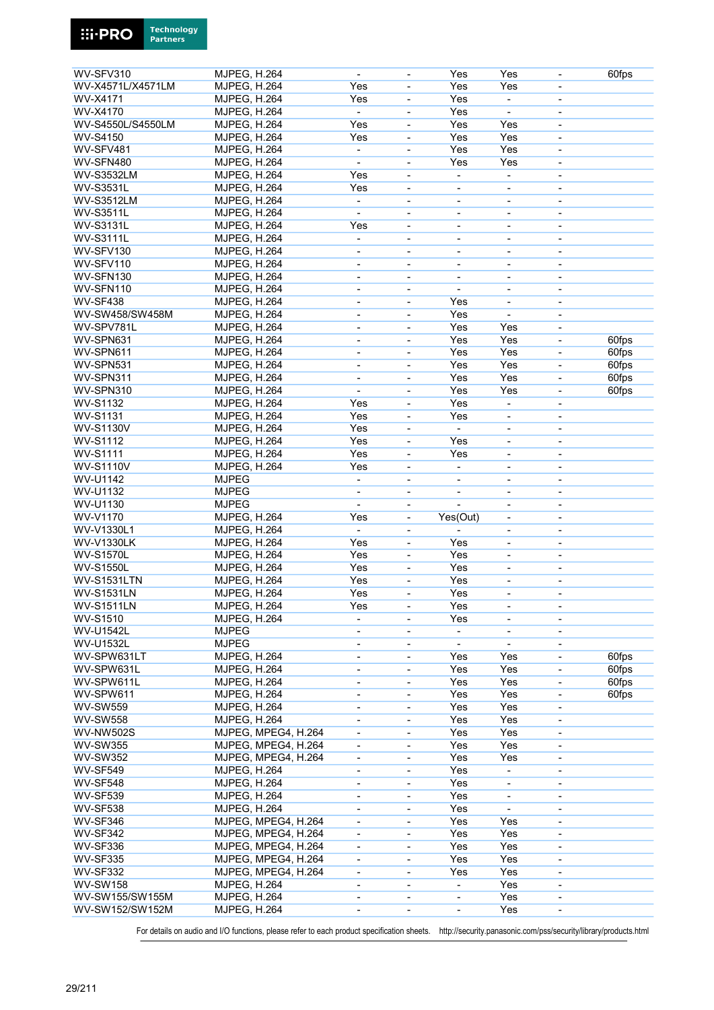

| WV-SFV310          | <b>MJPEG, H.264</b> |                     | $\blacksquare$               | $\overline{\phantom{a}}$     | Yes                          | Yes                      | $\overline{\phantom{a}}$     | 60fps |
|--------------------|---------------------|---------------------|------------------------------|------------------------------|------------------------------|--------------------------|------------------------------|-------|
| WV-X4571L/X4571LM  | <b>MJPEG, H.264</b> |                     | Yes                          |                              | Yes                          | Yes                      |                              |       |
| <b>WV-X4171</b>    | <b>MJPEG, H.264</b> |                     | Yes                          | $\overline{\phantom{a}}$     | Yes                          |                          | $\overline{\phantom{a}}$     |       |
| <b>WV-X4170</b>    | <b>MJPEG, H.264</b> |                     |                              | $\blacksquare$               | Yes                          |                          | $\blacksquare$               |       |
| WV-S4550L/S4550LM  | <b>MJPEG, H.264</b> |                     | Yes                          | $\blacksquare$               | Yes                          | Yes                      | $\blacksquare$               |       |
| <b>WV-S4150</b>    |                     |                     | Yes                          |                              | Yes                          | Yes                      |                              |       |
|                    | <b>MJPEG, H.264</b> |                     |                              | $\blacksquare$               |                              |                          | $\overline{\phantom{a}}$     |       |
| WV-SFV481          | <b>MJPEG, H.264</b> |                     | $\blacksquare$               | $\blacksquare$               | Yes                          | Yes                      | $\blacksquare$               |       |
| WV-SFN480          | <b>MJPEG, H.264</b> |                     |                              | $\blacksquare$               | Yes                          | Yes                      | $\blacksquare$               |       |
| <b>WV-S3532LM</b>  | MJPEG, H.264        |                     | Yes                          | $\overline{\phantom{a}}$     | $\overline{\phantom{a}}$     | ۰                        | $\overline{\phantom{a}}$     |       |
| <b>WV-S3531L</b>   | <b>MJPEG, H.264</b> |                     | Yes                          | $\qquad \qquad \blacksquare$ | $\qquad \qquad \blacksquare$ | ۰                        | $\overline{\phantom{a}}$     |       |
| <b>WV-S3512LM</b>  | <b>MJPEG, H.264</b> |                     | $\overline{\phantom{a}}$     | $\overline{\phantom{a}}$     | $\qquad \qquad \blacksquare$ | $\overline{\phantom{a}}$ | $\overline{\phantom{a}}$     |       |
| <b>WV-S3511L</b>   | <b>MJPEG, H.264</b> |                     |                              |                              |                              |                          |                              |       |
| <b>WV-S3131L</b>   | <b>MJPEG, H.264</b> |                     | Yes                          | $\overline{\phantom{a}}$     | $\overline{\phantom{a}}$     | $\overline{\phantom{0}}$ | $\overline{\phantom{a}}$     |       |
| <b>WV-S3111L</b>   | <b>MJPEG, H.264</b> |                     | $\overline{\phantom{a}}$     | $\blacksquare$               | $\qquad \qquad \blacksquare$ | -                        | $\overline{\phantom{a}}$     |       |
| WV-SFV130          | MJPEG, H.264        |                     | $\overline{\phantom{a}}$     | $\overline{\phantom{a}}$     | $\qquad \qquad \blacksquare$ | -                        | $\overline{\phantom{a}}$     |       |
| WV-SFV110          | <b>MJPEG, H.264</b> |                     | $\qquad \qquad \blacksquare$ | $\overline{\phantom{a}}$     | $\qquad \qquad \blacksquare$ |                          | $\overline{\phantom{a}}$     |       |
| WV-SFN130          | MJPEG, H.264        |                     | $\overline{\phantom{a}}$     | $\overline{\phantom{a}}$     | $\qquad \qquad \blacksquare$ | $\overline{\phantom{0}}$ | $\overline{\phantom{a}}$     |       |
| WV-SFN110          | <b>MJPEG, H.264</b> |                     | $\overline{\phantom{a}}$     | $\overline{\phantom{a}}$     |                              | -                        | $\overline{\phantom{a}}$     |       |
| <b>WV-SF438</b>    | <b>MJPEG, H.264</b> |                     | $\qquad \qquad \blacksquare$ | $\overline{\phantom{a}}$     | Yes                          | $\overline{\phantom{0}}$ | $\overline{\phantom{a}}$     |       |
| WV-SW458/SW458M    | <b>MJPEG, H.264</b> |                     | $\overline{\phantom{0}}$     | $\overline{\phantom{a}}$     | Yes                          | $\overline{\phantom{0}}$ |                              |       |
|                    |                     |                     |                              |                              |                              |                          |                              |       |
| WV-SPV781L         | <b>MJPEG, H.264</b> |                     | $\overline{\phantom{a}}$     | $\blacksquare$               | Yes                          | Yes                      | $\blacksquare$               |       |
| WV-SPN631          | <b>MJPEG, H.264</b> |                     | $\overline{\phantom{a}}$     | $\blacksquare$               | Yes                          | Yes                      | $\blacksquare$               | 60fps |
| WV-SPN611          | <b>MJPEG, H.264</b> |                     | $\qquad \qquad \blacksquare$ | $\overline{\phantom{a}}$     | Yes                          | Yes                      | $\qquad \qquad \blacksquare$ | 60fps |
| WV-SPN531          | <b>MJPEG, H.264</b> |                     | $\overline{\phantom{a}}$     | $\overline{\phantom{a}}$     | Yes                          | Yes                      | $\overline{\phantom{a}}$     | 60fps |
| WV-SPN311          | <b>MJPEG, H.264</b> |                     | $\overline{\phantom{a}}$     | $\blacksquare$               | Yes                          | Yes                      | $\blacksquare$               | 60fps |
| WV-SPN310          | <b>MJPEG, H.264</b> |                     | $\overline{\phantom{a}}$     | $\blacksquare$               | Yes                          | Yes                      | $\overline{\phantom{a}}$     | 60fps |
| <b>WV-S1132</b>    | <b>MJPEG, H.264</b> |                     | Yes                          | $\blacksquare$               | Yes                          |                          | $\overline{\phantom{a}}$     |       |
| <b>WV-S1131</b>    | <b>MJPEG, H.264</b> |                     | Yes                          | $\blacksquare$               | Yes                          | ÷,                       | $\overline{\phantom{a}}$     |       |
| <b>WV-S1130V</b>   | <b>MJPEG, H.264</b> |                     | Yes                          | $\blacksquare$               | $\mathbf{r}$                 |                          | $\blacksquare$               |       |
| <b>WV-S1112</b>    | <b>MJPEG, H.264</b> |                     | Yes                          | $\overline{\phantom{a}}$     | Yes                          | $\overline{\phantom{0}}$ | $\overline{\phantom{a}}$     |       |
| <b>WV-S1111</b>    | <b>MJPEG, H.264</b> |                     | Yes                          | $\overline{\phantom{a}}$     | Yes                          | -                        | $\overline{\phantom{a}}$     |       |
| <b>WV-S1110V</b>   | MJPEG, H.264        |                     | Yes                          | $\overline{\phantom{a}}$     | $\overline{\phantom{a}}$     | -                        | $\overline{\phantom{a}}$     |       |
| <b>WV-U1142</b>    | <b>MJPEG</b>        |                     | $\blacksquare$               |                              |                              |                          |                              |       |
|                    |                     |                     |                              |                              |                              | ÷,                       | $\blacksquare$               |       |
| WV-U1132           | <b>MJPEG</b>        |                     | $\overline{\phantom{a}}$     | $\overline{\phantom{a}}$     | $\overline{\phantom{a}}$     | -                        | $\overline{\phantom{a}}$     |       |
| WV-U1130           | <b>MJPEG</b>        |                     |                              | $\overline{\phantom{a}}$     |                              |                          | $\overline{\phantom{a}}$     |       |
| WV-V1170           | <b>MJPEG, H.264</b> |                     | Yes                          | $\overline{\phantom{a}}$     | Yes(Out)                     | -                        | $\overline{\phantom{a}}$     |       |
| WV-V1330L1         | <b>MJPEG, H.264</b> |                     | $\blacksquare$               |                              |                              |                          |                              |       |
| <b>WV-V1330LK</b>  | MJPEG, H.264        |                     | Yes                          | $\blacksquare$               | Yes                          | $\overline{\phantom{0}}$ | $\overline{\phantom{a}}$     |       |
| <b>WV-S1570L</b>   | <b>MJPEG, H.264</b> |                     | Yes                          | $\qquad \qquad \blacksquare$ | Yes                          | -                        | $\overline{\phantom{a}}$     |       |
| <b>WV-S1550L</b>   | MJPEG, H.264        |                     | Yes                          | $\overline{\phantom{a}}$     | Yes                          | -                        | $\overline{\phantom{a}}$     |       |
| <b>WV-S1531LTN</b> | <b>MJPEG, H.264</b> |                     | Yes                          | $\overline{\phantom{a}}$     | Yes                          |                          | $\overline{\phantom{a}}$     |       |
| <b>WV-S1531LN</b>  | <b>MJPEG, H.264</b> |                     | Yes                          | ä,                           | Yes                          | ٠                        | $\overline{\phantom{a}}$     |       |
| <b>WV-S1511LN</b>  | <b>MJPEG, H.264</b> |                     | Yes                          | $\overline{\phantom{0}}$     | Yes                          | -                        | $\overline{\phantom{a}}$     |       |
| <b>WV-S1510</b>    | MJPEG, H.264        |                     | $\overline{\phantom{a}}$     | $\blacksquare$               | Yes                          | $\overline{\phantom{0}}$ | $\overline{\phantom{a}}$     |       |
| <b>WV-U1542L</b>   | <b>MJPEG</b>        |                     | $\qquad \qquad \blacksquare$ | $\overline{\phantom{a}}$     |                              | $\overline{\phantom{0}}$ | $\overline{\phantom{a}}$     |       |
| <b>WV-U1532L</b>   | <b>MJPEG</b>        |                     | $\qquad \qquad \blacksquare$ | $\overline{\phantom{a}}$     |                              | $\overline{a}$           | $\overline{\phantom{a}}$     |       |
| WV-SPW631LT        | <b>MJPEG, H.264</b> |                     |                              |                              |                              | Yes                      |                              | 60fps |
| WV-SPW631L         |                     |                     | $\overline{\phantom{a}}$     | $\overline{\phantom{a}}$     | Yes                          |                          | $\overline{\phantom{a}}$     |       |
|                    | MJPEG, H.264        |                     | $\qquad \qquad \blacksquare$ | $\overline{\phantom{a}}$     | Yes                          | Yes                      | $\overline{\phantom{a}}$     | 60fps |
| WV-SPW611L         | MJPEG, H.264        |                     | $\overline{\phantom{a}}$     | $\overline{\phantom{a}}$     | Yes                          | Yes                      | $\qquad \qquad \blacksquare$ | 60fps |
| WV-SPW611          | MJPEG, H.264        |                     | $\overline{\phantom{a}}$     | ÷,                           | Yes                          | Yes                      | $\blacksquare$               | 60fps |
| <b>WV-SW559</b>    | <b>MJPEG, H.264</b> |                     | $\overline{\phantom{a}}$     | $\overline{\phantom{a}}$     | Yes                          | Yes                      | $\overline{\phantom{a}}$     |       |
| <b>WV-SW558</b>    | <b>MJPEG, H.264</b> |                     | $\blacksquare$               | $\overline{\phantom{a}}$     | Yes                          | Yes                      | $\overline{\phantom{a}}$     |       |
| <b>WV-NW502S</b>   |                     | MJPEG, MPEG4, H.264 | $\overline{\phantom{a}}$     | $\overline{\phantom{a}}$     | Yes                          | Yes                      | $\overline{\phantom{a}}$     |       |
| <b>WV-SW355</b>    |                     | MJPEG, MPEG4, H.264 | $\blacksquare$               | $\overline{\phantom{a}}$     | Yes                          | Yes                      | $\overline{\phantom{a}}$     |       |
| <b>WV-SW352</b>    |                     | MJPEG, MPEG4, H.264 | $\overline{\phantom{a}}$     | $\overline{\phantom{a}}$     | Yes                          | Yes                      | $\overline{\phantom{a}}$     |       |
| <b>WV-SF549</b>    | MJPEG, H.264        |                     | $\overline{\phantom{0}}$     | $\qquad \qquad \blacksquare$ | Yes                          |                          | $\overline{\phantom{a}}$     |       |
| WV-SF548           | MJPEG, H.264        |                     | $\overline{\phantom{a}}$     | $\overline{\phantom{a}}$     | Yes                          | -                        | $\overline{\phantom{a}}$     |       |
| <b>WV-SF539</b>    | MJPEG, H.264        |                     | $\overline{\phantom{a}}$     | ÷,                           | Yes                          |                          | $\overline{\phantom{a}}$     |       |
| <b>WV-SF538</b>    | <b>MJPEG, H.264</b> |                     |                              |                              | Yes                          | $\blacksquare$           |                              |       |
|                    |                     | MJPEG, MPEG4, H.264 | $\overline{\phantom{a}}$     | $\overline{\phantom{a}}$     |                              |                          | $\overline{\phantom{a}}$     |       |
| WV-SF346           |                     |                     | $\overline{\phantom{a}}$     | $\qquad \qquad \blacksquare$ | Yes                          | Yes                      | $\overline{\phantom{a}}$     |       |
|                    |                     |                     |                              |                              |                              |                          |                              |       |
| <b>WV-SF342</b>    |                     | MJPEG, MPEG4, H.264 | $\overline{\phantom{a}}$     | $\overline{\phantom{a}}$     | Yes                          | Yes                      | $\overline{\phantom{a}}$     |       |
| <b>WV-SF336</b>    |                     | MJPEG, MPEG4, H.264 | $\overline{\phantom{a}}$     | $\overline{\phantom{a}}$     | Yes                          | Yes                      | $\overline{\phantom{a}}$     |       |
| <b>WV-SF335</b>    |                     | MJPEG, MPEG4, H.264 | $\overline{\phantom{a}}$     | $\overline{\phantom{a}}$     | Yes                          | Yes                      | $\overline{\phantom{a}}$     |       |
| <b>WV-SF332</b>    |                     | MJPEG, MPEG4, H.264 | $\overline{\phantom{a}}$     | $\qquad \qquad \blacksquare$ | Yes                          | Yes                      | $\overline{\phantom{a}}$     |       |
| <b>WV-SW158</b>    | MJPEG, H.264        |                     | $\overline{\phantom{a}}$     | $\overline{\phantom{a}}$     | $\overline{\phantom{a}}$     | Yes                      | $\overline{\phantom{a}}$     |       |
| WV-SW155/SW155M    | <b>MJPEG, H.264</b> |                     | $\overline{\phantom{m}}$     | $\overline{\phantom{a}}$     |                              | Yes                      |                              |       |
| WV-SW152/SW152M    | MJPEG, H.264        |                     | $\overline{\phantom{a}}$     | $\blacksquare$               | $\qquad \qquad \blacksquare$ | Yes                      | $\overline{\phantom{a}}$     |       |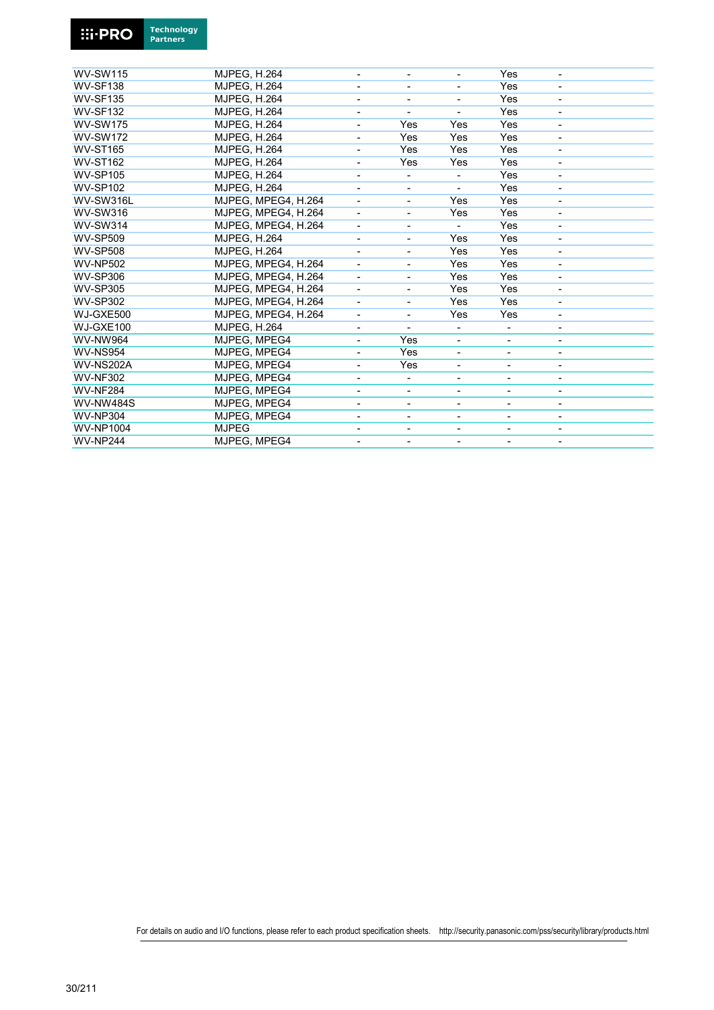

| <b>WV-SW115</b>  | <b>MJPEG, H.264</b> |                          |                          |                              | Yes                      |                          |  |
|------------------|---------------------|--------------------------|--------------------------|------------------------------|--------------------------|--------------------------|--|
| <b>WV-SF138</b>  | <b>MJPEG, H.264</b> | -                        | ۰                        | -                            | Yes                      | $\overline{\phantom{0}}$ |  |
| <b>WV-SF135</b>  | <b>MJPEG. H.264</b> |                          |                          |                              | Yes                      |                          |  |
| <b>WV-SF132</b>  | <b>MJPEG. H.264</b> |                          |                          |                              | Yes                      |                          |  |
| <b>WV-SW175</b>  | <b>MJPEG, H.264</b> |                          | Yes                      | Yes                          | Yes                      |                          |  |
| <b>WV-SW172</b>  | <b>MJPEG, H.264</b> |                          | Yes                      | Yes                          | Yes                      |                          |  |
| <b>WV-ST165</b>  | <b>MJPEG, H.264</b> |                          | Yes                      | Yes                          | Yes                      |                          |  |
| <b>WV-ST162</b>  | <b>MJPEG, H.264</b> |                          | Yes                      | Yes                          | Yes                      |                          |  |
| <b>WV-SP105</b>  | <b>MJPEG. H.264</b> |                          |                          |                              | Yes                      |                          |  |
| <b>WV-SP102</b>  | <b>MJPEG, H.264</b> |                          | ٠                        |                              | Yes                      |                          |  |
| WV-SW316L        | MJPEG, MPEG4, H.264 |                          | $\overline{\phantom{a}}$ | Yes                          | Yes                      |                          |  |
| <b>WV-SW316</b>  | MJPEG, MPEG4, H.264 |                          |                          | Yes                          | Yes                      |                          |  |
| <b>WV-SW314</b>  | MJPEG, MPEG4, H.264 | $\overline{\phantom{a}}$ | -                        |                              | Yes                      |                          |  |
| <b>WV-SP509</b>  | <b>MJPEG, H.264</b> |                          | ÷,                       | Yes                          | Yes                      |                          |  |
| <b>WV-SP508</b>  | <b>MJPEG, H.264</b> | $\overline{\phantom{a}}$ | $\overline{\phantom{a}}$ | Yes                          | Yes                      | ٠                        |  |
| <b>WV-NP502</b>  | MJPEG, MPEG4, H.264 |                          | ٠                        | Yes                          | Yes                      |                          |  |
| <b>WV-SP306</b>  | MJPEG. MPEG4. H.264 | $\overline{\phantom{a}}$ | -                        | Yes                          | Yes                      |                          |  |
| <b>WV-SP305</b>  | MJPEG, MPEG4, H.264 |                          |                          | Yes                          | Yes                      |                          |  |
| <b>WV-SP302</b>  | MJPEG, MPEG4, H.264 | $\overline{\phantom{a}}$ |                          | Yes                          | Yes                      |                          |  |
| WJ-GXE500        | MJPEG, MPEG4, H.264 | $\overline{\phantom{0}}$ |                          | Yes                          | Yes                      |                          |  |
| WJ-GXE100        | <b>MJPEG. H.264</b> | $\overline{\phantom{a}}$ |                          |                              | ۰                        |                          |  |
| <b>WV-NW964</b>  | MJPEG, MPEG4        | $\overline{\phantom{0}}$ | Yes                      | $\overline{\phantom{0}}$     | -                        |                          |  |
| <b>WV-NS954</b>  | MJPEG, MPEG4        | $\overline{\phantom{a}}$ | Yes                      | -                            | ۰                        |                          |  |
| <b>WV-NS202A</b> | MJPEG, MPEG4        | -                        | Yes                      | -                            | -                        |                          |  |
| <b>WV-NF302</b>  | MJPEG, MPEG4        |                          | ۰                        | ٠                            | -                        |                          |  |
| <b>WV-NF284</b>  | MJPEG, MPEG4        | ۰                        | $\overline{\phantom{a}}$ | $\overline{a}$               | ۰                        |                          |  |
| <b>WV-NW484S</b> | MJPEG, MPEG4        | $\overline{\phantom{a}}$ | ۰                        |                              |                          |                          |  |
| <b>WV-NP304</b>  | MJPEG, MPEG4        | $\overline{\phantom{a}}$ | ۰                        | -                            | $\overline{\phantom{a}}$ | $\overline{\phantom{a}}$ |  |
| <b>WV-NP1004</b> | <b>MJPEG</b>        | $\overline{\phantom{0}}$ | $\overline{\phantom{a}}$ | ٠                            | $\overline{\phantom{a}}$ |                          |  |
| <b>WV-NP244</b>  | MJPEG, MPEG4        |                          | $\overline{\phantom{a}}$ | $\qquad \qquad \blacksquare$ | $\overline{\phantom{a}}$ |                          |  |
|                  |                     |                          |                          |                              |                          |                          |  |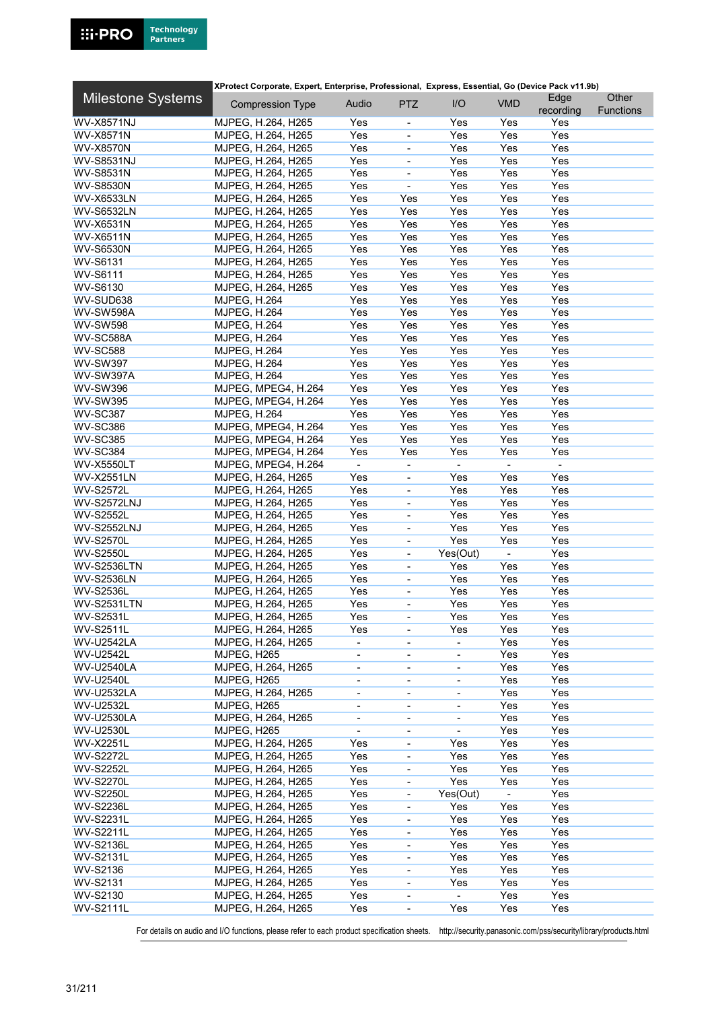|                          | XProtect Corporate, Expert, Enterprise, Professional, Express, Essential, Go (Device Pack v11.9b) |                              |                              |                          |            |                   |                           |
|--------------------------|---------------------------------------------------------------------------------------------------|------------------------------|------------------------------|--------------------------|------------|-------------------|---------------------------|
| <b>Milestone Systems</b> | <b>Compression Type</b>                                                                           | Audio                        | <b>PTZ</b>                   | I/O                      | <b>VMD</b> | Edge<br>recording | Other<br><b>Functions</b> |
| <b>WV-X8571NJ</b>        | MJPEG, H.264, H265                                                                                | Yes                          | $\overline{\phantom{a}}$     | Yes                      | Yes        | Yes               |                           |
| <b>WV-X8571N</b>         | MJPEG, H.264, H265                                                                                | Yes                          | ÷,                           | Yes                      | Yes        | Yes               |                           |
| <b>WV-X8570N</b>         | MJPEG, H.264, H265                                                                                | Yes                          | ÷,                           | Yes                      | Yes        | Yes               |                           |
| <b>WV-S8531NJ</b>        | MJPEG, H.264, H265                                                                                | Yes                          | ÷,                           | Yes                      | Yes        | Yes               |                           |
| <b>WV-S8531N</b>         |                                                                                                   | Yes                          | ÷,                           | Yes                      | Yes        | Yes               |                           |
|                          | MJPEG, H.264, H265                                                                                |                              | ÷,                           |                          |            |                   |                           |
| <b>WV-S8530N</b>         | MJPEG, H.264, H265                                                                                | Yes                          |                              | Yes                      | Yes        | Yes               |                           |
| <b>WV-X6533LN</b>        | MJPEG, H.264, H265                                                                                | Yes                          | Yes                          | Yes                      | Yes        | Yes               |                           |
| <b>WV-S6532LN</b>        | MJPEG, H.264, H265                                                                                | Yes                          | Yes                          | Yes                      | Yes        | Yes               |                           |
| WV-X6531N                | MJPEG, H.264, H265                                                                                | Yes                          | Yes                          | Yes                      | Yes        | Yes               |                           |
| <b>WV-X6511N</b>         | MJPEG, H.264, H265                                                                                | Yes                          | Yes                          | Yes                      | Yes        | Yes               |                           |
| <b>WV-S6530N</b>         | MJPEG, H.264, H265                                                                                | Yes                          | Yes                          | Yes                      | Yes        | Yes               |                           |
| WV-S6131                 | MJPEG, H.264, H265                                                                                | Yes                          | Yes                          | Yes                      | Yes        | Yes               |                           |
| WV-S6111                 | MJPEG, H.264, H265                                                                                | Yes                          | Yes                          | Yes                      | Yes        | Yes               |                           |
| WV-S6130                 | MJPEG, H.264, H265                                                                                | Yes                          | Yes                          | Yes                      | Yes        | Yes               |                           |
| WV-SUD638                | <b>MJPEG, H.264</b>                                                                               | Yes                          | Yes                          | Yes                      | Yes        | Yes               |                           |
| <b>WV-SW598A</b>         | <b>MJPEG, H.264</b>                                                                               | Yes                          | Yes                          | Yes                      | Yes        | Yes               |                           |
| <b>WV-SW598</b>          | <b>MJPEG, H.264</b>                                                                               | Yes                          | Yes                          | Yes                      | Yes        | Yes               |                           |
| WV-SC588A                | <b>MJPEG, H.264</b>                                                                               | Yes                          | Yes                          | Yes                      | Yes        | Yes               |                           |
| <b>WV-SC588</b>          | <b>MJPEG, H.264</b>                                                                               | Yes                          | Yes                          | Yes                      | Yes        | Yes               |                           |
| <b>WV-SW397</b>          | MJPEG, H.264                                                                                      | Yes                          | Yes                          | Yes                      | Yes        | Yes               |                           |
| <b>WV-SW397A</b>         | <b>MJPEG, H.264</b>                                                                               | Yes                          | Yes                          | Yes                      | Yes        | Yes               |                           |
| <b>WV-SW396</b>          | MJPEG, MPEG4, H.264                                                                               | Yes                          | Yes                          | Yes                      | Yes        | Yes               |                           |
| <b>WV-SW395</b>          | MJPEG, MPEG4, H.264                                                                               | Yes                          | Yes                          | Yes                      | Yes        | Yes               |                           |
|                          |                                                                                                   | Yes                          |                              | Yes                      | Yes        | Yes               |                           |
| <b>WV-SC387</b>          | <b>MJPEG, H.264</b>                                                                               |                              | Yes                          |                          |            |                   |                           |
| <b>WV-SC386</b>          | MJPEG, MPEG4, H.264                                                                               | Yes                          | Yes                          | Yes                      | Yes        | Yes               |                           |
| <b>WV-SC385</b>          | MJPEG, MPEG4, H.264                                                                               | Yes                          | Yes                          | Yes                      | Yes        | Yes               |                           |
| <b>WV-SC384</b>          | MJPEG, MPEG4, H.264                                                                               | Yes                          | Yes                          | Yes                      | Yes        | Yes               |                           |
| <b>WV-X5550LT</b>        | MJPEG, MPEG4, H.264                                                                               | ÷.                           | $\blacksquare$               | $\blacksquare$           |            | $\blacksquare$    |                           |
| <b>WV-X2551LN</b>        | MJPEG, H.264, H265                                                                                | Yes                          | ÷,                           | Yes                      | Yes        | Yes               |                           |
| <b>WV-S2572L</b>         | MJPEG, H.264, H265                                                                                | Yes                          | $\blacksquare$               | Yes                      | Yes        | Yes               |                           |
| <b>WV-S2572LNJ</b>       | MJPEG, H.264, H265                                                                                | Yes                          | ÷,                           | Yes                      | Yes        | Yes               |                           |
| <b>WV-S2552L</b>         | MJPEG, H.264, H265                                                                                | Yes                          | $\blacksquare$               | Yes                      | Yes        | Yes               |                           |
| <b>WV-S2552LNJ</b>       | MJPEG, H.264, H265                                                                                | Yes                          | $\qquad \qquad \blacksquare$ | Yes                      | Yes        | Yes               |                           |
| <b>WV-S2570L</b>         | MJPEG, H.264, H265                                                                                | Yes                          | $\blacksquare$               | Yes                      | Yes        | Yes               |                           |
| <b>WV-S2550L</b>         | MJPEG, H.264, H265                                                                                | Yes                          | $\overline{\phantom{0}}$     | Yes(Out)                 |            | Yes               |                           |
| <b>WV-S2536LTN</b>       | MJPEG, H.264, H265                                                                                | Yes                          | $\blacksquare$               | Yes                      | Yes        | Yes               |                           |
| <b>WV-S2536LN</b>        | MJPEG, H.264, H265                                                                                | Yes                          | $\qquad \qquad \blacksquare$ | Yes                      | Yes        | Yes               |                           |
| <b>WV-S2536L</b>         | MJPEG, H.264, H265                                                                                | Yes                          | $\blacksquare$               | Yes                      | Yes        | Yes               |                           |
| WV-S2531LTN              | MJPEG, H.264, H265                                                                                | Yes                          | $\overline{\phantom{0}}$     | Yes                      | Yes        | Yes               |                           |
| <b>WV-S2531L</b>         | MJPEG, H.264, H265                                                                                | Yes                          |                              | Yes                      | Yes        | Yes               |                           |
| <b>WV-S2511L</b>         | MJPEG, H.264, H265                                                                                | Yes                          | ۰                            | Yes                      | Yes        | Yes               |                           |
| <b>WV-U2542LA</b>        | MJPEG, H.264, H265                                                                                | $\overline{\phantom{0}}$     | $\overline{\phantom{0}}$     | $\overline{\phantom{a}}$ | Yes        | Yes               |                           |
| <b>WV-U2542L</b>         | MJPEG, H265                                                                                       |                              |                              |                          | Yes        | Yes               |                           |
|                          |                                                                                                   |                              | $\overline{\phantom{0}}$     |                          |            | Yes               |                           |
| <b>WV-U2540LA</b>        | MJPEG, H.264, H265                                                                                | $\overline{\phantom{0}}$     | $\overline{\phantom{0}}$     | $\blacksquare$           | Yes        |                   |                           |
| <b>WV-U2540L</b>         | MJPEG, H265                                                                                       | $\overline{\phantom{a}}$     | $\overline{\phantom{a}}$     | $\overline{\phantom{a}}$ | Yes        | Yes               |                           |
| <b>WV-U2532LA</b>        | MJPEG, H.264, H265                                                                                | $\qquad \qquad \blacksquare$ | $\overline{\phantom{0}}$     | $\overline{\phantom{a}}$ | Yes        | Yes               |                           |
| WV-U2532L                | MJPEG, H265                                                                                       | $\blacksquare$               | $\overline{\phantom{a}}$     | $\overline{\phantom{a}}$ | Yes        | Yes               |                           |
| <b>WV-U2530LA</b>        | MJPEG, H.264, H265                                                                                | ÷,                           | ÷,                           |                          | Yes        | Yes               |                           |
| <b>WV-U2530L</b>         | MJPEG, H265                                                                                       | $\overline{\phantom{0}}$     | $\qquad \qquad \blacksquare$ |                          | Yes        | Yes               |                           |
| <b>WV-X2251L</b>         | MJPEG, H.264, H265                                                                                | Yes                          | ٠                            | Yes                      | Yes        | Yes               |                           |
| <b>WV-S2272L</b>         | MJPEG, H.264, H265                                                                                | Yes                          | ٠                            | Yes                      | Yes        | Yes               |                           |
| <b>WV-S2252L</b>         | MJPEG, H.264, H265                                                                                | Yes                          |                              | Yes                      | Yes        | Yes               |                           |
| <b>WV-S2270L</b>         | MJPEG, H.264, H265                                                                                | Yes                          | $\frac{1}{2}$                | Yes                      | Yes        | Yes               |                           |
| <b>WV-S2250L</b>         | MJPEG, H.264, H265                                                                                | Yes                          | $\overline{\phantom{0}}$     | Yes(Out)                 |            | Yes               |                           |
| <b>WV-S2236L</b>         | MJPEG, H.264, H265                                                                                | Yes                          | $\overline{\phantom{a}}$     | Yes                      | Yes        | Yes               |                           |
| <b>WV-S2231L</b>         | MJPEG, H.264, H265                                                                                | Yes                          | $\overline{\phantom{0}}$     | Yes                      | Yes        | Yes               |                           |
| <b>WV-S2211L</b>         | MJPEG, H.264, H265                                                                                | Yes                          | $\overline{\phantom{0}}$     | Yes                      | Yes        | Yes               |                           |
| <b>WV-S2136L</b>         | MJPEG, H.264, H265                                                                                | Yes                          | -                            | Yes                      | Yes        | Yes               |                           |
| <b>WV-S2131L</b>         | MJPEG, H.264, H265                                                                                | Yes                          |                              | Yes                      | Yes        | Yes               |                           |
|                          |                                                                                                   | Yes                          | $\qquad \qquad \blacksquare$ | Yes                      |            |                   |                           |
| WV-S2136                 | MJPEG, H.264, H265                                                                                |                              | $\overline{\phantom{0}}$     |                          | Yes        | Yes               |                           |
| WV-S2131                 | MJPEG, H.264, H265                                                                                | Yes                          | $\blacksquare$               | Yes                      | Yes        | Yes               |                           |
| WV-S2130                 | MJPEG, H.264, H265                                                                                | Yes                          | -                            |                          | Yes        | Yes               |                           |
| <b>WV-S2111L</b>         | MJPEG, H.264, H265                                                                                | Yes                          | $\qquad \qquad \blacksquare$ | Yes                      | Yes        | Yes               |                           |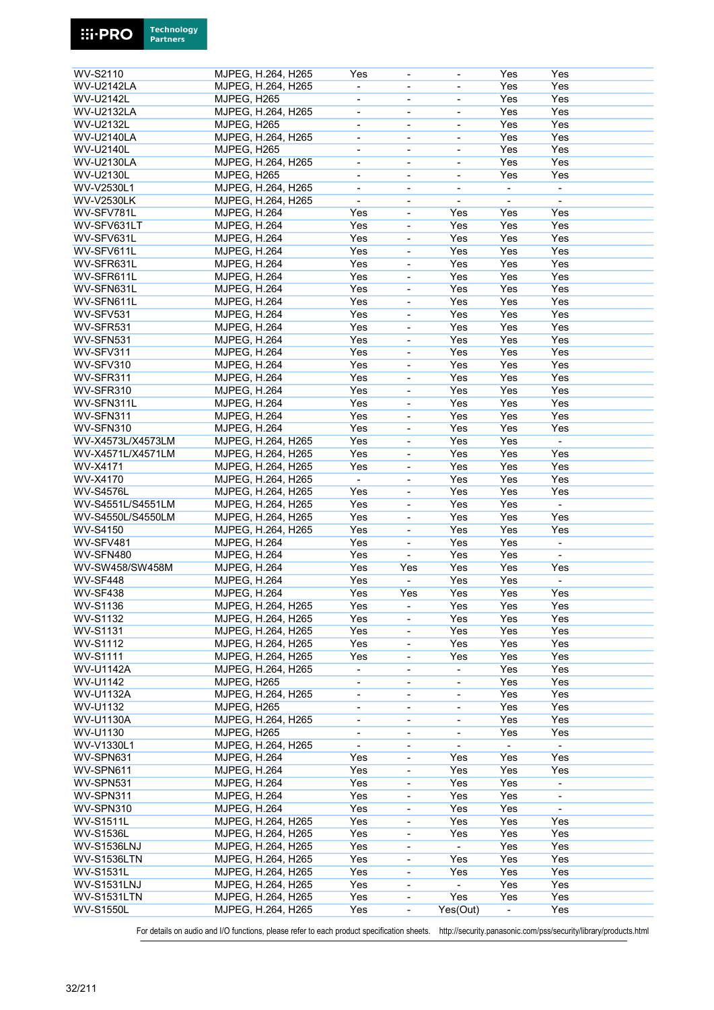| WV-S2110           | MJPEG, H.264, H265  | Yes                          | $\blacksquare$               |                              | Yes                      | Yes                      |  |
|--------------------|---------------------|------------------------------|------------------------------|------------------------------|--------------------------|--------------------------|--|
| <b>WV-U2142LA</b>  | MJPEG, H.264, H265  |                              | $\blacksquare$               | $\overline{\phantom{a}}$     | Yes                      | Yes                      |  |
|                    |                     |                              |                              |                              |                          |                          |  |
| <b>WV-U2142L</b>   | MJPEG, H265         |                              | $\overline{\phantom{a}}$     | $\blacksquare$               | Yes                      | Yes                      |  |
| <b>WV-U2132LA</b>  | MJPEG, H.264, H265  | $\overline{\phantom{a}}$     | $\overline{\phantom{a}}$     | $\blacksquare$               | Yes                      | Yes                      |  |
| WV-U2132L          | MJPEG, H265         | $\qquad \qquad \blacksquare$ | $\overline{\phantom{a}}$     | $\qquad \qquad \blacksquare$ | Yes                      | Yes                      |  |
| <b>WV-U2140LA</b>  | MJPEG, H.264, H265  | $\overline{\phantom{a}}$     | $\overline{\phantom{a}}$     | $\overline{\phantom{a}}$     | Yes                      | Yes                      |  |
| <b>WV-U2140L</b>   | MJPEG, H265         | ä,                           |                              | ÷,                           | Yes                      | Yes                      |  |
| <b>WV-U2130LA</b>  | MJPEG, H.264, H265  | $\blacksquare$               | $\overline{\phantom{a}}$     | $\overline{\phantom{a}}$     | Yes                      | Yes                      |  |
| <b>WV-U2130L</b>   | MJPEG, H265         | $\overline{\phantom{a}}$     | $\overline{\phantom{a}}$     | $\blacksquare$               | Yes                      | Yes                      |  |
| WV-V2530L1         | MJPEG, H.264, H265  | $\overline{\phantom{a}}$     | $\overline{\phantom{a}}$     | $\overline{\phantom{a}}$     | $\overline{\phantom{0}}$ | $\blacksquare$           |  |
|                    |                     |                              |                              |                              |                          |                          |  |
| <b>WV-V2530LK</b>  | MJPEG, H.264, H265  | $\overline{\phantom{0}}$     | $\blacksquare$               |                              |                          | $\blacksquare$           |  |
| WV-SFV781L         | <b>MJPEG, H.264</b> | Yes                          | $\blacksquare$               | Yes                          | Yes                      | Yes                      |  |
| WV-SFV631LT        | MJPEG, H.264        | Yes                          | $\qquad \qquad \blacksquare$ | Yes                          | Yes                      | Yes                      |  |
| WV-SFV631L         | <b>MJPEG, H.264</b> | Yes                          | $\overline{\phantom{a}}$     | Yes                          | Yes                      | Yes                      |  |
| WV-SFV611L         | <b>MJPEG, H.264</b> | Yes                          | $\blacksquare$               | Yes                          | Yes                      | Yes                      |  |
| WV-SFR631L         | MJPEG, H.264        | Yes                          | $\blacksquare$               | Yes                          | Yes                      | Yes                      |  |
| WV-SFR611L         | <b>MJPEG, H.264</b> | Yes                          | $\overline{\phantom{a}}$     | Yes                          | Yes                      | Yes                      |  |
|                    |                     |                              |                              |                              |                          |                          |  |
| WV-SFN631L         | <b>MJPEG, H.264</b> | Yes                          | ÷,                           | Yes                          | Yes                      | Yes                      |  |
| WV-SFN611L         | <b>MJPEG, H.264</b> | Yes                          | $\blacksquare$               | Yes                          | Yes                      | Yes                      |  |
| WV-SFV531          | MJPEG, H.264        | Yes                          | ÷,                           | Yes                          | Yes                      | Yes                      |  |
| WV-SFR531          | MJPEG, H.264        | Yes                          | $\overline{\phantom{a}}$     | Yes                          | Yes                      | Yes                      |  |
| WV-SFN531          | <b>MJPEG, H.264</b> | Yes                          | $\blacksquare$               | Yes                          | Yes                      | Yes                      |  |
| WV-SFV311          | MJPEG, H.264        | Yes                          | $\blacksquare$               | Yes                          | Yes                      | Yes                      |  |
|                    |                     |                              |                              |                              |                          |                          |  |
| WV-SFV310          | MJPEG, H.264        | Yes                          | $\blacksquare$               | Yes                          | Yes                      | Yes                      |  |
| WV-SFR311          | MJPEG, H.264        | Yes                          | $\blacksquare$               | Yes                          | Yes                      | Yes                      |  |
| WV-SFR310          | <b>MJPEG, H.264</b> | Yes                          | $\blacksquare$               | Yes                          | Yes                      | Yes                      |  |
| WV-SFN311L         | MJPEG, H.264        | Yes                          | $\blacksquare$               | Yes                          | Yes                      | Yes                      |  |
| WV-SFN311          | MJPEG, H.264        | Yes                          | ÷,                           | Yes                          | Yes                      | Yes                      |  |
| WV-SFN310          | MJPEG, H.264        | Yes                          | $\blacksquare$               | Yes                          | Yes                      | Yes                      |  |
| WV-X4573L/X4573LM  | MJPEG, H.264, H265  | Yes                          | $\blacksquare$               | Yes                          | Yes                      |                          |  |
|                    |                     |                              |                              |                              |                          |                          |  |
| WV-X4571L/X4571LM  | MJPEG, H.264, H265  | Yes                          | $\overline{\phantom{a}}$     | Yes                          | Yes                      | Yes                      |  |
| WV-X4171           | MJPEG, H.264, H265  | Yes                          | $\overline{\phantom{a}}$     | Yes                          | Yes                      | Yes                      |  |
| WV-X4170           | MJPEG, H.264, H265  | $\blacksquare$               | $\overline{\phantom{a}}$     | Yes                          | Yes                      | Yes                      |  |
| <b>WV-S4576L</b>   | MJPEG, H.264, H265  | Yes                          | $\qquad \qquad \blacksquare$ | Yes                          | Yes                      | Yes                      |  |
| WV-S4551L/S4551LM  | MJPEG, H.264, H265  | Yes                          | $\overline{\phantom{a}}$     | Yes                          | Yes                      | $\sim$                   |  |
| WV-S4550L/S4550LM  | MJPEG, H.264, H265  | Yes                          | $\blacksquare$               | Yes                          | Yes                      | Yes                      |  |
| <b>WV-S4150</b>    |                     | Yes                          | $\blacksquare$               | Yes                          | Yes                      | Yes                      |  |
|                    | MJPEG, H.264, H265  |                              |                              |                              |                          |                          |  |
| WV-SFV481          | <b>MJPEG, H.264</b> | Yes                          | $\blacksquare$               | Yes                          | Yes                      | $\overline{\phantom{a}}$ |  |
| WV-SFN480          | <b>MJPEG, H.264</b> | Yes                          | $\overline{\phantom{a}}$     | Yes                          | Yes                      | $\blacksquare$           |  |
| WV-SW458/SW458M    | <b>MJPEG, H.264</b> | Yes                          | Yes                          | Yes                          | Yes                      | Yes                      |  |
| WV-SF448           | MJPEG, H.264        | Yes                          | ÷.                           | Yes                          | Yes                      | $\blacksquare$           |  |
| <b>WV-SF438</b>    | <b>MJPEG, H.264</b> | Yes                          | Yes                          | Yes                          | Yes                      | Yes                      |  |
| <b>WV-S1136</b>    | MJPEG, H.264, H265  | Yes                          | $\overline{\phantom{a}}$     | Yes                          | Yes                      | Yes                      |  |
|                    |                     |                              |                              |                              |                          |                          |  |
| <b>WV-S1132</b>    | MJPEG, H.264, H265  | Yes                          | $\overline{\phantom{a}}$     | Yes                          | Yes                      | Yes                      |  |
| <b>WV-S1131</b>    | MJPEG, H.264, H265  | Yes                          | ÷,                           | Yes                          | Yes                      | Yes                      |  |
| WV-S1112           | MJPEG, H.264, H265  | Yes                          | $\overline{\phantom{a}}$     | Yes                          | Yes                      | Yes                      |  |
| <b>WV-S1111</b>    | MJPEG, H.264, H265  | Yes                          | $\qquad \qquad \blacksquare$ | Yes                          | Yes                      | Yes                      |  |
| <b>WV-U1142A</b>   | MJPEG, H.264, H265  | $\overline{\phantom{a}}$     | $\overline{\phantom{a}}$     |                              | Yes                      | Yes                      |  |
| WV-U1142           | MJPEG, H265         | $\overline{\phantom{0}}$     | $\blacksquare$               |                              | Yes                      | Yes                      |  |
|                    |                     |                              |                              |                              |                          |                          |  |
| <b>WV-U1132A</b>   | MJPEG, H.264, H265  | $\overline{\phantom{a}}$     | $\overline{\phantom{a}}$     | $\overline{\phantom{a}}$     | Yes                      | Yes                      |  |
| WV-U1132           | MJPEG, H265         | $\overline{\phantom{0}}$     | $\overline{\phantom{a}}$     | $\overline{\phantom{a}}$     | Yes                      | Yes                      |  |
| <b>WV-U1130A</b>   | MJPEG, H.264, H265  | $\overline{\phantom{0}}$     | $\overline{\phantom{a}}$     | $\overline{\phantom{a}}$     | Yes                      | Yes                      |  |
| WV-U1130           | MJPEG, H265         | ÷,                           | $\blacksquare$               | ÷,                           | Yes                      | Yes                      |  |
| WV-V1330L1         | MJPEG, H.264, H265  | $\blacksquare$               | $\overline{\phantom{a}}$     | $\blacksquare$               | ÷,                       | $\blacksquare$           |  |
| WV-SPN631          | <b>MJPEG, H.264</b> | Yes                          | $\qquad \qquad \blacksquare$ | Yes                          | Yes                      | Yes                      |  |
| WV-SPN611          | <b>MJPEG, H.264</b> | Yes                          | $\overline{\phantom{a}}$     | Yes                          | Yes                      | Yes                      |  |
|                    |                     |                              |                              |                              |                          |                          |  |
| WV-SPN531          | MJPEG, H.264        | Yes                          | $\overline{\phantom{a}}$     | Yes                          | Yes                      | $\blacksquare$           |  |
| WV-SPN311          | MJPEG, H.264        | Yes                          | $\frac{1}{2}$                | Yes                          | Yes                      | $\overline{\phantom{a}}$ |  |
| WV-SPN310          | <b>MJPEG, H.264</b> | Yes                          | $\qquad \qquad \blacksquare$ | Yes                          | Yes                      | $\overline{\phantom{a}}$ |  |
| <b>WV-S1511L</b>   | MJPEG, H.264, H265  | Yes                          | $\overline{\phantom{a}}$     | Yes                          | Yes                      | Yes                      |  |
| <b>WV-S1536L</b>   | MJPEG, H.264, H265  | Yes                          | $\overline{\phantom{a}}$     | Yes                          | Yes                      | Yes                      |  |
| <b>WV-S1536LNJ</b> | MJPEG, H.264, H265  | Yes                          | ÷,                           | $\blacksquare$               | Yes                      | Yes                      |  |
| <b>WV-S1536LTN</b> | MJPEG, H.264, H265  | Yes                          | $\overline{\phantom{a}}$     | Yes                          | Yes                      | Yes                      |  |
|                    |                     |                              |                              |                              |                          |                          |  |
| <b>WV-S1531L</b>   | MJPEG, H.264, H265  | Yes                          | $\qquad \qquad \blacksquare$ | Yes                          | Yes                      | Yes                      |  |
| <b>WV-S1531LNJ</b> | MJPEG, H.264, H265  | Yes                          | $\overline{\phantom{a}}$     |                              | Yes                      | Yes                      |  |
| <b>WV-S1531LTN</b> | MJPEG, H.264, H265  | Yes                          | $\frac{1}{2}$                | Yes                          | Yes                      | Yes                      |  |
| <b>WV-S1550L</b>   | MJPEG, H.264, H265  | Yes                          | $\blacksquare$               | Yes(Out)                     | $\overline{\phantom{a}}$ | Yes                      |  |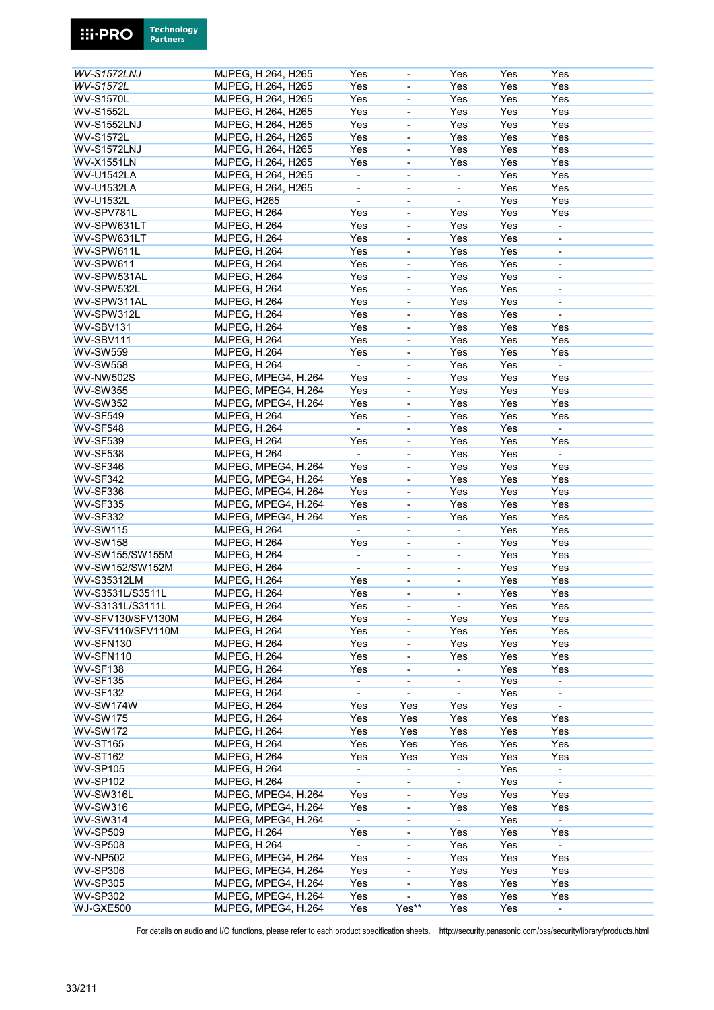| <b>WV-S1572LNJ</b> |                     | MJPEG, H.264, H265  | Yes                      |                              | Yes                          | Yes | Yes                      |
|--------------------|---------------------|---------------------|--------------------------|------------------------------|------------------------------|-----|--------------------------|
| WV-S1572L          |                     | MJPEG, H.264, H265  | Yes                      | ÷,                           | Yes                          | Yes | Yes                      |
|                    |                     |                     |                          |                              |                              |     |                          |
| <b>WV-S1570L</b>   |                     | MJPEG, H.264, H265  | Yes                      | $\overline{a}$               | Yes                          | Yes | Yes                      |
| <b>WV-S1552L</b>   |                     | MJPEG, H.264, H265  | Yes                      | ÷,                           | Yes                          | Yes | Yes                      |
| <b>WV-S1552LNJ</b> |                     | MJPEG, H.264, H265  | Yes                      | ÷,                           | Yes                          | Yes | Yes                      |
| <b>WV-S1572L</b>   |                     | MJPEG, H.264, H265  | Yes                      | ÷,                           | Yes                          | Yes | Yes                      |
|                    |                     |                     |                          |                              |                              |     |                          |
| <b>WV-S1572LNJ</b> |                     | MJPEG, H.264, H265  | Yes                      | $\frac{1}{2}$                | Yes                          | Yes | Yes                      |
| <b>WV-X1551LN</b>  |                     | MJPEG, H.264, H265  | Yes                      | $\qquad \qquad \blacksquare$ | Yes                          | Yes | Yes                      |
| <b>WV-U1542LA</b>  |                     | MJPEG, H.264, H265  | $\blacksquare$           | $\overline{\phantom{a}}$     | $\blacksquare$               | Yes | Yes                      |
|                    |                     |                     |                          |                              |                              |     |                          |
| <b>WV-U1532LA</b>  |                     | MJPEG, H.264, H265  | $\blacksquare$           | ÷,                           | $\overline{\phantom{0}}$     | Yes | Yes                      |
| WV-U1532L          | MJPEG, H265         |                     | $\overline{\phantom{a}}$ | $\overline{\phantom{0}}$     | -                            | Yes | Yes                      |
| WV-SPV781L         | <b>MJPEG, H.264</b> |                     | Yes                      | ÷,                           | Yes                          | Yes | Yes                      |
|                    |                     |                     |                          |                              |                              |     |                          |
| WV-SPW631LT        | <b>MJPEG, H.264</b> |                     | Yes                      | $\overline{\phantom{a}}$     | Yes                          | Yes | $\overline{a}$           |
| WV-SPW631LT        | <b>MJPEG, H.264</b> |                     | Yes                      | $\overline{\phantom{a}}$     | Yes                          | Yes | $\blacksquare$           |
| WV-SPW611L         | <b>MJPEG, H.264</b> |                     | Yes                      | ÷,                           | Yes                          | Yes | $\overline{\phantom{a}}$ |
|                    |                     |                     |                          |                              |                              |     |                          |
| WV-SPW611          | <b>MJPEG, H.264</b> |                     | Yes                      | ÷,                           | Yes                          | Yes | $\blacksquare$           |
| WV-SPW531AL        | <b>MJPEG, H.264</b> |                     | Yes                      | ÷,                           | Yes                          | Yes | ÷,                       |
| WV-SPW532L         | <b>MJPEG, H.264</b> |                     | Yes                      | $\overline{a}$               | Yes                          | Yes | ä,                       |
| WV-SPW311AL        |                     |                     | Yes                      |                              | Yes                          | Yes |                          |
|                    | <b>MJPEG, H.264</b> |                     |                          | $\frac{1}{2}$                |                              |     | $\overline{\phantom{a}}$ |
| WV-SPW312L         | <b>MJPEG, H.264</b> |                     | Yes                      | ÷,                           | Yes                          | Yes | $\overline{\phantom{a}}$ |
| WV-SBV131          | <b>MJPEG, H.264</b> |                     | Yes                      | ÷,                           | Yes                          | Yes | Yes                      |
| WV-SBV111          | <b>MJPEG, H.264</b> |                     | Yes                      | ÷,                           | Yes                          | Yes | Yes                      |
|                    |                     |                     |                          |                              |                              |     |                          |
| <b>WV-SW559</b>    | <b>MJPEG, H.264</b> |                     | Yes                      | $\blacksquare$               | Yes                          | Yes | Yes                      |
| <b>WV-SW558</b>    | <b>MJPEG, H.264</b> |                     |                          | ÷,                           | Yes                          | Yes | ÷,                       |
| <b>WV-NW502S</b>   |                     | MJPEG, MPEG4, H.264 | Yes                      | ÷,                           | Yes                          | Yes | Yes                      |
|                    |                     |                     |                          |                              |                              |     |                          |
| <b>WV-SW355</b>    |                     | MJPEG, MPEG4, H.264 | Yes                      | ÷,                           | Yes                          | Yes | Yes                      |
| <b>WV-SW352</b>    |                     | MJPEG, MPEG4, H.264 | Yes                      | $\overline{\phantom{a}}$     | Yes                          | Yes | Yes                      |
| <b>WV-SF549</b>    | <b>MJPEG, H.264</b> |                     | Yes                      | $\frac{1}{2}$                | Yes                          | Yes | Yes                      |
|                    |                     |                     |                          |                              |                              |     |                          |
| <b>WV-SF548</b>    | MJPEG, H.264        |                     | $\blacksquare$           | ÷,                           | Yes                          | Yes | $\blacksquare$           |
| <b>WV-SF539</b>    | <b>MJPEG, H.264</b> |                     | Yes                      | $\overline{a}$               | Yes                          | Yes | Yes                      |
| <b>WV-SF538</b>    | <b>MJPEG, H.264</b> |                     | $\blacksquare$           | ÷,                           | Yes                          | Yes | $\overline{\phantom{a}}$ |
|                    |                     |                     |                          |                              |                              |     |                          |
| <b>WV-SF346</b>    |                     | MJPEG, MPEG4, H.264 | Yes                      | $\qquad \qquad \blacksquare$ | Yes                          | Yes | Yes                      |
| <b>WV-SF342</b>    |                     | MJPEG, MPEG4, H.264 | Yes                      | $\overline{\phantom{a}}$     | Yes                          | Yes | Yes                      |
| <b>WV-SF336</b>    |                     | MJPEG, MPEG4, H.264 | Yes                      | $\overline{\phantom{a}}$     | Yes                          | Yes | Yes                      |
|                    |                     |                     |                          |                              |                              |     |                          |
| <b>WV-SF335</b>    |                     | MJPEG, MPEG4, H.264 | Yes                      | $\overline{\phantom{a}}$     | Yes                          | Yes | Yes                      |
| <b>WV-SF332</b>    |                     | MJPEG, MPEG4, H.264 | Yes                      | $\qquad \qquad \blacksquare$ | Yes                          | Yes | Yes                      |
| <b>WV-SW115</b>    | <b>MJPEG, H.264</b> |                     | $\blacksquare$           | $\overline{\phantom{a}}$     | $\blacksquare$               | Yes | Yes                      |
|                    |                     |                     |                          |                              |                              |     |                          |
| <b>WV-SW158</b>    | <b>MJPEG, H.264</b> |                     | Yes                      | ÷,                           | $\overline{\phantom{a}}$     | Yes | Yes                      |
| WV-SW155/SW155M    | <b>MJPEG, H.264</b> |                     | $\blacksquare$           | $\overline{\phantom{a}}$     | $\overline{\phantom{0}}$     | Yes | Yes                      |
| WV-SW152/SW152M    | <b>MJPEG, H.264</b> |                     | $\blacksquare$           | ÷,                           | $\blacksquare$               | Yes | Yes                      |
|                    |                     |                     |                          |                              |                              |     |                          |
| <b>WV-S35312LM</b> | <b>MJPEG, H.264</b> |                     | Yes                      | ÷,                           | $\qquad \qquad \blacksquare$ | Yes | Yes                      |
| WV-S3531L/S3511L   | <b>MJPEG, H.264</b> |                     | Yes                      | $\overline{a}$               | $\blacksquare$               | Yes | Yes                      |
| WV-S3131L/S3111L   | <b>MJPEG, H.264</b> |                     | Yes                      | $\qquad \qquad \blacksquare$ | $\overline{\phantom{a}}$     | Yes | Yes                      |
|                    |                     |                     | Yes                      | ÷,                           | Yes                          |     | Yes                      |
| WV-SFV130/SFV130M  | <b>MJPEG, H.264</b> |                     |                          |                              |                              | Yes |                          |
| WV-SFV110/SFV110M  | MJPEG, H.264        |                     | Yes                      | $\qquad \qquad \blacksquare$ | Yes                          | Yes | Yes                      |
| WV-SFN130          | <b>MJPEG, H.264</b> |                     | Yes                      | ÷,                           | Yes                          | Yes | Yes                      |
| WV-SFN110          | <b>MJPEG, H.264</b> |                     | Yes                      | $\overline{a}$               | Yes                          | Yes | Yes                      |
|                    |                     |                     |                          |                              |                              |     |                          |
| <b>WV-SF138</b>    | <b>MJPEG. H.264</b> |                     | Yes                      | $\blacksquare$               | $\blacksquare$               | Yes | Yes                      |
| <b>WV-SF135</b>    | <b>MJPEG, H.264</b> |                     | $\overline{\phantom{a}}$ | $\qquad \qquad \blacksquare$ | $\overline{\phantom{0}}$     | Yes | $\overline{\phantom{a}}$ |
| <b>WV-SF132</b>    | <b>MJPEG, H.264</b> |                     | $\blacksquare$           | ÷,                           |                              | Yes |                          |
| WV-SW174W          | <b>MJPEG, H.264</b> |                     | Yes                      | Yes                          | Yes                          | Yes | $\overline{a}$           |
|                    |                     |                     |                          |                              |                              |     |                          |
| <b>WV-SW175</b>    | <b>MJPEG, H.264</b> |                     | Yes                      | Yes                          | Yes                          | Yes | Yes                      |
| <b>WV-SW172</b>    | <b>MJPEG, H.264</b> |                     | Yes                      | Yes                          | Yes                          | Yes | Yes                      |
| <b>WV-ST165</b>    | <b>MJPEG, H.264</b> |                     | Yes                      | Yes                          | Yes                          | Yes | Yes                      |
|                    |                     |                     |                          |                              |                              |     |                          |
| <b>WV-ST162</b>    | <b>MJPEG, H.264</b> |                     | Yes                      | Yes                          | Yes                          | Yes | Yes                      |
| <b>WV-SP105</b>    | <b>MJPEG, H.264</b> |                     | $\overline{\phantom{a}}$ | $\blacksquare$               | $\blacksquare$               | Yes | $\blacksquare$           |
| <b>WV-SP102</b>    | <b>MJPEG, H.264</b> |                     | $\blacksquare$           | $\qquad \qquad \blacksquare$ | $\overline{\phantom{0}}$     | Yes | $\overline{\phantom{a}}$ |
|                    |                     |                     |                          |                              |                              |     |                          |
| WV-SW316L          |                     | MJPEG, MPEG4, H.264 | Yes                      | $\qquad \qquad \blacksquare$ | Yes                          | Yes | Yes                      |
| <b>WV-SW316</b>    |                     | MJPEG, MPEG4, H.264 | Yes                      | ÷,                           | Yes                          | Yes | Yes                      |
| <b>WV-SW314</b>    |                     | MJPEG, MPEG4, H.264 | $\blacksquare$           | $\frac{1}{2}$                | $\frac{1}{2}$                | Yes | $\overline{a}$           |
|                    |                     |                     |                          |                              |                              |     |                          |
| <b>WV-SP509</b>    | <b>MJPEG, H.264</b> |                     | Yes                      | $\qquad \qquad \blacksquare$ | Yes                          | Yes | Yes                      |
| <b>WV-SP508</b>    | <b>MJPEG, H.264</b> |                     | $\blacksquare$           | $\blacksquare$               | Yes                          | Yes | $\blacksquare$           |
| <b>WV-NP502</b>    |                     |                     |                          | $\frac{1}{2}$                | Yes                          | Yes | Yes                      |
|                    |                     |                     |                          |                              |                              |     |                          |
|                    |                     | MJPEG, MPEG4, H.264 | Yes                      |                              |                              |     |                          |
| <b>WV-SP306</b>    |                     | MJPEG, MPEG4, H.264 | Yes                      | $\blacksquare$               | Yes                          | Yes | Yes                      |
| <b>WV-SP305</b>    |                     | MJPEG, MPEG4, H.264 | Yes                      | $\qquad \qquad \blacksquare$ | Yes                          | Yes | Yes                      |
| <b>WV-SP302</b>    |                     | MJPEG, MPEG4, H.264 | Yes                      | $\blacksquare$               | Yes                          | Yes | Yes                      |
| WJ-GXE500          |                     | MJPEG, MPEG4, H.264 | Yes                      | Yes**                        | Yes                          | Yes |                          |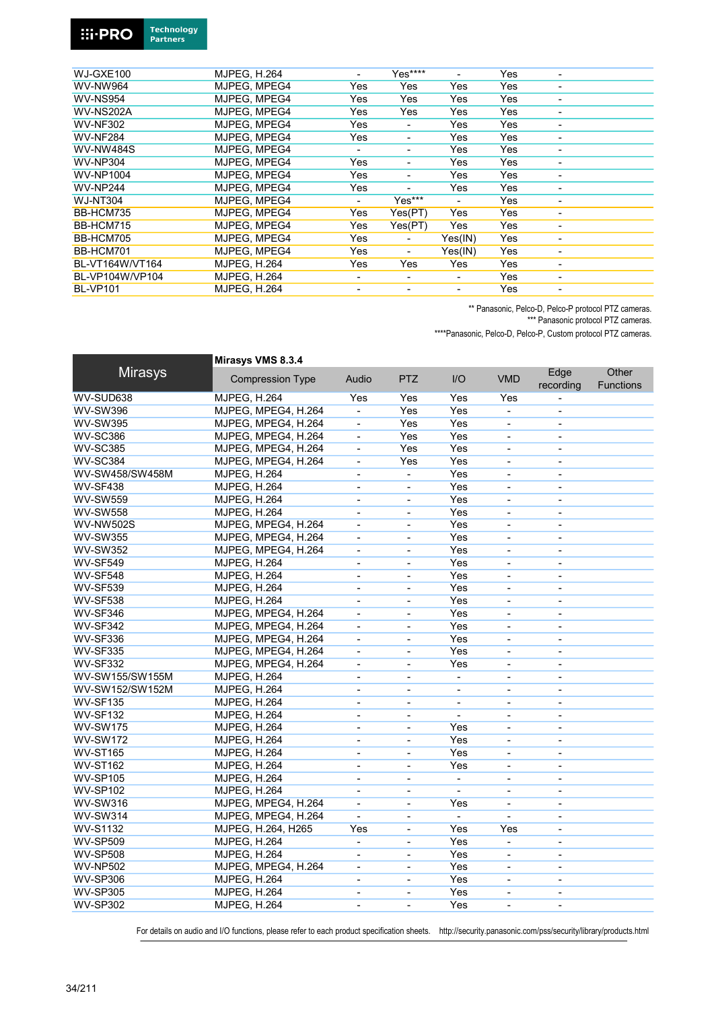#### **Technology**<br>Partners **::i-PRO**

| WJ-GXE100        | <b>MJPEG, H.264</b> |                          | $Yes***$                 |                          | Yes |                          |
|------------------|---------------------|--------------------------|--------------------------|--------------------------|-----|--------------------------|
| <b>WV-NW964</b>  | MJPEG, MPEG4        | Yes                      | Yes                      | Yes                      | Yes |                          |
| <b>WV-NS954</b>  | MJPEG. MPEG4        | Yes                      | Yes                      | Yes                      | Yes | $\overline{\phantom{0}}$ |
| <b>WV-NS202A</b> | MJPEG. MPEG4        | Yes                      | Yes                      | Yes                      | Yes |                          |
| <b>WV-NF302</b>  | MJPEG. MPEG4        | Yes                      | ٠                        | Yes                      | Yes |                          |
| <b>WV-NF284</b>  | MJPEG. MPEG4        | Yes                      |                          | Yes                      | Yes |                          |
| <b>WV-NW484S</b> | MJPEG. MPEG4        | Ξ.                       | ۰                        | Yes                      | Yes |                          |
| <b>WV-NP304</b>  | MJPEG, MPEG4        | Yes                      | ٠                        | Yes                      | Yes | -                        |
| WV-NP1004        | MJPEG. MPEG4        | Yes                      | ۰                        | Yes                      | Yes | ۰                        |
| <b>WV-NP244</b>  | MJPEG. MPEG4        | Yes                      |                          | Yes                      | Yes | ۰                        |
| <b>WJ-NT304</b>  | MJPEG. MPEG4        | $\overline{\phantom{a}}$ | Yes***                   |                          | Yes | $\overline{\phantom{a}}$ |
| BB-HCM735        | MJPEG, MPEG4        | Yes                      | Yes(PT)                  | Yes                      | Yes | $\overline{\phantom{a}}$ |
| BB-HCM715        | MJPEG, MPEG4        | Yes                      | Yes(PT)                  | Yes                      | Yes | $\overline{\phantom{a}}$ |
| BB-HCM705        | MJPEG, MPEG4        | Yes                      |                          | Yes(IN)                  | Yes | ۰                        |
| BB-HCM701        | MJPEG. MPEG4        | Yes                      | ٠                        | Yes(IN)                  | Yes | ۰                        |
| BL-VT164W/VT164  | <b>MJPEG. H.264</b> | Yes                      | Yes                      | Yes                      | Yes | $\overline{\phantom{0}}$ |
| BL-VP104W/VP104  | <b>MJPEG, H.264</b> | Ξ.                       | $\overline{\phantom{0}}$ | $\overline{\phantom{0}}$ | Yes | $\overline{\phantom{0}}$ |
| <b>BL-VP101</b>  | <b>MJPEG, H.264</b> | ٠                        | ٠                        | ۰                        | Yes | ٠                        |

\*\* Panasonic, Pelco-D, Pelco-P protocol PTZ cameras.

\*\*\* Panasonic protocol PTZ cameras.

\*\*\*\*Panasonic, Pelco-D, Pelco-P, Custom protocol PTZ cameras.

| <b>Mirasys</b><br>Edge<br>Other<br><b>PTZ</b><br>I/O<br><b>VMD</b><br><b>Compression Type</b><br>Audio<br><b>Functions</b><br>recording<br>WV-SUD638<br>Yes<br>Yes<br>Yes<br><b>MJPEG, H.264</b><br>Yes<br>Yes<br><b>WV-SW396</b><br>MJPEG, MPEG4, H.264<br>Yes<br>$\blacksquare$<br>$\overline{a}$<br><b>WV-SW395</b><br>MJPEG, MPEG4, H.264<br>Yes<br>Yes<br>$\overline{a}$<br>$\overline{\phantom{a}}$<br>ä,<br><b>WV-SC386</b><br>MJPEG, MPEG4, H.264<br>Yes<br>Yes<br>$\qquad \qquad \blacksquare$<br>$\overline{\phantom{a}}$<br>$\overline{\phantom{a}}$<br>Yes<br><b>WV-SC385</b><br>MJPEG, MPEG4, H.264<br>Yes<br>$\blacksquare$<br>$\overline{\phantom{a}}$<br>$\blacksquare$<br><b>WV-SC384</b><br>MJPEG, MPEG4, H.264<br>Yes<br>Yes<br>÷,<br>$\blacksquare$<br>WV-SW458/SW458M<br>Yes<br><b>MJPEG, H.264</b><br>÷,<br>$\overline{\phantom{a}}$<br>$\overline{\phantom{a}}$<br>$\overline{\phantom{a}}$<br>Yes<br><b>WV-SF438</b><br><b>MJPEG, H.264</b><br>ä,<br>$\overline{\phantom{a}}$<br>$\overline{\phantom{0}}$<br>$\overline{\phantom{0}}$<br><b>WV-SW559</b><br><b>MJPEG, H.264</b><br>Yes<br>$\blacksquare$<br>$\overline{\phantom{a}}$<br>$\overline{\phantom{0}}$<br><b>MJPEG, H.264</b><br>Yes<br><b>WV-SW558</b><br>$\blacksquare$<br>÷,<br>$\blacksquare$<br>$\blacksquare$<br><b>WV-NW502S</b><br>MJPEG, MPEG4, H.264<br>Yes<br>$\blacksquare$<br>÷,<br>$\blacksquare$<br>$\overline{\phantom{a}}$<br>Yes<br><b>WV-SW355</b><br>MJPEG, MPEG4, H.264<br>÷,<br>L.<br>$\blacksquare$<br><b>WV-SW352</b><br>MJPEG, MPEG4, H.264<br>Yes<br>$\blacksquare$<br>$\overline{\phantom{a}}$<br>$\overline{\phantom{a}}$<br>٠<br><b>WV-SF549</b><br><b>MJPEG, H.264</b><br>Yes<br>$\overline{\phantom{a}}$<br>$\overline{\phantom{a}}$<br>$\overline{\phantom{a}}$<br>ä,<br>Yes<br><b>WV-SF548</b><br><b>MJPEG, H.264</b><br>$\blacksquare$<br>÷,<br>$\overline{a}$<br>ä,<br><b>WV-SF539</b><br><b>MJPEG, H.264</b><br>Yes<br>ä,<br>÷,<br>ä,<br>ä,<br><b>WV-SF538</b><br><b>MJPEG, H.264</b><br>Yes<br>÷,<br>$\blacksquare$<br>$\overline{\phantom{a}}$<br>$\overline{\phantom{0}}$<br>MJPEG, MPEG4, H.264<br>Yes<br>WV-SF346<br>$\blacksquare$<br>÷,<br>$\blacksquare$<br>$\blacksquare$<br>WV-SF342<br>MJPEG, MPEG4, H.264<br>Yes<br>ä,<br><b>WV-SF336</b><br>MJPEG, MPEG4, H.264<br>Yes<br>$\blacksquare$<br>÷,<br>$\blacksquare$<br>ä,<br><b>WV-SF335</b><br>MJPEG, MPEG4, H.264<br>Yes<br>÷,<br>$\overline{\phantom{a}}$<br>$\overline{\phantom{0}}$<br>L,<br><b>WV-SF332</b><br>MJPEG, MPEG4, H.264<br>Yes<br>$\overline{\phantom{0}}$<br>WV-SW155/SW155M<br><b>MJPEG, H.264</b><br>$\blacksquare$<br>÷,<br>$\blacksquare$<br>$\overline{\phantom{a}}$<br>$\blacksquare$<br>WV-SW152/SW152M<br><b>MJPEG, H.264</b><br>$\blacksquare$<br>$\overline{\phantom{a}}$<br>$\blacksquare$<br>ä,<br>$\blacksquare$<br><b>WV-SF135</b><br><b>MJPEG, H.264</b><br>$\blacksquare$<br>$\blacksquare$<br>$\blacksquare$<br>$\blacksquare$<br>ä,<br><b>WV-SF132</b><br><b>MJPEG, H.264</b><br>$\blacksquare$<br>$\overline{\phantom{a}}$<br>$\blacksquare$<br>٠<br>$\overline{\phantom{a}}$<br><b>WV-SW175</b><br><b>MJPEG, H.264</b><br>Yes<br>$\overline{\phantom{0}}$<br>$\overline{\phantom{a}}$<br>$\overline{\phantom{a}}$<br>L,<br>Yes<br><b>WV-SW172</b><br><b>MJPEG, H.264</b><br>$\blacksquare$<br>$\overline{\phantom{a}}$<br>ä,<br>$\sim$<br><b>WV-ST165</b><br><b>MJPEG, H.264</b><br>Yes<br>$\blacksquare$<br>$\blacksquare$<br>L.<br>$\blacksquare$<br><b>WV-ST162</b><br><b>MJPEG, H.264</b><br>Yes<br>$\blacksquare$<br>÷,<br>$\overline{\phantom{a}}$<br>$\overline{\phantom{a}}$ | Mirasys VMS 8.3.4 |  |  |  |
|------------------------------------------------------------------------------------------------------------------------------------------------------------------------------------------------------------------------------------------------------------------------------------------------------------------------------------------------------------------------------------------------------------------------------------------------------------------------------------------------------------------------------------------------------------------------------------------------------------------------------------------------------------------------------------------------------------------------------------------------------------------------------------------------------------------------------------------------------------------------------------------------------------------------------------------------------------------------------------------------------------------------------------------------------------------------------------------------------------------------------------------------------------------------------------------------------------------------------------------------------------------------------------------------------------------------------------------------------------------------------------------------------------------------------------------------------------------------------------------------------------------------------------------------------------------------------------------------------------------------------------------------------------------------------------------------------------------------------------------------------------------------------------------------------------------------------------------------------------------------------------------------------------------------------------------------------------------------------------------------------------------------------------------------------------------------------------------------------------------------------------------------------------------------------------------------------------------------------------------------------------------------------------------------------------------------------------------------------------------------------------------------------------------------------------------------------------------------------------------------------------------------------------------------------------------------------------------------------------------------------------------------------------------------------------------------------------------------------------------------------------------------------------------------------------------------------------------------------------------------------------------------------------------------------------------------------------------------------------------------------------------------------------------------------------------------------------------------------------------------------------------------------------------------------------------------------------------------------------------------------------------------------------------------------------------------------------------------------------------------------------------------------------------------------------------------------------------------------------------------------------------------------------------------------------------------------------------------------------|-------------------|--|--|--|
|                                                                                                                                                                                                                                                                                                                                                                                                                                                                                                                                                                                                                                                                                                                                                                                                                                                                                                                                                                                                                                                                                                                                                                                                                                                                                                                                                                                                                                                                                                                                                                                                                                                                                                                                                                                                                                                                                                                                                                                                                                                                                                                                                                                                                                                                                                                                                                                                                                                                                                                                                                                                                                                                                                                                                                                                                                                                                                                                                                                                                                                                                                                                                                                                                                                                                                                                                                                                                                                                                                                                                                                                            |                   |  |  |  |
|                                                                                                                                                                                                                                                                                                                                                                                                                                                                                                                                                                                                                                                                                                                                                                                                                                                                                                                                                                                                                                                                                                                                                                                                                                                                                                                                                                                                                                                                                                                                                                                                                                                                                                                                                                                                                                                                                                                                                                                                                                                                                                                                                                                                                                                                                                                                                                                                                                                                                                                                                                                                                                                                                                                                                                                                                                                                                                                                                                                                                                                                                                                                                                                                                                                                                                                                                                                                                                                                                                                                                                                                            |                   |  |  |  |
|                                                                                                                                                                                                                                                                                                                                                                                                                                                                                                                                                                                                                                                                                                                                                                                                                                                                                                                                                                                                                                                                                                                                                                                                                                                                                                                                                                                                                                                                                                                                                                                                                                                                                                                                                                                                                                                                                                                                                                                                                                                                                                                                                                                                                                                                                                                                                                                                                                                                                                                                                                                                                                                                                                                                                                                                                                                                                                                                                                                                                                                                                                                                                                                                                                                                                                                                                                                                                                                                                                                                                                                                            |                   |  |  |  |
|                                                                                                                                                                                                                                                                                                                                                                                                                                                                                                                                                                                                                                                                                                                                                                                                                                                                                                                                                                                                                                                                                                                                                                                                                                                                                                                                                                                                                                                                                                                                                                                                                                                                                                                                                                                                                                                                                                                                                                                                                                                                                                                                                                                                                                                                                                                                                                                                                                                                                                                                                                                                                                                                                                                                                                                                                                                                                                                                                                                                                                                                                                                                                                                                                                                                                                                                                                                                                                                                                                                                                                                                            |                   |  |  |  |
|                                                                                                                                                                                                                                                                                                                                                                                                                                                                                                                                                                                                                                                                                                                                                                                                                                                                                                                                                                                                                                                                                                                                                                                                                                                                                                                                                                                                                                                                                                                                                                                                                                                                                                                                                                                                                                                                                                                                                                                                                                                                                                                                                                                                                                                                                                                                                                                                                                                                                                                                                                                                                                                                                                                                                                                                                                                                                                                                                                                                                                                                                                                                                                                                                                                                                                                                                                                                                                                                                                                                                                                                            |                   |  |  |  |
|                                                                                                                                                                                                                                                                                                                                                                                                                                                                                                                                                                                                                                                                                                                                                                                                                                                                                                                                                                                                                                                                                                                                                                                                                                                                                                                                                                                                                                                                                                                                                                                                                                                                                                                                                                                                                                                                                                                                                                                                                                                                                                                                                                                                                                                                                                                                                                                                                                                                                                                                                                                                                                                                                                                                                                                                                                                                                                                                                                                                                                                                                                                                                                                                                                                                                                                                                                                                                                                                                                                                                                                                            |                   |  |  |  |
|                                                                                                                                                                                                                                                                                                                                                                                                                                                                                                                                                                                                                                                                                                                                                                                                                                                                                                                                                                                                                                                                                                                                                                                                                                                                                                                                                                                                                                                                                                                                                                                                                                                                                                                                                                                                                                                                                                                                                                                                                                                                                                                                                                                                                                                                                                                                                                                                                                                                                                                                                                                                                                                                                                                                                                                                                                                                                                                                                                                                                                                                                                                                                                                                                                                                                                                                                                                                                                                                                                                                                                                                            |                   |  |  |  |
|                                                                                                                                                                                                                                                                                                                                                                                                                                                                                                                                                                                                                                                                                                                                                                                                                                                                                                                                                                                                                                                                                                                                                                                                                                                                                                                                                                                                                                                                                                                                                                                                                                                                                                                                                                                                                                                                                                                                                                                                                                                                                                                                                                                                                                                                                                                                                                                                                                                                                                                                                                                                                                                                                                                                                                                                                                                                                                                                                                                                                                                                                                                                                                                                                                                                                                                                                                                                                                                                                                                                                                                                            |                   |  |  |  |
|                                                                                                                                                                                                                                                                                                                                                                                                                                                                                                                                                                                                                                                                                                                                                                                                                                                                                                                                                                                                                                                                                                                                                                                                                                                                                                                                                                                                                                                                                                                                                                                                                                                                                                                                                                                                                                                                                                                                                                                                                                                                                                                                                                                                                                                                                                                                                                                                                                                                                                                                                                                                                                                                                                                                                                                                                                                                                                                                                                                                                                                                                                                                                                                                                                                                                                                                                                                                                                                                                                                                                                                                            |                   |  |  |  |
|                                                                                                                                                                                                                                                                                                                                                                                                                                                                                                                                                                                                                                                                                                                                                                                                                                                                                                                                                                                                                                                                                                                                                                                                                                                                                                                                                                                                                                                                                                                                                                                                                                                                                                                                                                                                                                                                                                                                                                                                                                                                                                                                                                                                                                                                                                                                                                                                                                                                                                                                                                                                                                                                                                                                                                                                                                                                                                                                                                                                                                                                                                                                                                                                                                                                                                                                                                                                                                                                                                                                                                                                            |                   |  |  |  |
|                                                                                                                                                                                                                                                                                                                                                                                                                                                                                                                                                                                                                                                                                                                                                                                                                                                                                                                                                                                                                                                                                                                                                                                                                                                                                                                                                                                                                                                                                                                                                                                                                                                                                                                                                                                                                                                                                                                                                                                                                                                                                                                                                                                                                                                                                                                                                                                                                                                                                                                                                                                                                                                                                                                                                                                                                                                                                                                                                                                                                                                                                                                                                                                                                                                                                                                                                                                                                                                                                                                                                                                                            |                   |  |  |  |
|                                                                                                                                                                                                                                                                                                                                                                                                                                                                                                                                                                                                                                                                                                                                                                                                                                                                                                                                                                                                                                                                                                                                                                                                                                                                                                                                                                                                                                                                                                                                                                                                                                                                                                                                                                                                                                                                                                                                                                                                                                                                                                                                                                                                                                                                                                                                                                                                                                                                                                                                                                                                                                                                                                                                                                                                                                                                                                                                                                                                                                                                                                                                                                                                                                                                                                                                                                                                                                                                                                                                                                                                            |                   |  |  |  |
|                                                                                                                                                                                                                                                                                                                                                                                                                                                                                                                                                                                                                                                                                                                                                                                                                                                                                                                                                                                                                                                                                                                                                                                                                                                                                                                                                                                                                                                                                                                                                                                                                                                                                                                                                                                                                                                                                                                                                                                                                                                                                                                                                                                                                                                                                                                                                                                                                                                                                                                                                                                                                                                                                                                                                                                                                                                                                                                                                                                                                                                                                                                                                                                                                                                                                                                                                                                                                                                                                                                                                                                                            |                   |  |  |  |
|                                                                                                                                                                                                                                                                                                                                                                                                                                                                                                                                                                                                                                                                                                                                                                                                                                                                                                                                                                                                                                                                                                                                                                                                                                                                                                                                                                                                                                                                                                                                                                                                                                                                                                                                                                                                                                                                                                                                                                                                                                                                                                                                                                                                                                                                                                                                                                                                                                                                                                                                                                                                                                                                                                                                                                                                                                                                                                                                                                                                                                                                                                                                                                                                                                                                                                                                                                                                                                                                                                                                                                                                            |                   |  |  |  |
|                                                                                                                                                                                                                                                                                                                                                                                                                                                                                                                                                                                                                                                                                                                                                                                                                                                                                                                                                                                                                                                                                                                                                                                                                                                                                                                                                                                                                                                                                                                                                                                                                                                                                                                                                                                                                                                                                                                                                                                                                                                                                                                                                                                                                                                                                                                                                                                                                                                                                                                                                                                                                                                                                                                                                                                                                                                                                                                                                                                                                                                                                                                                                                                                                                                                                                                                                                                                                                                                                                                                                                                                            |                   |  |  |  |
|                                                                                                                                                                                                                                                                                                                                                                                                                                                                                                                                                                                                                                                                                                                                                                                                                                                                                                                                                                                                                                                                                                                                                                                                                                                                                                                                                                                                                                                                                                                                                                                                                                                                                                                                                                                                                                                                                                                                                                                                                                                                                                                                                                                                                                                                                                                                                                                                                                                                                                                                                                                                                                                                                                                                                                                                                                                                                                                                                                                                                                                                                                                                                                                                                                                                                                                                                                                                                                                                                                                                                                                                            |                   |  |  |  |
|                                                                                                                                                                                                                                                                                                                                                                                                                                                                                                                                                                                                                                                                                                                                                                                                                                                                                                                                                                                                                                                                                                                                                                                                                                                                                                                                                                                                                                                                                                                                                                                                                                                                                                                                                                                                                                                                                                                                                                                                                                                                                                                                                                                                                                                                                                                                                                                                                                                                                                                                                                                                                                                                                                                                                                                                                                                                                                                                                                                                                                                                                                                                                                                                                                                                                                                                                                                                                                                                                                                                                                                                            |                   |  |  |  |
|                                                                                                                                                                                                                                                                                                                                                                                                                                                                                                                                                                                                                                                                                                                                                                                                                                                                                                                                                                                                                                                                                                                                                                                                                                                                                                                                                                                                                                                                                                                                                                                                                                                                                                                                                                                                                                                                                                                                                                                                                                                                                                                                                                                                                                                                                                                                                                                                                                                                                                                                                                                                                                                                                                                                                                                                                                                                                                                                                                                                                                                                                                                                                                                                                                                                                                                                                                                                                                                                                                                                                                                                            |                   |  |  |  |
|                                                                                                                                                                                                                                                                                                                                                                                                                                                                                                                                                                                                                                                                                                                                                                                                                                                                                                                                                                                                                                                                                                                                                                                                                                                                                                                                                                                                                                                                                                                                                                                                                                                                                                                                                                                                                                                                                                                                                                                                                                                                                                                                                                                                                                                                                                                                                                                                                                                                                                                                                                                                                                                                                                                                                                                                                                                                                                                                                                                                                                                                                                                                                                                                                                                                                                                                                                                                                                                                                                                                                                                                            |                   |  |  |  |
|                                                                                                                                                                                                                                                                                                                                                                                                                                                                                                                                                                                                                                                                                                                                                                                                                                                                                                                                                                                                                                                                                                                                                                                                                                                                                                                                                                                                                                                                                                                                                                                                                                                                                                                                                                                                                                                                                                                                                                                                                                                                                                                                                                                                                                                                                                                                                                                                                                                                                                                                                                                                                                                                                                                                                                                                                                                                                                                                                                                                                                                                                                                                                                                                                                                                                                                                                                                                                                                                                                                                                                                                            |                   |  |  |  |
|                                                                                                                                                                                                                                                                                                                                                                                                                                                                                                                                                                                                                                                                                                                                                                                                                                                                                                                                                                                                                                                                                                                                                                                                                                                                                                                                                                                                                                                                                                                                                                                                                                                                                                                                                                                                                                                                                                                                                                                                                                                                                                                                                                                                                                                                                                                                                                                                                                                                                                                                                                                                                                                                                                                                                                                                                                                                                                                                                                                                                                                                                                                                                                                                                                                                                                                                                                                                                                                                                                                                                                                                            |                   |  |  |  |
|                                                                                                                                                                                                                                                                                                                                                                                                                                                                                                                                                                                                                                                                                                                                                                                                                                                                                                                                                                                                                                                                                                                                                                                                                                                                                                                                                                                                                                                                                                                                                                                                                                                                                                                                                                                                                                                                                                                                                                                                                                                                                                                                                                                                                                                                                                                                                                                                                                                                                                                                                                                                                                                                                                                                                                                                                                                                                                                                                                                                                                                                                                                                                                                                                                                                                                                                                                                                                                                                                                                                                                                                            |                   |  |  |  |
|                                                                                                                                                                                                                                                                                                                                                                                                                                                                                                                                                                                                                                                                                                                                                                                                                                                                                                                                                                                                                                                                                                                                                                                                                                                                                                                                                                                                                                                                                                                                                                                                                                                                                                                                                                                                                                                                                                                                                                                                                                                                                                                                                                                                                                                                                                                                                                                                                                                                                                                                                                                                                                                                                                                                                                                                                                                                                                                                                                                                                                                                                                                                                                                                                                                                                                                                                                                                                                                                                                                                                                                                            |                   |  |  |  |
|                                                                                                                                                                                                                                                                                                                                                                                                                                                                                                                                                                                                                                                                                                                                                                                                                                                                                                                                                                                                                                                                                                                                                                                                                                                                                                                                                                                                                                                                                                                                                                                                                                                                                                                                                                                                                                                                                                                                                                                                                                                                                                                                                                                                                                                                                                                                                                                                                                                                                                                                                                                                                                                                                                                                                                                                                                                                                                                                                                                                                                                                                                                                                                                                                                                                                                                                                                                                                                                                                                                                                                                                            |                   |  |  |  |
|                                                                                                                                                                                                                                                                                                                                                                                                                                                                                                                                                                                                                                                                                                                                                                                                                                                                                                                                                                                                                                                                                                                                                                                                                                                                                                                                                                                                                                                                                                                                                                                                                                                                                                                                                                                                                                                                                                                                                                                                                                                                                                                                                                                                                                                                                                                                                                                                                                                                                                                                                                                                                                                                                                                                                                                                                                                                                                                                                                                                                                                                                                                                                                                                                                                                                                                                                                                                                                                                                                                                                                                                            |                   |  |  |  |
|                                                                                                                                                                                                                                                                                                                                                                                                                                                                                                                                                                                                                                                                                                                                                                                                                                                                                                                                                                                                                                                                                                                                                                                                                                                                                                                                                                                                                                                                                                                                                                                                                                                                                                                                                                                                                                                                                                                                                                                                                                                                                                                                                                                                                                                                                                                                                                                                                                                                                                                                                                                                                                                                                                                                                                                                                                                                                                                                                                                                                                                                                                                                                                                                                                                                                                                                                                                                                                                                                                                                                                                                            |                   |  |  |  |
|                                                                                                                                                                                                                                                                                                                                                                                                                                                                                                                                                                                                                                                                                                                                                                                                                                                                                                                                                                                                                                                                                                                                                                                                                                                                                                                                                                                                                                                                                                                                                                                                                                                                                                                                                                                                                                                                                                                                                                                                                                                                                                                                                                                                                                                                                                                                                                                                                                                                                                                                                                                                                                                                                                                                                                                                                                                                                                                                                                                                                                                                                                                                                                                                                                                                                                                                                                                                                                                                                                                                                                                                            |                   |  |  |  |
|                                                                                                                                                                                                                                                                                                                                                                                                                                                                                                                                                                                                                                                                                                                                                                                                                                                                                                                                                                                                                                                                                                                                                                                                                                                                                                                                                                                                                                                                                                                                                                                                                                                                                                                                                                                                                                                                                                                                                                                                                                                                                                                                                                                                                                                                                                                                                                                                                                                                                                                                                                                                                                                                                                                                                                                                                                                                                                                                                                                                                                                                                                                                                                                                                                                                                                                                                                                                                                                                                                                                                                                                            |                   |  |  |  |
|                                                                                                                                                                                                                                                                                                                                                                                                                                                                                                                                                                                                                                                                                                                                                                                                                                                                                                                                                                                                                                                                                                                                                                                                                                                                                                                                                                                                                                                                                                                                                                                                                                                                                                                                                                                                                                                                                                                                                                                                                                                                                                                                                                                                                                                                                                                                                                                                                                                                                                                                                                                                                                                                                                                                                                                                                                                                                                                                                                                                                                                                                                                                                                                                                                                                                                                                                                                                                                                                                                                                                                                                            |                   |  |  |  |
|                                                                                                                                                                                                                                                                                                                                                                                                                                                                                                                                                                                                                                                                                                                                                                                                                                                                                                                                                                                                                                                                                                                                                                                                                                                                                                                                                                                                                                                                                                                                                                                                                                                                                                                                                                                                                                                                                                                                                                                                                                                                                                                                                                                                                                                                                                                                                                                                                                                                                                                                                                                                                                                                                                                                                                                                                                                                                                                                                                                                                                                                                                                                                                                                                                                                                                                                                                                                                                                                                                                                                                                                            |                   |  |  |  |
|                                                                                                                                                                                                                                                                                                                                                                                                                                                                                                                                                                                                                                                                                                                                                                                                                                                                                                                                                                                                                                                                                                                                                                                                                                                                                                                                                                                                                                                                                                                                                                                                                                                                                                                                                                                                                                                                                                                                                                                                                                                                                                                                                                                                                                                                                                                                                                                                                                                                                                                                                                                                                                                                                                                                                                                                                                                                                                                                                                                                                                                                                                                                                                                                                                                                                                                                                                                                                                                                                                                                                                                                            |                   |  |  |  |
|                                                                                                                                                                                                                                                                                                                                                                                                                                                                                                                                                                                                                                                                                                                                                                                                                                                                                                                                                                                                                                                                                                                                                                                                                                                                                                                                                                                                                                                                                                                                                                                                                                                                                                                                                                                                                                                                                                                                                                                                                                                                                                                                                                                                                                                                                                                                                                                                                                                                                                                                                                                                                                                                                                                                                                                                                                                                                                                                                                                                                                                                                                                                                                                                                                                                                                                                                                                                                                                                                                                                                                                                            |                   |  |  |  |
| <b>WV-SP105</b><br><b>MJPEG, H.264</b><br>$\overline{\phantom{a}}$<br>$\overline{\phantom{a}}$<br>$\qquad \qquad \blacksquare$<br>$\overline{\phantom{a}}$<br>$\overline{\phantom{a}}$                                                                                                                                                                                                                                                                                                                                                                                                                                                                                                                                                                                                                                                                                                                                                                                                                                                                                                                                                                                                                                                                                                                                                                                                                                                                                                                                                                                                                                                                                                                                                                                                                                                                                                                                                                                                                                                                                                                                                                                                                                                                                                                                                                                                                                                                                                                                                                                                                                                                                                                                                                                                                                                                                                                                                                                                                                                                                                                                                                                                                                                                                                                                                                                                                                                                                                                                                                                                                     |                   |  |  |  |
| <b>WV-SP102</b><br><b>MJPEG, H.264</b>                                                                                                                                                                                                                                                                                                                                                                                                                                                                                                                                                                                                                                                                                                                                                                                                                                                                                                                                                                                                                                                                                                                                                                                                                                                                                                                                                                                                                                                                                                                                                                                                                                                                                                                                                                                                                                                                                                                                                                                                                                                                                                                                                                                                                                                                                                                                                                                                                                                                                                                                                                                                                                                                                                                                                                                                                                                                                                                                                                                                                                                                                                                                                                                                                                                                                                                                                                                                                                                                                                                                                                     |                   |  |  |  |
| Yes<br><b>WV-SW316</b><br>MJPEG, MPEG4, H.264<br>$\blacksquare$<br>÷,<br>$\overline{\phantom{a}}$<br>$\blacksquare$                                                                                                                                                                                                                                                                                                                                                                                                                                                                                                                                                                                                                                                                                                                                                                                                                                                                                                                                                                                                                                                                                                                                                                                                                                                                                                                                                                                                                                                                                                                                                                                                                                                                                                                                                                                                                                                                                                                                                                                                                                                                                                                                                                                                                                                                                                                                                                                                                                                                                                                                                                                                                                                                                                                                                                                                                                                                                                                                                                                                                                                                                                                                                                                                                                                                                                                                                                                                                                                                                        |                   |  |  |  |
| MJPEG, MPEG4, H.264<br><b>WV-SW314</b><br>÷.<br>$\blacksquare$<br>÷,<br>ä,<br>$\blacksquare$                                                                                                                                                                                                                                                                                                                                                                                                                                                                                                                                                                                                                                                                                                                                                                                                                                                                                                                                                                                                                                                                                                                                                                                                                                                                                                                                                                                                                                                                                                                                                                                                                                                                                                                                                                                                                                                                                                                                                                                                                                                                                                                                                                                                                                                                                                                                                                                                                                                                                                                                                                                                                                                                                                                                                                                                                                                                                                                                                                                                                                                                                                                                                                                                                                                                                                                                                                                                                                                                                                               |                   |  |  |  |
| <b>WV-S1132</b><br>MJPEG, H.264, H265<br>Yes<br>Yes<br>Yes<br>ä,                                                                                                                                                                                                                                                                                                                                                                                                                                                                                                                                                                                                                                                                                                                                                                                                                                                                                                                                                                                                                                                                                                                                                                                                                                                                                                                                                                                                                                                                                                                                                                                                                                                                                                                                                                                                                                                                                                                                                                                                                                                                                                                                                                                                                                                                                                                                                                                                                                                                                                                                                                                                                                                                                                                                                                                                                                                                                                                                                                                                                                                                                                                                                                                                                                                                                                                                                                                                                                                                                                                                           |                   |  |  |  |
| <b>WV-SP509</b><br><b>MJPEG, H.264</b><br>Yes<br>$\blacksquare$<br>÷,<br>$\blacksquare$<br>$\overline{\phantom{a}}$                                                                                                                                                                                                                                                                                                                                                                                                                                                                                                                                                                                                                                                                                                                                                                                                                                                                                                                                                                                                                                                                                                                                                                                                                                                                                                                                                                                                                                                                                                                                                                                                                                                                                                                                                                                                                                                                                                                                                                                                                                                                                                                                                                                                                                                                                                                                                                                                                                                                                                                                                                                                                                                                                                                                                                                                                                                                                                                                                                                                                                                                                                                                                                                                                                                                                                                                                                                                                                                                                        |                   |  |  |  |
| <b>WV-SP508</b><br>Yes<br><b>MJPEG, H.264</b><br>$\overline{\phantom{a}}$<br>$\overline{\phantom{0}}$<br>$\blacksquare$<br>$\blacksquare$                                                                                                                                                                                                                                                                                                                                                                                                                                                                                                                                                                                                                                                                                                                                                                                                                                                                                                                                                                                                                                                                                                                                                                                                                                                                                                                                                                                                                                                                                                                                                                                                                                                                                                                                                                                                                                                                                                                                                                                                                                                                                                                                                                                                                                                                                                                                                                                                                                                                                                                                                                                                                                                                                                                                                                                                                                                                                                                                                                                                                                                                                                                                                                                                                                                                                                                                                                                                                                                                  |                   |  |  |  |
| <b>WV-NP502</b><br>Yes<br>MJPEG, MPEG4, H.264<br>$\blacksquare$<br>$\blacksquare$<br>$\blacksquare$<br>$\blacksquare$                                                                                                                                                                                                                                                                                                                                                                                                                                                                                                                                                                                                                                                                                                                                                                                                                                                                                                                                                                                                                                                                                                                                                                                                                                                                                                                                                                                                                                                                                                                                                                                                                                                                                                                                                                                                                                                                                                                                                                                                                                                                                                                                                                                                                                                                                                                                                                                                                                                                                                                                                                                                                                                                                                                                                                                                                                                                                                                                                                                                                                                                                                                                                                                                                                                                                                                                                                                                                                                                                      |                   |  |  |  |
| <b>WV-SP306</b><br><b>MJPEG, H.264</b><br>Yes<br>$\overline{\phantom{a}}$<br>$\blacksquare$<br>$\overline{\phantom{a}}$<br>$\overline{\phantom{0}}$                                                                                                                                                                                                                                                                                                                                                                                                                                                                                                                                                                                                                                                                                                                                                                                                                                                                                                                                                                                                                                                                                                                                                                                                                                                                                                                                                                                                                                                                                                                                                                                                                                                                                                                                                                                                                                                                                                                                                                                                                                                                                                                                                                                                                                                                                                                                                                                                                                                                                                                                                                                                                                                                                                                                                                                                                                                                                                                                                                                                                                                                                                                                                                                                                                                                                                                                                                                                                                                        |                   |  |  |  |
| <b>WV-SP305</b><br><b>MJPEG, H.264</b><br>Yes<br>$\overline{\phantom{m}}$<br>$\qquad \qquad \blacksquare$<br>$\overline{\phantom{a}}$<br>$\overline{\phantom{a}}$                                                                                                                                                                                                                                                                                                                                                                                                                                                                                                                                                                                                                                                                                                                                                                                                                                                                                                                                                                                                                                                                                                                                                                                                                                                                                                                                                                                                                                                                                                                                                                                                                                                                                                                                                                                                                                                                                                                                                                                                                                                                                                                                                                                                                                                                                                                                                                                                                                                                                                                                                                                                                                                                                                                                                                                                                                                                                                                                                                                                                                                                                                                                                                                                                                                                                                                                                                                                                                          |                   |  |  |  |
| <b>WV-SP302</b><br><b>MJPEG, H.264</b><br>Yes<br>$\overline{\phantom{a}}$<br>$\overline{\phantom{a}}$<br>$\blacksquare$<br>$\blacksquare$                                                                                                                                                                                                                                                                                                                                                                                                                                                                                                                                                                                                                                                                                                                                                                                                                                                                                                                                                                                                                                                                                                                                                                                                                                                                                                                                                                                                                                                                                                                                                                                                                                                                                                                                                                                                                                                                                                                                                                                                                                                                                                                                                                                                                                                                                                                                                                                                                                                                                                                                                                                                                                                                                                                                                                                                                                                                                                                                                                                                                                                                                                                                                                                                                                                                                                                                                                                                                                                                  |                   |  |  |  |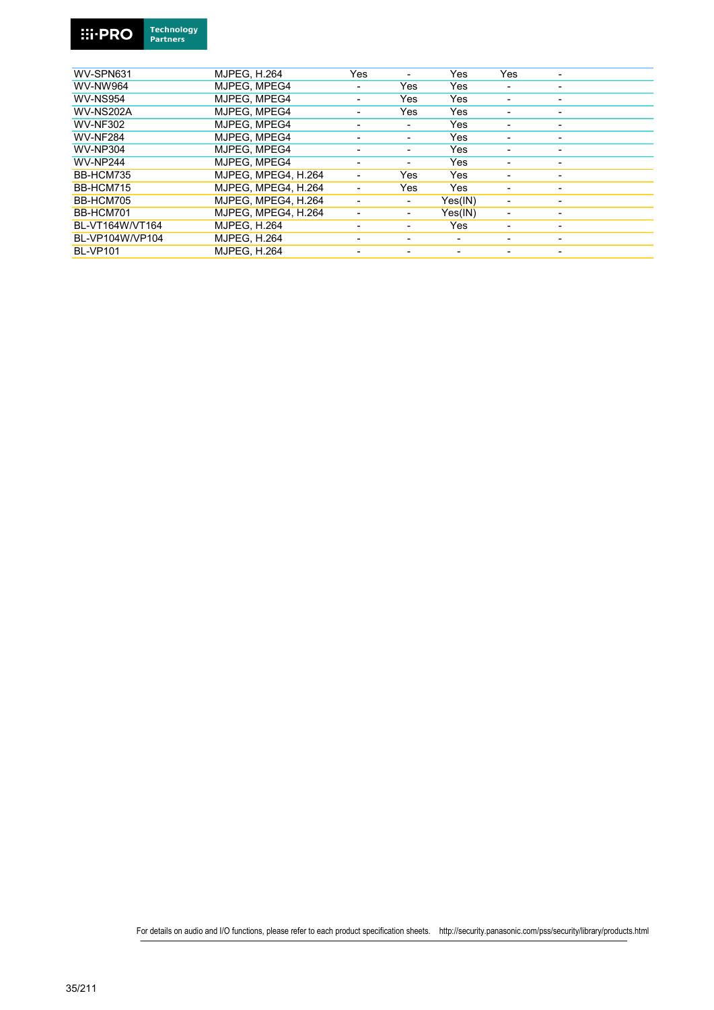

| WV-SPN631        | <b>MJPEG. H.264</b> | Yes                      |     | Yes     | Yes |                          |
|------------------|---------------------|--------------------------|-----|---------|-----|--------------------------|
| <b>WV-NW964</b>  | MJPEG. MPEG4        | $\overline{\phantom{0}}$ | Yes | Yes     |     | $\overline{\phantom{0}}$ |
| <b>WV-NS954</b>  | MJPEG. MPEG4        |                          | Yes | Yes     |     | -                        |
| <b>WV-NS202A</b> | MJPEG. MPEG4        | $\overline{\phantom{0}}$ | Yes | Yes     |     | ٠                        |
| <b>WV-NF302</b>  | MJPEG. MPEG4        |                          |     | Yes     |     |                          |
| <b>WV-NF284</b>  | MJPEG. MPEG4        |                          |     | Yes     |     | $\overline{\phantom{0}}$ |
| <b>WV-NP304</b>  | MJPEG. MPEG4        |                          |     | Yes     |     |                          |
| <b>WV-NP244</b>  | MJPEG. MPEG4        |                          |     | Yes     |     |                          |
| BB-HCM735        | MJPEG. MPEG4. H.264 | $\blacksquare$           | Yes | Yes     |     | $\overline{\phantom{0}}$ |
| BB-HCM715        | MJPEG. MPEG4, H.264 |                          | Yes | Yes     |     | $\overline{\phantom{0}}$ |
| BB-HCM705        | MJPEG. MPEG4. H.264 | $\overline{\phantom{0}}$ | ٠   | Yes(IN) | ٠   | ٠                        |
| BB-HCM701        | MJPEG. MPEG4. H.264 |                          | Ξ.  | Yes(IN) | ٠   | ٠                        |
| BL-VT164W/VT164  | <b>MJPEG. H.264</b> |                          |     | Yes     |     | ٠                        |
| BL-VP104W/VP104  | <b>MJPEG, H.264</b> |                          |     |         |     |                          |
| <b>BL-VP101</b>  | <b>MJPEG. H.264</b> |                          |     |         |     |                          |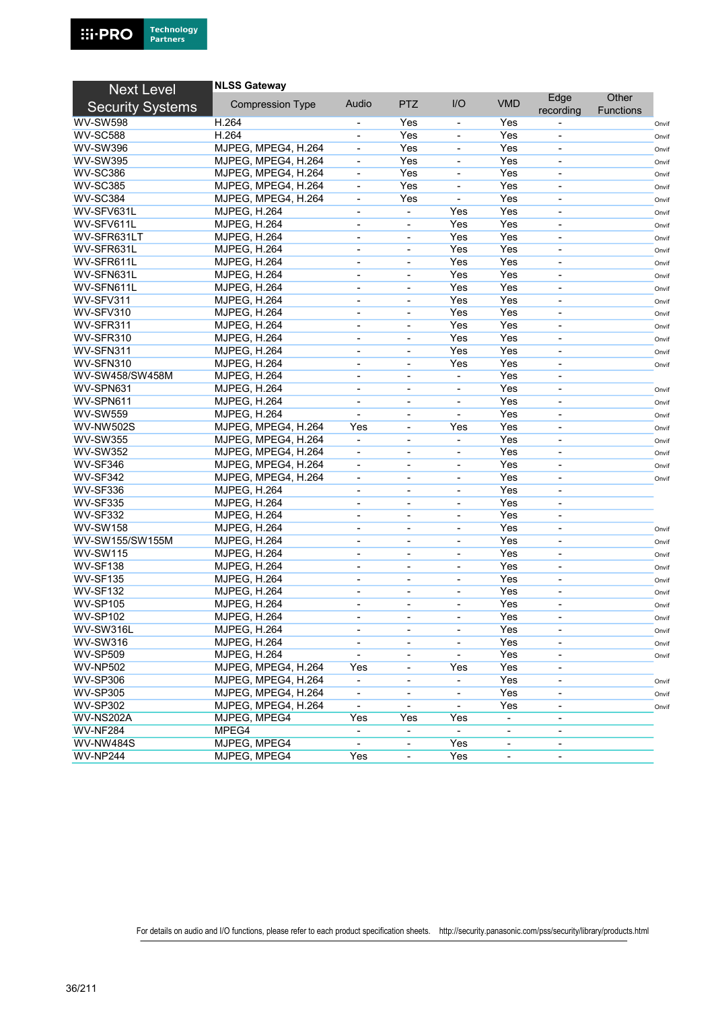| <b>Next Level</b>       | <b>NLSS Gateway</b>     |                          |                              |                          |                          |                          |                           |       |
|-------------------------|-------------------------|--------------------------|------------------------------|--------------------------|--------------------------|--------------------------|---------------------------|-------|
| <b>Security Systems</b> | <b>Compression Type</b> | Audio                    | <b>PTZ</b>                   | I/O                      | <b>VMD</b>               | Edge<br>recording        | Other<br><b>Functions</b> |       |
| <b>WV-SW598</b>         | H.264                   |                          | Yes                          | $\overline{\phantom{a}}$ | Yes                      |                          |                           | Onvif |
| <b>WV-SC588</b>         | H.264                   | $\blacksquare$           | Yes                          | $\blacksquare$           | Yes                      | $\overline{\phantom{0}}$ |                           | Onvif |
| <b>WV-SW396</b>         | MJPEG, MPEG4, H.264     |                          | Yes                          | $\blacksquare$           | Yes                      |                          |                           | Onvif |
| <b>WV-SW395</b>         | MJPEG, MPEG4, H.264     | $\blacksquare$           | Yes                          | $\blacksquare$           | Yes                      | $\blacksquare$           |                           | Onvif |
| <b>WV-SC386</b>         | MJPEG, MPEG4, H.264     |                          | Yes                          |                          | Yes                      | $\overline{\phantom{a}}$ |                           | Onvif |
| <b>WV-SC385</b>         | MJPEG, MPEG4, H.264     | $\blacksquare$           | Yes                          | $\blacksquare$           | Yes                      | $\overline{\phantom{a}}$ |                           | Onvif |
| <b>WV-SC384</b>         | MJPEG, MPEG4, H.264     |                          | Yes                          | $\blacksquare$           | Yes                      |                          |                           | Onvif |
| WV-SFV631L              | <b>MJPEG, H.264</b>     | $\overline{\phantom{a}}$ | $\blacksquare$               | Yes                      | Yes                      | $\overline{\phantom{a}}$ |                           | Onvif |
| WV-SFV611L              | <b>MJPEG, H.264</b>     | $\blacksquare$           | $\overline{\phantom{a}}$     | Yes                      | Yes                      | $\overline{\phantom{a}}$ |                           | Onvif |
| WV-SFR631LT             | <b>MJPEG, H.264</b>     | $\overline{\phantom{a}}$ | $\overline{\phantom{a}}$     | Yes                      | Yes                      | $\overline{\phantom{a}}$ |                           | Onvif |
| WV-SFR631L              | <b>MJPEG, H.264</b>     | $\blacksquare$           |                              | Yes                      | Yes                      |                          |                           | Onvif |
| WV-SFR611L              | <b>MJPEG, H.264</b>     | $\overline{\phantom{a}}$ | $\overline{\phantom{a}}$     | Yes                      | Yes                      | $\overline{\phantom{0}}$ |                           | Onvif |
| WV-SFN631L              | MJPEG, H.264            | $\overline{\phantom{a}}$ | $\qquad \qquad \blacksquare$ | Yes                      | Yes                      | $\overline{\phantom{a}}$ |                           | Onvif |
| WV-SFN611L              | <b>MJPEG, H.264</b>     | $\overline{\phantom{a}}$ | ۰                            | Yes                      | Yes                      | $\overline{\phantom{a}}$ |                           | Onvif |
| WV-SFV311               | <b>MJPEG, H.264</b>     | $\blacksquare$           |                              | Yes                      | Yes                      |                          |                           | Onvif |
| WV-SFV310               | <b>MJPEG, H.264</b>     | $\blacksquare$           | $\blacksquare$               | Yes                      | Yes                      | ä,                       |                           |       |
| WV-SFR311               | <b>MJPEG, H.264</b>     | $\blacksquare$           | $\blacksquare$               | Yes                      | Yes                      | $\overline{\phantom{a}}$ |                           | Onvif |
| WV-SFR310               | <b>MJPEG, H.264</b>     | $\blacksquare$           | $\overline{\phantom{a}}$     | Yes                      | Yes                      | ä,                       |                           | Onvif |
| WV-SFN311               | <b>MJPEG, H.264</b>     | $\blacksquare$           | $\overline{\phantom{a}}$     | Yes                      | Yes                      | $\blacksquare$           |                           | Onvif |
| WV-SFN310               |                         | $\blacksquare$           | ÷,                           | Yes                      | Yes                      | ä,                       |                           | Onvif |
|                         | <b>MJPEG, H.264</b>     |                          |                              |                          | Yes                      |                          |                           | Onvif |
| WV-SW458/SW458M         | <b>MJPEG, H.264</b>     | $\blacksquare$           | ٠                            | $\blacksquare$           |                          | $\overline{\phantom{a}}$ |                           |       |
| WV-SPN631               | <b>MJPEG, H.264</b>     | $\blacksquare$           | $\overline{\phantom{a}}$     |                          | Yes                      | $\overline{a}$           |                           | Onvif |
| WV-SPN611               | <b>MJPEG, H.264</b>     | $\blacksquare$           | $\overline{\phantom{a}}$     | $\blacksquare$           | Yes                      | $\overline{a}$           |                           | Onvif |
| <b>WV-SW559</b>         | <b>MJPEG, H.264</b>     |                          | $\overline{\phantom{a}}$     | $\blacksquare$           | Yes                      |                          |                           | Onvif |
| WV-NW502S               | MJPEG, MPEG4, H.264     | Yes                      | $\blacksquare$               | Yes                      | Yes                      | $\blacksquare$           |                           | Onvif |
| <b>WV-SW355</b>         | MJPEG, MPEG4, H.264     |                          | $\blacksquare$               |                          | Yes                      | ä,                       |                           | Onvif |
| <b>WV-SW352</b>         | MJPEG, MPEG4, H.264     | $\blacksquare$           | ٠                            | $\blacksquare$           | Yes                      | $\blacksquare$           |                           | Onvif |
| <b>WV-SF346</b>         | MJPEG, MPEG4, H.264     |                          | $\overline{\phantom{a}}$     |                          | Yes                      | ä,                       |                           | Onvif |
| <b>WV-SF342</b>         | MJPEG, MPEG4, H.264     | $\blacksquare$           | $\overline{\phantom{a}}$     | $\overline{\phantom{a}}$ | Yes                      | $\overline{\phantom{a}}$ |                           | Onvif |
| <b>WV-SF336</b>         | <b>MJPEG, H.264</b>     |                          | $\overline{\phantom{a}}$     |                          | Yes                      | $\overline{\phantom{a}}$ |                           |       |
| <b>WV-SF335</b>         | <b>MJPEG, H.264</b>     | $\overline{\phantom{a}}$ | $\overline{\phantom{a}}$     | $\overline{\phantom{a}}$ | Yes                      | $\overline{\phantom{a}}$ |                           |       |
| <b>WV-SF332</b>         | <b>MJPEG, H.264</b>     |                          |                              |                          | Yes                      | $\overline{\phantom{0}}$ |                           |       |
| <b>WV-SW158</b>         | <b>MJPEG, H.264</b>     | $\overline{\phantom{a}}$ | $\overline{\phantom{a}}$     | $\overline{\phantom{a}}$ | Yes                      | $\overline{\phantom{0}}$ |                           | Onvif |
| WV-SW155/SW155M         | MJPEG, H.264            | $\overline{\phantom{a}}$ | ۰                            | $\overline{\phantom{a}}$ | Yes                      | $\overline{\phantom{a}}$ |                           | Onvif |
| <b>WV-SW115</b>         | <b>MJPEG, H.264</b>     | $\overline{\phantom{a}}$ | $\overline{\phantom{a}}$     | $\overline{\phantom{a}}$ | Yes                      | $\overline{\phantom{0}}$ |                           | Onvif |
| <b>WV-SF138</b>         | <b>MJPEG, H.264</b>     | $\blacksquare$           | ۰                            | $\blacksquare$           | Yes                      | $\overline{\phantom{0}}$ |                           | Onvif |
| <b>WV-SF135</b>         | <b>MJPEG, H.264</b>     | $\overline{\phantom{a}}$ | $\overline{\phantom{a}}$     | $\blacksquare$           | Yes                      | $\overline{\phantom{0}}$ |                           | Onvif |
| <b>WV-SF132</b>         | <b>MJPEG, H.264</b>     | $\overline{\phantom{a}}$ | $\qquad \qquad \blacksquare$ | $\overline{\phantom{a}}$ | Yes                      | $\overline{\phantom{a}}$ |                           | Onvif |
| <b>WV-SP105</b>         | <b>MJPEG, H.264</b>     | $\blacksquare$           | ٠                            | $\overline{\phantom{a}}$ | Yes                      | $\overline{\phantom{a}}$ |                           | Onvif |
| <b>WV-SP102</b>         | <b>MJPEG, H.264</b>     |                          |                              |                          | Yes                      |                          |                           | Onvif |
| WV-SW316L               | <b>MJPEG, H.264</b>     | $\overline{\phantom{a}}$ | $\overline{\phantom{a}}$     | $\overline{\phantom{a}}$ | Yes                      | $\overline{\phantom{a}}$ |                           | Onvif |
| <b>WV-SW316</b>         | <b>MJPEG, H.264</b>     | $\overline{\phantom{a}}$ | $\overline{\phantom{a}}$     | $\overline{\phantom{a}}$ | Yes                      | $\overline{\phantom{a}}$ |                           | Onvif |
| <b>WV-SP509</b>         | <b>MJPEG, H.264</b>     |                          | ۰                            |                          | Yes                      | $\overline{\phantom{a}}$ |                           | Onvif |
| <b>WV-NP502</b>         | MJPEG, MPEG4, H.264     | Yes                      | $\overline{\phantom{a}}$     | Yes                      | Yes                      |                          |                           |       |
| <b>WV-SP306</b>         | MJPEG, MPEG4, H.264     |                          | $\overline{\phantom{a}}$     | $\blacksquare$           | Yes                      |                          |                           | Onvif |
| <b>WV-SP305</b>         | MJPEG, MPEG4, H.264     | $\overline{\phantom{a}}$ | $\overline{\phantom{a}}$     | $\blacksquare$           | Yes                      | $\overline{\phantom{a}}$ |                           | Onvif |
| <b>WV-SP302</b>         | MJPEG, MPEG4, H.264     |                          |                              |                          | Yes                      |                          |                           | Onvif |
| WV-NS202A               | MJPEG, MPEG4            | Yes                      | Yes                          | Yes                      | $\overline{\phantom{a}}$ | $\overline{\phantom{0}}$ |                           |       |
| <b>WV-NF284</b>         | MPEG4                   |                          |                              |                          | $\overline{\phantom{a}}$ |                          |                           |       |
| <b>WV-NW484S</b>        | MJPEG, MPEG4            | $\blacksquare$           | $\overline{\phantom{a}}$     | Yes                      | $\overline{\phantom{a}}$ | $\overline{\phantom{a}}$ |                           |       |
| <b>WV-NP244</b>         | MJPEG, MPEG4            | Yes                      | $\blacksquare$               | Yes                      | $\overline{\phantom{a}}$ | $\overline{\phantom{a}}$ |                           |       |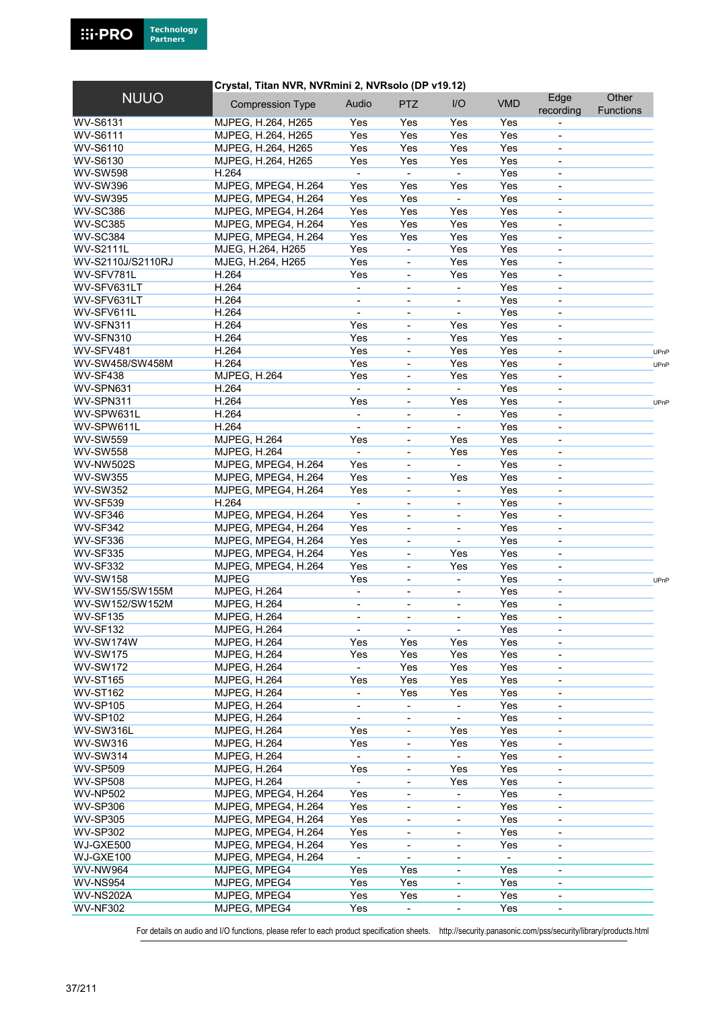### **Crystal, Titan NVR, NVRmini 2, NVRsolo (DP v19.12)**

| <b>NUUO</b>       | <b>Compression Type</b> | Audio                    | <b>PTZ</b>                   | I/O                      | <b>VMD</b> | Edge<br>recording            | Other<br><b>Functions</b> |      |
|-------------------|-------------------------|--------------------------|------------------------------|--------------------------|------------|------------------------------|---------------------------|------|
| WV-S6131          | MJPEG, H.264, H265      | Yes                      | Yes                          | Yes                      | Yes        |                              |                           |      |
| <b>WV-S6111</b>   | MJPEG, H.264, H265      | Yes                      | Yes                          | Yes                      | Yes        | $\qquad \qquad \blacksquare$ |                           |      |
| WV-S6110          | MJPEG, H.264, H265      | Yes                      | Yes                          | Yes                      | Yes        |                              |                           |      |
| WV-S6130          | MJPEG, H.264, H265      | Yes                      | Yes                          | Yes                      | Yes        | $\blacksquare$               |                           |      |
| <b>WV-SW598</b>   | H.264                   |                          | $\blacksquare$               | $\blacksquare$           | Yes        | $\blacksquare$               |                           |      |
| <b>WV-SW396</b>   | MJPEG, MPEG4, H.264     | Yes                      | Yes                          | Yes                      | Yes        | ä,                           |                           |      |
| <b>WV-SW395</b>   | MJPEG, MPEG4, H.264     | Yes                      | Yes                          | $\blacksquare$           | Yes        |                              |                           |      |
| <b>WV-SC386</b>   | MJPEG, MPEG4, H.264     | Yes                      | Yes                          | Yes                      | Yes        | ä,                           |                           |      |
| <b>WV-SC385</b>   | MJPEG, MPEG4, H.264     | Yes                      | Yes                          | Yes                      | Yes        | $\overline{\phantom{a}}$     |                           |      |
| <b>WV-SC384</b>   | MJPEG, MPEG4, H.264     | Yes                      | Yes                          | Yes                      | Yes        | $\overline{\phantom{0}}$     |                           |      |
| <b>WV-S2111L</b>  | MJEG, H.264, H265       | Yes                      | $\blacksquare$               | Yes                      | Yes        | ä,                           |                           |      |
| WV-S2110J/S2110RJ | MJEG, H.264, H265       | Yes                      | $\blacksquare$               | Yes                      | Yes        |                              |                           |      |
| WV-SFV781L        | H.264                   | Yes                      | $\blacksquare$               | Yes                      | Yes        | $\blacksquare$               |                           |      |
| WV-SFV631LT       | H.264                   |                          |                              |                          | Yes        | ä,                           |                           |      |
| WV-SFV631LT       | H.264                   | $\blacksquare$           | $\blacksquare$               |                          | Yes        |                              |                           |      |
|                   |                         |                          | $\blacksquare$               |                          |            | ä,                           |                           |      |
| WV-SFV611L        | H.264                   |                          | $\overline{\phantom{a}}$     |                          | Yes        |                              |                           |      |
| WV-SFN311         | H.264                   | Yes                      | $\overline{\phantom{a}}$     | Yes                      | Yes        | $\blacksquare$               |                           |      |
| WV-SFN310         | H.264                   | Yes                      | $\overline{\phantom{a}}$     | Yes                      | Yes        | $\blacksquare$               |                           |      |
| WV-SFV481         | H.264                   | Yes                      | $\overline{\phantom{a}}$     | Yes                      | Yes        | $\overline{\phantom{a}}$     |                           | UPnP |
| WV-SW458/SW458M   | H.264                   | Yes                      |                              | Yes                      | Yes        |                              |                           | UPnP |
| <b>WV-SF438</b>   | <b>MJPEG, H.264</b>     | Yes                      | $\overline{\phantom{a}}$     | Yes                      | Yes        | $\overline{\phantom{a}}$     |                           |      |
| WV-SPN631         | H.264                   |                          | $\overline{\phantom{a}}$     |                          | Yes        | $\qquad \qquad \blacksquare$ |                           |      |
| WV-SPN311         | H.264                   | Yes                      | $\overline{\phantom{a}}$     | Yes                      | Yes        | $\blacksquare$               |                           | UPnP |
| WV-SPW631L        | H.264                   | $\blacksquare$           |                              | $\blacksquare$           | Yes        |                              |                           |      |
| WV-SPW611L        | H.264                   | $\blacksquare$           | $\overline{\phantom{a}}$     | $\blacksquare$           | Yes        | $\blacksquare$               |                           |      |
| <b>WV-SW559</b>   | <b>MJPEG, H.264</b>     | Yes                      | $\overline{\phantom{a}}$     | Yes                      | Yes        | $\qquad \qquad \blacksquare$ |                           |      |
| <b>WV-SW558</b>   | <b>MJPEG, H.264</b>     | $\blacksquare$           | $\overline{\phantom{a}}$     | Yes                      | Yes        | $\qquad \qquad \blacksquare$ |                           |      |
| <b>WV-NW502S</b>  | MJPEG, MPEG4, H.264     | Yes                      | $\blacksquare$               | $\blacksquare$           | Yes        | $\overline{\phantom{0}}$     |                           |      |
| <b>WV-SW355</b>   | MJPEG, MPEG4, H.264     | Yes                      | $\blacksquare$               | Yes                      | Yes        | ä,                           |                           |      |
| <b>WV-SW352</b>   | MJPEG, MPEG4, H.264     | Yes                      | $\overline{\phantom{a}}$     | $\blacksquare$           | Yes        | $\overline{\phantom{a}}$     |                           |      |
| <b>WV-SF539</b>   | H.264                   | $\overline{a}$           | $\overline{\phantom{a}}$     | $\blacksquare$           | Yes        | ä,                           |                           |      |
| WV-SF346          | MJPEG, MPEG4, H.264     | Yes                      | $\blacksquare$               | $\overline{\phantom{a}}$ | Yes        |                              |                           |      |
| WV-SF342          | MJPEG, MPEG4, H.264     | Yes                      | $\blacksquare$               | $\blacksquare$           | Yes        |                              |                           |      |
| <b>WV-SF336</b>   | MJPEG, MPEG4, H.264     | Yes                      | $\overline{\phantom{a}}$     | $\blacksquare$           | Yes        | $\overline{\phantom{a}}$     |                           |      |
| <b>WV-SF335</b>   | MJPEG, MPEG4, H.264     | Yes                      | $\overline{\phantom{a}}$     | Yes                      | Yes        | ä,                           |                           |      |
| <b>WV-SF332</b>   | MJPEG, MPEG4, H.264     | Yes                      | $\blacksquare$               | Yes                      | Yes        | $\blacksquare$               |                           |      |
| <b>WV-SW158</b>   | <b>MJPEG</b>            | Yes                      | $\blacksquare$               | $\blacksquare$           | Yes        | $\blacksquare$               |                           |      |
| WV-SW155/SW155M   | <b>MJPEG, H.264</b>     | $\blacksquare$           | $\blacksquare$               | $\blacksquare$           | Yes        | $\blacksquare$               |                           | UPnP |
| WV-SW152/SW152M   |                         |                          |                              |                          | Yes        |                              |                           |      |
| <b>WV-SF135</b>   | <b>MJPEG, H.264</b>     | $\overline{\phantom{a}}$ | $\overline{\phantom{a}}$     |                          |            | $\qquad \qquad \blacksquare$ |                           |      |
|                   | <b>MJPEG, H.264</b>     | $\blacksquare$           | $\overline{\phantom{a}}$     | $\overline{\phantom{a}}$ | Yes        | $\blacksquare$               |                           |      |
| <b>WV-SF132</b>   | <b>MJPEG, H.264</b>     |                          |                              |                          | Yes        |                              |                           |      |
| WV-SW174W         | <b>MJPEG, H.264</b>     | Yes                      | Yes                          | Yes                      | Yes        | $\overline{\phantom{a}}$     |                           |      |
| <b>WV-SW175</b>   | <b>MJPEG, H.264</b>     | Yes                      | Yes                          | Yes                      | Yes        | $\qquad \qquad \blacksquare$ |                           |      |
| <b>WV-SW172</b>   | <b>MJPEG, H.264</b>     | $\blacksquare$           | Yes                          | Yes                      | Yes        | $\overline{\phantom{a}}$     |                           |      |
| <b>WV-ST165</b>   | <b>MJPEG, H.264</b>     | Yes                      | Yes                          | Yes                      | Yes        |                              |                           |      |
| <b>WV-ST162</b>   | <b>MJPEG, H.264</b>     | $\blacksquare$           | Yes                          | Yes                      | Yes        | $\overline{\phantom{a}}$     |                           |      |
| <b>WV-SP105</b>   | <b>MJPEG, H.264</b>     | $\overline{\phantom{a}}$ | $\qquad \qquad \blacksquare$ | $\blacksquare$           | Yes        | $\qquad \qquad \blacksquare$ |                           |      |
| <b>WV-SP102</b>   | <b>MJPEG, H.264</b>     | $\blacksquare$           | $\overline{\phantom{a}}$     |                          | Yes        | $\qquad \qquad \blacksquare$ |                           |      |
| WV-SW316L         | <b>MJPEG, H.264</b>     | Yes                      |                              | Yes                      | Yes        |                              |                           |      |
| <b>WV-SW316</b>   | <b>MJPEG, H.264</b>     | Yes                      | $\overline{\phantom{a}}$     | Yes                      | Yes        | $\overline{\phantom{a}}$     |                           |      |
| <b>WV-SW314</b>   | <b>MJPEG, H.264</b>     |                          | $\overline{\phantom{a}}$     |                          | Yes        | $\overline{\phantom{a}}$     |                           |      |
| <b>WV-SP509</b>   | <b>MJPEG, H.264</b>     | Yes                      | ۰                            | Yes                      | Yes        | $\overline{\phantom{0}}$     |                           |      |
| <b>WV-SP508</b>   | <b>MJPEG, H.264</b>     | $\blacksquare$           | $\overline{\phantom{a}}$     | Yes                      | Yes        |                              |                           |      |
| <b>WV-NP502</b>   | MJPEG, MPEG4, H.264     | Yes                      | $\overline{\phantom{a}}$     |                          | Yes        |                              |                           |      |
| <b>WV-SP306</b>   | MJPEG, MPEG4, H.264     | Yes                      | $\blacksquare$               | $\overline{\phantom{a}}$ | Yes        | $\overline{\phantom{a}}$     |                           |      |
| <b>WV-SP305</b>   | MJPEG, MPEG4, H.264     | Yes                      | $\overline{\phantom{a}}$     | $\overline{\phantom{a}}$ | Yes        |                              |                           |      |
| <b>WV-SP302</b>   | MJPEG, MPEG4, H.264     | Yes                      | $\overline{\phantom{a}}$     | $\overline{\phantom{a}}$ | Yes        |                              |                           |      |
| WJ-GXE500         | MJPEG, MPEG4, H.264     | Yes                      | $\blacksquare$               | $\overline{\phantom{a}}$ | Yes        |                              |                           |      |
| WJ-GXE100         | MJPEG, MPEG4, H.264     |                          | $\overline{\phantom{a}}$     | $\overline{\phantom{a}}$ |            | $\overline{\phantom{a}}$     |                           |      |
| <b>WV-NW964</b>   | MJPEG, MPEG4            | Yes                      | Yes                          | $\overline{\phantom{a}}$ | Yes        | $\qquad \qquad \blacksquare$ |                           |      |
| <b>WV-NS954</b>   | MJPEG, MPEG4            | Yes                      | Yes                          | $\blacksquare$           | Yes        | $\overline{\phantom{a}}$     |                           |      |
| WV-NS202A         |                         | Yes                      | Yes                          |                          | Yes        |                              |                           |      |
|                   | MJPEG, MPEG4            |                          |                              |                          |            |                              |                           |      |
| <b>WV-NF302</b>   | MJPEG, MPEG4            | Yes                      | $\blacksquare$               | $\overline{\phantom{a}}$ | Yes        | $\blacksquare$               |                           |      |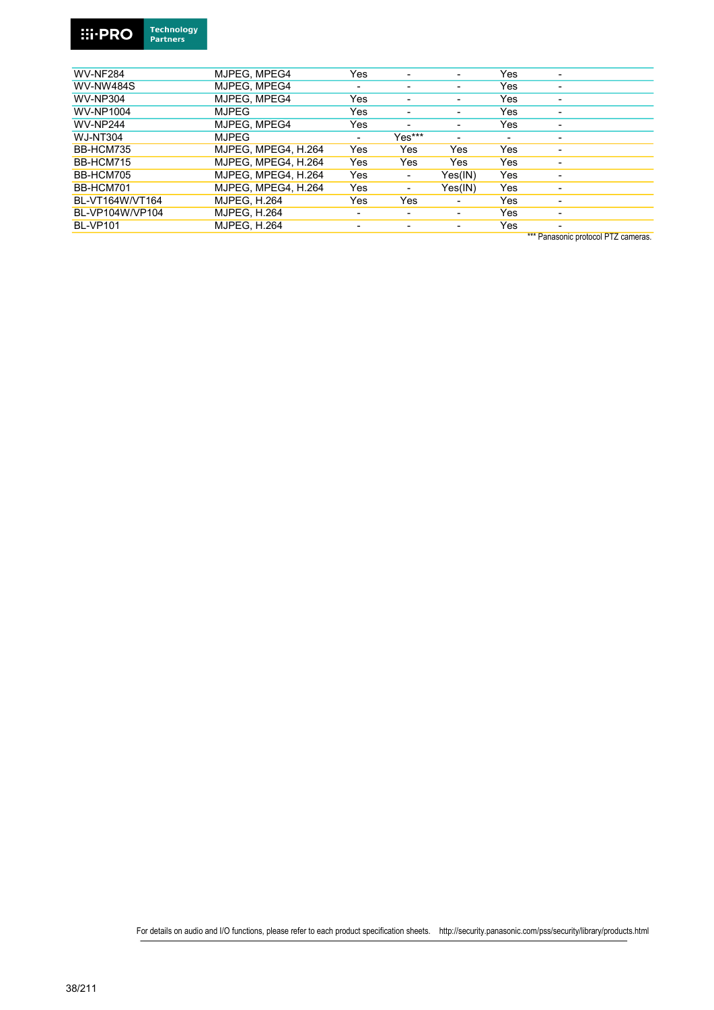

| ı | Technology      |
|---|-----------------|
|   | <b>Partners</b> |
|   |                 |

| <b>WV-NF284</b>  | MJPEG. MPEG4        | Yes                      |        |                          | Yes |                                     |
|------------------|---------------------|--------------------------|--------|--------------------------|-----|-------------------------------------|
| <b>WV-NW484S</b> | MJPEG. MPEG4        | ٠                        | ٠      | $\overline{\phantom{0}}$ | Yes | -                                   |
| <b>WV-NP304</b>  | MJPEG. MPEG4        | Yes                      |        |                          | Yes |                                     |
| WV-NP1004        | <b>MJPEG</b>        | Yes                      | -      | $\overline{\phantom{0}}$ | Yes | $\overline{\phantom{0}}$            |
| <b>WV-NP244</b>  | MJPEG, MPEG4        | Yes                      | ۰      |                          | Yes |                                     |
| <b>WJ-NT304</b>  | <b>MJPEG</b>        | ۰                        | Yes*** |                          |     | -                                   |
| BB-HCM735        | MJPEG. MPEG4. H.264 | Yes                      | Yes    | Yes                      | Yes | ۰                                   |
| BB-HCM715        | MJPEG, MPEG4, H.264 | Yes                      | Yes    | Yes                      | Yes | -                                   |
| BB-HCM705        | MJPEG. MPEG4. H.264 | Yes                      | ٠      | Yes(IN)                  | Yes |                                     |
| BB-HCM701        | MJPEG. MPEG4. H.264 | Yes                      | ٠      | Yes(IN)                  | Yes | $\overline{\phantom{0}}$            |
| BL-VT164W/VT164  | <b>MJPEG, H.264</b> | Yes                      | Yes    | ۰                        | Yes | ٠                                   |
| BL-VP104W/VP104  | <b>MJPEG, H.264</b> | $\overline{\phantom{0}}$ |        |                          | Yes | $\overline{\phantom{0}}$            |
| <b>BL-VP101</b>  | <b>MJPEG, H.264</b> | $\overline{\phantom{0}}$ | -      | $\blacksquare$           | Yes |                                     |
|                  |                     |                          |        |                          |     | *** Panasonic protocol PTZ cameras. |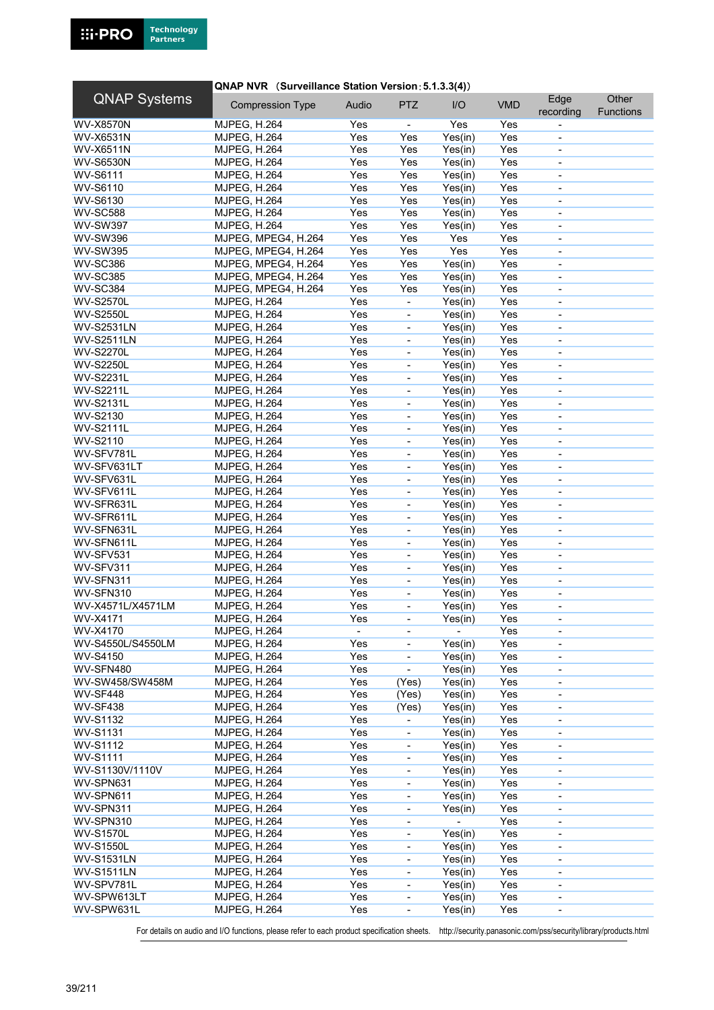## **QNAP NVR** (Surveillance Station Version: 5.1.3.3(4))

| <b>QNAP Systems</b> | <b>Compression Type</b> | Audio | <b>PTZ</b>                   | I/O            | <b>VMD</b> | Edge<br>recording        | Other<br><b>Functions</b> |
|---------------------|-------------------------|-------|------------------------------|----------------|------------|--------------------------|---------------------------|
|                     | <b>MJPEG, H.264</b>     | Yes   |                              | Yes            | Yes        |                          |                           |
| <b>WV-X8570N</b>    |                         |       | $\qquad \qquad \blacksquare$ |                |            |                          |                           |
| <b>WV-X6531N</b>    | <b>MJPEG, H.264</b>     | Yes   | Yes                          | Yes(in)        | Yes        | $\overline{\phantom{a}}$ |                           |
| <b>WV-X6511N</b>    | <b>MJPEG, H.264</b>     | Yes   | Yes                          | Yes(in)        | Yes        |                          |                           |
| <b>WV-S6530N</b>    | <b>MJPEG, H.264</b>     | Yes   | Yes                          | Yes(in)        | Yes        | $\overline{\phantom{a}}$ |                           |
| <b>WV-S6111</b>     | <b>MJPEG, H.264</b>     | Yes   | Yes                          | Yes(in)        | Yes        | $\overline{\phantom{a}}$ |                           |
| WV-S6110            | <b>MJPEG, H.264</b>     | Yes   | Yes                          | Yes(in)        | Yes        | $\overline{\phantom{a}}$ |                           |
| <b>WV-S6130</b>     | <b>MJPEG, H.264</b>     | Yes   | Yes                          | Yes(in)        | Yes        | $\overline{\phantom{a}}$ |                           |
| <b>WV-SC588</b>     | <b>MJPEG, H.264</b>     | Yes   | Yes                          | Yes(in)        | Yes        | $\blacksquare$           |                           |
| <b>WV-SW397</b>     | <b>MJPEG, H.264</b>     | Yes   | Yes                          | Yes(in)        | Yes        | $\overline{\phantom{a}}$ |                           |
| <b>WV-SW396</b>     | MJPEG, MPEG4, H.264     | Yes   | Yes                          | Yes            | Yes        | $\overline{\phantom{a}}$ |                           |
| <b>WV-SW395</b>     | MJPEG, MPEG4, H.264     | Yes   | Yes                          | Yes            | Yes        | $\overline{\phantom{a}}$ |                           |
| <b>WV-SC386</b>     | MJPEG, MPEG4, H.264     | Yes   | Yes                          | Yes(in)        | Yes        | ÷,                       |                           |
| <b>WV-SC385</b>     | MJPEG, MPEG4, H.264     | Yes   | Yes                          | Yes(in)        | Yes        | $\overline{\phantom{a}}$ |                           |
| <b>WV-SC384</b>     | MJPEG, MPEG4, H.264     | Yes   | Yes                          | Yes(in)        | Yes        | $\overline{\phantom{a}}$ |                           |
| <b>WV-S2570L</b>    | MJPEG, H.264            | Yes   | ÷,                           | Yes(in)        | Yes        | $\blacksquare$           |                           |
| <b>WV-S2550L</b>    | <b>MJPEG, H.264</b>     | Yes   | $\frac{1}{2}$                | Yes(in)        | Yes        |                          |                           |
| <b>WV-S2531LN</b>   | <b>MJPEG, H.264</b>     | Yes   | $\blacksquare$               | Yes(in)        | Yes        | $\blacksquare$           |                           |
| <b>WV-S2511LN</b>   | <b>MJPEG, H.264</b>     | Yes   | $\qquad \qquad \blacksquare$ | Yes(in)        | Yes        | $\overline{\phantom{0}}$ |                           |
| <b>WV-S2270L</b>    | <b>MJPEG, H.264</b>     | Yes   | $\blacksquare$               | Yes(in)        | Yes        | $\overline{\phantom{a}}$ |                           |
| <b>WV-S2250L</b>    | <b>MJPEG, H.264</b>     | Yes   | $\blacksquare$               | Yes(in)        | Yes        | ä,                       |                           |
| <b>WV-S2231L</b>    | <b>MJPEG, H.264</b>     | Yes   | $\blacksquare$               | Yes(in)        | Yes        | $\blacksquare$           |                           |
| <b>WV-S2211L</b>    | <b>MJPEG, H.264</b>     | Yes   | $\overline{\phantom{0}}$     | Yes(in)        | Yes        | $\overline{\phantom{a}}$ |                           |
| <b>WV-S2131L</b>    | <b>MJPEG, H.264</b>     | Yes   | $\qquad \qquad \blacksquare$ | Yes(in)        | Yes        | $\overline{\phantom{a}}$ |                           |
| <b>WV-S2130</b>     | <b>MJPEG, H.264</b>     | Yes   | ÷,                           | Yes(in)        | Yes        |                          |                           |
| <b>WV-S2111L</b>    | <b>MJPEG, H.264</b>     | Yes   | $\frac{1}{2}$                | Yes(in)        | Yes        | $\blacksquare$           |                           |
| WV-S2110            | <b>MJPEG, H.264</b>     | Yes   | $\qquad \qquad \blacksquare$ | Yes(in)        | Yes        | $\overline{\phantom{a}}$ |                           |
| WV-SFV781L          | <b>MJPEG, H.264</b>     | Yes   | $\blacksquare$               | Yes(in)        | Yes        | $\overline{\phantom{a}}$ |                           |
| WV-SFV631LT         | MJPEG, H.264            | Yes   | ÷,                           | Yes(in)        | Yes        |                          |                           |
|                     |                         |       |                              |                |            | $\overline{\phantom{a}}$ |                           |
| WV-SFV631L          | <b>MJPEG, H.264</b>     | Yes   | $\blacksquare$               | Yes(in)        | Yes        | $\blacksquare$           |                           |
| WV-SFV611L          | <b>MJPEG, H.264</b>     | Yes   | $\qquad \qquad \blacksquare$ | Yes(in)        | Yes        | $\overline{\phantom{a}}$ |                           |
| WV-SFR631L          | <b>MJPEG, H.264</b>     | Yes   | $\qquad \qquad \blacksquare$ | Yes(in)        | Yes        | $\overline{\phantom{a}}$ |                           |
| WV-SFR611L          | <b>MJPEG, H.264</b>     | Yes   | $\overline{a}$               | Yes(in)        | Yes        | $\blacksquare$           |                           |
| WV-SFN631L          | <b>MJPEG, H.264</b>     | Yes   | $\blacksquare$               | Yes(in)        | Yes        | $\blacksquare$           |                           |
| WV-SFN611L          | <b>MJPEG, H.264</b>     | Yes   | $\frac{1}{2}$                | Yes(in)        | Yes        | $\overline{\phantom{a}}$ |                           |
| WV-SFV531           | <b>MJPEG, H.264</b>     | Yes   | $\qquad \qquad \blacksquare$ | Yes(in)        | Yes        | $\overline{\phantom{a}}$ |                           |
| WV-SFV311           | <b>MJPEG, H.264</b>     | Yes   | $\blacksquare$               | Yes(in)        | Yes        | $\overline{\phantom{a}}$ |                           |
| WV-SFN311           | <b>MJPEG, H.264</b>     | Yes   | $\frac{1}{2}$                | Yes(in)        | Yes        | ÷,                       |                           |
| WV-SFN310           | <b>MJPEG, H.264</b>     | Yes   | $\blacksquare$               | Yes(in)        | Yes        | $\overline{\phantom{a}}$ |                           |
| WV-X4571L/X4571LM   | <b>MJPEG, H.264</b>     | Yes   | $\qquad \qquad \blacksquare$ | Yes(in)        | Yes        | $\overline{\phantom{a}}$ |                           |
| WV-X4171            | <b>MJPEG, H.264</b>     | Yes   | ÷,                           | Yes(in)        | Yes        | $\overline{\phantom{a}}$ |                           |
| <b>WV-X4170</b>     | MJPEG, H.264            |       |                              |                | Yes        |                          |                           |
| WV-S4550L/S4550LM   | <b>MJPEG, H.264</b>     | Yes   | $\overline{\phantom{a}}$     | Yes(in)        | Yes        | $\overline{\phantom{a}}$ |                           |
| WV-S4150            | <b>MJPEG, H.264</b>     | Yes   | -                            | Yes(in)        | Yes        | $\overline{\phantom{a}}$ |                           |
| WV-SFN480           | <b>MJPEG, H.264</b>     | Yes   | $\blacksquare$               | Yes(in)        | Yes        | $\overline{\phantom{a}}$ |                           |
| WV-SW458/SW458M     | <b>MJPEG, H.264</b>     | Yes   | (Yes)                        | Yes(in)        | Yes        |                          |                           |
| WV-SF448            | <b>MJPEG, H.264</b>     | Yes   | (Yes)                        | Yes(in)        | Yes        | $\overline{\phantom{a}}$ |                           |
| <b>WV-SF438</b>     | <b>MJPEG, H.264</b>     | Yes   | (Yes)                        | Yes(in)        | Yes        | $\overline{\phantom{0}}$ |                           |
| WV-S1132            | <b>MJPEG, H.264</b>     | Yes   | $\overline{\phantom{a}}$     | Yes(in)        | Yes        | $\overline{\phantom{a}}$ |                           |
| <b>WV-S1131</b>     | <b>MJPEG, H.264</b>     | Yes   |                              | Yes(in)        | Yes        |                          |                           |
| <b>WV-S1112</b>     | <b>MJPEG, H.264</b>     | Yes   | $\blacksquare$               | Yes(in)        | Yes        | $\overline{\phantom{a}}$ |                           |
| <b>WV-S1111</b>     | <b>MJPEG, H.264</b>     | Yes   | $\qquad \qquad \blacksquare$ | Yes(in)        | Yes        | $\overline{\phantom{a}}$ |                           |
| WV-S1130V/1110V     | <b>MJPEG, H.264</b>     | Yes   | $\qquad \qquad \blacksquare$ | Yes(in)        | Yes        | $\overline{\phantom{a}}$ |                           |
| WV-SPN631           | <b>MJPEG, H.264</b>     | Yes   | ÷,                           | Yes(in)        | Yes        |                          |                           |
| WV-SPN611           | <b>MJPEG, H.264</b>     | Yes   | $\frac{1}{2}$                | Yes(in)        | Yes        |                          |                           |
| WV-SPN311           | <b>MJPEG, H.264</b>     | Yes   |                              | Yes(in)        | Yes        |                          |                           |
|                     |                         |       | $\qquad \qquad \blacksquare$ | $\blacksquare$ |            | $\overline{\phantom{a}}$ |                           |
| WV-SPN310           | <b>MJPEG, H.264</b>     | Yes   | $\qquad \qquad \blacksquare$ |                | Yes        | $\overline{\phantom{a}}$ |                           |
| <b>WV-S1570L</b>    | <b>MJPEG, H.264</b>     | Yes   | $\blacksquare$               | Yes(in)        | Yes        | $\overline{\phantom{a}}$ |                           |
| <b>WV-S1550L</b>    | <b>MJPEG, H.264</b>     | Yes   | $\overline{\phantom{a}}$     | Yes(in)        | Yes        | $\blacksquare$           |                           |
| <b>WV-S1531LN</b>   | <b>MJPEG, H.264</b>     | Yes   | $\blacksquare$               | Yes(in)        | Yes        | $\overline{\phantom{a}}$ |                           |
| <b>WV-S1511LN</b>   | <b>MJPEG, H.264</b>     | Yes   | $\qquad \qquad \blacksquare$ | Yes(in)        | Yes        | $\overline{\phantom{a}}$ |                           |
| WV-SPV781L          | <b>MJPEG, H.264</b>     | Yes   | $\qquad \qquad \blacksquare$ | Yes(in)        | Yes        | $\overline{\phantom{a}}$ |                           |
| WV-SPW613LT         | <b>MJPEG, H.264</b>     | Yes   | $\qquad \qquad \blacksquare$ | Yes(in)        | Yes        | $\blacksquare$           |                           |
| WV-SPW631L          | <b>MJPEG, H.264</b>     | Yes   | $\blacksquare$               | Yes(in)        | Yes        | $\overline{\phantom{a}}$ |                           |
|                     |                         |       |                              |                |            |                          |                           |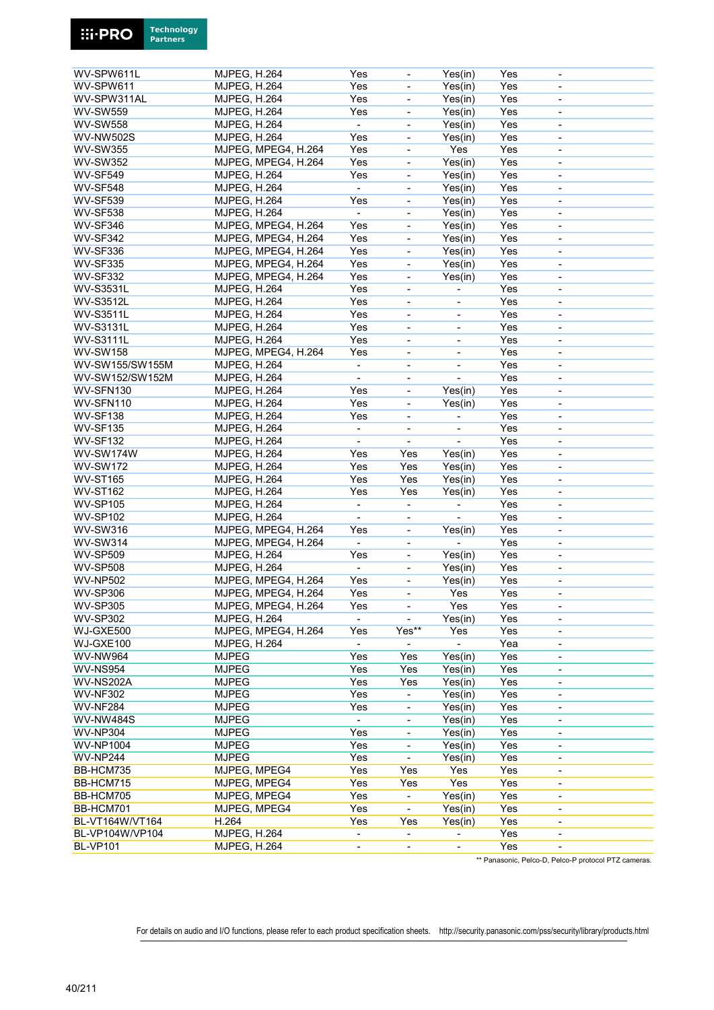| WV-SPW611L       | MJPEG, H.264        | Yes                      | $\overline{\phantom{a}}$     | Yes(in)                  | Yes | $\overline{\phantom{a}}$ |  |
|------------------|---------------------|--------------------------|------------------------------|--------------------------|-----|--------------------------|--|
| WV-SPW611        | <b>MJPEG, H.264</b> | Yes                      | $\overline{\phantom{a}}$     | Yes(in)                  | Yes | $\overline{\phantom{a}}$ |  |
|                  |                     |                          |                              |                          |     |                          |  |
| WV-SPW311AL      | <b>MJPEG, H.264</b> | Yes                      | $\overline{\phantom{a}}$     | Yes(in)                  | Yes | $\overline{\phantom{a}}$ |  |
| <b>WV-SW559</b>  | <b>MJPEG, H.264</b> | Yes                      | $\blacksquare$               | Yes(in)                  | Yes | $\blacksquare$           |  |
| <b>WV-SW558</b>  | <b>MJPEG, H.264</b> | $\blacksquare$           | $\blacksquare$               | Yes(in)                  | Yes |                          |  |
|                  |                     |                          |                              |                          |     | $\blacksquare$           |  |
| <b>WV-NW502S</b> | <b>MJPEG, H.264</b> | Yes                      | $\blacksquare$               | Yes(in)                  | Yes | $\blacksquare$           |  |
| <b>WV-SW355</b>  | MJPEG, MPEG4, H.264 | Yes                      | $\overline{\phantom{a}}$     | Yes                      | Yes | $\blacksquare$           |  |
|                  |                     |                          |                              |                          |     |                          |  |
| <b>WV-SW352</b>  | MJPEG, MPEG4, H.264 | Yes                      | $\blacksquare$               | Yes(in)                  | Yes | $\blacksquare$           |  |
| <b>WV-SF549</b>  | <b>MJPEG, H.264</b> | Yes                      | $\overline{\phantom{a}}$     | Yes(in)                  | Yes | $\overline{\phantom{a}}$ |  |
| <b>WV-SF548</b>  |                     | $\overline{\phantom{0}}$ |                              |                          | Yes | $\blacksquare$           |  |
|                  | <b>MJPEG, H.264</b> |                          | $\blacksquare$               | Yes(in)                  |     |                          |  |
| <b>WV-SF539</b>  | <b>MJPEG, H.264</b> | Yes                      | $\overline{\phantom{a}}$     | Yes(in)                  | Yes | $\blacksquare$           |  |
| <b>WV-SF538</b>  | <b>MJPEG, H.264</b> | $\blacksquare$           | $\blacksquare$               | Yes(in)                  | Yes | $\blacksquare$           |  |
|                  |                     |                          |                              |                          |     |                          |  |
| <b>WV-SF346</b>  | MJPEG, MPEG4, H.264 | Yes                      | $\blacksquare$               | Yes(in)                  | Yes | $\blacksquare$           |  |
| WV-SF342         | MJPEG, MPEG4, H.264 | Yes                      | $\qquad \qquad \blacksquare$ | Yes(in)                  | Yes | $\overline{\phantom{a}}$ |  |
| <b>WV-SF336</b>  | MJPEG, MPEG4, H.264 | Yes                      |                              |                          | Yes |                          |  |
|                  |                     |                          | $\overline{\phantom{a}}$     | Yes(in)                  |     | $\overline{\phantom{a}}$ |  |
| <b>WV-SF335</b>  | MJPEG, MPEG4, H.264 | Yes                      | $\blacksquare$               | Yes(in)                  | Yes | $\overline{a}$           |  |
| <b>WV-SF332</b>  | MJPEG, MPEG4, H.264 | Yes                      | $\blacksquare$               | Yes(in)                  | Yes | $\overline{\phantom{a}}$ |  |
|                  |                     |                          |                              |                          |     |                          |  |
| <b>WV-S3531L</b> | <b>MJPEG, H.264</b> | Yes                      | $\overline{\phantom{a}}$     |                          | Yes | $\overline{\phantom{a}}$ |  |
| <b>WV-S3512L</b> | <b>MJPEG, H.264</b> | Yes                      | $\overline{\phantom{a}}$     | $\overline{\phantom{a}}$ | Yes | $\overline{\phantom{a}}$ |  |
|                  |                     |                          |                              |                          |     |                          |  |
| <b>WV-S3511L</b> | <b>MJPEG, H.264</b> | Yes                      | ÷,                           |                          | Yes | $\overline{\phantom{a}}$ |  |
| <b>WV-S3131L</b> | <b>MJPEG, H.264</b> | Yes                      | $\overline{\phantom{a}}$     | $\overline{\phantom{a}}$ | Yes | $\blacksquare$           |  |
|                  |                     | Yes                      |                              |                          | Yes |                          |  |
| <b>WV-S3111L</b> | <b>MJPEG, H.264</b> |                          | $\qquad \qquad \blacksquare$ | $\overline{\phantom{a}}$ |     | $\overline{\phantom{a}}$ |  |
| <b>WV-SW158</b>  | MJPEG, MPEG4, H.264 | Yes                      | $\overline{\phantom{a}}$     | $\overline{\phantom{a}}$ | Yes | $\overline{\phantom{a}}$ |  |
| WV-SW155/SW155M  | <b>MJPEG, H.264</b> | $\blacksquare$           | $\overline{\phantom{a}}$     | $\blacksquare$           | Yes | $\overline{\phantom{a}}$ |  |
|                  |                     |                          |                              |                          |     |                          |  |
| WV-SW152/SW152M  | <b>MJPEG, H.264</b> | $\blacksquare$           | $\blacksquare$               | $\blacksquare$           | Yes | $\blacksquare$           |  |
| WV-SFN130        | <b>MJPEG, H.264</b> | Yes                      | $\overline{\phantom{a}}$     | Yes(in)                  | Yes | $\overline{\phantom{a}}$ |  |
|                  |                     |                          |                              |                          |     |                          |  |
| WV-SFN110        | <b>MJPEG, H.264</b> | Yes                      | $\qquad \qquad \blacksquare$ | Yes(in)                  | Yes | $\overline{\phantom{a}}$ |  |
| WV-SF138         | <b>MJPEG, H.264</b> | Yes                      | $\overline{\phantom{a}}$     |                          | Yes | $\overline{\phantom{a}}$ |  |
| WV-SF135         | <b>MJPEG, H.264</b> | ÷,                       | ÷,                           |                          | Yes | $\blacksquare$           |  |
|                  |                     |                          |                              |                          |     |                          |  |
| <b>WV-SF132</b>  | MJPEG, H.264        | $\blacksquare$           | $\overline{\phantom{a}}$     | $\blacksquare$           | Yes | $\blacksquare$           |  |
| <b>WV-SW174W</b> | <b>MJPEG, H.264</b> | Yes                      | Yes                          | Yes(in)                  | Yes | $\blacksquare$           |  |
|                  |                     |                          |                              |                          |     |                          |  |
| <b>WV-SW172</b>  | <b>MJPEG, H.264</b> | Yes                      | Yes                          | Yes(in)                  | Yes | $\blacksquare$           |  |
| <b>WV-ST165</b>  | <b>MJPEG, H.264</b> | Yes                      | Yes                          | Yes(in)                  | Yes | ä,                       |  |
| <b>WV-ST162</b>  | <b>MJPEG, H.264</b> | Yes                      | Yes                          | Yes(in)                  | Yes | $\overline{\phantom{a}}$ |  |
|                  |                     |                          |                              |                          |     |                          |  |
| <b>WV-SP105</b>  | <b>MJPEG, H.264</b> | $\blacksquare$           | $\overline{\phantom{a}}$     |                          | Yes | $\overline{\phantom{a}}$ |  |
| <b>WV-SP102</b>  | <b>MJPEG, H.264</b> | $\blacksquare$           | $\overline{\phantom{a}}$     |                          | Yes | $\overline{\phantom{a}}$ |  |
| <b>WV-SW316</b>  |                     |                          |                              |                          |     |                          |  |
|                  | MJPEG, MPEG4, H.264 | Yes                      | $\blacksquare$               | Yes(in)                  | Yes | $\blacksquare$           |  |
| <b>WV-SW314</b>  | MJPEG, MPEG4, H.264 | $\blacksquare$           | $\overline{\phantom{a}}$     | ÷,                       | Yes | $\overline{\phantom{a}}$ |  |
| <b>WV-SP509</b>  | <b>MJPEG, H.264</b> | Yes                      | $\overline{\phantom{a}}$     | Yes(in)                  | Yes | $\overline{\phantom{a}}$ |  |
|                  |                     |                          |                              |                          |     |                          |  |
| <b>WV-SP508</b>  | <b>MJPEG, H.264</b> | $\blacksquare$           | $\overline{\phantom{a}}$     | Yes(in)                  | Yes | $\overline{\phantom{a}}$ |  |
| <b>WV-NP502</b>  | MJPEG, MPEG4, H.264 | Yes                      | ÷,                           | Yes(in)                  | Yes | $\overline{\phantom{a}}$ |  |
|                  |                     |                          |                              |                          |     |                          |  |
| <b>WV-SP306</b>  | MJPEG, MPEG4, H.264 | Yes                      | $\blacksquare$               | Yes                      | Yes | $\overline{\phantom{a}}$ |  |
| WV-SP305         | MJPEG, MPEG4, H.264 | Yes                      | $\overline{\phantom{a}}$     | Yes                      | Yes | $\overline{\phantom{a}}$ |  |
| <b>WV-SP302</b>  | <b>MJPEG, H.264</b> | ÷.                       | $\overline{\phantom{a}}$     | Yes(in)                  | Yes | $\overline{\phantom{a}}$ |  |
|                  |                     |                          |                              |                          |     |                          |  |
| WJ-GXE500        | MJPEG, MPEG4, H.264 | Yes                      | Yes**                        | Yes                      | Yes |                          |  |
| WJ-GXE100        | <b>MJPEG, H.264</b> |                          |                              |                          | Yea | $\overline{\phantom{a}}$ |  |
| <b>WV-NW964</b>  |                     |                          | Yes                          |                          | Yes |                          |  |
|                  | <b>MJPEG</b>        | Yes                      |                              | Yes(in)                  |     | $\overline{\phantom{a}}$ |  |
| <b>WV-NS954</b>  | <b>MJPEG</b>        | Yes                      | Yes                          | Yes(in)                  | Yes | $\overline{\phantom{a}}$ |  |
| <b>WV-NS202A</b> | <b>MJPEG</b>        | Yes                      | Yes                          | Yes(in)                  | Yes |                          |  |
|                  |                     |                          |                              |                          |     |                          |  |
| <b>WV-NF302</b>  | <b>MJPEG</b>        | Yes                      | $\blacksquare$               | Yes(in)                  | Yes | $\overline{\phantom{a}}$ |  |
| <b>WV-NF284</b>  | <b>MJPEG</b>        | Yes                      | $\blacksquare$               | Yes(in)                  | Yes | $\blacksquare$           |  |
| <b>WV-NW484S</b> | <b>MJPEG</b>        | $\blacksquare$           | $\overline{\phantom{a}}$     | Yes(in)                  | Yes | $\overline{\phantom{a}}$ |  |
|                  |                     |                          |                              |                          |     |                          |  |
| <b>WV-NP304</b>  | <b>MJPEG</b>        | Yes                      | $\overline{\phantom{a}}$     | Yes(in)                  | Yes |                          |  |
| <b>WV-NP1004</b> | <b>MJPEG</b>        | Yes                      | $\blacksquare$               | Yes(in)                  | Yes |                          |  |
|                  |                     |                          |                              |                          |     |                          |  |
| <b>WV-NP244</b>  | <b>MJPEG</b>        | Yes                      | $\blacksquare$               | Yes(in)                  | Yes | $\overline{\phantom{a}}$ |  |
| BB-HCM735        | MJPEG, MPEG4        | Yes                      | Yes                          | Yes                      | Yes | $\overline{\phantom{a}}$ |  |
| BB-HCM715        | MJPEG, MPEG4        | Yes                      | Yes                          | Yes                      | Yes | $\overline{\phantom{a}}$ |  |
|                  |                     |                          |                              |                          |     |                          |  |
| BB-HCM705        | MJPEG, MPEG4        | Yes                      | ÷,                           | Yes(in)                  | Yes | $\overline{\phantom{a}}$ |  |
| BB-HCM701        | MJPEG, MPEG4        | Yes                      | $\blacksquare$               | Yes(in)                  | Yes | $\overline{\phantom{a}}$ |  |
|                  |                     |                          |                              |                          |     |                          |  |
| BL-VT164W/VT164  | H.264               | Yes                      | Yes                          | Yes(in)                  | Yes | $\overline{\phantom{a}}$ |  |
| BL-VP104W/VP104  | <b>MJPEG, H.264</b> | $\overline{\phantom{a}}$ | $\overline{\phantom{a}}$     |                          | Yes | $\overline{\phantom{a}}$ |  |
| <b>BL-VP101</b>  | <b>MJPEG, H.264</b> | $\blacksquare$           | $\blacksquare$               |                          | Yes | $\overline{\phantom{a}}$ |  |
|                  |                     |                          |                              |                          |     |                          |  |

\*\* Panasonic, Pelco-D, Pelco-P protocol PTZ cameras.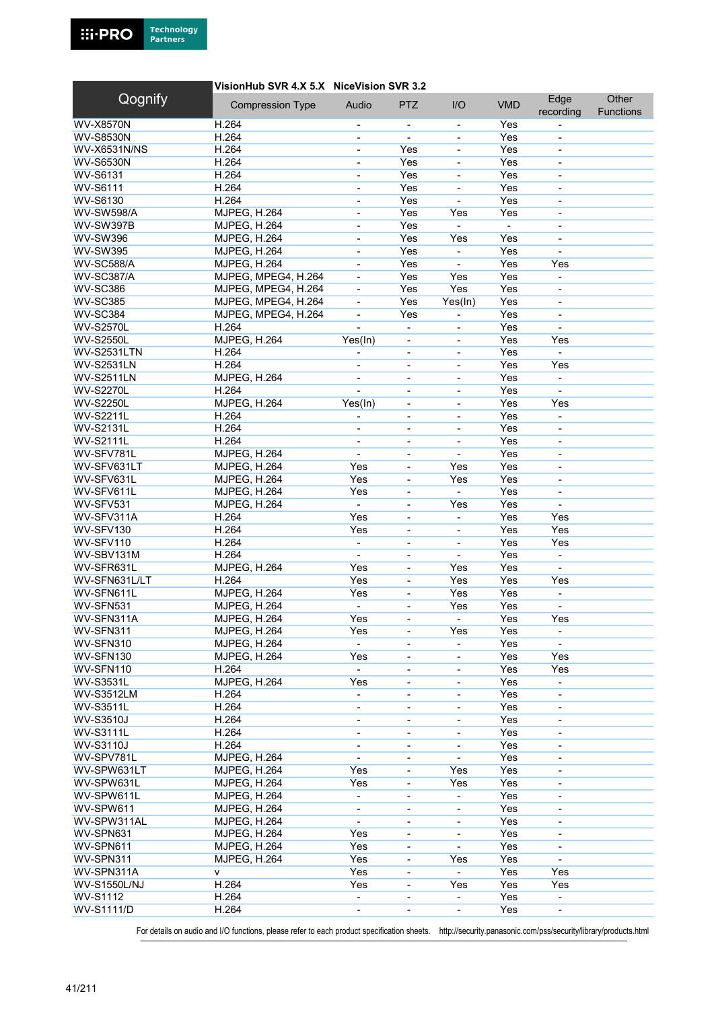### VisionHub SVR 4.X 5.X NiceVision SVR 3.2

| Qognify             | <b>Compression Type</b> | Audio                                                | <b>PTZ</b>                   | I/O                      | <b>VMD</b>     | Edge                     | Other            |
|---------------------|-------------------------|------------------------------------------------------|------------------------------|--------------------------|----------------|--------------------------|------------------|
|                     |                         |                                                      |                              |                          |                | recording                | <b>Functions</b> |
| <b>WV-X8570N</b>    | H.264                   | $\overline{\phantom{a}}$                             | $\overline{\phantom{a}}$     | $\overline{\phantom{a}}$ | Yes            |                          |                  |
| <b>WV-S8530N</b>    | H.264                   | $\overline{\phantom{a}}$                             | $\blacksquare$               |                          | Yes            |                          |                  |
| <b>WV-X6531N/NS</b> | H.264                   | $\overline{\phantom{a}}$                             | Yes                          | $\overline{\phantom{a}}$ | Yes            | $\blacksquare$           |                  |
| <b>WV-S6530N</b>    | H.264                   |                                                      | Yes                          | L,                       | Yes            | $\blacksquare$           |                  |
| <b>WV-S6131</b>     | H.264                   | $\blacksquare$                                       | Yes                          | $\blacksquare$           | Yes            | $\blacksquare$           |                  |
| <b>WV-S6111</b>     | H.264                   |                                                      | Yes                          |                          | Yes            | $\overline{\phantom{a}}$ |                  |
| WV-S6130            | H.264                   | $\blacksquare$                                       | Yes                          | $\blacksquare$           | Yes            | $\blacksquare$           |                  |
| <b>WV-SW598/A</b>   | <b>MJPEG, H.264</b>     | $\blacksquare$                                       | Yes                          | Yes                      | Yes            |                          |                  |
| WV-SW397B           | <b>MJPEG, H.264</b>     | $\blacksquare$                                       | Yes                          |                          | $\blacksquare$ | $\blacksquare$           |                  |
| <b>WV-SW396</b>     | <b>MJPEG, H.264</b>     |                                                      | Yes                          | Yes                      | Yes            | $\overline{\phantom{a}}$ |                  |
| <b>WV-SW395</b>     | <b>MJPEG, H.264</b>     | $\overline{\phantom{a}}$                             | Yes                          | $\overline{\phantom{a}}$ | Yes            | $\blacksquare$           |                  |
| <b>WV-SC588/A</b>   | <b>MJPEG, H.264</b>     |                                                      | Yes                          |                          | Yes            | Yes                      |                  |
| <b>WV-SC387/A</b>   | MJPEG, MPEG4, H.264     | $\blacksquare$                                       | Yes                          | Yes                      | Yes            | $\blacksquare$           |                  |
| <b>WV-SC386</b>     | MJPEG, MPEG4, H.264     | $\overline{\phantom{a}}$                             | Yes                          | Yes                      | Yes            | $\overline{\phantom{a}}$ |                  |
| <b>WV-SC385</b>     | MJPEG, MPEG4, H.264     | $\blacksquare$                                       | Yes                          | Yes(In)                  | Yes            | $\blacksquare$           |                  |
| <b>WV-SC384</b>     | MJPEG, MPEG4, H.264     |                                                      | Yes                          |                          | Yes            |                          |                  |
| <b>WV-S2570L</b>    | H.264                   | $\blacksquare$                                       | ÷,                           | $\blacksquare$           | Yes            | $\blacksquare$           |                  |
| <b>WV-S2550L</b>    | MJPEG, H.264            | Yes(In)                                              | $\overline{\phantom{a}}$     | $\overline{\phantom{0}}$ | Yes            | Yes                      |                  |
| WV-S2531LTN         | H.264                   | $\overline{\phantom{a}}$                             | $\overline{\phantom{a}}$     | $\overline{\phantom{a}}$ | Yes            | $\sim$                   |                  |
| <b>WV-S2531LN</b>   | H.264                   |                                                      | $\overline{\phantom{a}}$     | $\overline{\phantom{a}}$ | Yes            | Yes                      |                  |
| <b>WV-S2511LN</b>   | <b>MJPEG, H.264</b>     | $\blacksquare$                                       | $\blacksquare$               | $\blacksquare$           | Yes            | $\blacksquare$           |                  |
| <b>WV-S2270L</b>    | H.264                   |                                                      | $\qquad \qquad \blacksquare$ | $\overline{\phantom{a}}$ | Yes            | $\blacksquare$           |                  |
| <b>WV-S2250L</b>    | <b>MJPEG, H.264</b>     | Yes(In)                                              | $\overline{\phantom{a}}$     | $\overline{\phantom{0}}$ | Yes            | Yes                      |                  |
| <b>WV-S2211L</b>    | H.264                   |                                                      | ÷,                           | $\overline{\phantom{0}}$ | Yes            |                          |                  |
| <b>WV-S2131L</b>    | H.264                   | ÷,                                                   | $\blacksquare$               | L,                       | Yes            | $\blacksquare$           |                  |
| <b>WV-S2111L</b>    | H.264                   | $\overline{\phantom{a}}$                             | $\blacksquare$               | $\overline{\phantom{a}}$ | Yes            | $\overline{\phantom{a}}$ |                  |
| WV-SFV781L          | <b>MJPEG, H.264</b>     | $\blacksquare$                                       | $\overline{\phantom{a}}$     | $\blacksquare$           | Yes            |                          |                  |
| WV-SFV631LT         | <b>MJPEG, H.264</b>     | Yes                                                  | $\overline{\phantom{a}}$     | Yes                      | Yes            | $\blacksquare$           |                  |
| WV-SFV631L          | <b>MJPEG, H.264</b>     | Yes                                                  |                              | Yes                      | Yes            |                          |                  |
| WV-SFV611L          | <b>MJPEG, H.264</b>     | Yes                                                  | $\blacksquare$               |                          | Yes            | $\blacksquare$           |                  |
| WV-SFV531           | <b>MJPEG, H.264</b>     |                                                      |                              | Yes                      | Yes            |                          |                  |
| WV-SFV311A          | H.264                   | Yes                                                  | ÷,                           | $\blacksquare$           | Yes            | Yes                      |                  |
| WV-SFV130           | H.264                   | Yes                                                  |                              |                          | Yes            | Yes                      |                  |
| WV-SFV110           | H.264                   | $\blacksquare$                                       | $\blacksquare$               | $\overline{\phantom{a}}$ | Yes            | Yes                      |                  |
| WV-SBV131M          | H.264                   |                                                      | $\qquad \qquad \blacksquare$ |                          | Yes            | $\overline{\phantom{a}}$ |                  |
| WV-SFR631L          | <b>MJPEG, H.264</b>     | Yes                                                  | $\overline{\phantom{a}}$     | Yes                      | Yes            | $\blacksquare$           |                  |
| WV-SFN631L/LT       | H.264                   | Yes                                                  | ÷,                           | Yes                      | Yes            | Yes                      |                  |
| WV-SFN611L          | <b>MJPEG, H.264</b>     | Yes                                                  | $\blacksquare$               | Yes                      | Yes            | $\blacksquare$           |                  |
| WV-SFN531           | <b>MJPEG, H.264</b>     |                                                      | $\overline{\phantom{a}}$     | Yes                      | Yes            |                          |                  |
| WV-SFN311A          | <b>MJPEG, H.264</b>     | Yes                                                  | $\overline{\phantom{a}}$     | $\blacksquare$           | Yes            | Yes                      |                  |
| WV-SFN311           | <b>MJPEG, H.264</b>     | Yes                                                  |                              | Yes                      | Yes            |                          |                  |
| WV-SFN310           | <b>MJPEG, H.264</b>     | $\overline{\phantom{a}}$                             | $\overline{\phantom{a}}$     | $\overline{\phantom{a}}$ | Yes            | $\blacksquare$           |                  |
| WV-SFN130           | <b>MJPEG, H.264</b>     | Yes                                                  | $\qquad \qquad \blacksquare$ |                          | Yes            | Yes                      |                  |
| WV-SFN110           | H.264                   | $\blacksquare$                                       | $\qquad \qquad \blacksquare$ |                          | Yes            | Yes                      |                  |
| <b>WV-S3531L</b>    | <b>MJPEG, H.264</b>     | Yes                                                  |                              |                          | Yes            | ÷,                       |                  |
| <b>WV-S3512LM</b>   | H.264                   | ÷,                                                   | $\blacksquare$               | $\overline{\phantom{a}}$ | Yes            | $\blacksquare$           |                  |
| <b>WV-S3511L</b>    | H.264                   | $\overline{\phantom{a}}$                             | $\qquad \qquad \blacksquare$ | $\overline{\phantom{a}}$ | Yes            | $\overline{\phantom{a}}$ |                  |
| <b>WV-S3510J</b>    | H.264                   |                                                      | $\qquad \qquad \blacksquare$ |                          | Yes            |                          |                  |
| <b>WV-S3111L</b>    | H.264                   | $\overline{\phantom{a}}$<br>$\overline{\phantom{a}}$ | $\overline{\phantom{a}}$     | -                        | Yes            |                          |                  |
| <b>WV-S3110J</b>    | H.264                   | $\overline{\phantom{0}}$                             |                              | -                        | Yes            |                          |                  |
| WV-SPV781L          | <b>MJPEG, H.264</b>     | $\blacksquare$                                       | ÷,                           | $\overline{\phantom{0}}$ | Yes            | $\overline{\phantom{a}}$ |                  |
| WV-SPW631LT         |                         |                                                      |                              | Yes                      | Yes            |                          |                  |
| WV-SPW631L          | <b>MJPEG, H.264</b>     | Yes<br>Yes                                           |                              |                          | Yes            | $\overline{\phantom{a}}$ |                  |
| WV-SPW611L          | <b>MJPEG, H.264</b>     |                                                      | $\qquad \qquad \blacksquare$ | Yes                      | Yes            |                          |                  |
|                     | <b>MJPEG, H.264</b>     | $\blacksquare$                                       | $\qquad \qquad \blacksquare$ |                          |                |                          |                  |
| WV-SPW611           | <b>MJPEG, H.264</b>     | $\blacksquare$                                       | $\overline{\phantom{a}}$     | $\overline{\phantom{0}}$ | Yes            | $\overline{\phantom{a}}$ |                  |
| WV-SPW311AL         | <b>MJPEG, H.264</b>     | $\overline{\phantom{a}}$                             | $\qquad \qquad \blacksquare$ |                          | Yes            | $\overline{\phantom{a}}$ |                  |
| WV-SPN631           | <b>MJPEG, H.264</b>     | Yes                                                  | $\overline{\phantom{a}}$     | -                        | Yes            | $\overline{\phantom{a}}$ |                  |
| WV-SPN611           | <b>MJPEG, H.264</b>     | Yes                                                  |                              |                          | Yes            | $\overline{\phantom{a}}$ |                  |
| WV-SPN311           | <b>MJPEG, H.264</b>     | Yes                                                  | $\blacksquare$               | Yes                      | Yes            | $\blacksquare$           |                  |
| WV-SPN311A          | v                       | Yes                                                  |                              |                          | Yes            | Yes                      |                  |
| <b>WV-S1550L/NJ</b> | H.264                   | Yes                                                  | $\overline{\phantom{a}}$     | Yes                      | Yes            | Yes                      |                  |
| <b>WV-S1112</b>     | H.264                   | $\blacksquare$                                       |                              |                          | Yes            | ÷,                       |                  |
| <b>WV-S1111/D</b>   | H.264                   | $\blacksquare$                                       | $\blacksquare$               | $\overline{\phantom{0}}$ | Yes            | $\overline{\phantom{a}}$ |                  |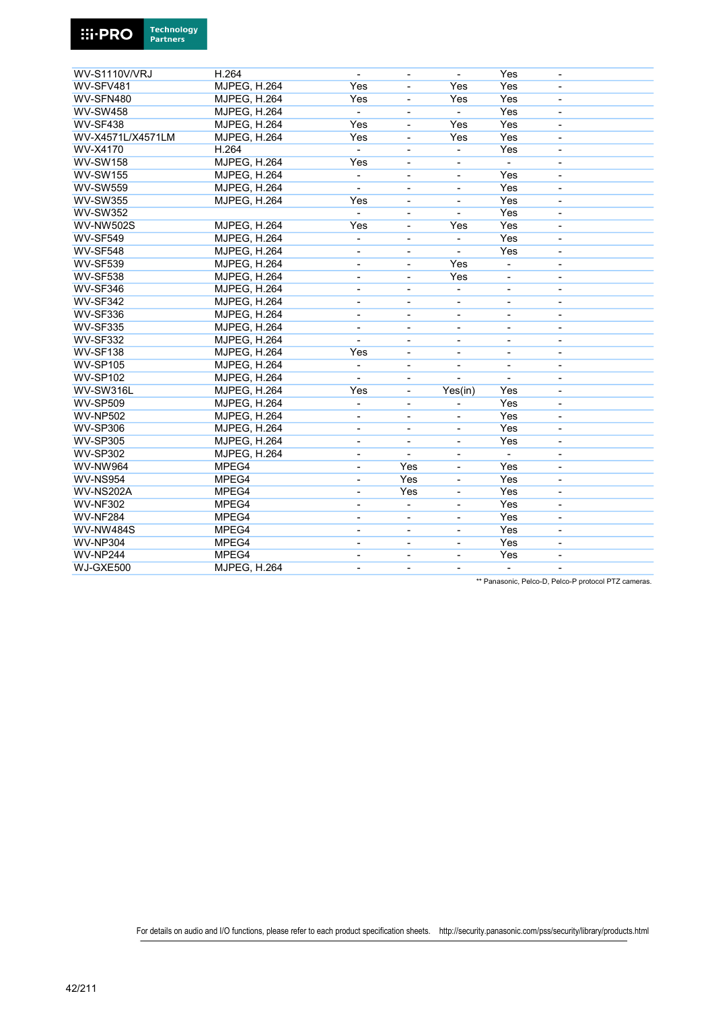

| <b>WV-S1110V/VRJ</b> | H.264               | $\blacksquare$               | $\overline{\phantom{a}}$     | $\overline{\phantom{a}}$     | Yes                      | $\overline{\phantom{a}}$     |
|----------------------|---------------------|------------------------------|------------------------------|------------------------------|--------------------------|------------------------------|
| WV-SFV481            | <b>MJPEG, H.264</b> | Yes                          |                              | Yes                          | Yes                      | -                            |
| WV-SFN480            | <b>MJPEG, H.264</b> | Yes                          | $\qquad \qquad \blacksquare$ | Yes                          | Yes                      | $\qquad \qquad \blacksquare$ |
| <b>WV-SW458</b>      | <b>MJPEG, H.264</b> | $\blacksquare$               | $\qquad \qquad \blacksquare$ | $\blacksquare$               | Yes                      | $\overline{\phantom{a}}$     |
| <b>WV-SF438</b>      | <b>MJPEG, H.264</b> | Yes                          |                              | Yes                          | Yes                      |                              |
| WV-X4571L/X4571LM    | <b>MJPEG, H.264</b> | Yes                          | ÷,                           | Yes                          | Yes                      | ä,                           |
| WV-X4170             | H.264               | $\blacksquare$               | $\blacksquare$               | $\blacksquare$               | Yes                      | $\overline{\phantom{a}}$     |
| <b>WV-SW158</b>      | <b>MJPEG, H.264</b> | Yes                          | $\overline{\phantom{a}}$     | $\qquad \qquad \blacksquare$ |                          | $\overline{\phantom{a}}$     |
| <b>WV-SW155</b>      | <b>MJPEG, H.264</b> | $\blacksquare$               | ÷,                           | $\qquad \qquad \blacksquare$ | Yes                      | $\overline{\phantom{0}}$     |
| <b>WV-SW559</b>      | <b>MJPEG, H.264</b> | $\blacksquare$               | $\overline{\phantom{a}}$     | $\overline{\phantom{0}}$     | Yes                      | $\overline{\phantom{a}}$     |
| <b>WV-SW355</b>      | <b>MJPEG, H.264</b> | Yes                          | $\overline{\phantom{a}}$     | $\overline{\phantom{0}}$     | Yes                      | $\overline{\phantom{m}}$     |
| <b>WV-SW352</b>      |                     |                              |                              |                              | Yes                      | ÷,                           |
| <b>WV-NW502S</b>     | <b>MJPEG, H.264</b> | Yes                          | ä,                           | Yes                          | Yes                      | $\overline{\phantom{a}}$     |
| <b>WV-SF549</b>      | <b>MJPEG, H.264</b> | $\blacksquare$               | ÷,                           | $\blacksquare$               | Yes                      | $\blacksquare$               |
| <b>WV-SF548</b>      | <b>MJPEG, H.264</b> | $\qquad \qquad \blacksquare$ | $\qquad \qquad \blacksquare$ |                              | Yes                      | $\overline{\phantom{a}}$     |
| <b>WV-SF539</b>      | <b>MJPEG, H.264</b> | Ē,                           | $\overline{a}$               | Yes                          |                          | $\overline{\phantom{0}}$     |
| <b>WV-SF538</b>      | <b>MJPEG, H.264</b> | $\overline{\phantom{a}}$     | $\overline{\phantom{a}}$     | Yes                          | $\overline{\phantom{a}}$ | $\overline{\phantom{a}}$     |
| WV-SF346             | MJPEG, H.264        | $\overline{\phantom{0}}$     |                              | ÷,                           |                          |                              |
| <b>WV-SF342</b>      | MJPEG, H.264        | ä,                           | ÷,                           | ÷,                           | ä,                       | ä,                           |
| <b>WV-SF336</b>      | <b>MJPEG, H.264</b> | $\blacksquare$               | $\blacksquare$               | $\blacksquare$               | $\blacksquare$           | $\overline{\phantom{a}}$     |
| <b>WV-SF335</b>      | <b>MJPEG, H.264</b> | $\overline{\phantom{a}}$     | $\blacksquare$               | $\blacksquare$               | $\blacksquare$           | $\blacksquare$               |
| <b>WV-SF332</b>      | <b>MJPEG, H.264</b> |                              | $\overline{\phantom{a}}$     | $\qquad \qquad \blacksquare$ | $\overline{\phantom{a}}$ | $\qquad \qquad \blacksquare$ |
| <b>WV-SF138</b>      | MJPEG, H.264        | Yes                          | $\qquad \qquad \blacksquare$ | $\qquad \qquad \blacksquare$ | $\overline{\phantom{a}}$ | $\overline{\phantom{a}}$     |
| <b>WV-SP105</b>      | MJPEG, H.264        | $\overline{\phantom{a}}$     | $\overline{a}$               | ÷,                           | $\blacksquare$           | ÷,                           |
| <b>WV-SP102</b>      | MJPEG, H.264        |                              | ÷,                           |                              |                          | ä,                           |
| WV-SW316L            | <b>MJPEG, H.264</b> | Yes                          | ÷,                           | Yes(in)                      | Yes                      | ä,                           |
| <b>WV-SP509</b>      | <b>MJPEG, H.264</b> | $\blacksquare$               | $\blacksquare$               | $\overline{\phantom{0}}$     | Yes                      | $\blacksquare$               |
| <b>WV-NP502</b>      | MJPEG, H.264        | $\overline{\phantom{a}}$     | $\overline{\phantom{a}}$     | $\qquad \qquad \blacksquare$ | Yes                      | $\overline{\phantom{a}}$     |
| <b>WV-SP306</b>      | MJPEG, H.264        | $\blacksquare$               | ÷,                           | $\overline{\phantom{0}}$     | Yes                      | $\blacksquare$               |
| <b>WV-SP305</b>      | MJPEG, H.264        | $\qquad \qquad \blacksquare$ | $\overline{\phantom{a}}$     | $\overline{\phantom{0}}$     | Yes                      | $\qquad \qquad \blacksquare$ |
| <b>WV-SP302</b>      | <b>MJPEG, H.264</b> |                              |                              |                              |                          | $\overline{\phantom{0}}$     |
| <b>WV-NW964</b>      | MPEG4               | ä,                           | Yes                          | ÷,                           | Yes                      |                              |
| <b>WV-NS954</b>      | MPEG4               | $\overline{\phantom{a}}$     | Yes                          | ä,                           | Yes                      | $\overline{\phantom{a}}$     |
| WV-NS202A            | MPEG4               | $\blacksquare$               | Yes                          | $\blacksquare$               | Yes                      | $\blacksquare$               |
| <b>WV-NF302</b>      | MPEG4               | ÷,                           | ÷,                           | -                            | Yes                      | $\qquad \qquad \blacksquare$ |
| <b>WV-NF284</b>      | MPEG4               | $\overline{a}$               | $\overline{\phantom{a}}$     | $\overline{\phantom{0}}$     | Yes                      | $\qquad \qquad \blacksquare$ |
| <b>WV-NW484S</b>     | MPEG4               | $\blacksquare$               | $\blacksquare$               | $\overline{\phantom{a}}$     | Yes                      | $\overline{\phantom{a}}$     |
| <b>WV-NP304</b>      | MPEG4               |                              | $\overline{\phantom{a}}$     | $\overline{\phantom{0}}$     | Yes                      | $\overline{\phantom{a}}$     |
| <b>WV-NP244</b>      | MPEG4               |                              |                              | L,                           | Yes                      | ÷,                           |
| WJ-GXE500            | <b>MJPEG, H.264</b> | $\blacksquare$               | $\blacksquare$               | $\overline{\phantom{0}}$     | $\blacksquare$           | $\blacksquare$               |
|                      |                     |                              |                              |                              |                          |                              |

\*\* Panasonic, Pelco-D, Pelco-P protocol PTZ cameras.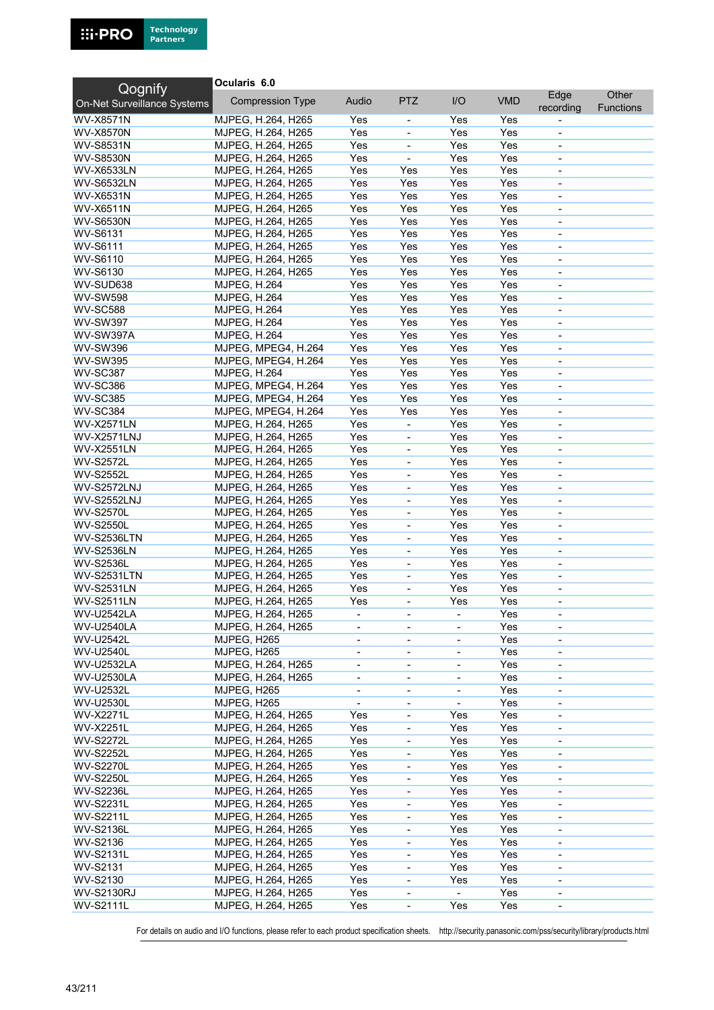

| Qognify                     | Ocularis 6.0            |                              |                              |                          |            |                          |                  |
|-----------------------------|-------------------------|------------------------------|------------------------------|--------------------------|------------|--------------------------|------------------|
| On-Net Surveillance Systems | <b>Compression Type</b> | Audio                        | <b>PTZ</b>                   | I/O                      | <b>VMD</b> | Edge                     | Other            |
|                             |                         |                              |                              |                          |            | recording                | <b>Functions</b> |
| <b>WV-X8571N</b>            | MJPEG, H.264, H265      | Yes                          |                              | Yes                      | Yes        |                          |                  |
| <b>WV-X8570N</b>            | MJPEG, H.264, H265      | Yes                          | $\blacksquare$               | Yes                      | Yes        | $\blacksquare$           |                  |
| <b>WV-S8531N</b>            | MJPEG, H.264, H265      | Yes                          | ÷,                           | Yes                      | Yes        | $\overline{\phantom{a}}$ |                  |
| <b>WV-S8530N</b>            | MJPEG, H.264, H265      | Yes                          | $\blacksquare$               | Yes                      | Yes        | $\blacksquare$           |                  |
| <b>WV-X6533LN</b>           | MJPEG, H.264, H265      | Yes                          | Yes                          | Yes                      | Yes        |                          |                  |
| <b>WV-S6532LN</b>           | MJPEG, H.264, H265      | Yes                          | Yes                          | Yes                      | Yes        | $\overline{\phantom{a}}$ |                  |
| <b>WV-X6531N</b>            | MJPEG, H.264, H265      | Yes                          | Yes                          | Yes                      | Yes        | $\overline{\phantom{a}}$ |                  |
| <b>WV-X6511N</b>            | MJPEG, H.264, H265      | Yes                          | Yes                          | Yes                      | Yes        | $\overline{\phantom{a}}$ |                  |
| <b>WV-S6530N</b>            | MJPEG, H.264, H265      | Yes                          | Yes                          | Yes                      | Yes        | $\blacksquare$           |                  |
| <b>WV-S6131</b>             | MJPEG, H.264, H265      | Yes                          | Yes                          | Yes                      | Yes        | $\overline{\phantom{a}}$ |                  |
| <b>WV-S6111</b>             | MJPEG, H.264, H265      | Yes                          | Yes                          | Yes                      | Yes        |                          |                  |
|                             |                         | Yes                          | Yes                          | Yes                      | Yes        | $\overline{\phantom{a}}$ |                  |
| WV-S6110                    | MJPEG, H.264, H265      |                              |                              |                          |            | $\overline{\phantom{a}}$ |                  |
| WV-S6130                    | MJPEG, H.264, H265      | Yes                          | Yes                          | Yes                      | Yes        |                          |                  |
| WV-SUD638                   | <b>MJPEG, H.264</b>     | Yes                          | Yes                          | Yes                      | Yes        | $\overline{\phantom{a}}$ |                  |
| <b>WV-SW598</b>             | <b>MJPEG, H.264</b>     | Yes                          | Yes                          | Yes                      | Yes        | $\overline{\phantom{a}}$ |                  |
| <b>WV-SC588</b>             | <b>MJPEG, H.264</b>     | Yes                          | Yes                          | Yes                      | Yes        | $\blacksquare$           |                  |
| <b>WV-SW397</b>             | <b>MJPEG, H.264</b>     | Yes                          | Yes                          | Yes                      | Yes        | $\blacksquare$           |                  |
| <b>WV-SW397A</b>            | <b>MJPEG, H.264</b>     | Yes                          | Yes                          | Yes                      | Yes        | $\blacksquare$           |                  |
| <b>WV-SW396</b>             | MJPEG, MPEG4, H.264     | Yes                          | Yes                          | Yes                      | Yes        | $\overline{\phantom{a}}$ |                  |
| <b>WV-SW395</b>             | MJPEG, MPEG4, H.264     | Yes                          | Yes                          | Yes                      | Yes        | $\blacksquare$           |                  |
| WV-SC387                    | <b>MJPEG, H.264</b>     | Yes                          | Yes                          | Yes                      | Yes        | $\blacksquare$           |                  |
| <b>WV-SC386</b>             | MJPEG, MPEG4, H.264     | Yes                          | Yes                          | Yes                      | Yes        | $\blacksquare$           |                  |
| <b>WV-SC385</b>             | MJPEG, MPEG4, H.264     | Yes                          | Yes                          | Yes                      | Yes        | $\blacksquare$           |                  |
| <b>WV-SC384</b>             | MJPEG, MPEG4, H.264     | Yes                          | Yes                          | Yes                      | Yes        | $\overline{\phantom{a}}$ |                  |
| <b>WV-X2571LN</b>           | MJPEG, H.264, H265      | Yes                          | ÷,                           | Yes                      | Yes        | $\blacksquare$           |                  |
|                             |                         |                              |                              |                          |            |                          |                  |
| <b>WV-X2571LNJ</b>          | MJPEG, H.264, H265      | Yes                          |                              | Yes                      | Yes        | $\blacksquare$           |                  |
| <b>WV-X2551LN</b>           | MJPEG, H.264, H265      | Yes                          | $\blacksquare$               | Yes                      | Yes        | $\blacksquare$           |                  |
| <b>WV-S2572L</b>            | MJPEG, H.264, H265      | Yes                          | $\overline{\phantom{a}}$     | Yes                      | Yes        | $\overline{\phantom{a}}$ |                  |
| <b>WV-S2552L</b>            | MJPEG, H.264, H265      | Yes                          | $\blacksquare$               | Yes                      | Yes        | $\overline{\phantom{a}}$ |                  |
| <b>WV-S2572LNJ</b>          | MJPEG, H.264, H265      | Yes                          | ÷,                           | Yes                      | Yes        |                          |                  |
| <b>WV-S2552LNJ</b>          | MJPEG, H.264, H265      | Yes                          | $\blacksquare$               | Yes                      | Yes        | $\overline{\phantom{a}}$ |                  |
| <b>WV-S2570L</b>            | MJPEG, H.264, H265      | Yes                          | $\qquad \qquad \blacksquare$ | Yes                      | Yes        | $\overline{\phantom{a}}$ |                  |
| <b>WV-S2550L</b>            | MJPEG, H.264, H265      | Yes                          | $\overline{\phantom{a}}$     | Yes                      | Yes        | $\overline{\phantom{a}}$ |                  |
| <b>WV-S2536LTN</b>          | MJPEG, H.264, H265      | Yes                          | ÷,                           | Yes                      | Yes        | $\blacksquare$           |                  |
| <b>WV-S2536LN</b>           | MJPEG, H.264, H265      | Yes                          | ÷,                           | Yes                      | Yes        | $\overline{\phantom{a}}$ |                  |
| <b>WV-S2536L</b>            | MJPEG, H.264, H265      | Yes                          | $\overline{\phantom{0}}$     | Yes                      | Yes        | $\overline{\phantom{a}}$ |                  |
| <b>WV-S2531LTN</b>          | MJPEG, H.264, H265      | Yes                          | $\overline{\phantom{0}}$     | Yes                      | Yes        | $\overline{\phantom{a}}$ |                  |
| <b>WV-S2531LN</b>           | MJPEG, H.264, H265      | Yes                          |                              | Yes                      | Yes        | $\overline{\phantom{a}}$ |                  |
| <b>WV-S2511LN</b>           | MJPEG, H.264, H265      | Yes                          | ÷,                           | Yes                      | Yes        | $\overline{\phantom{a}}$ |                  |
| <b>WV-U2542LA</b>           | MJPEG, H.264, H265      |                              |                              |                          | Yes        | $\overline{\phantom{a}}$ |                  |
| <b>WV-U2540LA</b>           |                         |                              |                              |                          |            |                          |                  |
|                             | MJPEG, H.264, H265      | $\overline{\phantom{a}}$     | $\overline{\phantom{a}}$     | $\overline{\phantom{a}}$ | Yes        | $\overline{\phantom{a}}$ |                  |
| <b>WV-U2542L</b>            | MJPEG, H265             |                              | ٠                            |                          | Yes        |                          |                  |
| <b>WV-U2540L</b>            | MJPEG, H265             | $\overline{\phantom{0}}$     | $\blacksquare$               | $\overline{\phantom{a}}$ | Yes        | $\overline{\phantom{a}}$ |                  |
| <b>WV-U2532LA</b>           | MJPEG, H.264, H265      | $\overline{\phantom{a}}$     | $\qquad \qquad \blacksquare$ | $\overline{\phantom{a}}$ | Yes        | $\overline{\phantom{a}}$ |                  |
| <b>WV-U2530LA</b>           | MJPEG, H.264, H265      | $\qquad \qquad \blacksquare$ | $\overline{\phantom{0}}$     | $\overline{\phantom{a}}$ | Yes        | $\overline{\phantom{a}}$ |                  |
| <b>WV-U2532L</b>            | MJPEG, H265             | $\overline{\phantom{a}}$     | $\overline{\phantom{a}}$     | $\overline{\phantom{a}}$ | Yes        | $\overline{\phantom{a}}$ |                  |
| <b>WV-U2530L</b>            | MJPEG, H265             | ä,                           | ÷,                           |                          | Yes        | $\overline{\phantom{a}}$ |                  |
| <b>WV-X2271L</b>            | MJPEG, H.264, H265      | Yes                          | $\qquad \qquad \blacksquare$ | Yes                      | Yes        | $\overline{\phantom{a}}$ |                  |
| <b>WV-X2251L</b>            | MJPEG, H.264, H265      | Yes                          | -                            | Yes                      | Yes        | $\overline{\phantom{a}}$ |                  |
| <b>WV-S2272L</b>            | MJPEG, H.264, H265      | Yes                          | -                            | Yes                      | Yes        | $\overline{\phantom{a}}$ |                  |
| <b>WV-S2252L</b>            | MJPEG, H.264, H265      | Yes                          | -                            | Yes                      | Yes        | $\blacksquare$           |                  |
| <b>WV-S2270L</b>            | MJPEG, H.264, H265      | Yes                          | $\qquad \qquad \blacksquare$ | Yes                      | Yes        | $\overline{\phantom{a}}$ |                  |
| <b>WV-S2250L</b>            | MJPEG, H.264, H265      | Yes                          | -                            | Yes                      | Yes        | $\overline{\phantom{a}}$ |                  |
| <b>WV-S2236L</b>            | MJPEG, H.264, H265      | Yes                          | $\qquad \qquad \blacksquare$ | Yes                      | Yes        | $\overline{\phantom{a}}$ |                  |
| <b>WV-S2231L</b>            | MJPEG, H.264, H265      | Yes                          | $\overline{\phantom{0}}$     | Yes                      | Yes        | $\blacksquare$           |                  |
| <b>WV-S2211L</b>            | MJPEG, H.264, H265      | Yes                          | $\qquad \qquad \blacksquare$ | Yes                      | Yes        |                          |                  |
|                             |                         |                              |                              |                          |            | $\overline{\phantom{a}}$ |                  |
| <b>WV-S2136L</b>            | MJPEG, H.264, H265      | Yes                          | $\qquad \qquad \blacksquare$ | Yes                      | Yes        | $\overline{\phantom{a}}$ |                  |
| WV-S2136                    | MJPEG, H.264, H265      | Yes                          | $\overline{\phantom{a}}$     | Yes                      | Yes        | $\overline{\phantom{a}}$ |                  |
| <b>WV-S2131L</b>            | MJPEG, H.264, H265      | Yes                          | $\overline{\phantom{0}}$     | Yes                      | Yes        | $\overline{\phantom{a}}$ |                  |
| WV-S2131                    | MJPEG, H.264, H265      | Yes                          | $\frac{1}{2}$                | Yes                      | Yes        | $\overline{\phantom{a}}$ |                  |
| WV-S2130                    | MJPEG, H.264, H265      | Yes                          | $\qquad \qquad \blacksquare$ | Yes                      | Yes        | $\overline{\phantom{a}}$ |                  |
| <b>WV-S2130RJ</b>           | MJPEG, H.264, H265      | Yes                          | -                            | $\blacksquare$           | Yes        | $\overline{\phantom{a}}$ |                  |
| <b>WV-S2111L</b>            | MJPEG, H.264, H265      | Yes                          | $\qquad \qquad \blacksquare$ | Yes                      | Yes        | $\overline{\phantom{a}}$ |                  |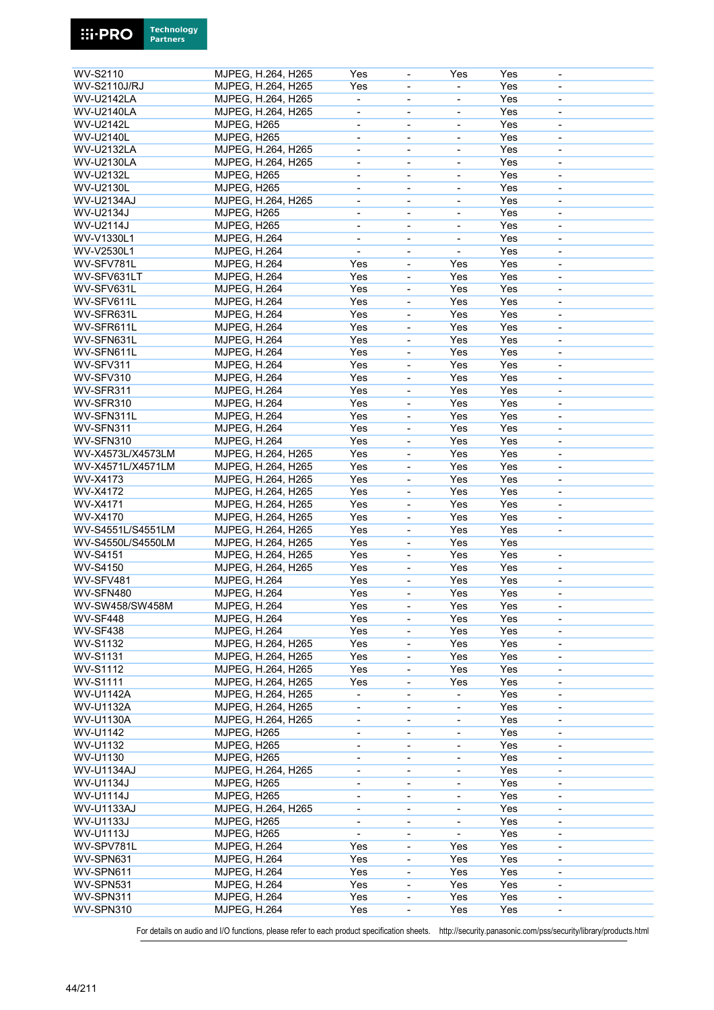| WV-S2110            | MJPEG, H.264, H265  | Yes                          | $\overline{\phantom{a}}$     | Yes                      | Yes | $\overline{\phantom{a}}$ |  |
|---------------------|---------------------|------------------------------|------------------------------|--------------------------|-----|--------------------------|--|
| <b>WV-S2110J/RJ</b> | MJPEG, H.264, H265  | Yes                          | $\overline{\phantom{a}}$     |                          | Yes | $\overline{\phantom{a}}$ |  |
|                     |                     |                              |                              |                          |     |                          |  |
| <b>WV-U2142LA</b>   | MJPEG, H.264, H265  |                              | $\overline{\phantom{a}}$     |                          | Yes | $\overline{\phantom{a}}$ |  |
| <b>WV-U2140LA</b>   | MJPEG, H.264, H265  |                              | $\blacksquare$               | ÷,                       | Yes | $\blacksquare$           |  |
| <b>WV-U2142L</b>    | MJPEG, H265         | $\blacksquare$               | $\blacksquare$               | $\blacksquare$           | Yes | $\blacksquare$           |  |
| <b>WV-U2140L</b>    | MJPEG, H265         | $\blacksquare$               | $\overline{\phantom{a}}$     | $\blacksquare$           | Yes | $\sim$                   |  |
| <b>WV-U2132LA</b>   | MJPEG, H.264, H265  | $\overline{\phantom{a}}$     | $\blacksquare$               | $\blacksquare$           | Yes | $\blacksquare$           |  |
| <b>WV-U2130LA</b>   | MJPEG, H.264, H265  |                              | $\blacksquare$               | $\blacksquare$           | Yes | $\blacksquare$           |  |
| <b>WV-U2132L</b>    | MJPEG, H265         | $\overline{\phantom{a}}$     | $\overline{\phantom{a}}$     | $\overline{\phantom{a}}$ | Yes | $\overline{\phantom{a}}$ |  |
| <b>WV-U2130L</b>    | MJPEG, H265         | $\qquad \qquad \blacksquare$ | $\overline{\phantom{a}}$     |                          | Yes | $\overline{\phantom{a}}$ |  |
| <b>WV-U2134AJ</b>   | MJPEG, H.264, H265  | $\overline{\phantom{a}}$     | $\overline{\phantom{a}}$     | $\overline{\phantom{a}}$ | Yes | $\overline{\phantom{a}}$ |  |
| WV-U2134J           | MJPEG, H265         | $\overline{\phantom{0}}$     |                              |                          | Yes |                          |  |
| WV-U2114J           |                     |                              |                              |                          | Yes |                          |  |
|                     | MJPEG, H265         | $\overline{\phantom{a}}$     | $\overline{\phantom{a}}$     | $\overline{\phantom{a}}$ |     | $\overline{\phantom{a}}$ |  |
| WV-V1330L1          | <b>MJPEG, H.264</b> | $\overline{\phantom{a}}$     | $\overline{\phantom{a}}$     | $\overline{\phantom{a}}$ | Yes | $\overline{\phantom{a}}$ |  |
| WV-V2530L1          | <b>MJPEG, H.264</b> | $\blacksquare$               | $\overline{\phantom{a}}$     | $\blacksquare$           | Yes | $\overline{\phantom{a}}$ |  |
| WV-SFV781L          | <b>MJPEG, H.264</b> | Yes                          | $\overline{\phantom{a}}$     | Yes                      | Yes | $\blacksquare$           |  |
| WV-SFV631LT         | MJPEG, H.264        | Yes                          | ÷,                           | Yes                      | Yes | $\overline{\phantom{a}}$ |  |
| WV-SFV631L          | <b>MJPEG, H.264</b> | Yes                          | $\overline{\phantom{a}}$     | Yes                      | Yes | $\overline{\phantom{a}}$ |  |
| WV-SFV611L          | <b>MJPEG, H.264</b> | Yes                          | $\overline{\phantom{a}}$     | Yes                      | Yes | $\overline{\phantom{a}}$ |  |
| WV-SFR631L          | <b>MJPEG, H.264</b> | Yes                          | $\qquad \qquad \blacksquare$ | Yes                      | Yes |                          |  |
| WV-SFR611L          | MJPEG, H.264        | Yes                          | ÷,                           | Yes                      | Yes | $\blacksquare$           |  |
| WV-SFN631L          |                     | Yes                          |                              | Yes                      | Yes |                          |  |
|                     | <b>MJPEG, H.264</b> |                              | $\overline{\phantom{a}}$     |                          |     | $\overline{\phantom{a}}$ |  |
| WV-SFN611L          | <b>MJPEG, H.264</b> | Yes                          | $\overline{\phantom{a}}$     | Yes                      | Yes | $\overline{\phantom{a}}$ |  |
| WV-SFV311           | <b>MJPEG, H.264</b> | Yes                          | $\blacksquare$               | Yes                      | Yes | $\blacksquare$           |  |
| WV-SFV310           | MJPEG, H.264        | Yes                          | ÷,                           | Yes                      | Yes | $\blacksquare$           |  |
| WV-SFR311           | <b>MJPEG, H.264</b> | Yes                          | $\blacksquare$               | Yes                      | Yes | $\blacksquare$           |  |
| WV-SFR310           | <b>MJPEG, H.264</b> | Yes                          | ÷,                           | Yes                      | Yes | $\overline{\phantom{a}}$ |  |
| WV-SFN311L          | <b>MJPEG, H.264</b> | Yes                          | $\blacksquare$               | Yes                      | Yes | $\overline{\phantom{a}}$ |  |
| WV-SFN311           | MJPEG, H.264        | Yes                          | $\blacksquare$               | Yes                      | Yes | $\blacksquare$           |  |
| WV-SFN310           | MJPEG, H.264        | Yes                          | $\overline{\phantom{a}}$     | Yes                      | Yes | $\blacksquare$           |  |
| WV-X4573L/X4573LM   |                     | Yes                          |                              | Yes                      | Yes |                          |  |
|                     | MJPEG, H.264, H265  |                              | $\overline{\phantom{a}}$     |                          |     | $\overline{\phantom{a}}$ |  |
| WV-X4571L/X4571LM   | MJPEG, H.264, H265  | Yes                          | $\overline{\phantom{a}}$     | Yes                      | Yes | $\overline{\phantom{a}}$ |  |
| WV-X4173            | MJPEG, H.264, H265  | Yes                          | $\blacksquare$               | Yes                      | Yes | ä,                       |  |
| WV-X4172            | MJPEG, H.264, H265  | Yes                          | $\overline{\phantom{a}}$     | Yes                      | Yes | $\overline{\phantom{a}}$ |  |
| WV-X4171            | MJPEG, H.264, H265  | Yes                          | $\overline{\phantom{a}}$     | Yes                      | Yes | $\overline{\phantom{a}}$ |  |
| WV-X4170            | MJPEG, H.264, H265  | Yes                          | $\overline{\phantom{a}}$     | Yes                      | Yes | $\overline{\phantom{a}}$ |  |
| WV-S4551L/S4551LM   | MJPEG, H.264, H265  | Yes                          | $\blacksquare$               | Yes                      | Yes |                          |  |
| WV-S4550L/S4550LM   | MJPEG, H.264, H265  | Yes                          | $\blacksquare$               | Yes                      | Yes |                          |  |
| <b>WV-S4151</b>     | MJPEG, H.264, H265  | Yes                          | $\qquad \qquad \blacksquare$ | Yes                      | Yes | $\overline{\phantom{a}}$ |  |
| <b>WV-S4150</b>     | MJPEG, H.264, H265  | Yes                          |                              | Yes                      | Yes |                          |  |
|                     |                     |                              | $\overline{\phantom{a}}$     |                          |     | $\overline{\phantom{a}}$ |  |
| WV-SFV481           | MJPEG, H.264        | Yes                          | $\qquad \qquad \blacksquare$ | Yes                      | Yes | $\overline{\phantom{a}}$ |  |
| WV-SFN480           | <b>MJPEG, H.264</b> | Yes                          | ä,                           | Yes                      | Yes | $\overline{\phantom{a}}$ |  |
| WV-SW458/SW458M     | <b>MJPEG, H.264</b> | Yes                          | $\overline{\phantom{a}}$     | Yes                      | Yes | $\overline{\phantom{a}}$ |  |
| WV-SF448            | <b>MJPEG, H.264</b> | Yes                          | $\blacksquare$               | Yes                      | Yes | $\overline{\phantom{a}}$ |  |
| <b>WV-SF438</b>     | <b>MJPEG, H.264</b> | Yes                          | $\overline{\phantom{a}}$     | Yes                      | Yes | $\blacksquare$           |  |
| WV-S1132            | MJPEG, H.264, H265  | Yes                          | ÷,                           | Yes                      | Yes | $\overline{\phantom{a}}$ |  |
| <b>WV-S1131</b>     | MJPEG, H.264, H265  | Yes                          | $\overline{\phantom{a}}$     | Yes                      | Yes | $\overline{\phantom{a}}$ |  |
| <b>WV-S1112</b>     | MJPEG, H.264, H265  | Yes                          | $\qquad \qquad \blacksquare$ | Yes                      | Yes | $\overline{\phantom{a}}$ |  |
| <b>WV-S1111</b>     | MJPEG, H.264, H265  | Yes                          | $\overline{\phantom{a}}$     | Yes                      | Yes | $\overline{\phantom{a}}$ |  |
| <b>WV-U1142A</b>    | MJPEG, H.264, H265  | $\blacksquare$               | $\blacksquare$               |                          | Yes | $\blacksquare$           |  |
|                     |                     |                              |                              |                          |     |                          |  |
| <b>WV-U1132A</b>    | MJPEG, H.264, H265  | $\blacksquare$               | $\overline{\phantom{a}}$     | $\overline{\phantom{a}}$ | Yes | $\overline{\phantom{a}}$ |  |
| <b>WV-U1130A</b>    | MJPEG, H.264, H265  | $\blacksquare$               | $\overline{\phantom{a}}$     | $\overline{\phantom{a}}$ | Yes | $\blacksquare$           |  |
| WV-U1142            | MJPEG, H265         | $\overline{\phantom{a}}$     | $\overline{\phantom{a}}$     | $\overline{\phantom{a}}$ | Yes | $\overline{\phantom{a}}$ |  |
| WV-U1132            | MJPEG, H265         | $\overline{\phantom{0}}$     | $\overline{\phantom{a}}$     | $\overline{\phantom{a}}$ | Yes | $\overline{\phantom{a}}$ |  |
| WV-U1130            | MJPEG, H265         | $\overline{\phantom{a}}$     | $\overline{\phantom{a}}$     | $\overline{\phantom{a}}$ | Yes | $\overline{\phantom{a}}$ |  |
| <b>WV-U1134AJ</b>   | MJPEG, H.264, H265  | $\overline{\phantom{a}}$     | $\qquad \qquad \blacksquare$ |                          | Yes | $\overline{\phantom{a}}$ |  |
| WV-U1134J           | MJPEG, H265         | $\overline{\phantom{a}}$     | $\overline{\phantom{a}}$     | $\overline{\phantom{a}}$ | Yes | $\overline{\phantom{a}}$ |  |
| <b>WV-U1114J</b>    | MJPEG, H265         | ÷,                           | $\blacksquare$               | $\overline{\phantom{0}}$ | Yes | $\blacksquare$           |  |
| <b>WV-U1133AJ</b>   | MJPEG, H.264, H265  | $\overline{\phantom{a}}$     | $\overline{\phantom{a}}$     | $\overline{\phantom{a}}$ | Yes | $\overline{\phantom{a}}$ |  |
| WV-U1133J           | MJPEG, H265         | $\qquad \qquad \blacksquare$ | $\overline{\phantom{a}}$     |                          | Yes | $\overline{\phantom{a}}$ |  |
|                     |                     |                              |                              | $\overline{\phantom{a}}$ |     |                          |  |
| <b>WV-U1113J</b>    | MJPEG, H265         | $\overline{\phantom{a}}$     | $\overline{\phantom{a}}$     | $\blacksquare$           | Yes | $\overline{\phantom{a}}$ |  |
| WV-SPV781L          | MJPEG, H.264        | Yes                          | $\overline{\phantom{a}}$     | Yes                      | Yes | $\overline{\phantom{a}}$ |  |
| WV-SPN631           | MJPEG, H.264        | Yes                          | $\frac{1}{2}$                | Yes                      | Yes | $\overline{\phantom{a}}$ |  |
| WV-SPN611           | <b>MJPEG, H.264</b> | Yes                          | $\qquad \qquad \blacksquare$ | Yes                      | Yes | $\overline{\phantom{a}}$ |  |
| WV-SPN531           | <b>MJPEG, H.264</b> | Yes                          | $\qquad \qquad \blacksquare$ | Yes                      | Yes | $\overline{\phantom{a}}$ |  |
| WV-SPN311           | MJPEG, H.264        | Yes                          | $\overline{\phantom{a}}$     | Yes                      | Yes | $\overline{\phantom{a}}$ |  |
| WV-SPN310           | MJPEG, H.264        | Yes                          | $\blacksquare$               | Yes                      | Yes | $\blacksquare$           |  |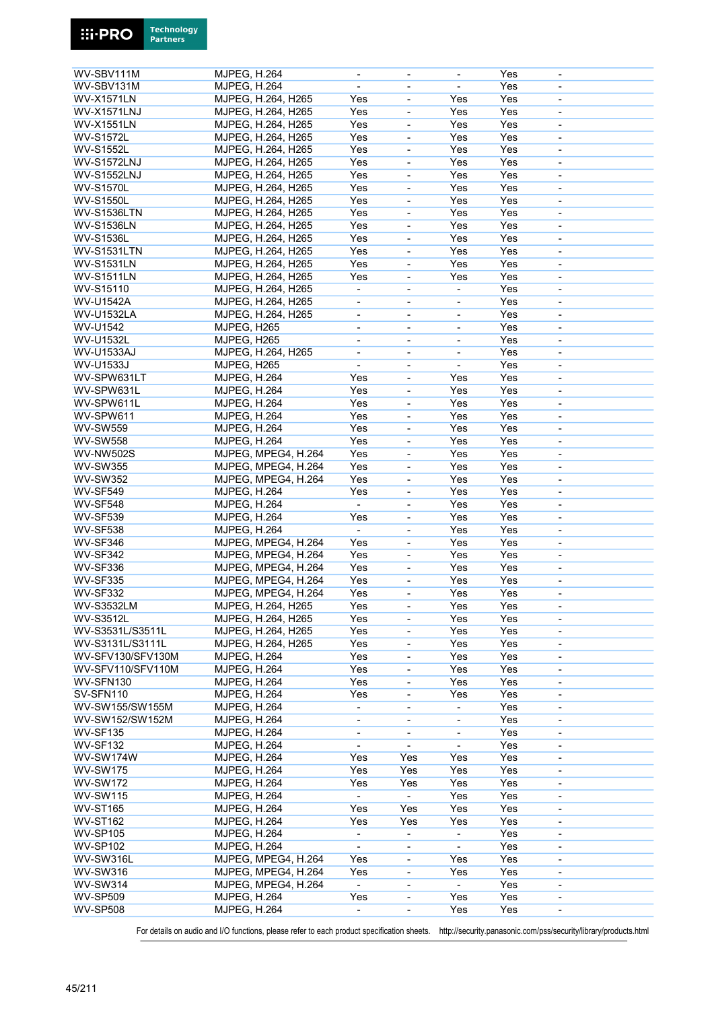| WV-SBV111M         | MJPEG, H.264        |                     | $\overline{\phantom{a}}$     | $\overline{\phantom{a}}$     |                              | Yes | $\overline{\phantom{a}}$ |  |
|--------------------|---------------------|---------------------|------------------------------|------------------------------|------------------------------|-----|--------------------------|--|
| WV-SBV131M         | MJPEG, H.264        |                     | $\overline{\phantom{a}}$     | $\overline{\phantom{a}}$     | $\overline{\phantom{a}}$     | Yes | $\overline{\phantom{a}}$ |  |
| <b>WV-X1571LN</b>  |                     | MJPEG, H.264, H265  | Yes                          | $\blacksquare$               | Yes                          | Yes | $\overline{\phantom{a}}$ |  |
| WV-X1571LNJ        |                     | MJPEG, H.264, H265  | Yes                          |                              | Yes                          | Yes |                          |  |
|                    |                     |                     |                              | ÷,                           |                              |     | $\blacksquare$           |  |
| <b>WV-X1551LN</b>  |                     | MJPEG, H.264, H265  | Yes                          | $\qquad \qquad \blacksquare$ | Yes                          | Yes | $\overline{\phantom{a}}$ |  |
| <b>WV-S1572L</b>   |                     | MJPEG, H.264, H265  | Yes                          | $\qquad \qquad \blacksquare$ | Yes                          | Yes | $\overline{\phantom{a}}$ |  |
| <b>WV-S1552L</b>   |                     | MJPEG, H.264, H265  | Yes                          | $\blacksquare$               | Yes                          | Yes | $\overline{\phantom{a}}$ |  |
| <b>WV-S1572LNJ</b> |                     | MJPEG, H.264, H265  | Yes                          | $\overline{\phantom{a}}$     | Yes                          | Yes | $\overline{\phantom{a}}$ |  |
| <b>WV-S1552LNJ</b> |                     | MJPEG, H.264, H265  | Yes                          | ÷,                           | Yes                          | Yes | $\overline{\phantom{a}}$ |  |
| <b>WV-S1570L</b>   |                     | MJPEG, H.264, H265  | Yes                          |                              | Yes                          | Yes |                          |  |
|                    |                     |                     |                              | ÷,                           |                              |     | $\overline{\phantom{a}}$ |  |
| <b>WV-S1550L</b>   |                     | MJPEG, H.264, H265  | Yes                          | $\blacksquare$               | Yes                          | Yes | $\blacksquare$           |  |
| <b>WV-S1536LTN</b> |                     | MJPEG, H.264, H265  | Yes                          | ÷,                           | Yes                          | Yes | $\overline{\phantom{a}}$ |  |
| <b>WV-S1536LN</b>  |                     | MJPEG, H.264, H265  | Yes                          | ÷,                           | Yes                          | Yes | $\overline{\phantom{a}}$ |  |
| <b>WV-S1536L</b>   |                     | MJPEG, H.264, H265  | Yes                          | $\qquad \qquad \blacksquare$ | Yes                          | Yes | $\overline{\phantom{a}}$ |  |
| <b>WV-S1531LTN</b> |                     | MJPEG, H.264, H265  | Yes                          | $\blacksquare$               | Yes                          | Yes | $\overline{\phantom{a}}$ |  |
|                    |                     |                     |                              |                              |                              |     |                          |  |
| <b>WV-S1531LN</b>  |                     | MJPEG, H.264, H265  | Yes                          | $\overline{a}$               | Yes                          | Yes |                          |  |
| <b>WV-S1511LN</b>  |                     | MJPEG, H.264, H265  | Yes                          | $\frac{1}{2}$                | Yes                          | Yes | $\overline{\phantom{a}}$ |  |
| WV-S15110          |                     | MJPEG, H.264, H265  | ÷                            | $\qquad \qquad \blacksquare$ |                              | Yes | $\overline{\phantom{a}}$ |  |
| <b>WV-U1542A</b>   |                     | MJPEG, H.264, H265  | $\overline{\phantom{0}}$     | $\qquad \qquad \blacksquare$ | $\overline{\phantom{a}}$     | Yes | $\overline{\phantom{a}}$ |  |
| <b>WV-U1532LA</b>  |                     | MJPEG, H.264, H265  | L,                           | ÷,                           | $\frac{1}{2}$                | Yes | $\blacksquare$           |  |
|                    |                     |                     |                              |                              |                              |     |                          |  |
| WV-U1542           | MJPEG, H265         |                     | $\blacksquare$               | $\blacksquare$               | $\blacksquare$               | Yes | $\overline{\phantom{a}}$ |  |
| <b>WV-U1532L</b>   | MJPEG, H265         |                     | $\overline{\phantom{a}}$     | $\qquad \qquad \blacksquare$ | $\overline{\phantom{a}}$     | Yes | $\overline{\phantom{a}}$ |  |
| <b>WV-U1533AJ</b>  |                     | MJPEG, H.264, H265  | $\qquad \qquad \blacksquare$ | $\overline{\phantom{a}}$     | $\blacksquare$               | Yes | $\overline{\phantom{a}}$ |  |
| WV-U1533J          | MJPEG, H265         |                     |                              | ÷,                           | ÷,                           | Yes |                          |  |
| WV-SPW631LT        | MJPEG, H.264        |                     | Yes                          | $\blacksquare$               | Yes                          | Yes | $\blacksquare$           |  |
|                    |                     |                     |                              |                              |                              |     |                          |  |
| WV-SPW631L         | MJPEG, H.264        |                     | Yes                          | $\qquad \qquad \blacksquare$ | Yes                          | Yes | $\overline{\phantom{a}}$ |  |
| WV-SPW611L         | MJPEG, H.264        |                     | Yes                          | $\qquad \qquad \blacksquare$ | Yes                          | Yes | $\overline{\phantom{a}}$ |  |
| WV-SPW611          | MJPEG, H.264        |                     | Yes                          | ÷,                           | Yes                          | Yes | $\overline{\phantom{a}}$ |  |
| <b>WV-SW559</b>    | <b>MJPEG, H.264</b> |                     | Yes                          | $\frac{1}{2}$                | Yes                          | Yes | $\overline{\phantom{a}}$ |  |
| <b>WV-SW558</b>    | <b>MJPEG, H.264</b> |                     | Yes                          | $\blacksquare$               | Yes                          | Yes | $\overline{\phantom{a}}$ |  |
|                    |                     |                     |                              |                              |                              | Yes |                          |  |
| <b>WV-NW502S</b>   |                     | MJPEG, MPEG4, H.264 | Yes                          | $\qquad \qquad \blacksquare$ | Yes                          |     | $\overline{\phantom{a}}$ |  |
| <b>WV-SW355</b>    |                     | MJPEG, MPEG4, H.264 | Yes                          | ÷,                           | Yes                          | Yes | $\blacksquare$           |  |
| <b>WV-SW352</b>    |                     | MJPEG, MPEG4, H.264 | Yes                          | ÷,                           | Yes                          | Yes | $\overline{\phantom{a}}$ |  |
| <b>WV-SF549</b>    | <b>MJPEG, H.264</b> |                     | Yes                          | ÷,                           | Yes                          | Yes | $\overline{\phantom{a}}$ |  |
| <b>WV-SF548</b>    | <b>MJPEG, H.264</b> |                     |                              | ÷                            | Yes                          | Yes | $\overline{\phantom{a}}$ |  |
| <b>WV-SF539</b>    | <b>MJPEG, H.264</b> |                     | Yes                          | $\blacksquare$               | Yes                          | Yes | $\blacksquare$           |  |
|                    |                     |                     |                              |                              |                              |     |                          |  |
| <b>WV-SF538</b>    | <b>MJPEG, H.264</b> |                     |                              | ÷,                           | Yes                          | Yes | $\blacksquare$           |  |
| <b>WV-SF346</b>    |                     | MJPEG, MPEG4, H.264 | Yes                          | $\blacksquare$               | Yes                          | Yes | $\overline{\phantom{a}}$ |  |
| WV-SF342           |                     | MJPEG, MPEG4, H.264 | Yes                          | $\qquad \qquad \blacksquare$ | Yes                          | Yes | $\overline{\phantom{a}}$ |  |
| WV-SF336           |                     | MJPEG, MPEG4, H.264 | Yes                          | $\qquad \qquad \blacksquare$ | Yes                          | Yes | $\overline{\phantom{a}}$ |  |
| <b>WV-SF335</b>    |                     | MJPEG, MPEG4, H.264 | Yes                          | $\overline{\phantom{0}}$     | Yes                          | Yes | $\blacksquare$           |  |
| <b>WV-SF332</b>    |                     |                     |                              |                              |                              |     |                          |  |
|                    |                     | MJPEG, MPEG4, H.264 | Yes                          |                              | Yes                          | Yes |                          |  |
| <b>WV-S3532LM</b>  |                     | MJPEG, H.264, H265  | Yes                          | $\qquad \qquad \blacksquare$ | Yes                          | Yes | $\overline{\phantom{a}}$ |  |
| <b>WV-S3512L</b>   |                     | MJPEG, H.264, H265  | Yes                          | $\qquad \qquad \blacksquare$ | Yes                          | Yes | $\overline{\phantom{a}}$ |  |
| WV-S3531L/S3511L   |                     | MJPEG, H.264, H265  | Yes                          |                              | Yes                          | Yes |                          |  |
| WV-S3131L/S3111L   |                     | MJPEG, H.264, H265  | Yes                          | ÷,                           | Yes                          | Yes | $\overline{\phantom{a}}$ |  |
|                    |                     |                     |                              |                              |                              |     |                          |  |
| WV-SFV130/SFV130M  | <b>MJPEG, H.264</b> |                     | Yes                          | $\qquad \qquad \blacksquare$ | Yes                          | Yes | $\overline{\phantom{a}}$ |  |
| WV-SFV110/SFV110M  | <b>MJPEG, H.264</b> |                     | Yes                          | $\qquad \qquad \blacksquare$ | Yes                          | Yes | $\overline{\phantom{a}}$ |  |
| WV-SFN130          | <b>MJPEG, H.264</b> |                     | Yes                          |                              | Yes                          | Yes |                          |  |
| SV-SFN110          | <b>MJPEG, H.264</b> |                     | Yes                          | $\frac{1}{2}$                | Yes                          | Yes | $\overline{\phantom{a}}$ |  |
| WV-SW155/SW155M    | <b>MJPEG, H.264</b> |                     | $\overline{\phantom{a}}$     | $\qquad \qquad \blacksquare$ | $\blacksquare$               | Yes | $\overline{\phantom{a}}$ |  |
| WV-SW152/SW152M    | <b>MJPEG, H.264</b> |                     |                              |                              | $\qquad \qquad \blacksquare$ | Yes |                          |  |
|                    |                     |                     | -                            | $\qquad \qquad \blacksquare$ |                              |     | $\overline{\phantom{a}}$ |  |
| <b>WV-SF135</b>    | <b>MJPEG, H.264</b> |                     | $\qquad \qquad \blacksquare$ | $\qquad \qquad \blacksquare$ |                              | Yes |                          |  |
| <b>WV-SF132</b>    | <b>MJPEG, H.264</b> |                     | $\overline{\phantom{a}}$     | ä,                           | $\blacksquare$               | Yes |                          |  |
| WV-SW174W          | <b>MJPEG, H.264</b> |                     | Yes                          | Yes                          | Yes                          | Yes | $\overline{\phantom{a}}$ |  |
| <b>WV-SW175</b>    | <b>MJPEG, H.264</b> |                     | Yes                          | Yes                          | Yes                          | Yes | $\overline{\phantom{a}}$ |  |
| <b>WV-SW172</b>    | <b>MJPEG, H.264</b> |                     | Yes                          | Yes                          | Yes                          | Yes | $\overline{\phantom{a}}$ |  |
|                    |                     |                     |                              | ä,                           |                              |     |                          |  |
| <b>WV-SW115</b>    | <b>MJPEG, H.264</b> |                     |                              |                              | Yes                          | Yes |                          |  |
| <b>WV-ST165</b>    | <b>MJPEG, H.264</b> |                     | Yes                          | Yes                          | Yes                          | Yes | $\overline{\phantom{a}}$ |  |
| <b>WV-ST162</b>    | <b>MJPEG, H.264</b> |                     | Yes                          | Yes                          | Yes                          | Yes | $\overline{\phantom{a}}$ |  |
| <b>WV-SP105</b>    | MJPEG, H.264        |                     | $\overline{\phantom{a}}$     | $\qquad \qquad \blacksquare$ | $\blacksquare$               | Yes | $\overline{\phantom{a}}$ |  |
| <b>WV-SP102</b>    | <b>MJPEG, H.264</b> |                     |                              | -                            |                              | Yes |                          |  |
| WV-SW316L          |                     | MJPEG, MPEG4, H.264 | Yes                          | $\frac{1}{2}$                | Yes                          | Yes | $\overline{\phantom{a}}$ |  |
|                    |                     |                     |                              |                              |                              |     |                          |  |
| <b>WV-SW316</b>    |                     | MJPEG, MPEG4, H.264 | Yes                          | $\qquad \qquad \blacksquare$ | Yes                          | Yes | $\overline{\phantom{a}}$ |  |
| <b>WV-SW314</b>    |                     | MJPEG, MPEG4, H.264 | $\blacksquare$               | $\overline{\phantom{0}}$     | $\blacksquare$               | Yes | $\overline{\phantom{a}}$ |  |
| <b>WV-SP509</b>    | <b>MJPEG, H.264</b> |                     | Yes                          | -                            | Yes                          | Yes |                          |  |
| <b>WV-SP508</b>    | <b>MJPEG, H.264</b> |                     | $\blacksquare$               | $\blacksquare$               | Yes                          | Yes | $\blacksquare$           |  |

**Technology**<br>Partners

**Ei-PRO**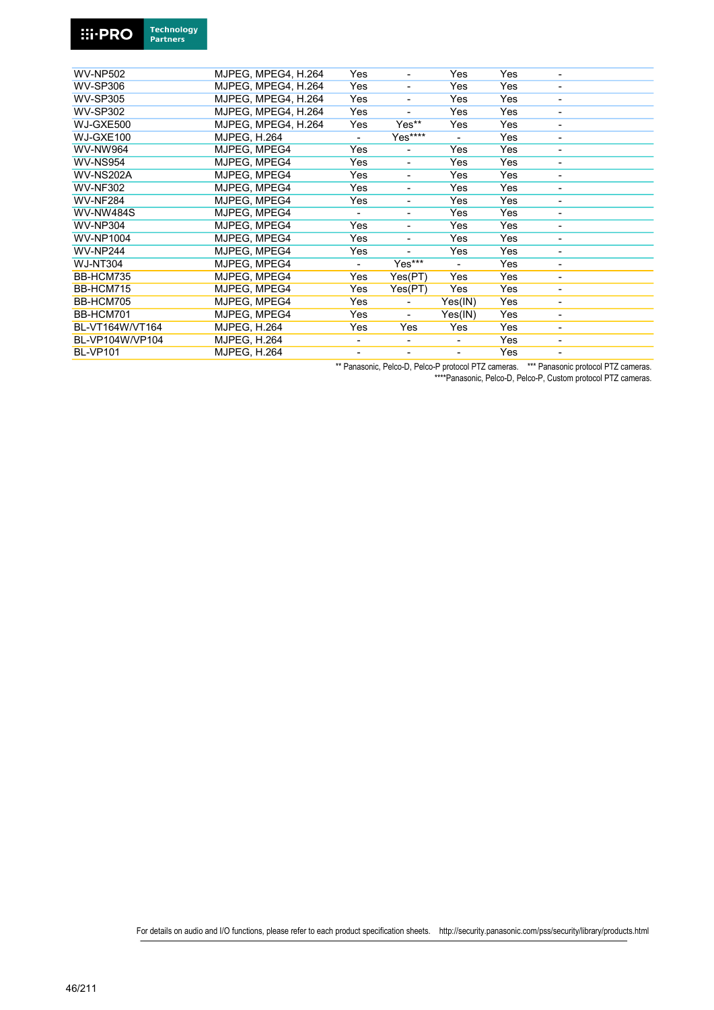

| <b>WV-NP502</b>  | MJPEG, MPEG4, H.264 | Yes                      | $\overline{\phantom{a}}$ | Yes            | Yes |                          |
|------------------|---------------------|--------------------------|--------------------------|----------------|-----|--------------------------|
| <b>WV-SP306</b>  | MJPEG, MPEG4, H.264 | Yes                      | $\overline{\phantom{a}}$ | Yes            | Yes | ٠                        |
| <b>WV-SP305</b>  | MJPEG, MPEG4, H.264 | Yes                      | ٠                        | Yes            | Yes | $\overline{\phantom{a}}$ |
| <b>WV-SP302</b>  | MJPEG. MPEG4. H.264 | Yes                      |                          | Yes            | Yes |                          |
| WJ-GXE500        | MJPEG, MPEG4, H.264 | Yes                      | Yes**                    | Yes            | Yes |                          |
| WJ-GXE100        | <b>MJPEG. H.264</b> |                          | Yes****                  |                | Yes | -                        |
| WV-NW964         | MJPEG, MPEG4        | Yes                      | $\overline{\phantom{a}}$ | Yes            | Yes | -                        |
| WV-NS954         | MJPEG, MPEG4        | Yes                      | ۰.                       | Yes            | Yes | $\overline{\phantom{a}}$ |
| <b>WV-NS202A</b> | MJPEG, MPEG4        | Yes                      | $\overline{\phantom{a}}$ | Yes            | Yes |                          |
| <b>WV-NF302</b>  | MJPEG, MPEG4        | Yes                      | -                        | Yes            | Yes | -                        |
| <b>WV-NF284</b>  | MJPEG, MPEG4        | Yes                      | ٠                        | Yes            | Yes | ٠                        |
| <b>WV-NW484S</b> | MJPEG, MPEG4        | $\blacksquare$           | ٠                        | Yes            | Yes | $\overline{\phantom{a}}$ |
| <b>WV-NP304</b>  | MJPEG, MPEG4        | Yes                      | ۰.                       | Yes            | Yes | $\overline{\phantom{a}}$ |
| <b>WV-NP1004</b> | MJPEG, MPEG4        | Yes                      | $\blacksquare$           | Yes            | Yes | ÷,                       |
| <b>WV-NP244</b>  | MJPEG, MPEG4        | Yes                      |                          | Yes            | Yes | -                        |
| <b>WJ-NT304</b>  | MJPEG, MPEG4        | $\blacksquare$           | Yes***                   | $\blacksquare$ | Yes | $\overline{\phantom{a}}$ |
| BB-HCM735        | MJPEG, MPEG4        | Yes                      | Yes(PT)                  | Yes            | Yes | $\overline{\phantom{a}}$ |
| BB-HCM715        | MJPEG, MPEG4        | Yes                      | Yes(PT)                  | Yes            | Yes | ÷,                       |
| BB-HCM705        | MJPEG, MPEG4        | Yes                      |                          | Yes(IN)        | Yes | ٠                        |
| BB-HCM701        | MJPEG, MPEG4        | Yes                      | $\overline{\phantom{a}}$ | Yes(IN)        | Yes | -                        |
| BL-VT164W/VT164  | <b>MJPEG, H.264</b> | Yes                      | Yes                      | Yes            | Yes | $\overline{\phantom{a}}$ |
| BL-VP104W/VP104  | <b>MJPEG, H.264</b> | $\overline{\phantom{a}}$ | ٠                        | -              | Yes | -                        |
| <b>BL-VP101</b>  | <b>MJPEG, H.264</b> | ۰                        | ٠                        | $\blacksquare$ | Yes | ÷,                       |
|                  |                     |                          |                          |                |     |                          |

\*\* Panasonic, Pelco-D, Pelco-P protocol PTZ cameras. \*\*\* Panasonic protocol PTZ cameras.

\*\*\*\*Panasonic, Pelco-D, Pelco-P, Custom protocol PTZ cameras.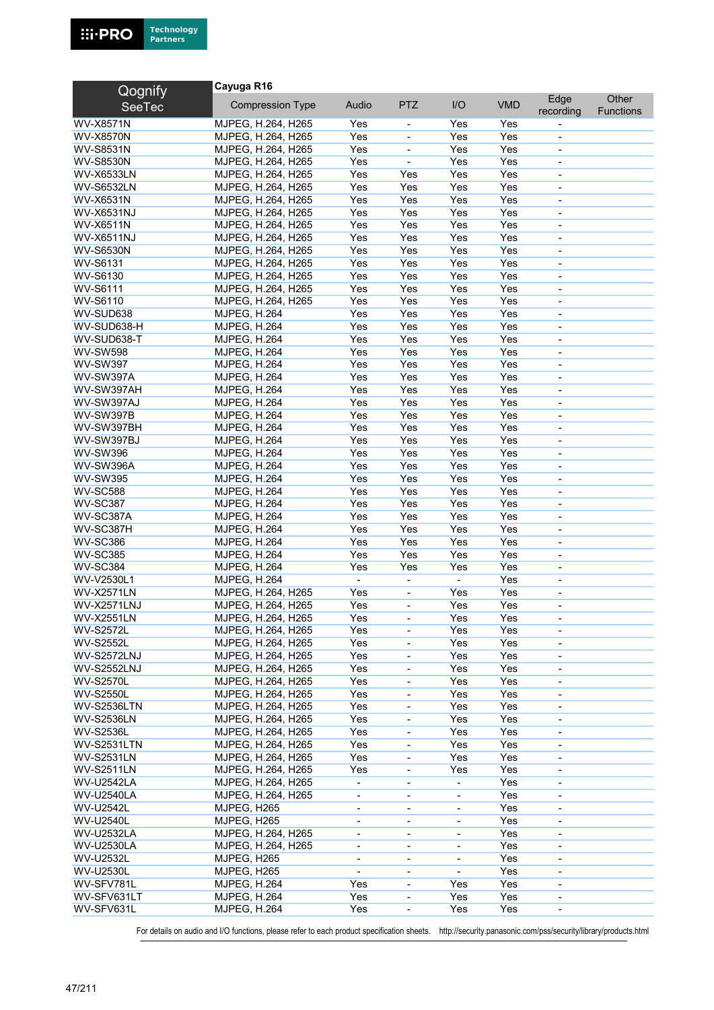

| Qognify                               | Cayuga R16              |                          |                              |                              |            |                          |                  |
|---------------------------------------|-------------------------|--------------------------|------------------------------|------------------------------|------------|--------------------------|------------------|
| <b>SeeTec</b>                         | <b>Compression Type</b> | Audio                    | <b>PTZ</b>                   | I/O                          | <b>VMD</b> | Edge                     | Other            |
|                                       |                         |                          |                              |                              |            | recording                | <b>Functions</b> |
| <b>WV-X8571N</b>                      | MJPEG, H.264, H265      | Yes                      | $\overline{\phantom{a}}$     | Yes                          | Yes        |                          |                  |
| <b>WV-X8570N</b>                      | MJPEG, H.264, H265      | Yes                      | $\blacksquare$               | Yes                          | Yes        | $\overline{\phantom{a}}$ |                  |
| <b>WV-S8531N</b>                      | MJPEG, H.264, H265      | Yes                      | $\overline{\phantom{a}}$     | Yes                          | Yes        | $\overline{\phantom{a}}$ |                  |
| <b>WV-S8530N</b>                      | MJPEG, H.264, H265      | Yes                      | $\overline{\phantom{a}}$     | Yes                          | Yes        | $\overline{\phantom{a}}$ |                  |
| <b>WV-X6533LN</b>                     | MJPEG, H.264, H265      | Yes                      | Yes                          | Yes                          | Yes        |                          |                  |
| <b>WV-S6532LN</b>                     | MJPEG, H.264, H265      | Yes                      | Yes                          | Yes                          | Yes        | $\overline{\phantom{a}}$ |                  |
| WV-X6531N                             | MJPEG, H.264, H265      | Yes                      | Yes                          | Yes                          | Yes        | $\overline{\phantom{a}}$ |                  |
| WV-X6531NJ                            | MJPEG, H.264, H265      | Yes                      | Yes                          | Yes                          | Yes        | $\overline{\phantom{a}}$ |                  |
| <b>WV-X6511N</b>                      | MJPEG, H.264, H265      | Yes                      | Yes                          | Yes                          | Yes        | $\overline{\phantom{a}}$ |                  |
| <b>WV-X6511NJ</b>                     | MJPEG, H.264, H265      | Yes                      | Yes                          | Yes                          | Yes        | $\overline{\phantom{a}}$ |                  |
| <b>WV-S6530N</b>                      | MJPEG, H.264, H265      | Yes                      | Yes                          | Yes                          | Yes        | $\overline{\phantom{a}}$ |                  |
| WV-S6131                              | MJPEG, H.264, H265      | Yes                      | Yes                          | Yes                          | Yes        | $\blacksquare$           |                  |
| WV-S6130                              | MJPEG, H.264, H265      | Yes                      | Yes                          | Yes                          | Yes        | $\overline{\phantom{a}}$ |                  |
| <b>WV-S6111</b>                       | MJPEG, H.264, H265      | Yes                      | Yes                          | Yes                          | Yes        | $\blacksquare$           |                  |
| WV-S6110                              | MJPEG, H.264, H265      | Yes                      | Yes                          | Yes                          | Yes        | $\overline{\phantom{a}}$ |                  |
| WV-SUD638                             | <b>MJPEG, H.264</b>     | Yes                      | Yes                          | Yes                          | Yes        | $\overline{\phantom{a}}$ |                  |
| WV-SUD638-H                           | <b>MJPEG, H.264</b>     | Yes                      | Yes                          | Yes                          | Yes        | $\blacksquare$           |                  |
| WV-SUD638-T                           | <b>MJPEG, H.264</b>     | Yes                      | Yes                          | Yes                          | Yes        | ä,                       |                  |
| <b>WV-SW598</b>                       | <b>MJPEG, H.264</b>     | Yes                      | Yes                          | Yes                          | Yes        | $\blacksquare$           |                  |
| <b>WV-SW397</b>                       | <b>MJPEG, H.264</b>     | Yes                      | Yes                          | Yes                          | Yes        | $\overline{\phantom{a}}$ |                  |
| <b>WV-SW397A</b>                      | <b>MJPEG, H.264</b>     | Yes                      | Yes                          | Yes                          | Yes        | $\blacksquare$           |                  |
| WV-SW397AH                            |                         | Yes                      | Yes                          | Yes                          | Yes        | $\blacksquare$           |                  |
|                                       | <b>MJPEG, H.264</b>     |                          |                              |                              |            |                          |                  |
| WV-SW397AJ                            | <b>MJPEG, H.264</b>     | Yes                      | Yes                          | Yes                          | Yes        | $\blacksquare$           |                  |
| <b>WV-SW397B</b>                      | <b>MJPEG, H.264</b>     | Yes                      | Yes                          | Yes                          | Yes        | $\overline{\phantom{a}}$ |                  |
| WV-SW397BH                            | <b>MJPEG, H.264</b>     | Yes                      | Yes                          | Yes                          | Yes        | $\overline{\phantom{a}}$ |                  |
| WV-SW397BJ                            | <b>MJPEG, H.264</b>     | Yes                      | Yes                          | Yes                          | Yes        | ä,                       |                  |
| <b>WV-SW396</b>                       | <b>MJPEG, H.264</b>     | Yes                      | Yes                          | Yes                          | Yes        | $\overline{\phantom{a}}$ |                  |
| WV-SW396A                             | <b>MJPEG, H.264</b>     | Yes                      | Yes                          | Yes                          | Yes        | $\overline{\phantom{a}}$ |                  |
| <b>WV-SW395</b>                       | <b>MJPEG, H.264</b>     | Yes                      | Yes                          | Yes                          | Yes        | $\overline{\phantom{a}}$ |                  |
| <b>WV-SC588</b>                       | <b>MJPEG, H.264</b>     | Yes                      | Yes                          | Yes                          | Yes        |                          |                  |
| <b>WV-SC387</b>                       | <b>MJPEG, H.264</b>     | Yes                      | Yes                          | Yes                          | Yes        | $\overline{\phantom{a}}$ |                  |
| WV-SC387A                             | <b>MJPEG, H.264</b>     | Yes                      | Yes                          | Yes                          | Yes        | $\overline{\phantom{a}}$ |                  |
| WV-SC387H                             | <b>MJPEG, H.264</b>     | Yes                      | Yes                          | Yes                          | Yes        | $\overline{\phantom{a}}$ |                  |
| <b>WV-SC386</b>                       | <b>MJPEG, H.264</b>     | Yes                      | Yes                          | Yes                          | Yes        | $\blacksquare$           |                  |
| <b>WV-SC385</b>                       | <b>MJPEG, H.264</b>     | Yes                      | Yes                          | Yes                          | Yes        | $\overline{\phantom{a}}$ |                  |
| <b>WV-SC384</b>                       | <b>MJPEG, H.264</b>     | Yes                      | Yes                          | Yes                          | Yes        | $\overline{\phantom{a}}$ |                  |
| WV-V2530L1                            | <b>MJPEG, H.264</b>     | ٠                        | $\blacksquare$               | $\sim$                       | Yes        | $\overline{\phantom{a}}$ |                  |
| <b>WV-X2571LN</b>                     | MJPEG, H.264, H265      | Yes                      | $\overline{\phantom{a}}$     | Yes                          | Yes        | $\blacksquare$           |                  |
| <b>WV-X2571LNJ</b>                    | MJPEG, H.264, H265      | Yes                      | ÷,                           | Yes                          | Yes        | $\blacksquare$           |                  |
| <b>WV-X2551LN</b>                     | MJPEG, H.264, H265      | Yes                      | $\qquad \qquad \blacksquare$ | Yes                          | Yes        | $\overline{\phantom{a}}$ |                  |
| <b>WV-S2572L</b>                      | MJPEG, H.264, H265      | Yes                      | $\blacksquare$               | Yes                          | Yes        | $\blacksquare$           |                  |
| <b>WV-S2552L</b>                      | MJPEG. H.264. H265      | Yes                      |                              | Yes                          | Yes        |                          |                  |
| <b>WV-S2572LNJ</b>                    | MJPEG, H.264, H265      | Yes                      | $\blacksquare$               | Yes                          | Yes        | $\overline{\phantom{a}}$ |                  |
| <b>WV-S2552LNJ</b>                    | MJPEG, H.264, H265      | Yes                      | $\qquad \qquad \blacksquare$ | Yes                          | Yes        | $\overline{\phantom{a}}$ |                  |
| <b>WV-S2570L</b>                      | MJPEG, H.264, H265      | Yes                      | -                            | Yes                          | Yes        | $\overline{\phantom{a}}$ |                  |
| <b>WV-S2550L</b>                      | MJPEG, H.264, H265      | Yes                      | $\overline{\phantom{a}}$     | Yes                          | Yes        | $\overline{\phantom{a}}$ |                  |
| <b>WV-S2536LTN</b>                    | MJPEG, H.264, H265      | Yes                      | $\blacksquare$               | Yes                          | Yes        | $\overline{\phantom{a}}$ |                  |
| <b>WV-S2536LN</b>                     | MJPEG. H.264. H265      | Yes                      | $\blacksquare$               | Yes                          | Yes        | $\overline{\phantom{a}}$ |                  |
| <b>WV-S2536L</b>                      | MJPEG, H.264, H265      | Yes                      | $\overline{\phantom{0}}$     | Yes                          | Yes        | $\overline{\phantom{a}}$ |                  |
| <b>WV-S2531LTN</b>                    | MJPEG, H.264, H265      | Yes                      | $\qquad \qquad \blacksquare$ | Yes                          | Yes        | $\overline{\phantom{a}}$ |                  |
| <b>WV-S2531LN</b>                     | MJPEG, H.264, H265      | Yes                      | $\qquad \qquad \blacksquare$ | Yes                          | Yes        | $\overline{\phantom{a}}$ |                  |
| <b>WV-S2511LN</b>                     | MJPEG, H.264, H265      | Yes                      | $\blacksquare$               | Yes                          | Yes        | $\overline{\phantom{a}}$ |                  |
|                                       |                         |                          |                              |                              |            |                          |                  |
| <b>WV-U2542LA</b>                     | MJPEG, H.264, H265      | $\overline{\phantom{0}}$ | $\qquad \qquad \blacksquare$ | $\overline{\phantom{a}}$     | Yes        | $\overline{\phantom{a}}$ |                  |
| <b>WV-U2540LA</b><br><b>WV-U2542L</b> | MJPEG, H.264, H265      | $\overline{\phantom{0}}$ | $\overline{\phantom{a}}$     | $\overline{\phantom{a}}$     | Yes<br>Yes | $\overline{\phantom{a}}$ |                  |
|                                       | MJPEG, H265             | $\overline{\phantom{a}}$ | $\overline{\phantom{a}}$     | $\overline{\phantom{a}}$     |            | $\overline{\phantom{a}}$ |                  |
| <b>WV-U2540L</b>                      | MJPEG, H265             | $\blacksquare$           | $\overline{\phantom{a}}$     | $\overline{\phantom{a}}$     | Yes        | $\overline{\phantom{a}}$ |                  |
| <b>WV-U2532LA</b>                     | MJPEG, H.264, H265      | $\overline{\phantom{0}}$ | $\qquad \qquad \blacksquare$ | $\qquad \qquad \blacksquare$ | Yes        | $\overline{\phantom{a}}$ |                  |
| <b>WV-U2530LA</b>                     | MJPEG, H.264, H265      | $\overline{\phantom{0}}$ | $\overline{\phantom{a}}$     | $\overline{\phantom{a}}$     | Yes        | $\overline{\phantom{a}}$ |                  |
| <b>WV-U2532L</b>                      | MJPEG, H265             | $\overline{\phantom{0}}$ | $\qquad \qquad \blacksquare$ | $\overline{\phantom{a}}$     | Yes        | $\overline{\phantom{a}}$ |                  |
| <b>WV-U2530L</b>                      | MJPEG, H265             | $\blacksquare$           | $\blacksquare$               | $\blacksquare$               | Yes        | $\overline{\phantom{a}}$ |                  |
| WV-SFV781L                            | <b>MJPEG, H.264</b>     | Yes                      | $\qquad \qquad \blacksquare$ | Yes                          | Yes        | $\overline{\phantom{a}}$ |                  |
| WV-SFV631LT                           | <b>MJPEG, H.264</b>     | Yes                      | $\qquad \qquad \blacksquare$ | Yes                          | Yes        | $\overline{\phantom{a}}$ |                  |
| WV-SFV631L                            | <b>MJPEG, H.264</b>     | Yes                      | $\blacksquare$               | Yes                          | Yes        | $\blacksquare$           |                  |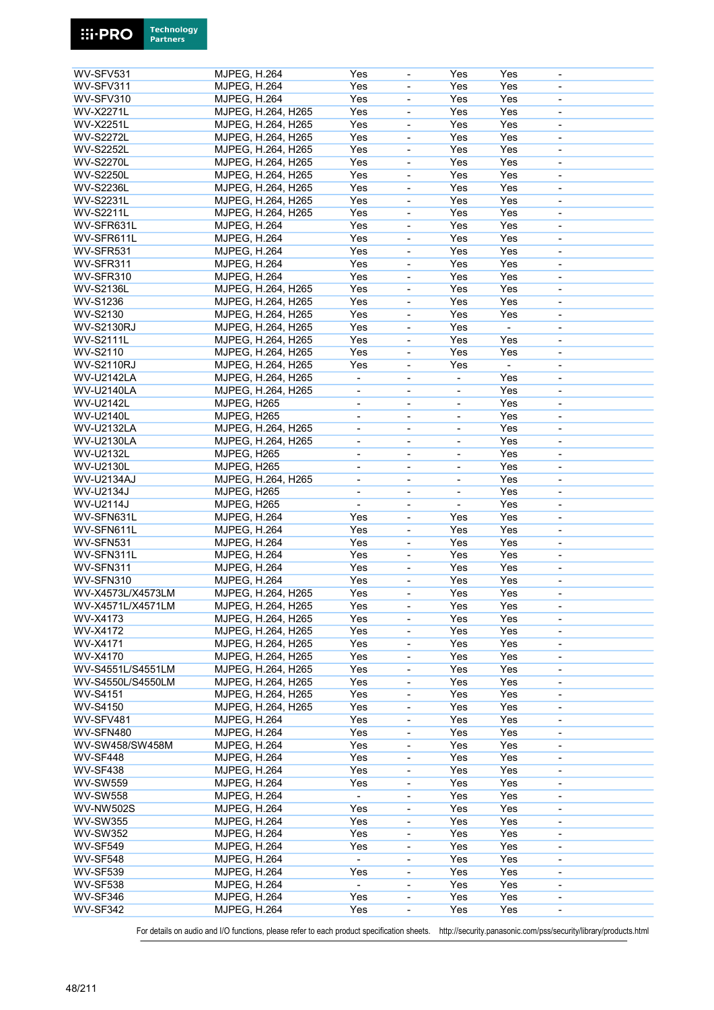| WV-SFV531                                             | <b>MJPEG, H.264</b> | Yes                      |                              | Yes                          | Yes            |                          |
|-------------------------------------------------------|---------------------|--------------------------|------------------------------|------------------------------|----------------|--------------------------|
| WV-SFV311                                             | <b>MJPEG, H.264</b> | Yes                      | $\overline{\phantom{a}}$     | Yes                          | Yes            | $\blacksquare$           |
| WV-SFV310                                             |                     | Yes                      |                              |                              |                |                          |
|                                                       | MJPEG, H.264        |                          | $\qquad \qquad \blacksquare$ | Yes                          | Yes            | $\overline{\phantom{a}}$ |
| <b>WV-X2271L</b>                                      | MJPEG, H.264, H265  | Yes                      | $\overline{\phantom{a}}$     | Yes                          | Yes            | $\overline{\phantom{a}}$ |
| <b>WV-X2251L</b>                                      | MJPEG, H.264, H265  | Yes                      | $\blacksquare$               | Yes                          | Yes            |                          |
| <b>WV-S2272L</b>                                      | MJPEG, H.264, H265  | Yes                      | $\blacksquare$               | Yes                          | Yes            | $\overline{\phantom{a}}$ |
|                                                       |                     |                          |                              |                              |                |                          |
| <b>WV-S2252L</b>                                      | MJPEG, H.264, H265  | Yes                      | $\qquad \qquad \blacksquare$ | Yes                          | Yes            | $\overline{\phantom{a}}$ |
| <b>WV-S2270L</b>                                      | MJPEG, H.264, H265  | Yes                      | $\overline{\phantom{a}}$     | Yes                          | Yes            | $\overline{\phantom{a}}$ |
| <b>WV-S2250L</b>                                      | MJPEG, H.264, H265  | Yes                      | $\overline{\phantom{a}}$     | Yes                          | Yes            | $\overline{\phantom{a}}$ |
|                                                       |                     |                          |                              |                              |                |                          |
| <b>WV-S2236L</b>                                      | MJPEG, H.264, H265  | Yes                      | $\blacksquare$               | Yes                          | Yes            | $\overline{\phantom{a}}$ |
| <b>WV-S2231L</b>                                      | MJPEG, H.264, H265  | Yes                      | $\qquad \qquad \blacksquare$ | Yes                          | Yes            | $\overline{\phantom{a}}$ |
| <b>WV-S2211L</b>                                      | MJPEG, H.264, H265  | Yes                      | $\overline{\phantom{a}}$     | Yes                          | Yes            | $\overline{\phantom{a}}$ |
| WV-SFR631L                                            | MJPEG, H.264        | Yes                      |                              | Yes                          | Yes            |                          |
|                                                       |                     |                          | $\overline{\phantom{a}}$     |                              |                |                          |
| WV-SFR611L                                            | MJPEG, H.264        | Yes                      | $\blacksquare$               | Yes                          | Yes            | $\overline{\phantom{a}}$ |
| WV-SFR531                                             | <b>MJPEG, H.264</b> | Yes                      | $\overline{\phantom{a}}$     | Yes                          | Yes            | $\overline{\phantom{a}}$ |
| WV-SFR311                                             | MJPEG, H.264        | Yes                      |                              | Yes                          | Yes            |                          |
|                                                       |                     |                          | $\overline{\phantom{a}}$     |                              |                | $\overline{\phantom{a}}$ |
| WV-SFR310                                             | MJPEG, H.264        | Yes                      | $\overline{\phantom{a}}$     | Yes                          | Yes            | $\overline{\phantom{a}}$ |
| <b>WV-S2136L</b>                                      | MJPEG, H.264, H265  | Yes                      | ÷,                           | Yes                          | Yes            | $\blacksquare$           |
| <b>WV-S1236</b>                                       | MJPEG, H.264, H265  | Yes                      | $\overline{\phantom{a}}$     | Yes                          | Yes            | $\overline{\phantom{a}}$ |
|                                                       |                     |                          |                              |                              |                |                          |
| WV-S2130                                              | MJPEG, H.264, H265  | Yes                      | $\blacksquare$               | Yes                          | Yes            | $\blacksquare$           |
| <b>WV-S2130RJ</b>                                     | MJPEG, H.264, H265  | Yes                      | $\blacksquare$               | Yes                          | $\overline{a}$ | $\blacksquare$           |
| <b>WV-S2111L</b>                                      | MJPEG, H.264, H265  | Yes                      | ÷,                           | Yes                          | Yes            | $\blacksquare$           |
|                                                       |                     |                          |                              |                              |                |                          |
| WV-S2110                                              | MJPEG, H.264, H265  | Yes                      | $\overline{\phantom{a}}$     | Yes                          | Yes            | $\blacksquare$           |
| <b>WV-S2110RJ</b>                                     | MJPEG, H.264, H265  | Yes                      | $\overline{\phantom{a}}$     | Yes                          |                | $\blacksquare$           |
| <b>WV-U2142LA</b>                                     | MJPEG, H.264, H265  | $\overline{\phantom{a}}$ | $\blacksquare$               | $\blacksquare$               | Yes            | $\blacksquare$           |
|                                                       |                     |                          |                              |                              |                |                          |
| <b>WV-U2140LA</b>                                     | MJPEG, H.264, H265  | $\blacksquare$           | $\overline{\phantom{a}}$     |                              | Yes            | $\blacksquare$           |
| <b>WV-U2142L</b>                                      | MJPEG, H265         | $\overline{\phantom{a}}$ | $\overline{\phantom{a}}$     | $\blacksquare$               | Yes            | $\overline{\phantom{a}}$ |
| <b>WV-U2140L</b>                                      | MJPEG, H265         | $\overline{\phantom{a}}$ | $\qquad \qquad \blacksquare$ |                              | Yes            | $\overline{\phantom{a}}$ |
| <b>WV-U2132LA</b>                                     |                     |                          |                              |                              | Yes            |                          |
|                                                       | MJPEG, H.264, H265  | $\overline{\phantom{a}}$ | $\overline{\phantom{a}}$     | $\qquad \qquad \blacksquare$ |                | $\overline{\phantom{a}}$ |
| <b>WV-U2130LA</b>                                     | MJPEG, H.264, H265  |                          |                              |                              | Yes            |                          |
| <b>WV-U2132L</b>                                      | MJPEG, H265         | $\overline{\phantom{a}}$ | $\overline{\phantom{a}}$     | $\blacksquare$               | Yes            | $\overline{\phantom{a}}$ |
| WV-U2130L                                             | MJPEG, H265         |                          |                              |                              | Yes            |                          |
|                                                       |                     | $\overline{\phantom{a}}$ | $\overline{\phantom{a}}$     | $\qquad \qquad \blacksquare$ |                | $\overline{\phantom{a}}$ |
| WV-U2134AJ                                            | MJPEG, H.264, H265  | $\overline{\phantom{a}}$ | $\overline{\phantom{a}}$     | $\qquad \qquad \blacksquare$ | Yes            | $\overline{\phantom{a}}$ |
| WV-U2134J                                             | MJPEG, H265         | $\overline{\phantom{a}}$ | $\overline{\phantom{a}}$     |                              | Yes            | $\overline{\phantom{a}}$ |
| WV-U2114J                                             | MJPEG, H265         | $\blacksquare$           | $\overline{\phantom{a}}$     | $\blacksquare$               | Yes            | $\overline{\phantom{a}}$ |
|                                                       |                     |                          |                              |                              |                |                          |
| WV-SFN631L                                            | <b>MJPEG, H.264</b> | Yes                      | $\overline{\phantom{a}}$     | Yes                          | Yes            | $\overline{\phantom{a}}$ |
| WV-SFN611L                                            | <b>MJPEG, H.264</b> | Yes                      | $\overline{\phantom{a}}$     | Yes                          | Yes            | $\overline{\phantom{a}}$ |
| WV-SFN531                                             | <b>MJPEG, H.264</b> | Yes                      | $\blacksquare$               | Yes                          | Yes            | $\blacksquare$           |
|                                                       |                     |                          |                              |                              |                |                          |
| WV-SFN311L                                            | <b>MJPEG, H.264</b> | Yes                      | $\blacksquare$               | Yes                          | Yes            | $\blacksquare$           |
| WV-SFN311                                             | <b>MJPEG, H.264</b> | Yes                      | $\blacksquare$               | Yes                          | Yes            | $\overline{\phantom{a}}$ |
| WV-SFN310                                             | <b>MJPEG, H.264</b> | Yes                      | $\overline{\phantom{a}}$     | Yes                          | Yes            | $\overline{\phantom{a}}$ |
| WV-X4573L/X4573LM                                     |                     | Yes                      |                              | Yes                          | Yes            |                          |
|                                                       | MJPEG, H.264, H265  |                          | $\overline{\phantom{a}}$     |                              |                | $\overline{\phantom{a}}$ |
| WV-X4571L/X4571LM                                     | MJPEG, H.264, H265  | Yes                      | $\overline{\phantom{a}}$     | Yes                          | Yes            | $\overline{\phantom{a}}$ |
| WV-X4173                                              | MJPEG, H.264, H265  | Yes                      | $\blacksquare$               | Yes                          | Yes            | $\overline{\phantom{a}}$ |
| WV-X4172                                              | MJPEG, H.264, H265  | Yes                      |                              | Yes                          | Yes            | $\overline{\phantom{a}}$ |
|                                                       |                     |                          | $\qquad \qquad \blacksquare$ |                              |                |                          |
| WV-X4171                                              | MJPEG, H.264, H265  | Yes                      | $\overline{\phantom{a}}$     | Yes                          | Yes            | $\overline{\phantom{a}}$ |
| WV-X4170                                              | MJPEG, H.264, H265  | Yes                      | $\blacksquare$               | Yes                          | Yes            | $\overline{\phantom{a}}$ |
| WV-S4551L/S4551LM                                     | MJPEG, H.264, H265  | Yes                      | $\overline{\phantom{a}}$     | Yes                          | Yes            | $\overline{\phantom{a}}$ |
|                                                       |                     |                          |                              |                              |                |                          |
| WV-S4550L/S4550LM                                     | MJPEG, H.264, H265  | Yes                      | $\qquad \qquad \blacksquare$ | Yes                          | Yes            | $\overline{\phantom{a}}$ |
| <b>WV-S4151</b>                                       | MJPEG, H.264, H265  | Yes                      | $\overline{\phantom{a}}$     | Yes                          | Yes            | $\overline{\phantom{a}}$ |
| <b>WV-S4150</b>                                       | MJPEG, H.264, H265  | Yes                      | ÷,                           | Yes                          | Yes            | $\blacksquare$           |
|                                                       |                     |                          |                              |                              |                |                          |
| WV-SFV481                                             | <b>MJPEG, H.264</b> | Yes                      | $\blacksquare$               | Yes                          | Yes            | $\overline{\phantom{a}}$ |
| WV-SFN480                                             | <b>MJPEG, H.264</b> | Yes                      | $\qquad \qquad \blacksquare$ | Yes                          | Yes            | $\overline{\phantom{a}}$ |
| WV-SW458/SW458M                                       | <b>MJPEG, H.264</b> | Yes                      | $\overline{\phantom{a}}$     | Yes                          | Yes            | $\overline{\phantom{a}}$ |
| <b>WV-SF448</b>                                       | <b>MJPEG, H.264</b> | Yes                      | $\blacksquare$               | Yes                          | Yes            | $\blacksquare$           |
|                                                       |                     |                          |                              |                              |                |                          |
| <b>WV-SF438</b>                                       | <b>MJPEG, H.264</b> | Yes                      | $\frac{1}{2}$                | Yes                          | Yes            | $\overline{\phantom{a}}$ |
| <b>WV-SW559</b>                                       | <b>MJPEG, H.264</b> | Yes                      | $\qquad \qquad \blacksquare$ | Yes                          | Yes            | $\overline{\phantom{a}}$ |
| <b>WV-SW558</b>                                       | <b>MJPEG, H.264</b> | $\overline{\phantom{a}}$ | $\overline{\phantom{a}}$     | Yes                          | Yes            | $\overline{\phantom{a}}$ |
|                                                       |                     |                          |                              |                              |                |                          |
| <b>WV-NW502S</b>                                      | <b>MJPEG, H.264</b> | Yes                      | $\qquad \qquad \blacksquare$ | Yes                          | Yes            |                          |
| <b>WV-SW355</b>                                       | <b>MJPEG, H.264</b> | Yes                      | $\blacksquare$               | Yes                          | Yes            | $\overline{\phantom{a}}$ |
| <b>WV-SW352</b>                                       | <b>MJPEG, H.264</b> | Yes                      | $\qquad \qquad \blacksquare$ | Yes                          | Yes            | $\overline{\phantom{a}}$ |
|                                                       |                     |                          |                              |                              |                |                          |
| <b>WV-SF549</b>                                       | <b>MJPEG, H.264</b> | Yes                      | $\overline{\phantom{a}}$     | Yes                          | Yes            | $\overline{\phantom{a}}$ |
| <b>WV-SF548</b>                                       |                     | $\blacksquare$           | $\overline{\phantom{a}}$     | Yes                          | Yes            | $\overline{\phantom{a}}$ |
|                                                       | <b>MJPEG, H.264</b> |                          |                              |                              |                |                          |
|                                                       |                     | Yes                      | $\frac{1}{2}$                | Yes                          |                | $\overline{\phantom{a}}$ |
|                                                       | <b>MJPEG, H.264</b> |                          |                              |                              | Yes            |                          |
|                                                       | <b>MJPEG, H.264</b> | $\blacksquare$           | $\blacksquare$               | Yes                          | Yes            | $\overline{\phantom{a}}$ |
| <b>WV-SF539</b><br><b>WV-SF538</b><br><b>WV-SF346</b> | <b>MJPEG, H.264</b> | Yes                      | $\overline{\phantom{a}}$     | Yes                          | Yes            | $\overline{\phantom{a}}$ |
| <b>WV-SF342</b>                                       | <b>MJPEG, H.264</b> | Yes                      | $\overline{\phantom{a}}$     | Yes                          | Yes            | $\overline{\phantom{a}}$ |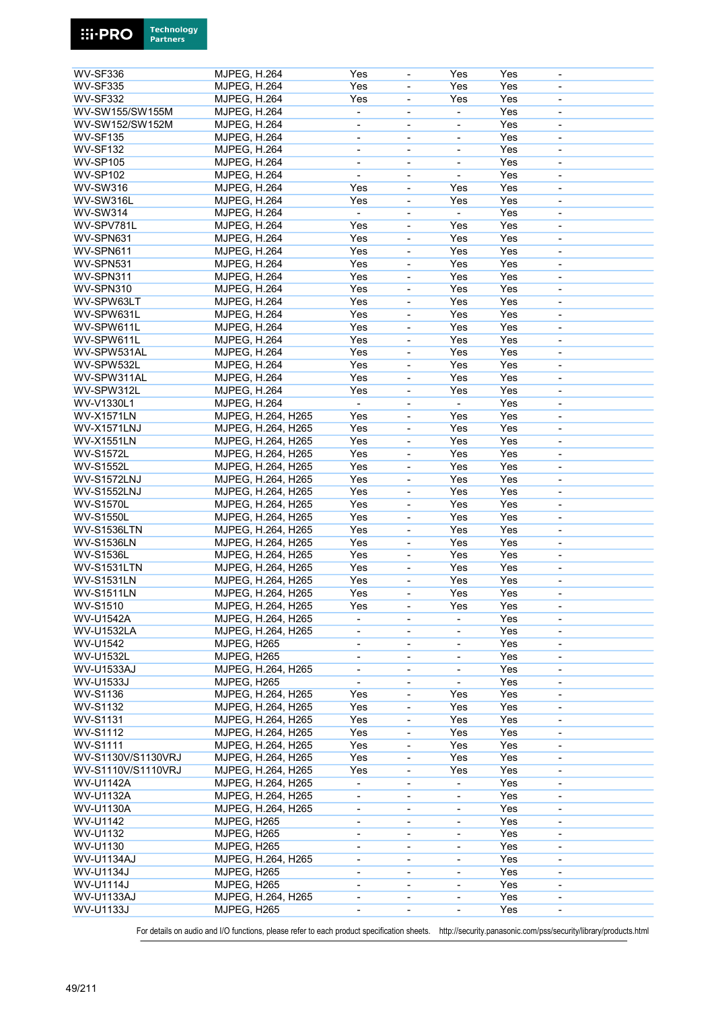

**Technology** 

**Ei-PRO**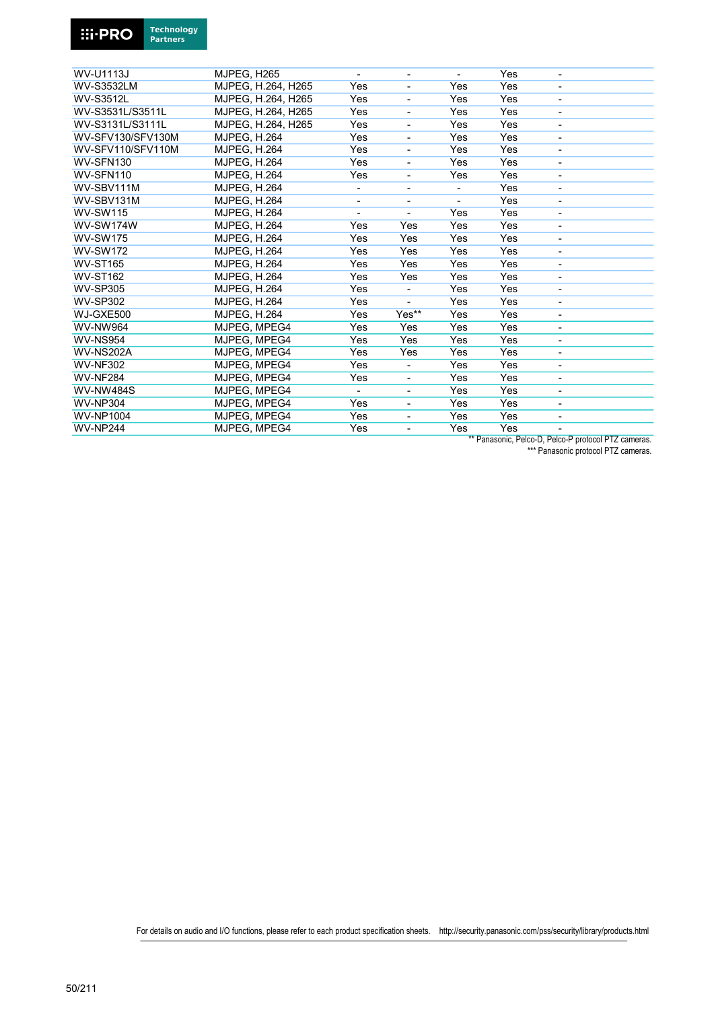

| <b>WV-U1113J</b>  | MJPEG, H265         | ۰                        | ۰                            |     | Yes | $\overline{\phantom{a}}$ |  |
|-------------------|---------------------|--------------------------|------------------------------|-----|-----|--------------------------|--|
| <b>WV-S3532LM</b> | MJPEG, H.264, H265  | Yes                      |                              | Yes | Yes |                          |  |
| <b>WV-S3512L</b>  | MJPEG, H.264, H265  | Yes                      | $\blacksquare$               | Yes | Yes | -                        |  |
| WV-S3531L/S3511L  | MJPEG, H.264, H265  | Yes                      |                              | Yes | Yes | -                        |  |
| WV-S3131L/S3111L  | MJPEG, H.264, H265  | Yes                      | $\overline{\phantom{a}}$     | Yes | Yes | -                        |  |
| WV-SFV130/SFV130M | <b>MJPEG. H.264</b> | Yes                      |                              | Yes | Yes | -                        |  |
| WV-SFV110/SFV110M | <b>MJPEG, H.264</b> | Yes                      | $\overline{\phantom{a}}$     | Yes | Yes | -                        |  |
| WV-SFN130         | <b>MJPEG, H.264</b> | Yes                      |                              | Yes | Yes | -                        |  |
| WV-SFN110         | <b>MJPEG, H.264</b> | Yes                      | $\overline{\phantom{a}}$     | Yes | Yes | ÷,                       |  |
| WV-SBV111M        | <b>MJPEG. H.264</b> | $\overline{\phantom{a}}$ | $\overline{\phantom{a}}$     |     | Yes | ٠                        |  |
| WV-SBV131M        | <b>MJPEG, H.264</b> | $\overline{\phantom{0}}$ |                              |     | Yes | ٠                        |  |
| <b>WV-SW115</b>   | <b>MJPEG. H.264</b> |                          |                              | Yes | Yes | -                        |  |
| <b>WV-SW174W</b>  | <b>MJPEG, H.264</b> | Yes                      | Yes                          | Yes | Yes | L,                       |  |
| <b>WV-SW175</b>   | <b>MJPEG. H.264</b> | Yes                      | Yes                          | Yes | Yes | ۰                        |  |
| <b>WV-SW172</b>   | <b>MJPEG. H.264</b> | Yes                      | Yes                          | Yes | Yes | -                        |  |
| <b>WV-ST165</b>   | <b>MJPEG. H.264</b> | Yes                      | Yes                          | Yes | Yes | $\overline{\phantom{a}}$ |  |
| <b>WV-ST162</b>   | <b>MJPEG. H.264</b> | Yes                      | Yes                          | Yes | Yes | ٠                        |  |
| <b>WV-SP305</b>   | <b>MJPEG. H.264</b> | Yes                      | $\overline{\phantom{a}}$     | Yes | Yes | $\overline{\phantom{0}}$ |  |
| <b>WV-SP302</b>   | <b>MJPEG. H.264</b> | Yes                      |                              | Yes | Yes | ۰                        |  |
| WJ-GXE500         | <b>MJPEG, H.264</b> | Yes                      | Yes**                        | Yes | Yes | $\overline{\phantom{a}}$ |  |
| <b>WV-NW964</b>   | MJPEG. MPEG4        | Yes                      | Yes                          | Yes | Yes | ۰                        |  |
| <b>WV-NS954</b>   | MJPEG, MPEG4        | Yes                      | Yes                          | Yes | Yes | $\overline{\phantom{a}}$ |  |
| <b>WV-NS202A</b>  | MJPEG, MPEG4        | Yes                      | Yes                          | Yes | Yes | -                        |  |
| <b>WV-NF302</b>   | MJPEG, MPEG4        | Yes                      | $\overline{\phantom{a}}$     | Yes | Yes | $\overline{\phantom{a}}$ |  |
| <b>WV-NF284</b>   | MJPEG, MPEG4        | Yes                      | $\overline{\phantom{a}}$     | Yes | Yes | -                        |  |
| <b>WV-NW484S</b>  | MJPEG, MPEG4        | $\overline{\phantom{a}}$ | $\overline{\phantom{a}}$     | Yes | Yes | -                        |  |
| <b>WV-NP304</b>   | MJPEG, MPEG4        | Yes                      | $\qquad \qquad \blacksquare$ | Yes | Yes | -                        |  |
| <b>WV-NP1004</b>  | MJPEG, MPEG4        | Yes                      | $\overline{\phantom{a}}$     | Yes | Yes | $\overline{\phantom{a}}$ |  |
| <b>WV-NP244</b>   | MJPEG. MPEG4        | Yes                      | $\overline{\phantom{a}}$     | Yes | Yes |                          |  |
|                   |                     |                          |                              |     |     |                          |  |

\*\* Panasonic, Pelco-D, Pelco-P protocol PTZ cameras. \*\*\* Panasonic protocol PTZ cameras.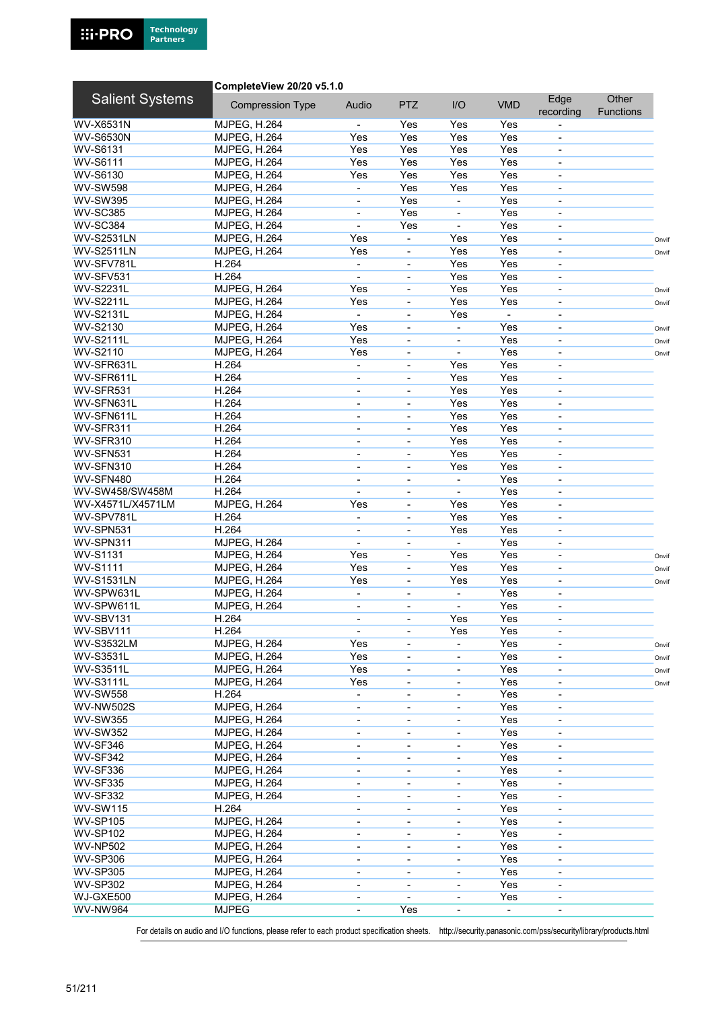

#### CompleteView 20/20 v5.1.0

| <b>Salient Systems</b> | <b>Compression Type</b> | Audio                        | <b>PTZ</b>               | I/O                      | <b>VMD</b> | Edge<br>recording            | Other<br><b>Functions</b> |       |
|------------------------|-------------------------|------------------------------|--------------------------|--------------------------|------------|------------------------------|---------------------------|-------|
| WV-X6531N              | <b>MJPEG, H.264</b>     |                              | Yes                      | Yes                      | Yes        |                              |                           |       |
| <b>WV-S6530N</b>       | <b>MJPEG, H.264</b>     | Yes                          | Yes                      | Yes                      | Yes        |                              |                           |       |
| <b>WV-S6131</b>        | <b>MJPEG, H.264</b>     | Yes                          | Yes                      | Yes                      | Yes        | $\overline{\phantom{a}}$     |                           |       |
| <b>WV-S6111</b>        |                         | Yes                          | Yes                      | Yes                      | Yes        |                              |                           |       |
|                        | <b>MJPEG, H.264</b>     |                              |                          |                          |            |                              |                           |       |
| WV-S6130               | <b>MJPEG, H.264</b>     | Yes                          | Yes                      | Yes                      | Yes        | $\overline{\phantom{a}}$     |                           |       |
| <b>WV-SW598</b>        | <b>MJPEG, H.264</b>     |                              | Yes                      | Yes                      | Yes        | $\overline{\phantom{a}}$     |                           |       |
| <b>WV-SW395</b>        | <b>MJPEG, H.264</b>     | $\blacksquare$               | Yes                      | $\overline{\phantom{a}}$ | Yes        | $\overline{\phantom{a}}$     |                           |       |
| <b>WV-SC385</b>        | <b>MJPEG, H.264</b>     |                              | Yes                      |                          | Yes        |                              |                           |       |
| WV-SC384               | <b>MJPEG, H.264</b>     | $\blacksquare$               | Yes                      | $\blacksquare$           | Yes        | $\overline{\phantom{a}}$     |                           |       |
| <b>WV-S2531LN</b>      | <b>MJPEG, H.264</b>     | Yes                          |                          | Yes                      | Yes        | $\overline{\phantom{a}}$     |                           | Onvif |
| <b>WV-S2511LN</b>      | <b>MJPEG, H.264</b>     | Yes                          | $\overline{\phantom{a}}$ | Yes                      | Yes        | $\overline{\phantom{a}}$     |                           | Onvif |
| WV-SFV781L             | H.264                   | $\overline{\phantom{a}}$     |                          | Yes                      | Yes        |                              |                           |       |
| WV-SFV531              | H.264                   | $\blacksquare$               | $\blacksquare$           | Yes                      | Yes        | $\overline{\phantom{a}}$     |                           |       |
| <b>WV-S2231L</b>       | <b>MJPEG, H.264</b>     | Yes                          | $\overline{\phantom{a}}$ | Yes                      | Yes        | $\overline{\phantom{a}}$     |                           | Onvif |
| <b>WV-S2211L</b>       | <b>MJPEG, H.264</b>     | Yes                          | $\overline{\phantom{a}}$ | Yes                      | Yes        | $\overline{\phantom{a}}$     |                           | Onvif |
| <b>WV-S2131L</b>       | <b>MJPEG, H.264</b>     | $\blacksquare$               |                          | Yes                      | ÷,         |                              |                           |       |
| WV-S2130               | <b>MJPEG, H.264</b>     | Yes                          | $\blacksquare$           | $\blacksquare$           | Yes        | $\overline{\phantom{a}}$     |                           | Onvif |
| <b>WV-S2111L</b>       | <b>MJPEG, H.264</b>     | Yes                          | $\blacksquare$           | $\overline{\phantom{a}}$ | Yes        | $\overline{\phantom{a}}$     |                           | Onvif |
| WV-S2110               | <b>MJPEG, H.264</b>     | Yes                          | $\blacksquare$           |                          | Yes        | $\overline{\phantom{m}}$     |                           | Onvif |
| WV-SFR631L             | H.264                   | $\blacksquare$               | $\overline{\phantom{a}}$ | Yes                      | Yes        | $\overline{\phantom{a}}$     |                           |       |
| WV-SFR611L             | H.264                   |                              |                          | Yes                      | Yes        |                              |                           |       |
|                        |                         |                              |                          |                          |            |                              |                           |       |
| WV-SFR531              | H.264                   | $\overline{\phantom{a}}$     | $\blacksquare$           | Yes                      | Yes        | $\blacksquare$               |                           |       |
| WV-SFN631L             | H.264                   |                              |                          | Yes                      | Yes        | $\blacksquare$               |                           |       |
| WV-SFN611L             | H.264                   | $\blacksquare$               | $\overline{\phantom{a}}$ | Yes                      | Yes        | $\blacksquare$               |                           |       |
| WV-SFR311              | H.264                   |                              | $\blacksquare$           | Yes                      | Yes        |                              |                           |       |
| WV-SFR310              | H.264                   | $\blacksquare$               | $\blacksquare$           | Yes                      | Yes        | $\overline{\phantom{a}}$     |                           |       |
| WV-SFN531              | H.264                   | $\blacksquare$               |                          | Yes                      | Yes        |                              |                           |       |
| WV-SFN310              | H.264                   | $\blacksquare$               | $\blacksquare$           | Yes                      | Yes        | $\overline{\phantom{a}}$     |                           |       |
| WV-SFN480              | H.264                   |                              | $\blacksquare$           |                          | Yes        | ä,                           |                           |       |
| WV-SW458/SW458M        | H.264                   | $\blacksquare$               | $\overline{\phantom{a}}$ | $\blacksquare$           | Yes        | $\overline{\phantom{a}}$     |                           |       |
| WV-X4571L/X4571LM      | <b>MJPEG, H.264</b>     | Yes                          | $\overline{\phantom{a}}$ | Yes                      | Yes        | $\overline{\phantom{a}}$     |                           |       |
| WV-SPV781L             | H.264                   | $\overline{\phantom{a}}$     | $\overline{\phantom{a}}$ | Yes                      | Yes        | $\overline{\phantom{a}}$     |                           |       |
| WV-SPN531              | H.264                   |                              | $\blacksquare$           | Yes                      | Yes        | ä,                           |                           |       |
| WV-SPN311              | <b>MJPEG, H.264</b>     | $\blacksquare$               | $\overline{\phantom{a}}$ | $\blacksquare$           | Yes        | $\blacksquare$               |                           |       |
| <b>WV-S1131</b>        | <b>MJPEG, H.264</b>     | Yes                          | $\overline{\phantom{a}}$ | Yes                      | Yes        | $\qquad \qquad \blacksquare$ |                           |       |
| <b>WV-S1111</b>        | <b>MJPEG, H.264</b>     | Yes                          | $\overline{\phantom{a}}$ | Yes                      | Yes        | $\overline{\phantom{a}}$     |                           | Onvif |
| <b>WV-S1531LN</b>      | <b>MJPEG, H.264</b>     | Yes                          |                          | Yes                      | Yes        | $\overline{\phantom{a}}$     |                           | Onvif |
|                        |                         |                              |                          |                          |            |                              |                           | Onvif |
| WV-SPW631L             | <b>MJPEG, H.264</b>     | $\overline{\phantom{a}}$     | $\overline{\phantom{a}}$ | $\overline{\phantom{a}}$ | Yes        | $\overline{\phantom{a}}$     |                           |       |
| WV-SPW611L             | <b>MJPEG, H.264</b>     | $\overline{\phantom{a}}$     |                          |                          | Yes        | $\overline{\phantom{a}}$     |                           |       |
| WV-SBV131              | H.264                   | $\blacksquare$               | $\blacksquare$           | Yes                      | Yes        | $\blacksquare$               |                           |       |
| WV-SBV111              | H.264                   |                              |                          | Yes                      | Yes        |                              |                           |       |
| <b>WV-S3532LM</b>      | <b>MJPEG, H.264</b>     | Yes                          | $\overline{\phantom{a}}$ | $\overline{\phantom{a}}$ | Yes        | $\overline{\phantom{a}}$     |                           | Onvif |
| <b>WV-S3531L</b>       | <b>MJPEG, H.264</b>     | Yes                          | $\overline{\phantom{a}}$ | $\overline{\phantom{a}}$ | Yes        | $\overline{\phantom{a}}$     |                           | Onvif |
| <b>WV-S3511L</b>       | <b>MJPEG, H.264</b>     | Yes                          | $\overline{\phantom{a}}$ | $\overline{\phantom{a}}$ | Yes        | $\overline{\phantom{a}}$     |                           | Onvif |
| <b>WV-S3111L</b>       | <b>MJPEG, H.264</b>     | Yes                          |                          |                          | Yes        |                              |                           | Onvif |
| <b>WV-SW558</b>        | H.264                   |                              | $\overline{\phantom{0}}$ | $\overline{\phantom{a}}$ | Yes        |                              |                           |       |
| <b>WV-NW502S</b>       | <b>MJPEG, H.264</b>     | $\overline{\phantom{a}}$     | $\overline{\phantom{a}}$ | $\overline{\phantom{a}}$ | Yes        | $\overline{\phantom{a}}$     |                           |       |
| <b>WV-SW355</b>        | <b>MJPEG, H.264</b>     | $\overline{\phantom{a}}$     | $\overline{\phantom{a}}$ | $\overline{\phantom{a}}$ | Yes        |                              |                           |       |
| <b>WV-SW352</b>        | <b>MJPEG, H.264</b>     | $\overline{\phantom{a}}$     | $\overline{\phantom{a}}$ | $\overline{\phantom{a}}$ | Yes        | $\blacksquare$               |                           |       |
| WV-SF346               | <b>MJPEG, H.264</b>     |                              | $\overline{\phantom{a}}$ | $\overline{\phantom{a}}$ | Yes        |                              |                           |       |
| <b>WV-SF342</b>        | <b>MJPEG, H.264</b>     | $\overline{\phantom{a}}$     | $\overline{\phantom{a}}$ | $\overline{\phantom{a}}$ | Yes        | $\overline{\phantom{a}}$     |                           |       |
| WV-SF336               | <b>MJPEG, H.264</b>     |                              |                          |                          | Yes        | $\overline{\phantom{a}}$     |                           |       |
| <b>WV-SF335</b>        | <b>MJPEG, H.264</b>     |                              |                          |                          | Yes        |                              |                           |       |
|                        |                         | $\overline{\phantom{a}}$     | $\overline{\phantom{a}}$ | $\overline{\phantom{a}}$ |            | $\overline{\phantom{a}}$     |                           |       |
| <b>WV-SF332</b>        | <b>MJPEG, H.264</b>     |                              |                          | $\overline{\phantom{a}}$ | Yes        |                              |                           |       |
| <b>WV-SW115</b>        | H.264                   | $\overline{\phantom{a}}$     | $\overline{\phantom{a}}$ | $\overline{\phantom{a}}$ | Yes        | $\overline{\phantom{a}}$     |                           |       |
| <b>WV-SP105</b>        | <b>MJPEG, H.264</b>     | $\overline{\phantom{a}}$     | $\overline{\phantom{a}}$ | $\overline{\phantom{a}}$ | Yes        | $\overline{\phantom{a}}$     |                           |       |
| <b>WV-SP102</b>        | <b>MJPEG, H.264</b>     | $\overline{\phantom{a}}$     | $\overline{\phantom{a}}$ | $\overline{\phantom{a}}$ | Yes        | $\overline{\phantom{a}}$     |                           |       |
| <b>WV-NP502</b>        | <b>MJPEG, H.264</b>     | $\overline{\phantom{a}}$     | $\overline{\phantom{a}}$ | $\overline{\phantom{a}}$ | Yes        |                              |                           |       |
| <b>WV-SP306</b>        | <b>MJPEG, H.264</b>     | $\qquad \qquad \blacksquare$ | $\overline{\phantom{a}}$ | $\overline{\phantom{a}}$ | Yes        | $\overline{\phantom{a}}$     |                           |       |
| <b>WV-SP305</b>        | <b>MJPEG, H.264</b>     | $\overline{\phantom{a}}$     | $\overline{\phantom{a}}$ | $\overline{\phantom{a}}$ | Yes        | $\overline{\phantom{a}}$     |                           |       |
| <b>WV-SP302</b>        | <b>MJPEG, H.264</b>     | $\overline{\phantom{a}}$     | $\overline{\phantom{a}}$ | $\overline{\phantom{a}}$ | Yes        | $\overline{\phantom{a}}$     |                           |       |
| WJ-GXE500              | <b>MJPEG, H.264</b>     |                              |                          | $\overline{\phantom{a}}$ | Yes        |                              |                           |       |
| <b>WV-NW964</b>        | <b>MJPEG</b>            |                              | Yes                      | $\overline{\phantom{a}}$ |            |                              |                           |       |
|                        |                         |                              |                          |                          |            |                              |                           |       |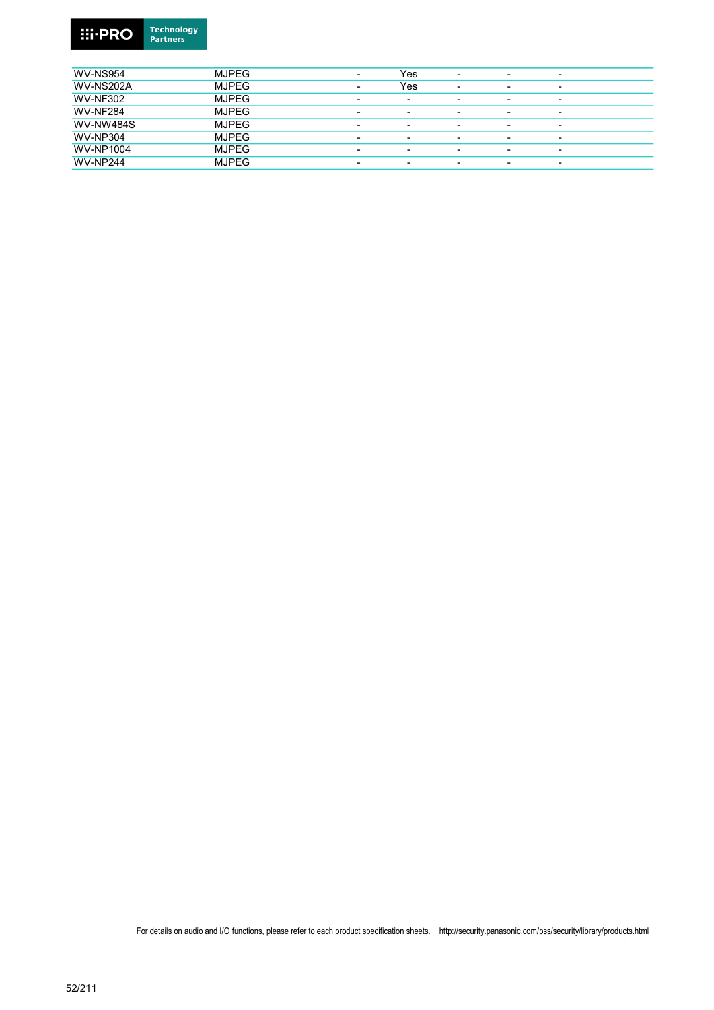

| <b>WV-NS954</b>  | <b>MJPEG</b> | $\overline{\phantom{0}}$ | Yes                      | $\overline{\phantom{0}}$ |                          | ۰                        |
|------------------|--------------|--------------------------|--------------------------|--------------------------|--------------------------|--------------------------|
| <b>WV-NS202A</b> | <b>MJPEG</b> | $\overline{\phantom{0}}$ | Yes                      | $\overline{\phantom{0}}$ |                          | $\overline{\phantom{a}}$ |
| <b>WV-NF302</b>  | <b>MJPEG</b> | $\overline{\phantom{0}}$ | $\overline{\phantom{0}}$ | $\overline{\phantom{0}}$ |                          | $\overline{\phantom{0}}$ |
| <b>WV-NF284</b>  | <b>MJPEG</b> | $\overline{\phantom{0}}$ | $\overline{\phantom{0}}$ | $\overline{\phantom{0}}$ |                          | $\overline{\phantom{a}}$ |
| <b>WV-NW484S</b> | <b>MJPEG</b> | $\overline{\phantom{0}}$ | $\overline{\phantom{0}}$ | $\overline{\phantom{0}}$ | -                        | $\overline{\phantom{a}}$ |
| <b>WV-NP304</b>  | <b>MJPEG</b> | -                        | -                        | $\overline{\phantom{0}}$ |                          | $\overline{\phantom{0}}$ |
| <b>WV-NP1004</b> | <b>MJPEG</b> | $\overline{\phantom{0}}$ | $\overline{\phantom{0}}$ | $\overline{\phantom{0}}$ | $\overline{\phantom{0}}$ | $\overline{\phantom{a}}$ |
| <b>WV-NP244</b>  | <b>MJPEG</b> | $\overline{\phantom{0}}$ | -                        | $\overline{\phantom{0}}$ |                          | $\overline{\phantom{0}}$ |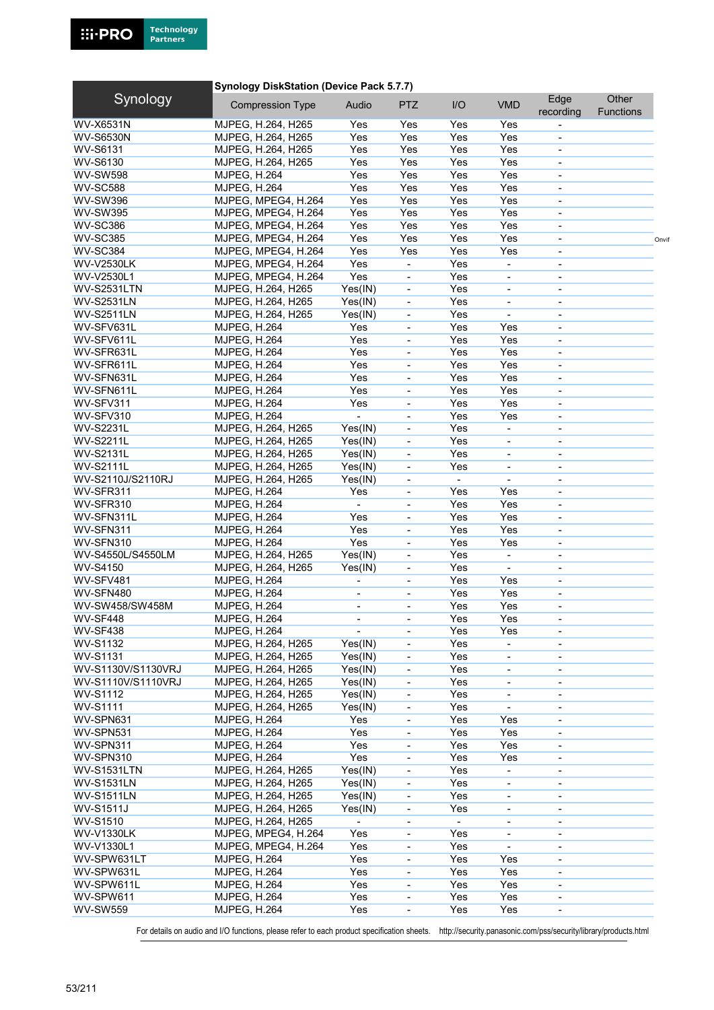#### Synology DiskStation (Device Pack 5.7.7) WV-X6531N MJPEG, H.264, H265 Yes Yes Yes Yes Yes WV-S6530N MJPEG, H.264, H265 Yes Yes Yes Yes - WV-S6131 MJPEG, H.264, H265 Yes Yes Yes Yes - WV-S6130 MJPEG, H.264, H265 Yes Yes Yes Yes - WV-SW598 MJPEG, H.264 Yes Yes Yes Yes Yes WV-SC588 MJPEG, H.264 Yes Yes Yes Yes Yes WV-SW396 MJPEG, MPEG4, H.264 Yes Yes Yes Yes WV-SW395 MJPEG, MPEG4, H.264 Yes Yes Yes Yes WV-SC386 MJPEG, MPEG4, H.264 Yes Yes Yes Yes WV-SC385 MJPEG, MPEG4, H.264 Yes Yes Yes Yes - Onvif WV-SC384 MJPEG, MPEG4, H.264 Yes Yes Yes Yes - WV-V2530LK MJPEG, MPEG4, H.264 Yes - Yes - - -WV-V2530L1 MJPEG, MPEG4, H.264 Yes - Yes WV-S2531LTN MJPEG, H.264, H265 Yes(IN) - Yes WV-S2531LN MJPEG, H.264, H265 Yes(IN) - Yes WV-S2511LN MJPEG, H.264, H265 Yes(IN) - Yes - - WV-SFV631L MJPEG, H.264 Yes - Yes Yes - WV-SFV611L MJPEG, H.264 Yes - Yes Yes - WV-SFR631L MJPEG, H.264 Yes - Yes Yes - WV-SFR611L MJPEG, H.264 Yes - Yes Yes - WV-SFN631L MJPEG, H.264 Yes - Yes Yes - WV-SFN611L MJPEG, H.264 Yes - Yes Yes WV-SFV311 MJPEG, H.264 Yes - Yes Yes WV-SFV310 MJPEG, H.264 - - Yes Yes WV-S2231L MJPEG, H.264, H265 Yes(IN) - Yes WV-S2211L MJPEG, H.264, H265 Yes(IN) - Yes - - WV-S2131L MJPEG, H.264, H265 Yes(IN) - Yes - - WV-S2111L MJPEG, H.264, H265 Yes(IN) - Yes - - WV-S2110J/S2110RJ MJPEG, H.264, H265 Yes(IN) - - - - WV-SFR311 MJPEG, H.264 Yes - Yes Yes WV-SFR310 MJPEG, H.264 - - Yes Yes - WV-SFN311L MJPEG, H.264 Yes - Yes Yes - WV-SFN311 MJPEG, H.264 Yes - Yes Yes WV-SFN310 MJPEG, H.264 Yes - Yes Yes WV-S4550L/S4550LM MJPEG, H.264, H265 Yes(IN) - Yes - - -WV-S4150 MJPEG, H.264, H265 Yes(IN) - Yes - - WV-SFV481 MJPEG, H.264 - - Yes Yes - WV-SFN480 MJPEG, H.264 - - Yes Yes - WV-SW458/SW458M MJPEG, H.264 - - - Yes Yes WV-SF448 MJPEG, H.264 - - Yes Yes WV-SF438 MJPEG, H.264 - - Yes Yes - WV-S1132 MJPEG, H.264, H265 Yes(IN) - Yes WV-S1131 MJPEG, H.264, H265 Yes(IN) - Yes WV-S1130V/S1130VRJ MJPEG, H.264, H265 Yes(IN) - Yes - - WV-S1110V/S1110VRJ MJPEG, H.264, H265 Yes(IN) - Yes - - -WV-S1112 MJPEG, H.264, H265 Yes(IN) - Yes - - -WV-S1111 MJPEG, H.264, H265 Yes(IN) - Yes WV-SPN631 MJPEG, H.264 Yes - Yes Yes -WV-SPN531 MJPEG, H.264 Yes - Yes Yes WV-SPN311 MJPEG, H.264 Yes - Yes Yes WV-SPN310 MJPEG, H.264 Yes - Yes Yes WV-S1531LTN MJPEG, H.264, H265 Yes(IN) - Yes WV-S1531LN MJPEG, H.264, H265 Yes(IN) - Yes - - WV-S1511LN MJPEG, H.264, H265 Yes(IN) - Yes - - WV-S1511J MJPEG, H.264, H265 Yes(IN) - Yes - - WV-S1510 MJPEG, H.264, H265 WV-V1330LK MJPEG, MPEG4, H.264 Yes - Yes -WV-V1330L1 MJPEG, MPEG4, H.264 Yes - Yes WV-SPW631LT MJPEG, H.264 Yes - Yes Yes WV-SPW631L MJPEG, H.264 Yes - Yes Yes WV-SPW611L MJPEG, H.264 Yes - Yes Yes WV-SPW611 MJPEG, H.264 Yes - Yes Yes - WV-SW559 MJPEG, H.264 Yes - Yes Yes - Synology Compression Type Audio PTZ I/O VMD Edge recording **Other** Functions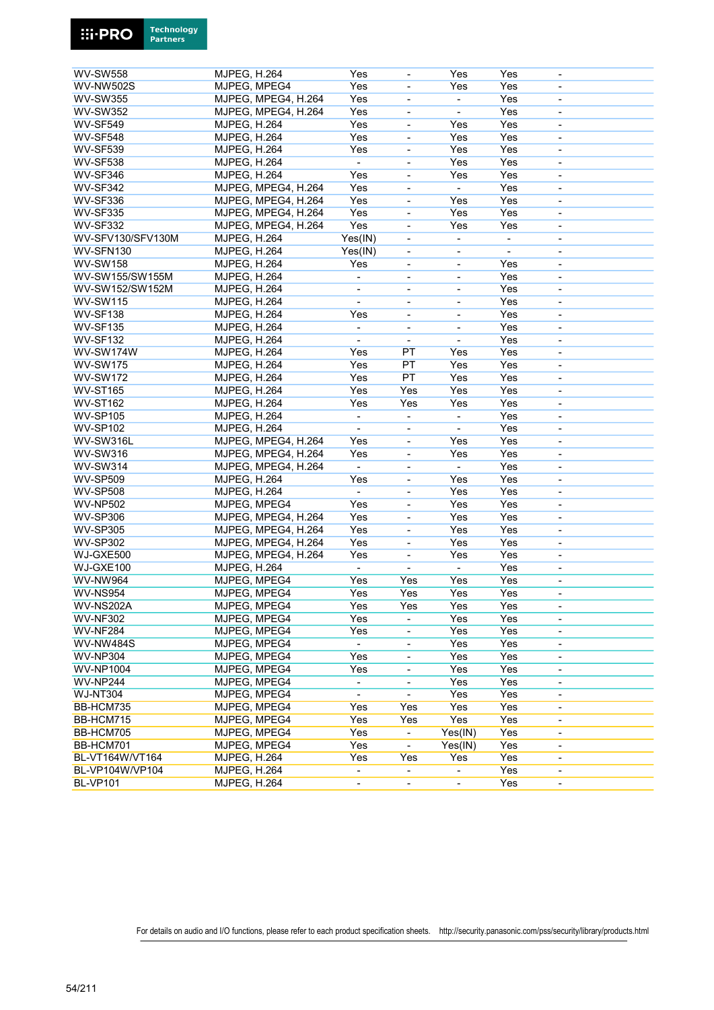

| <b>WV-SW558</b>   | <b>MJPEG, H.264</b> | Yes                      |                              | Yes                      | Yes            |                              |  |
|-------------------|---------------------|--------------------------|------------------------------|--------------------------|----------------|------------------------------|--|
| <b>WV-NW502S</b>  | MJPEG, MPEG4        | Yes                      | ÷,                           | Yes                      | Yes            | $\overline{\phantom{a}}$     |  |
| <b>WV-SW355</b>   | MJPEG, MPEG4, H.264 | Yes                      | $\qquad \qquad \blacksquare$ | $\blacksquare$           | Yes            | $\qquad \qquad \blacksquare$ |  |
| <b>WV-SW352</b>   | MJPEG, MPEG4, H.264 | Yes                      | $\blacksquare$               | $\blacksquare$           | Yes            | $\qquad \qquad \blacksquare$ |  |
| <b>WV-SF549</b>   | <b>MJPEG, H.264</b> | Yes                      |                              | Yes                      | Yes            |                              |  |
| <b>WV-SF548</b>   | <b>MJPEG, H.264</b> | Yes                      | $\blacksquare$               | Yes                      | Yes            | $\blacksquare$               |  |
| <b>WV-SF539</b>   | <b>MJPEG, H.264</b> | Yes                      | $\qquad \qquad \blacksquare$ | Yes                      | Yes            | $\qquad \qquad \blacksquare$ |  |
| <b>WV-SF538</b>   | <b>MJPEG, H.264</b> | $\blacksquare$           | $\overline{\phantom{a}}$     | Yes                      | Yes            | $\qquad \qquad \blacksquare$ |  |
| <b>WV-SF346</b>   | <b>MJPEG, H.264</b> | Yes                      | ÷,                           | Yes                      | Yes            | $\overline{\phantom{0}}$     |  |
| <b>WV-SF342</b>   | MJPEG, MPEG4, H.264 | Yes                      | ÷,                           | ÷.                       | Yes            | ä,                           |  |
| <b>WV-SF336</b>   | MJPEG, MPEG4, H.264 | Yes                      | ÷,                           | Yes                      | Yes            | $\overline{\phantom{a}}$     |  |
| <b>WV-SF335</b>   | MJPEG, MPEG4, H.264 | Yes                      | ÷,                           | Yes                      | Yes            | $\blacksquare$               |  |
| <b>WV-SF332</b>   | MJPEG, MPEG4, H.264 | Yes                      | ÷,                           | Yes                      | Yes            | $\overline{\phantom{0}}$     |  |
| WV-SFV130/SFV130M | <b>MJPEG, H.264</b> | Yes(IN)                  | ÷,                           | $\blacksquare$           | $\overline{a}$ | ä,                           |  |
| WV-SFN130         | <b>MJPEG, H.264</b> | Yes(IN)                  | $\blacksquare$               | $\blacksquare$           | $\blacksquare$ | $\overline{\phantom{a}}$     |  |
| <b>WV-SW158</b>   | <b>MJPEG, H.264</b> | Yes                      | $\qquad \qquad \blacksquare$ | $\overline{a}$           | Yes            | ٠                            |  |
| WV-SW155/SW155M   | <b>MJPEG, H.264</b> | $\blacksquare$           | $\blacksquare$               | $\blacksquare$           | Yes            | $\qquad \qquad \blacksquare$ |  |
| WV-SW152/SW152M   | <b>MJPEG, H.264</b> |                          | ÷,                           | L,                       | Yes            | ä,                           |  |
| <b>WV-SW115</b>   | <b>MJPEG, H.264</b> | $\blacksquare$           | $\overline{\phantom{a}}$     | $\blacksquare$           | Yes            | $\overline{\phantom{a}}$     |  |
| <b>WV-SF138</b>   | <b>MJPEG, H.264</b> | Yes                      | ÷,                           | $\overline{a}$           | Yes            | $\qquad \qquad \blacksquare$ |  |
| <b>WV-SF135</b>   | <b>MJPEG, H.264</b> | $\overline{\phantom{a}}$ | ÷,                           | $\blacksquare$           | Yes            | $\qquad \qquad \blacksquare$ |  |
| <b>WV-SF132</b>   |                     |                          | $\overline{a}$               | ÷,                       | Yes            |                              |  |
|                   | <b>MJPEG, H.264</b> |                          |                              |                          |                |                              |  |
| WV-SW174W         | <b>MJPEG, H.264</b> | Yes                      | PT                           | Yes                      | Yes            | $\overline{\phantom{a}}$     |  |
| <b>WV-SW175</b>   | <b>MJPEG, H.264</b> | Yes                      | PT                           | Yes                      | Yes            | $\qquad \qquad \blacksquare$ |  |
| <b>WV-SW172</b>   | <b>MJPEG, H.264</b> | Yes                      | PT                           | Yes                      | Yes            | $\qquad \qquad \blacksquare$ |  |
| <b>WV-ST165</b>   | <b>MJPEG, H.264</b> | Yes                      | Yes                          | Yes                      | Yes            | $\qquad \qquad \blacksquare$ |  |
| <b>WV-ST162</b>   | <b>MJPEG, H.264</b> | Yes                      | Yes                          | Yes                      | Yes            | $\blacksquare$               |  |
| <b>WV-SP105</b>   | <b>MJPEG, H.264</b> | $\overline{\phantom{a}}$ | $\qquad \qquad \blacksquare$ | $\blacksquare$           | Yes            | $\overline{\phantom{0}}$     |  |
| <b>WV-SP102</b>   | <b>MJPEG, H.264</b> | $\blacksquare$           | $\qquad \qquad \blacksquare$ | $\blacksquare$           | Yes            | $\qquad \qquad \blacksquare$ |  |
| WV-SW316L         | MJPEG, MPEG4, H.264 | Yes                      | ÷,                           | Yes                      | Yes            |                              |  |
| <b>WV-SW316</b>   | MJPEG, MPEG4, H.264 | Yes                      | $\blacksquare$               | Yes                      | Yes            | $\blacksquare$               |  |
| <b>WV-SW314</b>   | MJPEG, MPEG4, H.264 | $\overline{\phantom{a}}$ | $\qquad \qquad \blacksquare$ | $\frac{1}{2}$            | Yes            | $\overline{\phantom{a}}$     |  |
| <b>WV-SP509</b>   | <b>MJPEG, H.264</b> | Yes                      | $\overline{\phantom{0}}$     | Yes                      | Yes            | $\overline{a}$               |  |
| <b>WV-SP508</b>   | <b>MJPEG, H.264</b> | $\blacksquare$           | $\qquad \qquad \blacksquare$ | Yes                      | Yes            | $\qquad \qquad \blacksquare$ |  |
| <b>WV-NP502</b>   | MJPEG, MPEG4        | Yes                      | $\frac{1}{2}$                | Yes                      | Yes            | ä,                           |  |
| <b>WV-SP306</b>   | MJPEG, MPEG4, H.264 | Yes                      | $\frac{1}{2}$                | Yes                      | Yes            | $\blacksquare$               |  |
| <b>WV-SP305</b>   | MJPEG, MPEG4, H.264 | Yes                      | ÷,                           | Yes                      | Yes            | $\qquad \qquad \blacksquare$ |  |
| <b>WV-SP302</b>   | MJPEG, MPEG4, H.264 | Yes                      | $\blacksquare$               | Yes                      | Yes            | $\qquad \qquad \blacksquare$ |  |
| WJ-GXE500         | MJPEG, MPEG4, H.264 | Yes                      | $\frac{1}{2}$                | Yes                      | Yes            | ä,                           |  |
| WJ-GXE100         | <b>MJPEG, H.264</b> | $\overline{\phantom{a}}$ | $\blacksquare$               | $\frac{1}{2}$            | Yes            | $\overline{\phantom{a}}$     |  |
| WV-NW964          | MJPEG, MPEG4        | Yes                      | Yes                          | Yes                      | Yes            | $\overline{\phantom{0}}$     |  |
| <b>WV-NS954</b>   | MJPEG, MPEG4        | Yes                      | Yes                          | Yes                      | Yes            | $\qquad \qquad \blacksquare$ |  |
| WV-NS202A         | MJPEG, MPEG4        | Yes                      | Yes                          | Yes                      | Yes            |                              |  |
| <b>WV-NF302</b>   | MJPEG, MPEG4        | Yes                      | $\overline{\phantom{a}}$     | Yes                      | Yes            | $\overline{\phantom{a}}$     |  |
| <b>WV-NF284</b>   | MJPEG, MPEG4        | Yes                      | $\qquad \qquad \blacksquare$ | Yes                      | Yes            | $\qquad \qquad \blacksquare$ |  |
| <b>WV-NW484S</b>  | MJPEG, MPEG4        | $\blacksquare$           | $\overline{\phantom{a}}$     | Yes                      | Yes            | $\overline{\phantom{a}}$     |  |
| <b>WV-NP304</b>   | MJPEG, MPEG4        | Yes                      | $\blacksquare$               | Yes                      | Yes            |                              |  |
| <b>WV-NP1004</b>  | MJPEG, MPEG4        | Yes                      | ÷,                           | Yes                      | Yes            | $\overline{\phantom{0}}$     |  |
| <b>WV-NP244</b>   | MJPEG, MPEG4        | $\blacksquare$           | $\overline{\phantom{0}}$     | Yes                      | Yes            | $\overline{\phantom{0}}$     |  |
|                   | MJPEG, MPEG4        |                          |                              | Yes                      | Yes            |                              |  |
| <b>WJ-NT304</b>   |                     | $\blacksquare$           | $\blacksquare$               |                          |                | $\qquad \qquad \blacksquare$ |  |
| BB-HCM735         | MJPEG, MPEG4        | Yes                      | Yes                          | Yes                      | Yes            | $\overline{\phantom{a}}$     |  |
| BB-HCM715         | MJPEG, MPEG4        | Yes                      | Yes                          | Yes                      | Yes            | $\overline{\phantom{a}}$     |  |
| BB-HCM705         | MJPEG, MPEG4        | Yes                      | $\overline{\phantom{0}}$     | Yes(IN)                  | Yes            | $\overline{\phantom{a}}$     |  |
| BB-HCM701         | MJPEG, MPEG4        | Yes                      | $\blacksquare$               | Yes(IN)                  | Yes            | $\overline{\phantom{a}}$     |  |
| BL-VT164W/VT164   | <b>MJPEG, H.264</b> | Yes                      | Yes                          | Yes                      | Yes            | $\overline{\phantom{a}}$     |  |
| BL-VP104W/VP104   | <b>MJPEG, H.264</b> | $\overline{\phantom{a}}$ | ÷.                           | $\overline{\phantom{0}}$ | Yes            | $\blacksquare$               |  |
| <b>BL-VP101</b>   | <b>MJPEG, H.264</b> | $\overline{\phantom{a}}$ | $\overline{\phantom{a}}$     | $\overline{\phantom{0}}$ | Yes            | $\qquad \qquad \blacksquare$ |  |
|                   |                     |                          |                              |                          |                |                              |  |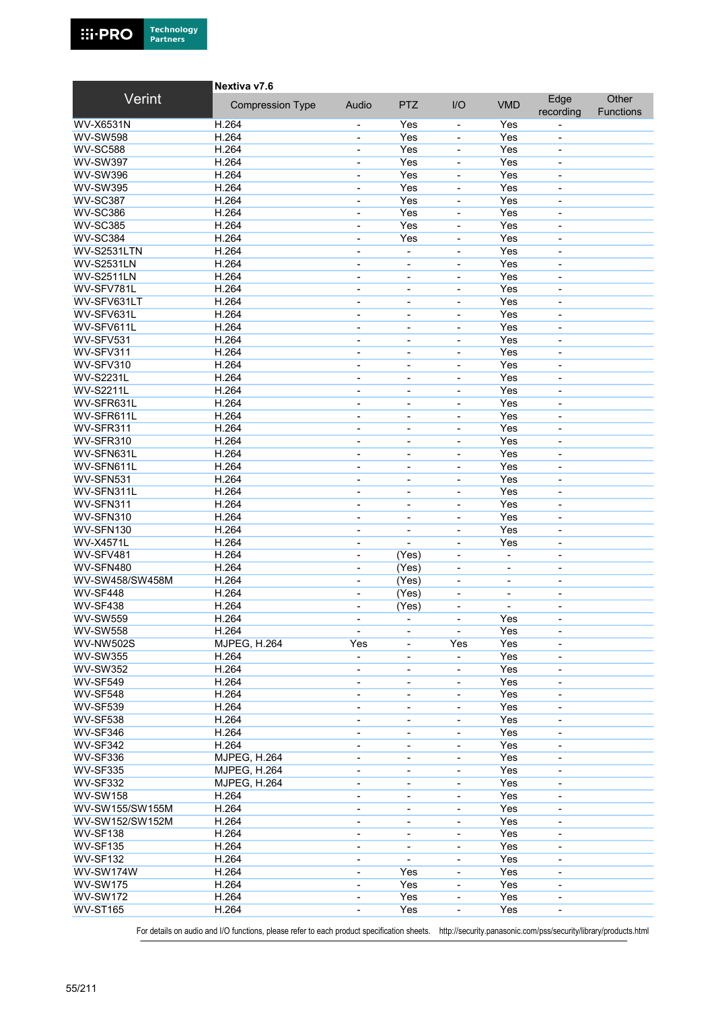

|                              | Nextiva v7.6            |                                            |                               |                              |                              |                                    |                    |
|------------------------------|-------------------------|--------------------------------------------|-------------------------------|------------------------------|------------------------------|------------------------------------|--------------------|
| Verint                       | <b>Compression Type</b> | Audio                                      | <b>PTZ</b>                    | I/O                          | <b>VMD</b>                   | Edge<br>recording                  | Other<br>Functions |
| <b>WV-X6531N</b>             | H.264                   |                                            | Yes                           | $\overline{a}$               | Yes                          |                                    |                    |
| <b>WV-SW598</b>              | H.264                   | $\overline{\phantom{a}}$                   | Yes                           | ÷,                           | Yes                          | $\qquad \qquad \blacksquare$       |                    |
| <b>WV-SC588</b>              | H.264                   | $\overline{\phantom{a}}$                   | Yes                           | ٠                            | Yes                          | $\qquad \qquad \blacksquare$       |                    |
| <b>WV-SW397</b>              | H.264                   | $\blacksquare$                             | Yes                           | $\overline{a}$               | Yes                          | $\qquad \qquad \blacksquare$       |                    |
| <b>WV-SW396</b>              | H.264                   | $\overline{\phantom{0}}$                   | Yes                           | ä,                           | Yes                          | $\blacksquare$                     |                    |
| <b>WV-SW395</b>              | H.264                   | $\overline{\phantom{a}}$                   | Yes                           | L,                           | Yes                          | ÷,                                 |                    |
| <b>WV-SC387</b>              | H.264                   | $\overline{\phantom{a}}$                   | Yes                           | $\overline{\phantom{a}}$     | Yes                          | $\overline{\phantom{0}}$           |                    |
| <b>WV-SC386</b>              | H.264                   | $\blacksquare$                             | Yes                           | ä,                           | Yes                          | $\blacksquare$                     |                    |
| <b>WV-SC385</b>              | H.264                   | $\blacksquare$                             | Yes                           | ä,                           | Yes                          | ÷,                                 |                    |
| <b>WV-SC384</b>              | H.264                   | $\overline{\phantom{a}}$                   | Yes                           | L,                           | Yes                          | L,                                 |                    |
| <b>WV-S2531LTN</b>           | H.264                   | $\blacksquare$                             | $\blacksquare$                | $\overline{\phantom{0}}$     | Yes                          | $\qquad \qquad \blacksquare$       |                    |
| <b>WV-S2531LN</b>            | H.264                   | $\blacksquare$                             |                               | $\blacksquare$               | Yes                          | $\blacksquare$                     |                    |
| <b>WV-S2511LN</b>            | H.264                   | $\blacksquare$                             | $\blacksquare$                | ä,                           | Yes                          | $\overline{\phantom{a}}$           |                    |
| WV-SFV781L                   | H.264                   | $\blacksquare$                             |                               | ä,                           | Yes                          | $\blacksquare$                     |                    |
| WV-SFV631LT                  | H.264                   | $\blacksquare$                             | $\blacksquare$                | $\overline{\phantom{0}}$     | Yes                          | $\qquad \qquad \blacksquare$       |                    |
| WV-SFV631L                   | H.264                   | $\overline{\phantom{a}}$                   | $\blacksquare$                | $\blacksquare$               | Yes                          | $\overline{\phantom{0}}$           |                    |
| WV-SFV611L                   | H.264                   | $\blacksquare$                             | $\blacksquare$                | $\qquad \qquad \blacksquare$ | Yes                          | $\qquad \qquad \blacksquare$       |                    |
| WV-SFV531                    | H.264                   | $\blacksquare$                             |                               | ÷,                           | Yes                          | ä,                                 |                    |
| WV-SFV311                    | H.264                   | $\overline{\phantom{a}}$                   | $\overline{\phantom{a}}$      | $\overline{\phantom{0}}$     | Yes                          | $\qquad \qquad \blacksquare$       |                    |
| WV-SFV310                    | H.264                   | $\qquad \qquad \blacksquare$               | $\overline{\phantom{a}}$      |                              | Yes                          | ٠                                  |                    |
| <b>WV-S2231L</b>             | H.264                   | $\overline{\phantom{a}}$                   | $\overline{\phantom{a}}$      | $\qquad \qquad \blacksquare$ | Yes                          | $\qquad \qquad \blacksquare$       |                    |
| <b>WV-S2211L</b>             | H.264                   | $\blacksquare$                             |                               |                              | Yes                          | $\blacksquare$                     |                    |
| WV-SFR631L                   | H.264                   | $\overline{\phantom{a}}$                   | $\overline{\phantom{a}}$      | $\overline{\phantom{0}}$     | Yes                          | $\qquad \qquad \blacksquare$       |                    |
| WV-SFR611L                   | H.264                   | $\overline{\phantom{a}}$                   | $\overline{\phantom{a}}$      | ٠                            | Yes                          | $\qquad \qquad \blacksquare$       |                    |
| WV-SFR311                    | H.264                   | $\overline{\phantom{a}}$                   | $\overline{\phantom{a}}$      | $\overline{a}$               | Yes                          | $\qquad \qquad \blacksquare$       |                    |
| WV-SFR310                    | H.264                   | $\overline{\phantom{a}}$                   | ÷,                            | ä,                           | Yes                          | $\overline{\phantom{0}}$           |                    |
| WV-SFN631L                   | H.264                   | $\overline{\phantom{a}}$                   | $\overline{\phantom{a}}$      | ä,                           | Yes                          | $\qquad \qquad \blacksquare$       |                    |
| WV-SFN611L                   | H.264                   | $\blacksquare$                             |                               | $\overline{a}$               | Yes                          |                                    |                    |
| WV-SFN531                    | H.264                   |                                            | $\overline{\phantom{a}}$      |                              | Yes                          | $\qquad \qquad \blacksquare$       |                    |
| WV-SFN311L                   | H.264                   | $\blacksquare$                             | $\overline{\phantom{a}}$      | $\overline{a}$<br>ä,         | Yes                          | ٠                                  |                    |
| WV-SFN311                    | H.264                   | $\overline{\phantom{0}}$<br>$\blacksquare$ | ٠<br>$\overline{\phantom{a}}$ | L,                           | Yes                          | $\blacksquare$<br>÷,               |                    |
| WV-SFN310                    | H.264                   |                                            |                               | L,                           | Yes                          |                                    |                    |
| WV-SFN130                    | H.264                   | $\blacksquare$<br>$\overline{\phantom{a}}$ | $\blacksquare$<br>÷,          | ä,                           | Yes                          | $\qquad \qquad \blacksquare$<br>÷, |                    |
| <b>WV-X4571L</b>             | H.264                   |                                            |                               |                              | Yes                          |                                    |                    |
| WV-SFV481                    | H.264                   | $\blacksquare$                             |                               | ä,<br>÷,                     |                              | $\qquad \qquad \blacksquare$       |                    |
|                              | H.264                   | $\blacksquare$                             | (Yes)                         |                              |                              | ÷,                                 |                    |
| WV-SFN480<br>WV-SW458/SW458M | H.264                   | $\blacksquare$                             | (Yes)                         | $\qquad \qquad \blacksquare$ | $\blacksquare$               | $\overline{\phantom{a}}$           |                    |
| WV-SF448                     | H.264                   | $\blacksquare$                             | (Yes)<br>(Yes)                | ٠                            | $\qquad \qquad \blacksquare$ | $\overline{a}$                     |                    |
| <b>WV-SF438</b>              | H.264                   | $\overline{\phantom{a}}$                   |                               | ٠<br>ä,                      | $\blacksquare$               | $\overline{\phantom{a}}$           |                    |
| <b>WV-SW559</b>              | H.264                   |                                            | (Yes)                         |                              | Yes                          | $\overline{\phantom{0}}$           |                    |
|                              |                         |                                            |                               |                              |                              |                                    |                    |
| <b>WV-SW558</b>              | H.264                   | $\overline{\phantom{a}}$                   | $\overline{\phantom{a}}$      | ÷,                           | Yes                          | $\qquad \qquad \blacksquare$       |                    |
| <b>WV-NW502S</b>             | MJPEG, H.264            | Yes                                        | $\overline{\phantom{a}}$      | Yes                          | Yes                          | $\qquad \qquad \blacksquare$       |                    |
| <b>WV-SW355</b>              | H.264                   | $\blacksquare$                             |                               |                              | Yes                          |                                    |                    |
| <b>WV-SW352</b>              | H.264                   | $\overline{\phantom{a}}$                   | $\overline{\phantom{a}}$      | $\qquad \qquad \blacksquare$ | Yes                          | $\overline{\phantom{a}}$           |                    |
| <b>WV-SF549</b>              | H.264                   | $\overline{\phantom{a}}$                   | $\overline{\phantom{a}}$      | ٠                            | Yes                          | $\qquad \qquad \blacksquare$       |                    |
| <b>WV-SF548</b>              | H.264                   | $\overline{\phantom{a}}$                   | $\overline{\phantom{a}}$      | -                            | Yes                          | $\qquad \qquad \blacksquare$       |                    |
| <b>WV-SF539</b>              | H.264                   | $\overline{\phantom{a}}$                   |                               |                              | Yes                          |                                    |                    |
| <b>WV-SF538</b>              | H.264                   | $\overline{\phantom{a}}$                   | $\overline{\phantom{a}}$      | $\qquad \qquad \blacksquare$ | Yes                          | $\overline{\phantom{a}}$           |                    |
| <b>WV-SF346</b>              | H.264                   | $\overline{\phantom{a}}$                   | $\overline{\phantom{a}}$      |                              | Yes                          | $\overline{\phantom{a}}$           |                    |
| <b>WV-SF342</b>              | H.264                   | $\overline{\phantom{a}}$                   | $\overline{\phantom{a}}$      | $\overline{a}$               | Yes                          | $\qquad \qquad \blacksquare$       |                    |
| <b>WV-SF336</b>              | <b>MJPEG, H.264</b>     | $\overline{\phantom{a}}$                   |                               |                              | Yes                          |                                    |                    |
| <b>WV-SF335</b>              | <b>MJPEG, H.264</b>     | $\overline{\phantom{a}}$                   | $\overline{\phantom{a}}$      | ÷,                           | Yes                          | $\qquad \qquad \blacksquare$       |                    |
| <b>WV-SF332</b>              | <b>MJPEG, H.264</b>     | $\overline{\phantom{a}}$                   | $\overline{\phantom{a}}$      | $\overline{\phantom{0}}$     | Yes                          | $\overline{\phantom{0}}$           |                    |
| <b>WV-SW158</b>              | H.264                   | $\overline{\phantom{a}}$                   | $\overline{\phantom{a}}$      | $\qquad \qquad \blacksquare$ | Yes                          | $\qquad \qquad \blacksquare$       |                    |
| WV-SW155/SW155M              | H.264                   | $\overline{\phantom{a}}$                   | $\overline{\phantom{a}}$      | $\qquad \qquad \blacksquare$ | Yes                          | $\overline{\phantom{0}}$           |                    |
| WV-SW152/SW152M              | H.264                   | $\overline{\phantom{a}}$                   | $\overline{\phantom{a}}$      |                              | Yes                          | ä,                                 |                    |
| <b>WV-SF138</b>              | H.264                   | $\overline{\phantom{a}}$                   | $\overline{\phantom{a}}$      | $\qquad \qquad \blacksquare$ | Yes                          | $\overline{\phantom{0}}$           |                    |
| <b>WV-SF135</b>              | H.264                   |                                            | $\overline{\phantom{a}}$      |                              | Yes                          | $\qquad \qquad \blacksquare$       |                    |
| <b>WV-SF132</b>              | H.264                   |                                            | $\blacksquare$                |                              | Yes                          | $\overline{\phantom{a}}$           |                    |
| WV-SW174W                    | H.264                   |                                            | Yes                           | $\overline{\phantom{0}}$     | Yes                          | $\overline{\phantom{m}}$           |                    |
| <b>WV-SW175</b>              | H.264                   | $\overline{\phantom{a}}$                   | Yes                           | $\overline{\phantom{0}}$     | Yes                          | $\overline{\phantom{a}}$           |                    |
| <b>WV-SW172</b>              | H.264                   |                                            | Yes                           |                              | Yes                          | $\qquad \qquad \blacksquare$       |                    |
| <b>WV-ST165</b>              | H.264                   | $\overline{\phantom{a}}$                   | Yes                           | $\overline{\phantom{0}}$     | Yes                          | $\overline{\phantom{a}}$           |                    |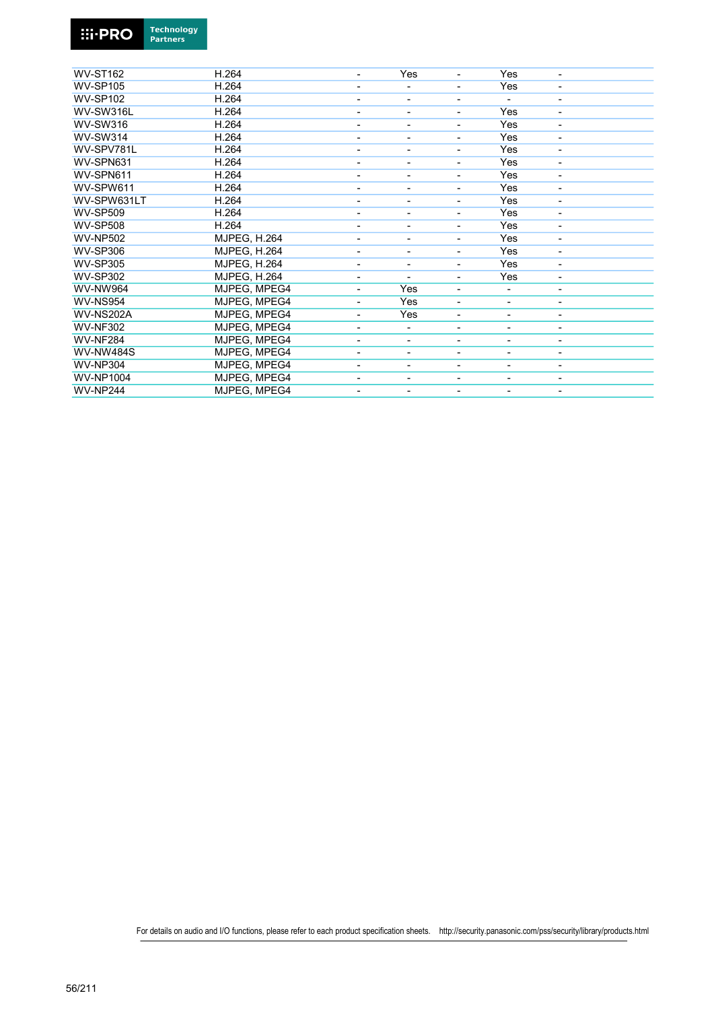

| <b>WV-ST162</b>  | H.264               | $\blacksquare$           | Yes                      | ä,                       | Yes                      |                          |
|------------------|---------------------|--------------------------|--------------------------|--------------------------|--------------------------|--------------------------|
| <b>WV-SP105</b>  | H.264               | $\overline{a}$           |                          | -                        | Yes                      | $\overline{\phantom{a}}$ |
| <b>WV-SP102</b>  | H.264               | $\overline{\phantom{a}}$ | ٠                        | ۰                        | $\overline{\phantom{a}}$ | $\overline{\phantom{a}}$ |
| WV-SW316L        | H.264               | $\overline{\phantom{a}}$ | ۰                        | -                        | Yes                      | $\overline{\phantom{a}}$ |
| <b>WV-SW316</b>  | H.264               |                          |                          | -                        | Yes                      | $\overline{\phantom{a}}$ |
| <b>WV-SW314</b>  | H.264               |                          |                          |                          | Yes                      |                          |
| WV-SPV781L       | H.264               |                          |                          | Ξ.                       | Yes                      | $\blacksquare$           |
| WV-SPN631        | H.264               | $\overline{\phantom{0}}$ | ٠                        | -                        | Yes                      | $\overline{\phantom{a}}$ |
| WV-SPN611        | H.264               |                          |                          | -                        | Yes                      | $\overline{\phantom{a}}$ |
| WV-SPW611        | H.264               | $\overline{\phantom{0}}$ |                          | -                        | Yes                      | $\overline{\phantom{a}}$ |
| WV-SPW631LT      | H.264               | $\overline{\phantom{0}}$ | ٠                        | -                        | Yes                      | $\overline{\phantom{a}}$ |
| <b>WV-SP509</b>  | H.264               |                          |                          | -                        | Yes                      | $\overline{\phantom{a}}$ |
| <b>WV-SP508</b>  | H.264               |                          |                          |                          | Yes                      |                          |
| <b>WV-NP502</b>  | <b>MJPEG, H.264</b> |                          |                          | -                        | Yes                      | $\blacksquare$           |
| <b>WV-SP306</b>  | <b>MJPEG. H.264</b> |                          |                          | -                        | Yes                      | $\overline{\phantom{a}}$ |
| <b>WV-SP305</b>  | <b>MJPEG, H.264</b> |                          | ٠                        | -                        | Yes                      | $\overline{\phantom{a}}$ |
| <b>WV-SP302</b>  | <b>MJPEG, H.264</b> | $\overline{a}$           | ٠                        | $\overline{\phantom{a}}$ | Yes                      | $\overline{\phantom{a}}$ |
| <b>WV-NW964</b>  | MJPEG, MPEG4        | $\overline{\phantom{a}}$ | Yes                      | -                        |                          | $\overline{\phantom{a}}$ |
| <b>WV-NS954</b>  | MJPEG, MPEG4        | $\overline{a}$           | Yes                      | -                        | $\overline{\phantom{a}}$ | $\overline{\phantom{a}}$ |
| <b>WV-NS202A</b> | MJPEG, MPEG4        |                          | Yes                      | $\overline{a}$           |                          | $\overline{\phantom{a}}$ |
| <b>WV-NF302</b>  | MJPEG, MPEG4        | $\overline{a}$           | ۰                        | -                        |                          | $\overline{\phantom{a}}$ |
| <b>WV-NF284</b>  | MJPEG, MPEG4        | $\blacksquare$           | ٠                        | Ξ.                       | ۰                        | $\overline{\phantom{a}}$ |
| <b>WV-NW484S</b> | MJPEG, MPEG4        | $\overline{\phantom{a}}$ | ۰                        | -                        |                          | $\overline{\phantom{a}}$ |
| <b>WV-NP304</b>  | MJPEG, MPEG4        | $\overline{\phantom{a}}$ | $\overline{\phantom{0}}$ | -                        | $\overline{\phantom{a}}$ | $\overline{\phantom{a}}$ |
| <b>WV-NP1004</b> | MJPEG, MPEG4        | $\overline{\phantom{a}}$ | ۰                        | -                        | -                        | $\overline{\phantom{a}}$ |
| <b>WV-NP244</b>  | MJPEG, MPEG4        | $\overline{\phantom{a}}$ | ۰                        | -                        | -                        | $\overline{\phantom{a}}$ |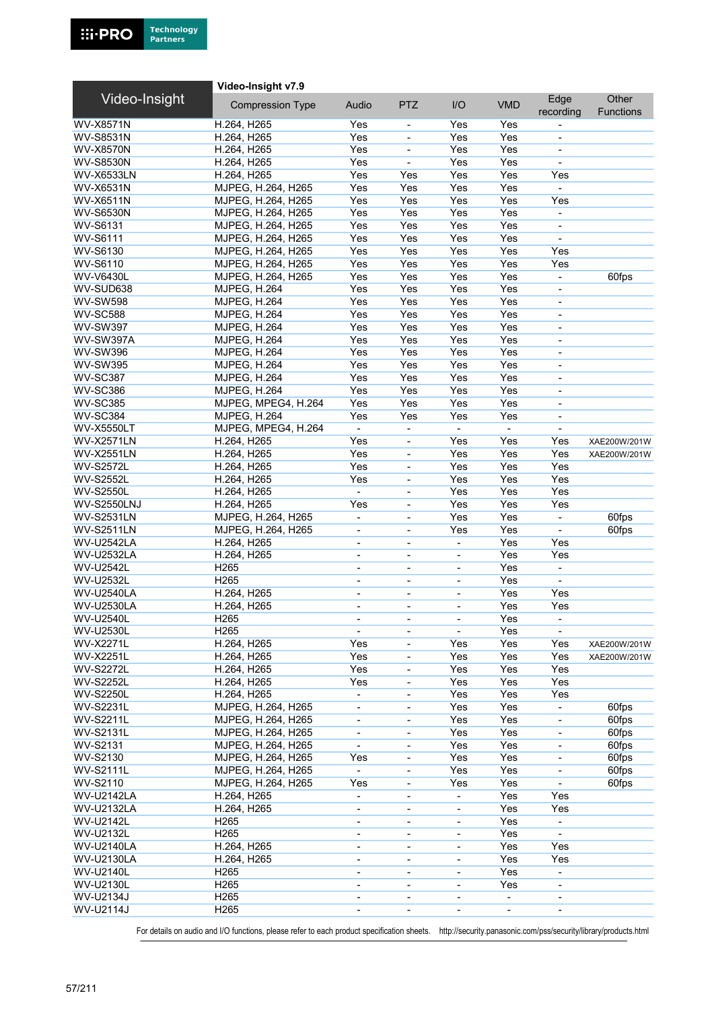|                    | Video-Insight v7.9      |                              |                              |                          |                              |                          |                           |
|--------------------|-------------------------|------------------------------|------------------------------|--------------------------|------------------------------|--------------------------|---------------------------|
| Video-Insight      | <b>Compression Type</b> | Audio                        | <b>PTZ</b>                   | I/O                      | <b>VMD</b>                   | Edge<br>recording        | Other<br><b>Functions</b> |
| <b>WV-X8571N</b>   | H.264, H265             | Yes                          | $\overline{\phantom{a}}$     | Yes                      | Yes                          |                          |                           |
| <b>WV-S8531N</b>   | H.264, H265             | Yes                          | ÷,                           | Yes                      | Yes                          | $\overline{\phantom{a}}$ |                           |
| <b>WV-X8570N</b>   | H.264, H265             | Yes                          | ÷                            | Yes                      | Yes                          | $\overline{\phantom{a}}$ |                           |
| <b>WV-S8530N</b>   | H.264, H265             | Yes                          | ÷,                           | Yes                      | Yes                          | $\blacksquare$           |                           |
| <b>WV-X6533LN</b>  | H.264, H265             | Yes                          | Yes                          | Yes                      | Yes                          | Yes                      |                           |
| <b>WV-X6531N</b>   | MJPEG, H.264, H265      | Yes                          | Yes                          | Yes                      | Yes                          | $\blacksquare$           |                           |
| <b>WV-X6511N</b>   | MJPEG, H.264, H265      | Yes                          | Yes                          | Yes                      | Yes                          | Yes                      |                           |
| <b>WV-S6530N</b>   | MJPEG, H.264, H265      | Yes                          | Yes                          | Yes                      | Yes                          | $\blacksquare$           |                           |
| WV-S6131           | MJPEG, H.264, H265      | Yes                          | Yes                          | Yes                      | Yes                          | $\blacksquare$           |                           |
| <b>WV-S6111</b>    | MJPEG, H.264, H265      | Yes                          | Yes                          | Yes                      | Yes                          | $\blacksquare$           |                           |
| WV-S6130           | MJPEG, H.264, H265      | Yes                          | Yes                          | Yes                      | Yes                          | Yes                      |                           |
| WV-S6110           | MJPEG, H.264, H265      | Yes                          | Yes                          | Yes                      | Yes                          | Yes                      |                           |
| <b>WV-V6430L</b>   | MJPEG, H.264, H265      | Yes                          | Yes                          | Yes                      | Yes                          | $\overline{\phantom{a}}$ | 60fps                     |
| WV-SUD638          | <b>MJPEG, H.264</b>     | Yes                          | Yes                          | Yes                      | Yes                          | ä,                       |                           |
| <b>WV-SW598</b>    | <b>MJPEG, H.264</b>     | Yes                          | Yes                          | Yes                      | Yes                          | $\overline{\phantom{a}}$ |                           |
| <b>WV-SC588</b>    | <b>MJPEG, H.264</b>     | Yes                          | Yes                          | Yes                      | Yes                          | $\overline{\phantom{a}}$ |                           |
| <b>WV-SW397</b>    | <b>MJPEG, H.264</b>     | Yes                          | Yes                          | Yes                      | Yes                          | $\overline{\phantom{a}}$ |                           |
| <b>WV-SW397A</b>   | <b>MJPEG, H.264</b>     | Yes                          | Yes                          | Yes                      | Yes                          | $\blacksquare$           |                           |
| <b>WV-SW396</b>    | <b>MJPEG, H.264</b>     | Yes                          | Yes                          | Yes                      | Yes                          | $\overline{\phantom{a}}$ |                           |
| <b>WV-SW395</b>    | <b>MJPEG, H.264</b>     | Yes                          | Yes                          | Yes                      | Yes                          | $\overline{\phantom{a}}$ |                           |
| WV-SC387           | <b>MJPEG, H.264</b>     | Yes                          | Yes                          | Yes                      | Yes                          | $\overline{\phantom{a}}$ |                           |
| WV-SC386           | <b>MJPEG, H.264</b>     | Yes                          | Yes                          | Yes                      | Yes                          |                          |                           |
| <b>WV-SC385</b>    | MJPEG, MPEG4, H.264     | Yes                          | Yes                          | Yes                      | Yes                          | $\blacksquare$           |                           |
| <b>WV-SC384</b>    | <b>MJPEG, H.264</b>     | Yes                          | Yes                          | Yes                      | Yes                          | $\overline{\phantom{a}}$ |                           |
| <b>WV-X5550LT</b>  | MJPEG, MPEG4, H.264     | $\blacksquare$               | $\blacksquare$               | $\overline{\phantom{a}}$ | $\blacksquare$               | $\blacksquare$           |                           |
| <b>WV-X2571LN</b>  | H.264, H265             | Yes                          |                              | Yes                      | Yes                          | Yes                      | XAE200W/201W              |
| <b>WV-X2551LN</b>  | H.264, H265             | Yes                          | ÷,                           | Yes                      | Yes                          | Yes                      | XAE200W/201W              |
| <b>WV-S2572L</b>   | H.264, H265             | Yes                          | $\blacksquare$               | Yes                      | Yes                          | Yes                      |                           |
| <b>WV-S2552L</b>   | H.264, H265             | Yes                          | $\overline{\phantom{a}}$     | Yes                      | Yes                          | Yes                      |                           |
| <b>WV-S2550L</b>   | H.264, H265             | $\blacksquare$               | $\overline{\phantom{a}}$     | Yes                      | Yes                          | Yes                      |                           |
| <b>WV-S2550LNJ</b> | H.264, H265             | Yes                          | ÷,                           | Yes                      | Yes                          | Yes                      |                           |
| <b>WV-S2531LN</b>  | MJPEG, H.264, H265      | ÷,                           | ÷,                           | Yes                      | Yes                          | $\overline{\phantom{a}}$ | 60fps                     |
| <b>WV-S2511LN</b>  | MJPEG, H.264, H265      | ä,                           | ÷,                           | Yes                      | Yes                          | $\blacksquare$           | 60fps                     |
| <b>WV-U2542LA</b>  | H.264, H265             | $\overline{\phantom{0}}$     | $\overline{\phantom{a}}$     | $\blacksquare$           | Yes                          | Yes                      |                           |
| <b>WV-U2532LA</b>  | H.264, H265             |                              |                              |                          | Yes                          | Yes                      |                           |
| <b>WV-U2542L</b>   | H <sub>265</sub>        | $\overline{\phantom{a}}$     | $\overline{\phantom{a}}$     | $\blacksquare$           | Yes                          | $\blacksquare$           |                           |
| <b>WV-U2532L</b>   | H <sub>265</sub>        | $\blacksquare$               | ٠                            |                          | Yes                          |                          |                           |
| <b>WV-U2540LA</b>  | H.264, H265             | $\overline{\phantom{0}}$     | $\overline{\phantom{a}}$     | $\overline{\phantom{a}}$ | Yes                          | Yes                      |                           |
| <b>WV-U2530LA</b>  | H.264, H265             | ä,                           |                              | $\blacksquare$           | Yes                          | Yes                      |                           |
| WV-U2540L          | H <sub>265</sub>        |                              |                              |                          | Yes                          |                          |                           |
| <b>WV-U2530L</b>   | H <sub>265</sub>        | $\overline{\phantom{a}}$     | $\overline{\phantom{a}}$     | $\blacksquare$           | Yes                          | $\overline{\phantom{a}}$ |                           |
| WV-X2271L          | H.264, H265             | Yes                          | $\overline{\phantom{a}}$     | Yes                      | Yes                          | Yes                      | XAE200W/201W              |
| WV-X2251L          | H.264, H265             | Yes                          | $\overline{\phantom{0}}$     | Yes                      | Yes                          | Yes                      | XAE200W/201W              |
| <b>WV-S2272L</b>   | H.264, H265             | Yes                          | $\blacksquare$               | Yes                      | Yes                          | Yes                      |                           |
| <b>WV-S2252L</b>   | H.264, H265             | Yes                          | $\qquad \qquad \blacksquare$ | Yes                      | Yes                          | Yes                      |                           |
| <b>WV-S2250L</b>   | H.264, H265             | $\overline{\phantom{a}}$     | $\overline{\phantom{a}}$     | Yes                      | Yes                          | Yes                      |                           |
| <b>WV-S2231L</b>   | MJPEG, H.264, H265      | $\overline{a}$               | $\overline{\phantom{0}}$     | Yes                      | Yes                          | $\blacksquare$           | 60fps                     |
| <b>WV-S2211L</b>   | MJPEG, H.264, H265      | $\blacksquare$               | $\overline{\phantom{0}}$     | Yes                      | Yes                          | $\blacksquare$           | 60fps                     |
| <b>WV-S2131L</b>   | MJPEG, H.264, H265      | $\overline{\phantom{0}}$     | $\overline{\phantom{0}}$     | Yes                      | Yes                          | $\overline{\phantom{a}}$ | 60fps                     |
| WV-S2131           | MJPEG, H.264, H265      | $\blacksquare$               | $\overline{\phantom{0}}$     | Yes                      | Yes                          | $\overline{\phantom{a}}$ | 60fps                     |
| <b>WV-S2130</b>    | MJPEG, H.264, H265      | Yes                          | $\overline{\phantom{0}}$     | Yes                      | Yes                          |                          | 60fps                     |
| <b>WV-S2111L</b>   | MJPEG, H.264, H265      | $\blacksquare$               | $\overline{\phantom{0}}$     | Yes                      | Yes                          | $\overline{\phantom{a}}$ | 60fps                     |
| WV-S2110           | MJPEG, H.264, H265      | Yes                          | $\qquad \qquad \blacksquare$ | Yes                      | Yes                          | $\blacksquare$           | 60fps                     |
| <b>WV-U2142LA</b>  | H.264, H265             | $\overline{\phantom{a}}$     | $\qquad \qquad \blacksquare$ |                          | Yes                          | Yes                      |                           |
| <b>WV-U2132LA</b>  | H.264, H265             | $\blacksquare$               | $\blacksquare$               | $\overline{\phantom{a}}$ | Yes                          | Yes                      |                           |
| WV-U2142L          | H <sub>265</sub>        |                              | ÷,                           | $\blacksquare$           | Yes                          | $\blacksquare$           |                           |
| WV-U2132L          | H <sub>265</sub>        | $\qquad \qquad \blacksquare$ | $\qquad \qquad \blacksquare$ | $\overline{\phantom{a}}$ | Yes                          | $\blacksquare$           |                           |
| <b>WV-U2140LA</b>  | H.264, H265             | $\overline{\phantom{a}}$     | $\overline{\phantom{0}}$     | $\overline{\phantom{a}}$ | Yes                          | Yes                      |                           |
| <b>WV-U2130LA</b>  | H.264, H265             | $\overline{\phantom{0}}$     | $\blacksquare$               | $\overline{\phantom{a}}$ | Yes                          | Yes                      |                           |
| WV-U2140L          | H <sub>265</sub>        |                              |                              | $\overline{\phantom{a}}$ | Yes                          | $\blacksquare$           |                           |
| <b>WV-U2130L</b>   | H <sub>265</sub>        | $\overline{\phantom{a}}$     | $\blacksquare$               | $\overline{\phantom{a}}$ | Yes                          | $\overline{\phantom{a}}$ |                           |
| WV-U2134J          | H <sub>265</sub>        | $\overline{\phantom{a}}$     | $\overline{\phantom{0}}$     | $\overline{\phantom{a}}$ | $\qquad \qquad \blacksquare$ | $\overline{\phantom{a}}$ |                           |
| WV-U2114J          | H265                    | $\overline{\phantom{0}}$     | $\overline{\phantom{a}}$     | $\overline{\phantom{a}}$ | $\overline{\phantom{a}}$     | $\overline{\phantom{a}}$ |                           |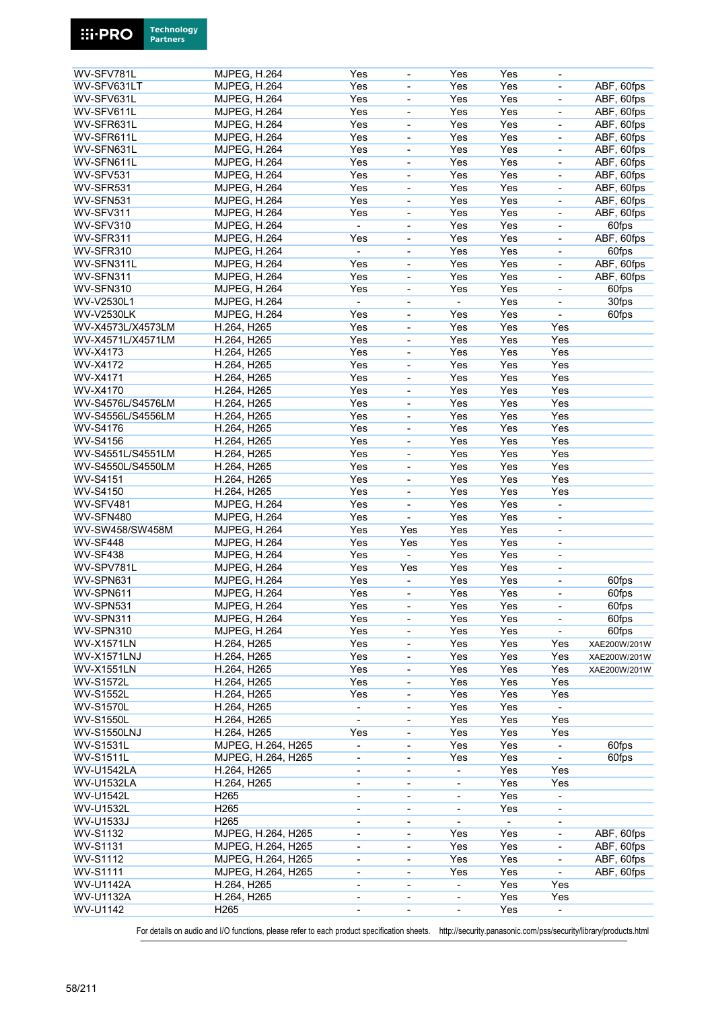

**Technology** 

**Partners** 

**Ei-PRO**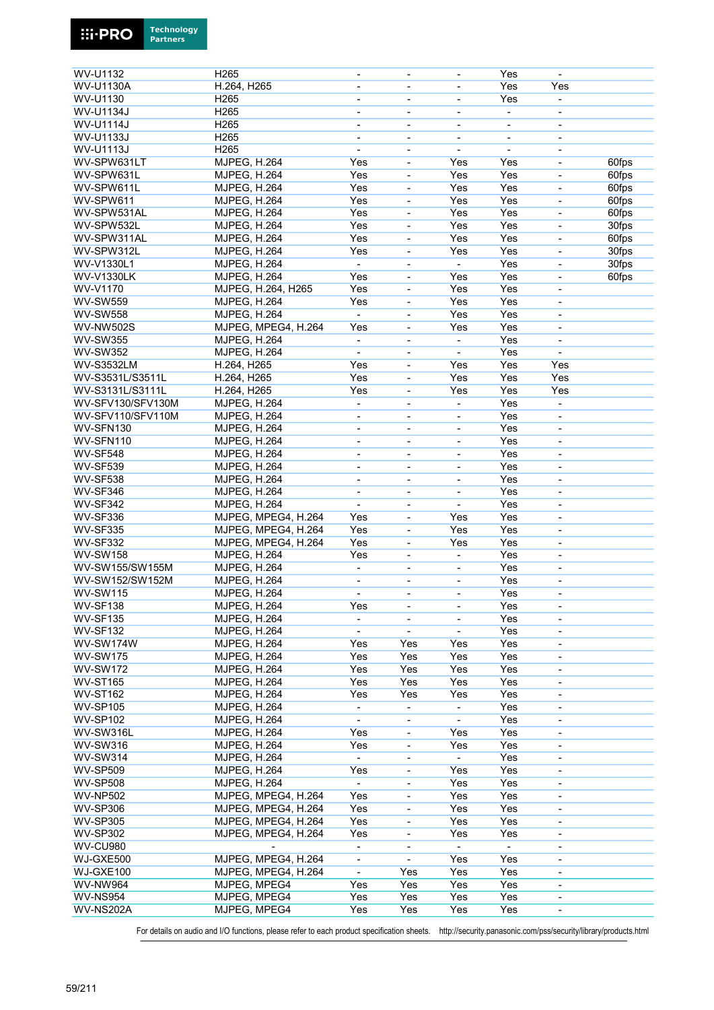

| WV-U1132          | H <sub>265</sub>    |                          | $\overline{\phantom{a}}$     | ä,                           | Yes                      |                              |       |
|-------------------|---------------------|--------------------------|------------------------------|------------------------------|--------------------------|------------------------------|-------|
| <b>WV-U1130A</b>  | H.264, H265         | $\blacksquare$           | $\overline{\phantom{a}}$     |                              | Yes                      | Yes                          |       |
| <b>WV-U1130</b>   | H265                |                          | $\overline{a}$               |                              | Yes                      |                              |       |
| WV-U1134J         | H <sub>265</sub>    | $\overline{\phantom{a}}$ | $\overline{\phantom{a}}$     | $\overline{\phantom{a}}$     | $\overline{\phantom{a}}$ | $\overline{\phantom{a}}$     |       |
| <b>WV-U1114J</b>  | H <sub>265</sub>    | $\overline{\phantom{a}}$ | $\overline{\phantom{a}}$     | $\overline{\phantom{0}}$     | -                        | $\overline{\phantom{a}}$     |       |
| <b>WV-U1133J</b>  | H265                |                          |                              |                              |                          |                              |       |
|                   |                     | $\overline{\phantom{a}}$ | $\overline{\phantom{a}}$     | $\overline{\phantom{a}}$     | $\overline{\phantom{a}}$ | $\overline{\phantom{0}}$     |       |
| <b>WV-U1113J</b>  | H265                |                          |                              |                              |                          |                              |       |
| WV-SPW631LT       | MJPEG, H.264        | Yes                      | ÷,                           | Yes                          | Yes                      | $\blacksquare$               | 60fps |
| WV-SPW631L        | <b>MJPEG, H.264</b> | Yes                      | $\qquad \qquad \blacksquare$ | Yes                          | Yes                      | $\overline{\phantom{0}}$     | 60fps |
| WV-SPW611L        | <b>MJPEG, H.264</b> | Yes                      | $\overline{\phantom{a}}$     | Yes                          | Yes                      | $\overline{\phantom{0}}$     | 60fps |
| WV-SPW611         | MJPEG, H.264        | Yes                      |                              | Yes                          | Yes                      |                              | 60fps |
| WV-SPW531AL       | MJPEG, H.264        | Yes                      | $\blacksquare$               | Yes                          | Yes                      | $\blacksquare$               | 60fps |
| WV-SPW532L        | <b>MJPEG, H.264</b> | Yes                      | $\qquad \qquad \blacksquare$ | Yes                          | Yes                      | $\overline{\phantom{0}}$     | 30fps |
| WV-SPW311AL       | <b>MJPEG, H.264</b> | Yes                      | $\overline{\phantom{a}}$     | Yes                          | Yes                      | $\qquad \qquad \blacksquare$ | 60fps |
| WV-SPW312L        | MJPEG, H.264        | Yes                      | $\blacksquare$               | Yes                          | Yes                      | ä,                           | 30fps |
| WV-V1330L1        | MJPEG, H.264        | $\blacksquare$           | $\blacksquare$               | ÷,                           | Yes                      | ä,                           | 30fps |
| <b>WV-V1330LK</b> | <b>MJPEG, H.264</b> | Yes                      | $\overline{\phantom{a}}$     | Yes                          | Yes                      | $\qquad \qquad \blacksquare$ | 60fps |
|                   |                     |                          |                              |                              |                          |                              |       |
| WV-V1170          | MJPEG, H.264, H265  | Yes                      | $\overline{\phantom{a}}$     | Yes                          | Yes                      | $\overline{\phantom{0}}$     |       |
| <b>WV-SW559</b>   | <b>MJPEG, H.264</b> | Yes                      | $\overline{\phantom{a}}$     | Yes                          | Yes                      |                              |       |
| <b>WV-SW558</b>   | MJPEG, H.264        | $\overline{a}$           | ÷,                           | Yes                          | Yes                      | ä,                           |       |
| <b>WV-NW502S</b>  | MJPEG, MPEG4, H.264 | Yes                      | $\blacksquare$               | Yes                          | Yes                      | $\overline{\phantom{a}}$     |       |
| <b>WV-SW355</b>   | <b>MJPEG, H.264</b> | $\blacksquare$           | $\blacksquare$               |                              | Yes                      | $\overline{\phantom{0}}$     |       |
| <b>WV-SW352</b>   | <b>MJPEG, H.264</b> |                          | $\blacksquare$               | ä,                           | Yes                      | $\blacksquare$               |       |
| <b>WV-S3532LM</b> | H.264, H265         | Yes                      | ÷,                           | Yes                          | Yes                      | Yes                          |       |
| WV-S3531L/S3511L  | H.264, H265         | Yes                      | $\overline{\phantom{a}}$     | Yes                          | Yes                      | Yes                          |       |
| WV-S3131L/S3111L  | H.264, H265         | Yes                      | $\qquad \qquad \blacksquare$ | Yes                          | Yes                      | Yes                          |       |
| WV-SFV130/SFV130M |                     |                          |                              |                              | Yes                      |                              |       |
|                   | <b>MJPEG, H.264</b> | $\overline{\phantom{a}}$ | $\overline{\phantom{a}}$     | $\blacksquare$               |                          | $\overline{\phantom{0}}$     |       |
| WV-SFV110/SFV110M | MJPEG, H.264        |                          |                              |                              | Yes                      |                              |       |
| WV-SFN130         | <b>MJPEG, H.264</b> | $\overline{\phantom{a}}$ | $\overline{\phantom{a}}$     | $\frac{1}{2}$                | Yes                      | $\overline{\phantom{a}}$     |       |
| WV-SFN110         | <b>MJPEG, H.264</b> | $\blacksquare$           | $\overline{\phantom{a}}$     | ÷,                           | Yes                      | $\qquad \qquad \blacksquare$ |       |
| <b>WV-SF548</b>   | <b>MJPEG, H.264</b> | $\overline{\phantom{a}}$ | $\overline{\phantom{a}}$     | $\overline{\phantom{a}}$     | Yes                      | $\overline{\phantom{a}}$     |       |
| <b>WV-SF539</b>   | MJPEG, H.264        | $\blacksquare$           | $\overline{\phantom{a}}$     | $\overline{a}$               | Yes                      | $\qquad \qquad \blacksquare$ |       |
| <b>WV-SF538</b>   | <b>MJPEG, H.264</b> | $\overline{\phantom{a}}$ | $\overline{\phantom{a}}$     | $\overline{\phantom{0}}$     | Yes                      | $\overline{\phantom{a}}$     |       |
| <b>WV-SF346</b>   | <b>MJPEG, H.264</b> | $\overline{\phantom{a}}$ | $\overline{\phantom{a}}$     | $\overline{a}$               | Yes                      | $\qquad \qquad \blacksquare$ |       |
| <b>WV-SF342</b>   | MJPEG, H.264        | $\blacksquare$           | $\overline{\phantom{a}}$     | $\frac{1}{2}$                | Yes                      | $\qquad \qquad \blacksquare$ |       |
| <b>WV-SF336</b>   | MJPEG, MPEG4, H.264 | Yes                      | $\overline{\phantom{0}}$     | Yes                          | Yes                      |                              |       |
| <b>WV-SF335</b>   | MJPEG, MPEG4, H.264 | Yes                      | ÷,                           | Yes                          | Yes                      | $\blacksquare$               |       |
|                   |                     |                          |                              |                              |                          |                              |       |
| <b>WV-SF332</b>   | MJPEG, MPEG4, H.264 | Yes                      | $\overline{\phantom{a}}$     | Yes                          | Yes                      | $\blacksquare$               |       |
| <b>WV-SW158</b>   | <b>MJPEG, H.264</b> | Yes                      | $\overline{\phantom{a}}$     | $\blacksquare$               | Yes                      | $\qquad \qquad \blacksquare$ |       |
| WV-SW155/SW155M   | <b>MJPEG, H.264</b> | $\overline{\phantom{a}}$ | $\overline{\phantom{a}}$     | $\overline{a}$               | Yes                      | $\qquad \qquad \blacksquare$ |       |
| WV-SW152/SW152M   | <b>MJPEG, H.264</b> |                          | L,                           |                              | Yes                      | ä,                           |       |
| <b>WV-SW115</b>   | MJPEG, H.264        | $\overline{\phantom{a}}$ | $\qquad \qquad \blacksquare$ | $\blacksquare$               | Yes                      | $\blacksquare$               |       |
| WV-SF138          | <b>MJPEG, H.264</b> | Yes                      | $\qquad \qquad \blacksquare$ | $\qquad \qquad \blacksquare$ | Yes                      | $\overline{\phantom{0}}$     |       |
| <b>WV-SF135</b>   | <b>MJPEG, H.264</b> | $\overline{\phantom{a}}$ | $\overline{\phantom{a}}$     | $\overline{\phantom{0}}$     | Yes                      | $\qquad \qquad \blacksquare$ |       |
| WV-SF132          | <b>MJPEG, H.264</b> |                          |                              |                              | Yes                      | ä,                           |       |
| WV-SW174W         | <b>MJPEG, H.264</b> | Yes                      | Yes                          | Yes                          | Yes                      | $\overline{\phantom{a}}$     |       |
| <b>WV-SW175</b>   | <b>MJPEG, H.264</b> | Yes                      | Yes                          | Yes                          | Yes                      |                              |       |
| <b>WV-SW172</b>   |                     |                          |                              |                              |                          | $\overline{\phantom{0}}$     |       |
|                   | <b>MJPEG, H.264</b> | Yes                      | Yes                          | Yes                          | Yes                      | ۰                            |       |
| <b>WV-ST165</b>   | <b>MJPEG, H.264</b> | Yes                      | Yes                          | Yes                          | Yes                      | $\qquad \qquad \blacksquare$ |       |
| <b>WV-ST162</b>   | <b>MJPEG. H.264</b> | Yes                      | Yes                          | Yes                          | Yes                      | $\overline{\phantom{a}}$     |       |
| <b>WV-SP105</b>   | <b>MJPEG, H.264</b> | $\blacksquare$           |                              |                              | Yes                      | $\overline{\phantom{0}}$     |       |
| <b>WV-SP102</b>   | <b>MJPEG, H.264</b> | $\blacksquare$           | $\qquad \qquad \blacksquare$ | $\overline{\phantom{0}}$     | Yes                      | $\overline{\phantom{a}}$     |       |
| WV-SW316L         | <b>MJPEG, H.264</b> | Yes                      | $\blacksquare$               | Yes                          | Yes                      | $\blacksquare$               |       |
| <b>WV-SW316</b>   | <b>MJPEG, H.264</b> | Yes                      | $\frac{1}{2}$                | Yes                          | Yes                      | $\overline{\phantom{a}}$     |       |
| <b>WV-SW314</b>   | <b>MJPEG, H.264</b> |                          | $\overline{\phantom{0}}$     |                              | Yes                      | -                            |       |
| <b>WV-SP509</b>   | <b>MJPEG, H.264</b> | Yes                      | $\overline{\phantom{0}}$     | Yes                          | Yes                      | -                            |       |
| <b>WV-SP508</b>   | <b>MJPEG, H.264</b> | $\blacksquare$           |                              | Yes                          | Yes                      |                              |       |
| <b>WV-NP502</b>   | MJPEG, MPEG4, H.264 | Yes                      | $\blacksquare$               | Yes                          | Yes                      | $\qquad \qquad \blacksquare$ |       |
|                   |                     |                          |                              | Yes                          |                          |                              |       |
| <b>WV-SP306</b>   | MJPEG, MPEG4, H.264 | Yes                      | $\overline{\phantom{0}}$     |                              | Yes                      | $\overline{\phantom{0}}$     |       |
| <b>WV-SP305</b>   | MJPEG, MPEG4, H.264 | Yes                      | $\qquad \qquad \blacksquare$ | Yes                          | Yes                      | $\overline{\phantom{0}}$     |       |
| <b>WV-SP302</b>   | MJPEG, MPEG4, H.264 | Yes                      | -                            | Yes                          | Yes                      |                              |       |
| <b>WV-CU980</b>   |                     | $\blacksquare$           | $\qquad \qquad \blacksquare$ | $\blacksquare$               | $\blacksquare$           | $\qquad \qquad \blacksquare$ |       |
| WJ-GXE500         | MJPEG, MPEG4, H.264 | $\overline{\phantom{a}}$ | $\blacksquare$               | Yes                          | Yes                      | $\overline{\phantom{0}}$     |       |
| WJ-GXE100         | MJPEG, MPEG4, H.264 | $\overline{\phantom{a}}$ | Yes                          | Yes                          | Yes                      | $\overline{\phantom{0}}$     |       |
| <b>WV-NW964</b>   | MJPEG, MPEG4        | Yes                      | Yes                          | Yes                          | Yes                      |                              |       |
| <b>WV-NS954</b>   | MJPEG, MPEG4        | Yes                      | Yes                          | Yes                          | Yes                      | $\qquad \qquad \blacksquare$ |       |
| <b>WV-NS202A</b>  | MJPEG, MPEG4        | Yes                      | Yes                          | Yes                          | Yes                      | $\overline{\phantom{a}}$     |       |
|                   |                     |                          |                              |                              |                          |                              |       |